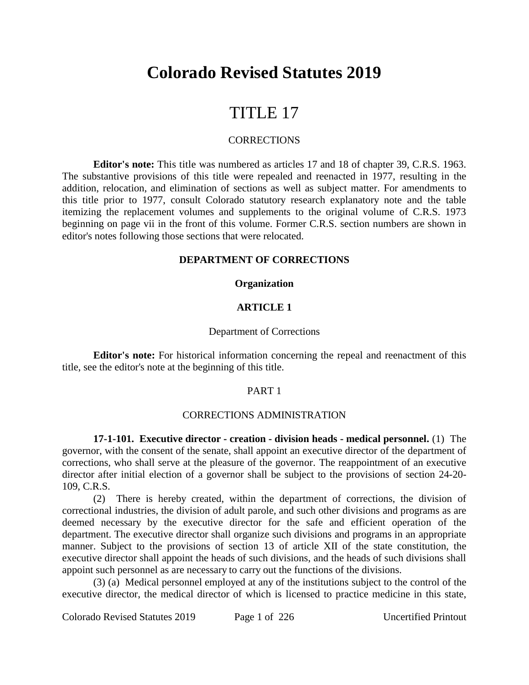# **Colorado Revised Statutes 2019**

# TITLE 17

#### **CORRECTIONS**

**Editor's note:** This title was numbered as articles 17 and 18 of chapter 39, C.R.S. 1963. The substantive provisions of this title were repealed and reenacted in 1977, resulting in the addition, relocation, and elimination of sections as well as subject matter. For amendments to this title prior to 1977, consult Colorado statutory research explanatory note and the table itemizing the replacement volumes and supplements to the original volume of C.R.S. 1973 beginning on page vii in the front of this volume. Former C.R.S. section numbers are shown in editor's notes following those sections that were relocated.

#### **DEPARTMENT OF CORRECTIONS**

#### **Organization**

#### **ARTICLE 1**

#### Department of Corrections

**Editor's note:** For historical information concerning the repeal and reenactment of this title, see the editor's note at the beginning of this title.

#### PART 1

#### CORRECTIONS ADMINISTRATION

**17-1-101. Executive director - creation - division heads - medical personnel.** (1) The governor, with the consent of the senate, shall appoint an executive director of the department of corrections, who shall serve at the pleasure of the governor. The reappointment of an executive director after initial election of a governor shall be subject to the provisions of section 24-20- 109, C.R.S.

(2) There is hereby created, within the department of corrections, the division of correctional industries, the division of adult parole, and such other divisions and programs as are deemed necessary by the executive director for the safe and efficient operation of the department. The executive director shall organize such divisions and programs in an appropriate manner. Subject to the provisions of section 13 of article XII of the state constitution, the executive director shall appoint the heads of such divisions, and the heads of such divisions shall appoint such personnel as are necessary to carry out the functions of the divisions.

(3) (a) Medical personnel employed at any of the institutions subject to the control of the executive director, the medical director of which is licensed to practice medicine in this state,

Colorado Revised Statutes 2019 Page 1 of 226 Uncertified Printout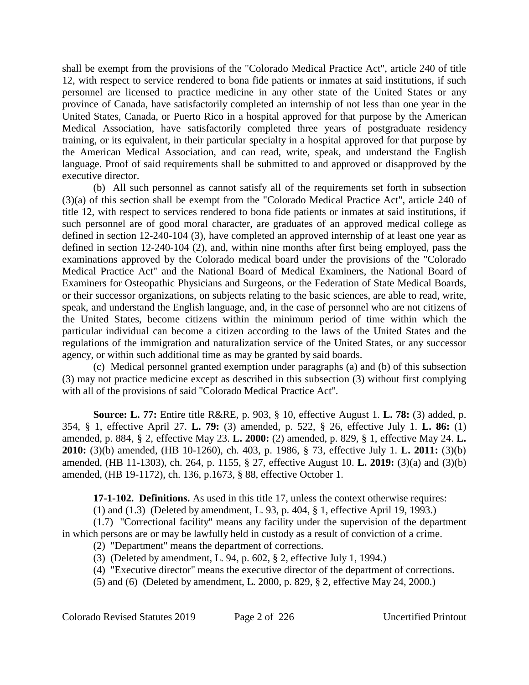shall be exempt from the provisions of the "Colorado Medical Practice Act", article 240 of title 12, with respect to service rendered to bona fide patients or inmates at said institutions, if such personnel are licensed to practice medicine in any other state of the United States or any province of Canada, have satisfactorily completed an internship of not less than one year in the United States, Canada, or Puerto Rico in a hospital approved for that purpose by the American Medical Association, have satisfactorily completed three years of postgraduate residency training, or its equivalent, in their particular specialty in a hospital approved for that purpose by the American Medical Association, and can read, write, speak, and understand the English language. Proof of said requirements shall be submitted to and approved or disapproved by the executive director.

(b) All such personnel as cannot satisfy all of the requirements set forth in subsection (3)(a) of this section shall be exempt from the "Colorado Medical Practice Act", article 240 of title 12, with respect to services rendered to bona fide patients or inmates at said institutions, if such personnel are of good moral character, are graduates of an approved medical college as defined in section 12-240-104 (3), have completed an approved internship of at least one year as defined in section 12-240-104 (2), and, within nine months after first being employed, pass the examinations approved by the Colorado medical board under the provisions of the "Colorado Medical Practice Act" and the National Board of Medical Examiners, the National Board of Examiners for Osteopathic Physicians and Surgeons, or the Federation of State Medical Boards, or their successor organizations, on subjects relating to the basic sciences, are able to read, write, speak, and understand the English language, and, in the case of personnel who are not citizens of the United States, become citizens within the minimum period of time within which the particular individual can become a citizen according to the laws of the United States and the regulations of the immigration and naturalization service of the United States, or any successor agency, or within such additional time as may be granted by said boards.

(c) Medical personnel granted exemption under paragraphs (a) and (b) of this subsection (3) may not practice medicine except as described in this subsection (3) without first complying with all of the provisions of said "Colorado Medical Practice Act".

**Source: L. 77:** Entire title R&RE, p. 903, § 10, effective August 1. **L. 78:** (3) added, p. 354, § 1, effective April 27. **L. 79:** (3) amended, p. 522, § 26, effective July 1. **L. 86:** (1) amended, p. 884, § 2, effective May 23. **L. 2000:** (2) amended, p. 829, § 1, effective May 24. **L. 2010:** (3)(b) amended, (HB 10-1260), ch. 403, p. 1986, § 73, effective July 1. **L. 2011:** (3)(b) amended, (HB 11-1303), ch. 264, p. 1155, § 27, effective August 10. **L. 2019:** (3)(a) and (3)(b) amended, (HB 19-1172), ch. 136, p.1673, § 88, effective October 1.

**17-1-102. Definitions.** As used in this title 17, unless the context otherwise requires:

(1) and (1.3) (Deleted by amendment, L. 93, p. 404, § 1, effective April 19, 1993.)

(1.7) "Correctional facility" means any facility under the supervision of the department in which persons are or may be lawfully held in custody as a result of conviction of a crime.

(2) "Department" means the department of corrections.

- (3) (Deleted by amendment, L. 94, p. 602, § 2, effective July 1, 1994.)
- (4) "Executive director" means the executive director of the department of corrections.

(5) and (6) (Deleted by amendment, L. 2000, p. 829, § 2, effective May 24, 2000.)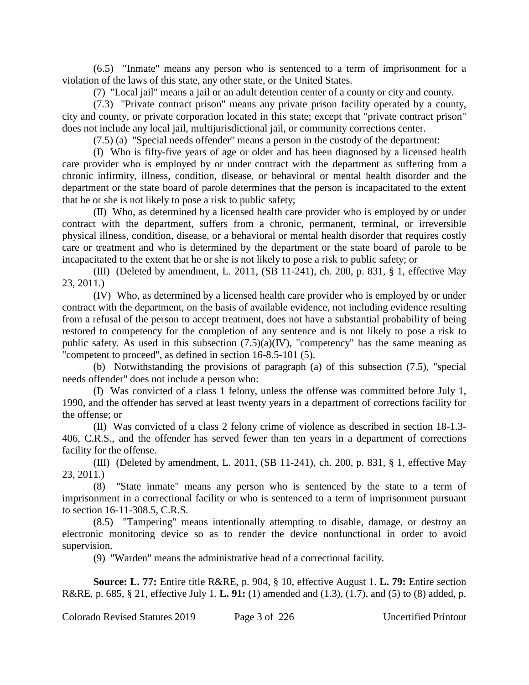(6.5) "Inmate" means any person who is sentenced to a term of imprisonment for a violation of the laws of this state, any other state, or the United States.

(7) "Local jail" means a jail or an adult detention center of a county or city and county.

(7.3) "Private contract prison" means any private prison facility operated by a county, city and county, or private corporation located in this state; except that "private contract prison" does not include any local jail, multijurisdictional jail, or community corrections center.

(7.5) (a) "Special needs offender" means a person in the custody of the department:

(I) Who is fifty-five years of age or older and has been diagnosed by a licensed health care provider who is employed by or under contract with the department as suffering from a chronic infirmity, illness, condition, disease, or behavioral or mental health disorder and the department or the state board of parole determines that the person is incapacitated to the extent that he or she is not likely to pose a risk to public safety;

(II) Who, as determined by a licensed health care provider who is employed by or under contract with the department, suffers from a chronic, permanent, terminal, or irreversible physical illness, condition, disease, or a behavioral or mental health disorder that requires costly care or treatment and who is determined by the department or the state board of parole to be incapacitated to the extent that he or she is not likely to pose a risk to public safety; or

(III) (Deleted by amendment, L. 2011, (SB 11-241), ch. 200, p. 831, § 1, effective May 23, 2011.)

(IV) Who, as determined by a licensed health care provider who is employed by or under contract with the department, on the basis of available evidence, not including evidence resulting from a refusal of the person to accept treatment, does not have a substantial probability of being restored to competency for the completion of any sentence and is not likely to pose a risk to public safety. As used in this subsection  $(7.5)(a)(IV)$ , "competency" has the same meaning as "competent to proceed", as defined in section 16-8.5-101 (5).

(b) Notwithstanding the provisions of paragraph (a) of this subsection (7.5), "special needs offender" does not include a person who:

(I) Was convicted of a class 1 felony, unless the offense was committed before July 1, 1990, and the offender has served at least twenty years in a department of corrections facility for the offense; or

(II) Was convicted of a class 2 felony crime of violence as described in section 18-1.3- 406, C.R.S., and the offender has served fewer than ten years in a department of corrections facility for the offense.

(III) (Deleted by amendment, L. 2011, (SB 11-241), ch. 200, p. 831, § 1, effective May 23, 2011.)

(8) "State inmate" means any person who is sentenced by the state to a term of imprisonment in a correctional facility or who is sentenced to a term of imprisonment pursuant to section 16-11-308.5, C.R.S.

(8.5) "Tampering" means intentionally attempting to disable, damage, or destroy an electronic monitoring device so as to render the device nonfunctional in order to avoid supervision.

(9) "Warden" means the administrative head of a correctional facility.

**Source: L. 77:** Entire title R&RE, p. 904, § 10, effective August 1. **L. 79:** Entire section R&RE, p. 685, § 21, effective July 1. **L. 91:** (1) amended and (1.3), (1.7), and (5) to (8) added, p.

Colorado Revised Statutes 2019 Page 3 of 226 Uncertified Printout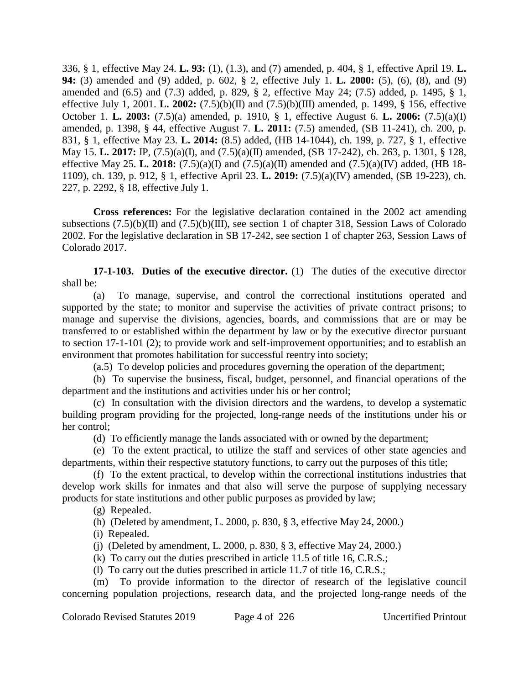336, § 1, effective May 24. **L. 93:** (1), (1.3), and (7) amended, p. 404, § 1, effective April 19. **L. 94:** (3) amended and (9) added, p. 602, § 2, effective July 1. **L. 2000:** (5), (6), (8), and (9) amended and (6.5) and (7.3) added, p. 829, § 2, effective May 24; (7.5) added, p. 1495, § 1, effective July 1, 2001. **L. 2002:** (7.5)(b)(II) and (7.5)(b)(III) amended, p. 1499, § 156, effective October 1. **L. 2003:** (7.5)(a) amended, p. 1910, § 1, effective August 6. **L. 2006:** (7.5)(a)(I) amended, p. 1398, § 44, effective August 7. **L. 2011:** (7.5) amended, (SB 11-241), ch. 200, p. 831, § 1, effective May 23. **L. 2014:** (8.5) added, (HB 14-1044), ch. 199, p. 727, § 1, effective May 15. **L. 2017:** IP, (7.5)(a)(I), and (7.5)(a)(II) amended, (SB 17-242), ch. 263, p. 1301, § 128, effective May 25. **L. 2018:** (7.5)(a)(I) and (7.5)(a)(II) amended and (7.5)(a)(IV) added, (HB 18- 1109), ch. 139, p. 912, § 1, effective April 23. **L. 2019:** (7.5)(a)(IV) amended, (SB 19-223), ch. 227, p. 2292, § 18, effective July 1.

**Cross references:** For the legislative declaration contained in the 2002 act amending subsections (7.5)(b)(II) and (7.5)(b)(III), see section 1 of chapter 318, Session Laws of Colorado 2002. For the legislative declaration in SB 17-242, see section 1 of chapter 263, Session Laws of Colorado 2017.

**17-1-103. Duties of the executive director.** (1) The duties of the executive director shall be:

(a) To manage, supervise, and control the correctional institutions operated and supported by the state; to monitor and supervise the activities of private contract prisons; to manage and supervise the divisions, agencies, boards, and commissions that are or may be transferred to or established within the department by law or by the executive director pursuant to section 17-1-101 (2); to provide work and self-improvement opportunities; and to establish an environment that promotes habilitation for successful reentry into society;

(a.5) To develop policies and procedures governing the operation of the department;

(b) To supervise the business, fiscal, budget, personnel, and financial operations of the department and the institutions and activities under his or her control;

(c) In consultation with the division directors and the wardens, to develop a systematic building program providing for the projected, long-range needs of the institutions under his or her control;

(d) To efficiently manage the lands associated with or owned by the department;

(e) To the extent practical, to utilize the staff and services of other state agencies and departments, within their respective statutory functions, to carry out the purposes of this title;

(f) To the extent practical, to develop within the correctional institutions industries that develop work skills for inmates and that also will serve the purpose of supplying necessary products for state institutions and other public purposes as provided by law;

(g) Repealed.

(h) (Deleted by amendment, L. 2000, p. 830, § 3, effective May 24, 2000.)

(i) Repealed.

(j) (Deleted by amendment, L. 2000, p. 830, § 3, effective May 24, 2000.)

(k) To carry out the duties prescribed in article 11.5 of title 16, C.R.S.;

(l) To carry out the duties prescribed in article 11.7 of title 16, C.R.S.;

(m) To provide information to the director of research of the legislative council concerning population projections, research data, and the projected long-range needs of the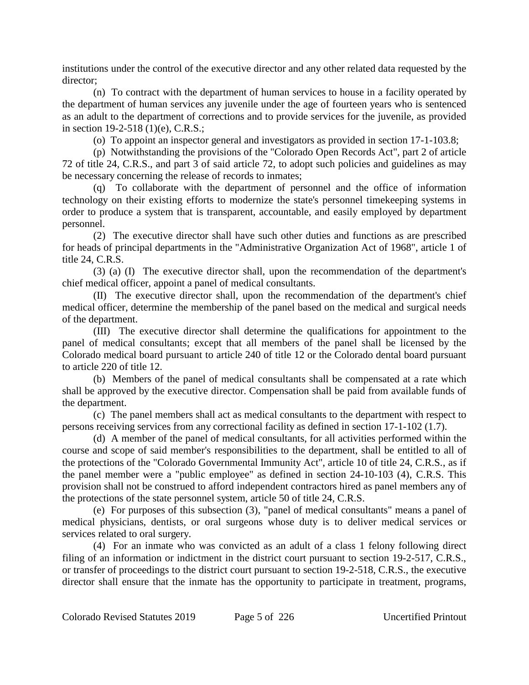institutions under the control of the executive director and any other related data requested by the director;

(n) To contract with the department of human services to house in a facility operated by the department of human services any juvenile under the age of fourteen years who is sentenced as an adult to the department of corrections and to provide services for the juvenile, as provided in section 19-2-518 (1)(e), C.R.S.;

(o) To appoint an inspector general and investigators as provided in section 17-1-103.8;

(p) Notwithstanding the provisions of the "Colorado Open Records Act", part 2 of article 72 of title 24, C.R.S., and part 3 of said article 72, to adopt such policies and guidelines as may be necessary concerning the release of records to inmates;

(q) To collaborate with the department of personnel and the office of information technology on their existing efforts to modernize the state's personnel timekeeping systems in order to produce a system that is transparent, accountable, and easily employed by department personnel.

(2) The executive director shall have such other duties and functions as are prescribed for heads of principal departments in the "Administrative Organization Act of 1968", article 1 of title 24, C.R.S.

(3) (a) (I) The executive director shall, upon the recommendation of the department's chief medical officer, appoint a panel of medical consultants.

(II) The executive director shall, upon the recommendation of the department's chief medical officer, determine the membership of the panel based on the medical and surgical needs of the department.

(III) The executive director shall determine the qualifications for appointment to the panel of medical consultants; except that all members of the panel shall be licensed by the Colorado medical board pursuant to article 240 of title 12 or the Colorado dental board pursuant to article 220 of title 12.

(b) Members of the panel of medical consultants shall be compensated at a rate which shall be approved by the executive director. Compensation shall be paid from available funds of the department.

(c) The panel members shall act as medical consultants to the department with respect to persons receiving services from any correctional facility as defined in section 17-1-102 (1.7).

(d) A member of the panel of medical consultants, for all activities performed within the course and scope of said member's responsibilities to the department, shall be entitled to all of the protections of the "Colorado Governmental Immunity Act", article 10 of title 24, C.R.S., as if the panel member were a "public employee" as defined in section 24-10-103 (4), C.R.S. This provision shall not be construed to afford independent contractors hired as panel members any of the protections of the state personnel system, article 50 of title 24, C.R.S.

(e) For purposes of this subsection (3), "panel of medical consultants" means a panel of medical physicians, dentists, or oral surgeons whose duty is to deliver medical services or services related to oral surgery.

(4) For an inmate who was convicted as an adult of a class 1 felony following direct filing of an information or indictment in the district court pursuant to section 19-2-517, C.R.S., or transfer of proceedings to the district court pursuant to section 19-2-518, C.R.S., the executive director shall ensure that the inmate has the opportunity to participate in treatment, programs,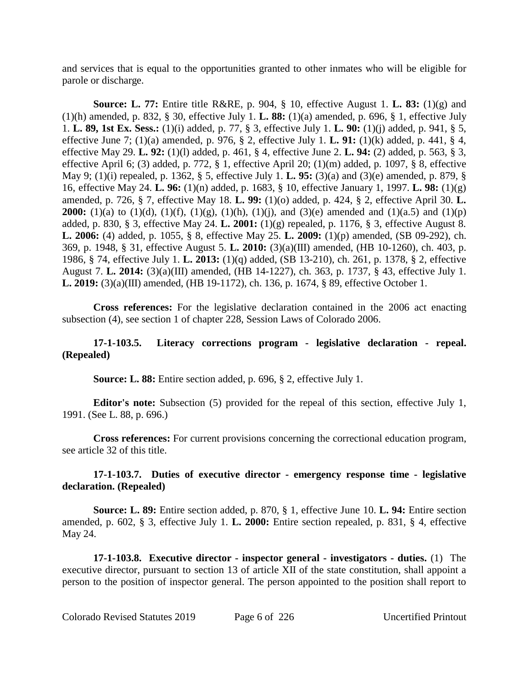and services that is equal to the opportunities granted to other inmates who will be eligible for parole or discharge.

**Source: L. 77:** Entire title R&RE, p. 904, § 10, effective August 1. **L. 83:** (1)(g) and (1)(h) amended, p. 832, § 30, effective July 1. **L. 88:** (1)(a) amended, p. 696, § 1, effective July 1. **L. 89, 1st Ex. Sess.:** (1)(i) added, p. 77, § 3, effective July 1. **L. 90:** (1)(j) added, p. 941, § 5, effective June 7; (1)(a) amended, p. 976, § 2, effective July 1. **L. 91:** (1)(k) added, p. 441, § 4, effective May 29. **L. 92:** (1)(l) added, p. 461, § 4, effective June 2. **L. 94:** (2) added, p. 563, § 3, effective April 6; (3) added, p. 772, § 1, effective April 20; (1)(m) added, p. 1097, § 8, effective May 9; (1)(i) repealed, p. 1362, § 5, effective July 1. **L. 95:** (3)(a) and (3)(e) amended, p. 879, § 16, effective May 24. **L. 96:** (1)(n) added, p. 1683, § 10, effective January 1, 1997. **L. 98:** (1)(g) amended, p. 726, § 7, effective May 18. **L. 99:** (1)(o) added, p. 424, § 2, effective April 30. **L. 2000:** (1)(a) to (1)(d), (1)(f), (1)(g), (1)(h), (1)(j), and (3)(e) amended and (1)(a.5) and (1)(p) added, p. 830, § 3, effective May 24. **L. 2001:** (1)(g) repealed, p. 1176, § 3, effective August 8. **L. 2006:** (4) added, p. 1055, § 8, effective May 25. **L. 2009:** (1)(p) amended, (SB 09-292), ch. 369, p. 1948, § 31, effective August 5. **L. 2010:** (3)(a)(III) amended, (HB 10-1260), ch. 403, p. 1986, § 74, effective July 1. **L. 2013:** (1)(q) added, (SB 13-210), ch. 261, p. 1378, § 2, effective August 7. **L. 2014:** (3)(a)(III) amended, (HB 14-1227), ch. 363, p. 1737, § 43, effective July 1. **L. 2019:** (3)(a)(III) amended, (HB 19-1172), ch. 136, p. 1674, § 89, effective October 1.

**Cross references:** For the legislative declaration contained in the 2006 act enacting subsection (4), see section 1 of chapter 228, Session Laws of Colorado 2006.

## **17-1-103.5. Literacy corrections program - legislative declaration - repeal. (Repealed)**

**Source: L. 88:** Entire section added, p. 696, § 2, effective July 1.

**Editor's note:** Subsection (5) provided for the repeal of this section, effective July 1, 1991. (See L. 88, p. 696.)

**Cross references:** For current provisions concerning the correctional education program, see article 32 of this title.

## **17-1-103.7. Duties of executive director - emergency response time - legislative declaration. (Repealed)**

**Source: L. 89:** Entire section added, p. 870, § 1, effective June 10. **L. 94:** Entire section amended, p. 602, § 3, effective July 1. **L. 2000:** Entire section repealed, p. 831, § 4, effective May 24.

**17-1-103.8. Executive director - inspector general - investigators - duties.** (1) The executive director, pursuant to section 13 of article XII of the state constitution, shall appoint a person to the position of inspector general. The person appointed to the position shall report to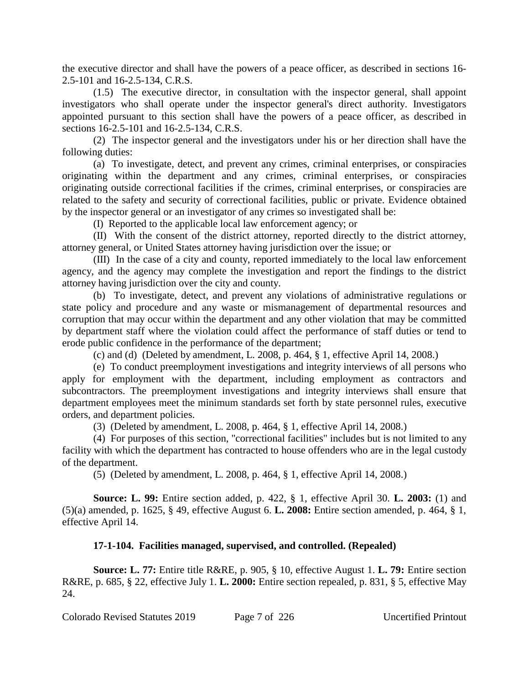the executive director and shall have the powers of a peace officer, as described in sections 16- 2.5-101 and 16-2.5-134, C.R.S.

(1.5) The executive director, in consultation with the inspector general, shall appoint investigators who shall operate under the inspector general's direct authority. Investigators appointed pursuant to this section shall have the powers of a peace officer, as described in sections 16-2.5-101 and 16-2.5-134, C.R.S.

(2) The inspector general and the investigators under his or her direction shall have the following duties:

(a) To investigate, detect, and prevent any crimes, criminal enterprises, or conspiracies originating within the department and any crimes, criminal enterprises, or conspiracies originating outside correctional facilities if the crimes, criminal enterprises, or conspiracies are related to the safety and security of correctional facilities, public or private. Evidence obtained by the inspector general or an investigator of any crimes so investigated shall be:

(I) Reported to the applicable local law enforcement agency; or

(II) With the consent of the district attorney, reported directly to the district attorney, attorney general, or United States attorney having jurisdiction over the issue; or

(III) In the case of a city and county, reported immediately to the local law enforcement agency, and the agency may complete the investigation and report the findings to the district attorney having jurisdiction over the city and county.

(b) To investigate, detect, and prevent any violations of administrative regulations or state policy and procedure and any waste or mismanagement of departmental resources and corruption that may occur within the department and any other violation that may be committed by department staff where the violation could affect the performance of staff duties or tend to erode public confidence in the performance of the department;

(c) and (d) (Deleted by amendment, L. 2008, p. 464, § 1, effective April 14, 2008.)

(e) To conduct preemployment investigations and integrity interviews of all persons who apply for employment with the department, including employment as contractors and subcontractors. The preemployment investigations and integrity interviews shall ensure that department employees meet the minimum standards set forth by state personnel rules, executive orders, and department policies.

(3) (Deleted by amendment, L. 2008, p. 464, § 1, effective April 14, 2008.)

(4) For purposes of this section, "correctional facilities" includes but is not limited to any facility with which the department has contracted to house offenders who are in the legal custody of the department.

(5) (Deleted by amendment, L. 2008, p. 464, § 1, effective April 14, 2008.)

**Source: L. 99:** Entire section added, p. 422, § 1, effective April 30. **L. 2003:** (1) and (5)(a) amended, p. 1625, § 49, effective August 6. **L. 2008:** Entire section amended, p. 464, § 1, effective April 14.

# **17-1-104. Facilities managed, supervised, and controlled. (Repealed)**

**Source: L. 77:** Entire title R&RE, p. 905, § 10, effective August 1. **L. 79:** Entire section R&RE, p. 685, § 22, effective July 1. **L. 2000:** Entire section repealed, p. 831, § 5, effective May 24.

Colorado Revised Statutes 2019 Page 7 of 226 Uncertified Printout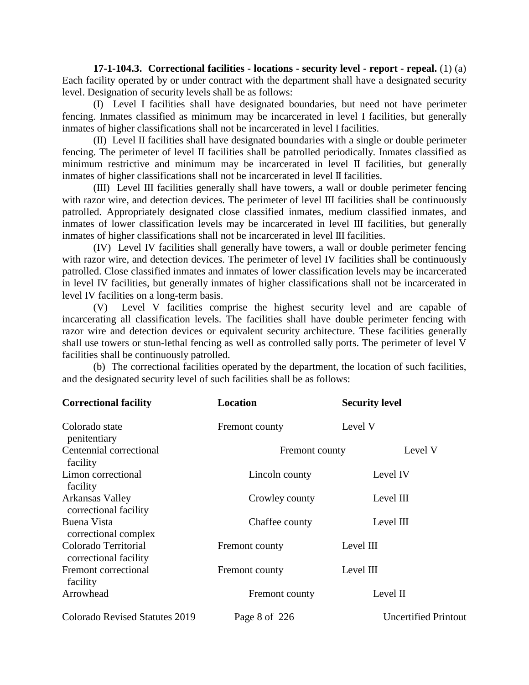**17-1-104.3. Correctional facilities - locations - security level - report - repeal.** (1) (a) Each facility operated by or under contract with the department shall have a designated security level. Designation of security levels shall be as follows:

(I) Level I facilities shall have designated boundaries, but need not have perimeter fencing. Inmates classified as minimum may be incarcerated in level I facilities, but generally inmates of higher classifications shall not be incarcerated in level I facilities.

(II) Level II facilities shall have designated boundaries with a single or double perimeter fencing. The perimeter of level II facilities shall be patrolled periodically. Inmates classified as minimum restrictive and minimum may be incarcerated in level II facilities, but generally inmates of higher classifications shall not be incarcerated in level II facilities.

(III) Level III facilities generally shall have towers, a wall or double perimeter fencing with razor wire, and detection devices. The perimeter of level III facilities shall be continuously patrolled. Appropriately designated close classified inmates, medium classified inmates, and inmates of lower classification levels may be incarcerated in level III facilities, but generally inmates of higher classifications shall not be incarcerated in level III facilities.

(IV) Level IV facilities shall generally have towers, a wall or double perimeter fencing with razor wire, and detection devices. The perimeter of level IV facilities shall be continuously patrolled. Close classified inmates and inmates of lower classification levels may be incarcerated in level IV facilities, but generally inmates of higher classifications shall not be incarcerated in level IV facilities on a long-term basis.

(V) Level V facilities comprise the highest security level and are capable of incarcerating all classification levels. The facilities shall have double perimeter fencing with razor wire and detection devices or equivalent security architecture. These facilities generally shall use towers or stun-lethal fencing as well as controlled sally ports. The perimeter of level V facilities shall be continuously patrolled.

(b) The correctional facilities operated by the department, the location of such facilities, and the designated security level of such facilities shall be as follows:

| <b>Correctional facility</b>                  | <b>Location</b> | <b>Security level</b>       |
|-----------------------------------------------|-----------------|-----------------------------|
| Colorado state<br>penitentiary                | Fremont county  | Level V                     |
| Centennial correctional<br>facility           | Fremont county  | Level V                     |
| Limon correctional<br>facility                | Lincoln county  | Level IV                    |
| Arkansas Valley<br>correctional facility      | Crowley county  | Level III                   |
| Buena Vista<br>correctional complex           | Chaffee county  | Level $III$                 |
| Colorado Territorial<br>correctional facility | Fremont county  | Level III                   |
| Fremont correctional<br>facility              | Fremont county  | Level III                   |
| Arrowhead                                     | Fremont county  | Level II                    |
| <b>Colorado Revised Statutes 2019</b>         | Page 8 of 226   | <b>Uncertified Printout</b> |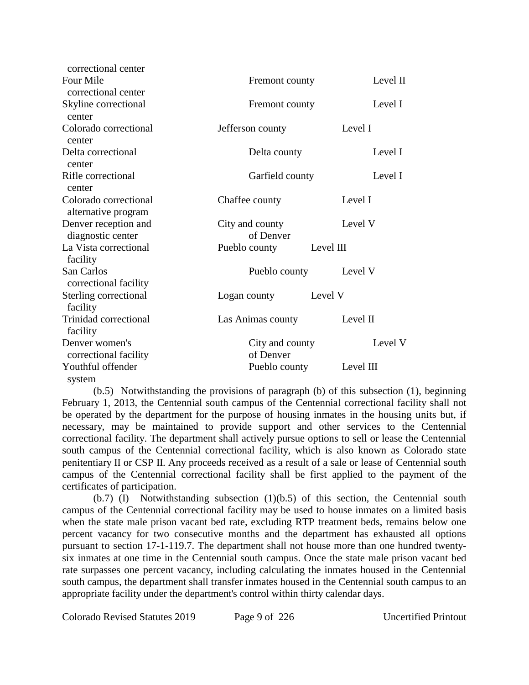| correctional center                          |                               |           |
|----------------------------------------------|-------------------------------|-----------|
| Four Mile                                    | Level $\Pi$<br>Fremont county |           |
| correctional center                          |                               |           |
| Skyline correctional<br>center               | Fremont county                | Level I   |
| Colorado correctional<br>center              | Jefferson county              | Level I   |
| Delta correctional<br>center                 | Level I<br>Delta county       |           |
| Rifle correctional<br>center                 | Garfield county<br>Level I    |           |
| Colorado correctional<br>alternative program | Chaffee county                | Level I   |
| Denver reception and<br>diagnostic center    | City and county<br>of Denver  | Level V   |
| La Vista correctional<br>facility            | Pueblo county<br>Level III    |           |
| San Carlos<br>correctional facility          | Pueblo county                 | Level V   |
| Sterling correctional<br>facility            | Logan county                  | Level V   |
| Trinidad correctional<br>facility            | Las Animas county             | Level II  |
| Denver women's                               | City and county               | Level V   |
| correctional facility                        | of Denver                     |           |
| Youthful offender<br>system                  | Pueblo county                 | Level III |

(b.5) Notwithstanding the provisions of paragraph (b) of this subsection (1), beginning February 1, 2013, the Centennial south campus of the Centennial correctional facility shall not be operated by the department for the purpose of housing inmates in the housing units but, if necessary, may be maintained to provide support and other services to the Centennial correctional facility. The department shall actively pursue options to sell or lease the Centennial south campus of the Centennial correctional facility, which is also known as Colorado state penitentiary II or CSP II. Any proceeds received as a result of a sale or lease of Centennial south campus of the Centennial correctional facility shall be first applied to the payment of the certificates of participation.

(b.7) (I) Notwithstanding subsection (1)(b.5) of this section, the Centennial south campus of the Centennial correctional facility may be used to house inmates on a limited basis when the state male prison vacant bed rate, excluding RTP treatment beds, remains below one percent vacancy for two consecutive months and the department has exhausted all options pursuant to section 17-1-119.7. The department shall not house more than one hundred twentysix inmates at one time in the Centennial south campus. Once the state male prison vacant bed rate surpasses one percent vacancy, including calculating the inmates housed in the Centennial south campus, the department shall transfer inmates housed in the Centennial south campus to an appropriate facility under the department's control within thirty calendar days.

Colorado Revised Statutes 2019 Page 9 of 226 Uncertified Printout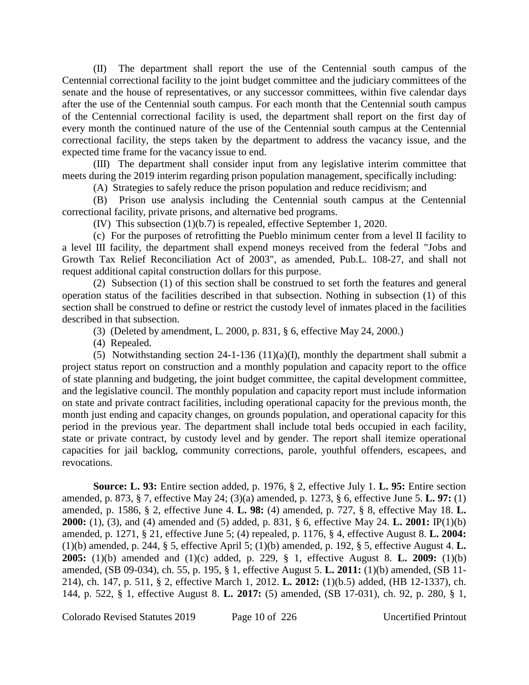(II) The department shall report the use of the Centennial south campus of the Centennial correctional facility to the joint budget committee and the judiciary committees of the senate and the house of representatives, or any successor committees, within five calendar days after the use of the Centennial south campus. For each month that the Centennial south campus of the Centennial correctional facility is used, the department shall report on the first day of every month the continued nature of the use of the Centennial south campus at the Centennial correctional facility, the steps taken by the department to address the vacancy issue, and the expected time frame for the vacancy issue to end.

(III) The department shall consider input from any legislative interim committee that meets during the 2019 interim regarding prison population management, specifically including:

(A) Strategies to safely reduce the prison population and reduce recidivism; and

(B) Prison use analysis including the Centennial south campus at the Centennial correctional facility, private prisons, and alternative bed programs.

(IV) This subsection (1)(b.7) is repealed, effective September 1, 2020.

(c) For the purposes of retrofitting the Pueblo minimum center from a level II facility to a level III facility, the department shall expend moneys received from the federal "Jobs and Growth Tax Relief Reconciliation Act of 2003", as amended, Pub.L. 108-27, and shall not request additional capital construction dollars for this purpose.

(2) Subsection (1) of this section shall be construed to set forth the features and general operation status of the facilities described in that subsection. Nothing in subsection (1) of this section shall be construed to define or restrict the custody level of inmates placed in the facilities described in that subsection.

(3) (Deleted by amendment, L. 2000, p. 831, § 6, effective May 24, 2000.)

(4) Repealed.

(5) Notwithstanding section 24-1-136 (11)(a)(I), monthly the department shall submit a project status report on construction and a monthly population and capacity report to the office of state planning and budgeting, the joint budget committee, the capital development committee, and the legislative council. The monthly population and capacity report must include information on state and private contract facilities, including operational capacity for the previous month, the month just ending and capacity changes, on grounds population, and operational capacity for this period in the previous year. The department shall include total beds occupied in each facility, state or private contract, by custody level and by gender. The report shall itemize operational capacities for jail backlog, community corrections, parole, youthful offenders, escapees, and revocations.

**Source: L. 93:** Entire section added, p. 1976, § 2, effective July 1. **L. 95:** Entire section amended, p. 873, § 7, effective May 24; (3)(a) amended, p. 1273, § 6, effective June 5. **L. 97:** (1) amended, p. 1586, § 2, effective June 4. **L. 98:** (4) amended, p. 727, § 8, effective May 18. **L. 2000:** (1), (3), and (4) amended and (5) added, p. 831, § 6, effective May 24. **L. 2001:** IP(1)(b) amended, p. 1271, § 21, effective June 5; (4) repealed, p. 1176, § 4, effective August 8. **L. 2004:** (1)(b) amended, p. 244, § 5, effective April 5; (1)(b) amended, p. 192, § 5, effective August 4. **L. 2005:** (1)(b) amended and (1)(c) added, p. 229, § 1, effective August 8. **L. 2009:** (1)(b) amended, (SB 09-034), ch. 55, p. 195, § 1, effective August 5. **L. 2011:** (1)(b) amended, (SB 11- 214), ch. 147, p. 511, § 2, effective March 1, 2012. **L. 2012:** (1)(b.5) added, (HB 12-1337), ch. 144, p. 522, § 1, effective August 8. **L. 2017:** (5) amended, (SB 17-031), ch. 92, p. 280, § 1,

Colorado Revised Statutes 2019 Page 10 of 226 Uncertified Printout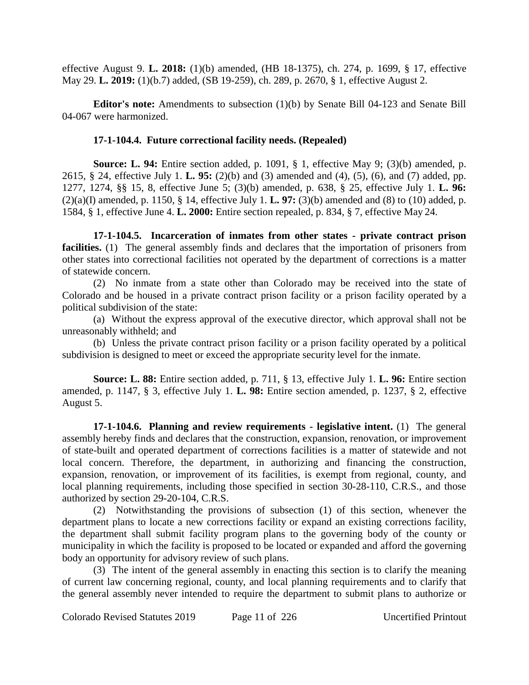effective August 9. **L. 2018:** (1)(b) amended, (HB 18-1375), ch. 274, p. 1699, § 17, effective May 29. **L. 2019:** (1)(b.7) added, (SB 19-259), ch. 289, p. 2670, § 1, effective August 2.

**Editor's note:** Amendments to subsection (1)(b) by Senate Bill 04-123 and Senate Bill 04-067 were harmonized.

#### **17-1-104.4. Future correctional facility needs. (Repealed)**

**Source: L. 94:** Entire section added, p. 1091, § 1, effective May 9; (3)(b) amended, p. 2615, § 24, effective July 1. **L. 95:** (2)(b) and (3) amended and (4), (5), (6), and (7) added, pp. 1277, 1274, §§ 15, 8, effective June 5; (3)(b) amended, p. 638, § 25, effective July 1. **L. 96:** (2)(a)(I) amended, p. 1150, § 14, effective July 1. **L. 97:** (3)(b) amended and (8) to (10) added, p. 1584, § 1, effective June 4. **L. 2000:** Entire section repealed, p. 834, § 7, effective May 24.

**17-1-104.5. Incarceration of inmates from other states - private contract prison facilities.** (1) The general assembly finds and declares that the importation of prisoners from other states into correctional facilities not operated by the department of corrections is a matter of statewide concern.

(2) No inmate from a state other than Colorado may be received into the state of Colorado and be housed in a private contract prison facility or a prison facility operated by a political subdivision of the state:

(a) Without the express approval of the executive director, which approval shall not be unreasonably withheld; and

(b) Unless the private contract prison facility or a prison facility operated by a political subdivision is designed to meet or exceed the appropriate security level for the inmate.

**Source: L. 88:** Entire section added, p. 711, § 13, effective July 1. **L. 96:** Entire section amended, p. 1147, § 3, effective July 1. **L. 98:** Entire section amended, p. 1237, § 2, effective August 5.

**17-1-104.6. Planning and review requirements - legislative intent.** (1) The general assembly hereby finds and declares that the construction, expansion, renovation, or improvement of state-built and operated department of corrections facilities is a matter of statewide and not local concern. Therefore, the department, in authorizing and financing the construction, expansion, renovation, or improvement of its facilities, is exempt from regional, county, and local planning requirements, including those specified in section 30-28-110, C.R.S., and those authorized by section 29-20-104, C.R.S.

(2) Notwithstanding the provisions of subsection (1) of this section, whenever the department plans to locate a new corrections facility or expand an existing corrections facility, the department shall submit facility program plans to the governing body of the county or municipality in which the facility is proposed to be located or expanded and afford the governing body an opportunity for advisory review of such plans.

(3) The intent of the general assembly in enacting this section is to clarify the meaning of current law concerning regional, county, and local planning requirements and to clarify that the general assembly never intended to require the department to submit plans to authorize or

Colorado Revised Statutes 2019 Page 11 of 226 Uncertified Printout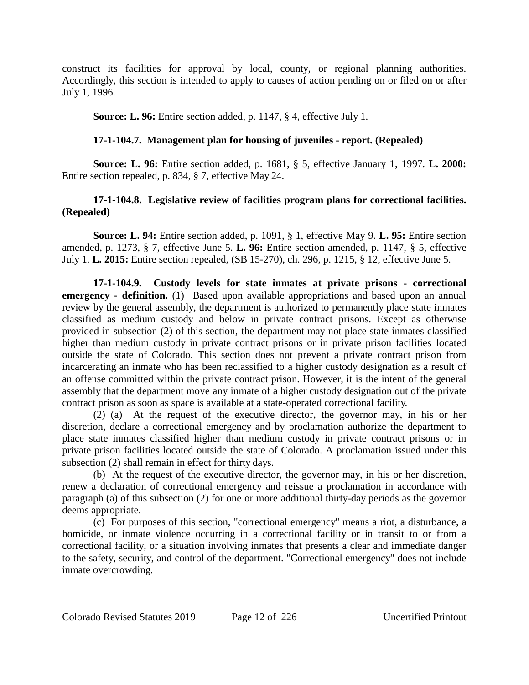construct its facilities for approval by local, county, or regional planning authorities. Accordingly, this section is intended to apply to causes of action pending on or filed on or after July 1, 1996.

**Source: L. 96:** Entire section added, p. 1147, § 4, effective July 1.

## **17-1-104.7. Management plan for housing of juveniles - report. (Repealed)**

**Source: L. 96:** Entire section added, p. 1681, § 5, effective January 1, 1997. **L. 2000:** Entire section repealed, p. 834, § 7, effective May 24.

# **17-1-104.8. Legislative review of facilities program plans for correctional facilities. (Repealed)**

**Source: L. 94:** Entire section added, p. 1091, § 1, effective May 9. **L. 95:** Entire section amended, p. 1273, § 7, effective June 5. **L. 96:** Entire section amended, p. 1147, § 5, effective July 1. **L. 2015:** Entire section repealed, (SB 15-270), ch. 296, p. 1215, § 12, effective June 5.

**17-1-104.9. Custody levels for state inmates at private prisons - correctional emergency - definition.** (1) Based upon available appropriations and based upon an annual review by the general assembly, the department is authorized to permanently place state inmates classified as medium custody and below in private contract prisons. Except as otherwise provided in subsection (2) of this section, the department may not place state inmates classified higher than medium custody in private contract prisons or in private prison facilities located outside the state of Colorado. This section does not prevent a private contract prison from incarcerating an inmate who has been reclassified to a higher custody designation as a result of an offense committed within the private contract prison. However, it is the intent of the general assembly that the department move any inmate of a higher custody designation out of the private contract prison as soon as space is available at a state-operated correctional facility.

(2) (a) At the request of the executive director, the governor may, in his or her discretion, declare a correctional emergency and by proclamation authorize the department to place state inmates classified higher than medium custody in private contract prisons or in private prison facilities located outside the state of Colorado. A proclamation issued under this subsection (2) shall remain in effect for thirty days.

(b) At the request of the executive director, the governor may, in his or her discretion, renew a declaration of correctional emergency and reissue a proclamation in accordance with paragraph (a) of this subsection (2) for one or more additional thirty-day periods as the governor deems appropriate.

(c) For purposes of this section, "correctional emergency" means a riot, a disturbance, a homicide, or inmate violence occurring in a correctional facility or in transit to or from a correctional facility, or a situation involving inmates that presents a clear and immediate danger to the safety, security, and control of the department. "Correctional emergency" does not include inmate overcrowding.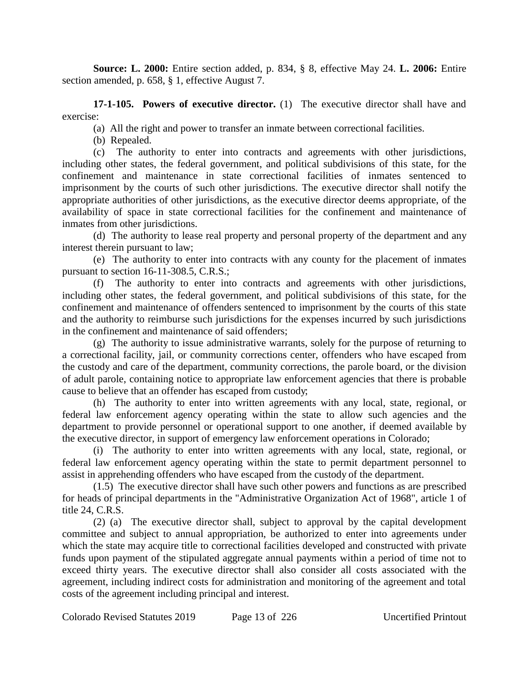**Source: L. 2000:** Entire section added, p. 834, § 8, effective May 24. **L. 2006:** Entire section amended, p. 658, § 1, effective August 7.

**17-1-105. Powers of executive director.** (1) The executive director shall have and exercise:

(a) All the right and power to transfer an inmate between correctional facilities.

(b) Repealed.

(c) The authority to enter into contracts and agreements with other jurisdictions, including other states, the federal government, and political subdivisions of this state, for the confinement and maintenance in state correctional facilities of inmates sentenced to imprisonment by the courts of such other jurisdictions. The executive director shall notify the appropriate authorities of other jurisdictions, as the executive director deems appropriate, of the availability of space in state correctional facilities for the confinement and maintenance of inmates from other jurisdictions.

(d) The authority to lease real property and personal property of the department and any interest therein pursuant to law;

(e) The authority to enter into contracts with any county for the placement of inmates pursuant to section 16-11-308.5, C.R.S.;

(f) The authority to enter into contracts and agreements with other jurisdictions, including other states, the federal government, and political subdivisions of this state, for the confinement and maintenance of offenders sentenced to imprisonment by the courts of this state and the authority to reimburse such jurisdictions for the expenses incurred by such jurisdictions in the confinement and maintenance of said offenders;

(g) The authority to issue administrative warrants, solely for the purpose of returning to a correctional facility, jail, or community corrections center, offenders who have escaped from the custody and care of the department, community corrections, the parole board, or the division of adult parole, containing notice to appropriate law enforcement agencies that there is probable cause to believe that an offender has escaped from custody;

(h) The authority to enter into written agreements with any local, state, regional, or federal law enforcement agency operating within the state to allow such agencies and the department to provide personnel or operational support to one another, if deemed available by the executive director, in support of emergency law enforcement operations in Colorado;

(i) The authority to enter into written agreements with any local, state, regional, or federal law enforcement agency operating within the state to permit department personnel to assist in apprehending offenders who have escaped from the custody of the department.

(1.5) The executive director shall have such other powers and functions as are prescribed for heads of principal departments in the "Administrative Organization Act of 1968", article 1 of title 24, C.R.S.

(2) (a) The executive director shall, subject to approval by the capital development committee and subject to annual appropriation, be authorized to enter into agreements under which the state may acquire title to correctional facilities developed and constructed with private funds upon payment of the stipulated aggregate annual payments within a period of time not to exceed thirty years. The executive director shall also consider all costs associated with the agreement, including indirect costs for administration and monitoring of the agreement and total costs of the agreement including principal and interest.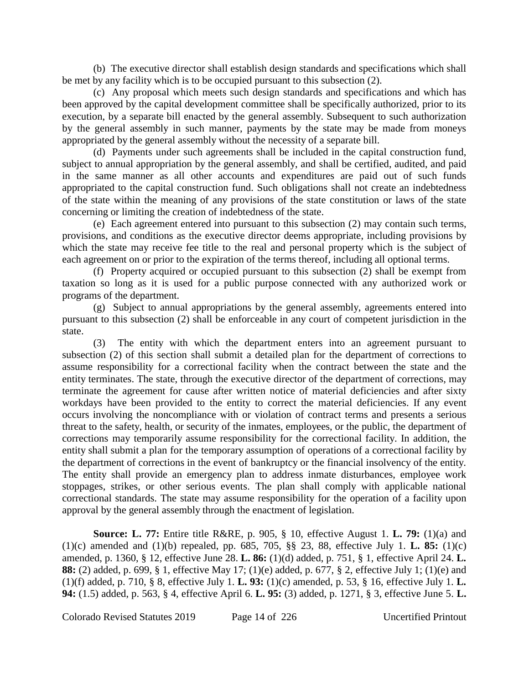(b) The executive director shall establish design standards and specifications which shall be met by any facility which is to be occupied pursuant to this subsection (2).

(c) Any proposal which meets such design standards and specifications and which has been approved by the capital development committee shall be specifically authorized, prior to its execution, by a separate bill enacted by the general assembly. Subsequent to such authorization by the general assembly in such manner, payments by the state may be made from moneys appropriated by the general assembly without the necessity of a separate bill.

(d) Payments under such agreements shall be included in the capital construction fund, subject to annual appropriation by the general assembly, and shall be certified, audited, and paid in the same manner as all other accounts and expenditures are paid out of such funds appropriated to the capital construction fund. Such obligations shall not create an indebtedness of the state within the meaning of any provisions of the state constitution or laws of the state concerning or limiting the creation of indebtedness of the state.

(e) Each agreement entered into pursuant to this subsection (2) may contain such terms, provisions, and conditions as the executive director deems appropriate, including provisions by which the state may receive fee title to the real and personal property which is the subject of each agreement on or prior to the expiration of the terms thereof, including all optional terms.

(f) Property acquired or occupied pursuant to this subsection (2) shall be exempt from taxation so long as it is used for a public purpose connected with any authorized work or programs of the department.

(g) Subject to annual appropriations by the general assembly, agreements entered into pursuant to this subsection (2) shall be enforceable in any court of competent jurisdiction in the state.

(3) The entity with which the department enters into an agreement pursuant to subsection (2) of this section shall submit a detailed plan for the department of corrections to assume responsibility for a correctional facility when the contract between the state and the entity terminates. The state, through the executive director of the department of corrections, may terminate the agreement for cause after written notice of material deficiencies and after sixty workdays have been provided to the entity to correct the material deficiencies. If any event occurs involving the noncompliance with or violation of contract terms and presents a serious threat to the safety, health, or security of the inmates, employees, or the public, the department of corrections may temporarily assume responsibility for the correctional facility. In addition, the entity shall submit a plan for the temporary assumption of operations of a correctional facility by the department of corrections in the event of bankruptcy or the financial insolvency of the entity. The entity shall provide an emergency plan to address inmate disturbances, employee work stoppages, strikes, or other serious events. The plan shall comply with applicable national correctional standards. The state may assume responsibility for the operation of a facility upon approval by the general assembly through the enactment of legislation.

**Source: L. 77:** Entire title R&RE, p. 905, § 10, effective August 1. **L. 79:** (1)(a) and (1)(c) amended and (1)(b) repealed, pp. 685, 705, §§ 23, 88, effective July 1. **L. 85:** (1)(c) amended, p. 1360, § 12, effective June 28. **L. 86:** (1)(d) added, p. 751, § 1, effective April 24. **L. 88:** (2) added, p. 699, § 1, effective May 17; (1)(e) added, p. 677, § 2, effective July 1; (1)(e) and (1)(f) added, p. 710, § 8, effective July 1. **L. 93:** (1)(c) amended, p. 53, § 16, effective July 1. **L. 94:** (1.5) added, p. 563, § 4, effective April 6. **L. 95:** (3) added, p. 1271, § 3, effective June 5. **L.**

Colorado Revised Statutes 2019 Page 14 of 226 Uncertified Printout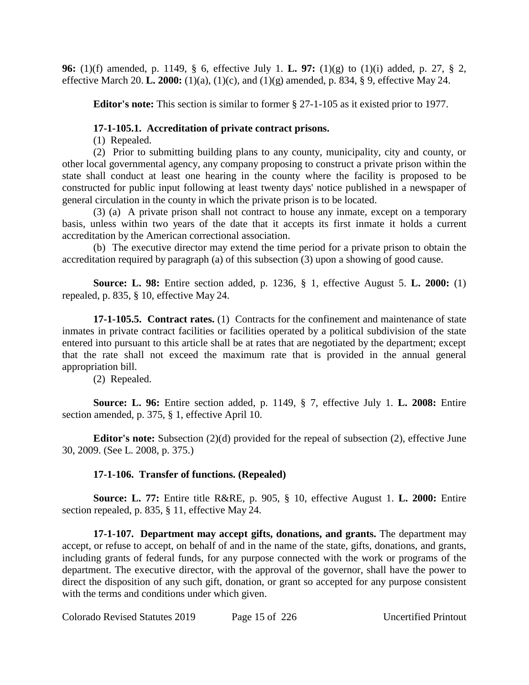**96:** (1)(f) amended, p. 1149, § 6, effective July 1. **L. 97:** (1)(g) to (1)(i) added, p. 27, § 2, effective March 20. **L. 2000:** (1)(a), (1)(c), and (1)(g) amended, p. 834, § 9, effective May 24.

**Editor's note:** This section is similar to former § 27-1-105 as it existed prior to 1977.

## **17-1-105.1. Accreditation of private contract prisons.**

(1) Repealed.

(2) Prior to submitting building plans to any county, municipality, city and county, or other local governmental agency, any company proposing to construct a private prison within the state shall conduct at least one hearing in the county where the facility is proposed to be constructed for public input following at least twenty days' notice published in a newspaper of general circulation in the county in which the private prison is to be located.

(3) (a) A private prison shall not contract to house any inmate, except on a temporary basis, unless within two years of the date that it accepts its first inmate it holds a current accreditation by the American correctional association.

(b) The executive director may extend the time period for a private prison to obtain the accreditation required by paragraph (a) of this subsection (3) upon a showing of good cause.

**Source: L. 98:** Entire section added, p. 1236, § 1, effective August 5. **L. 2000:** (1) repealed, p. 835, § 10, effective May 24.

**17-1-105.5. Contract rates.** (1) Contracts for the confinement and maintenance of state inmates in private contract facilities or facilities operated by a political subdivision of the state entered into pursuant to this article shall be at rates that are negotiated by the department; except that the rate shall not exceed the maximum rate that is provided in the annual general appropriation bill.

(2) Repealed.

**Source: L. 96:** Entire section added, p. 1149, § 7, effective July 1. **L. 2008:** Entire section amended, p. 375, § 1, effective April 10.

**Editor's note:** Subsection (2)(d) provided for the repeal of subsection (2), effective June 30, 2009. (See L. 2008, p. 375.)

# **17-1-106. Transfer of functions. (Repealed)**

**Source: L. 77:** Entire title R&RE, p. 905, § 10, effective August 1. **L. 2000:** Entire section repealed, p. 835, § 11, effective May 24.

**17-1-107. Department may accept gifts, donations, and grants.** The department may accept, or refuse to accept, on behalf of and in the name of the state, gifts, donations, and grants, including grants of federal funds, for any purpose connected with the work or programs of the department. The executive director, with the approval of the governor, shall have the power to direct the disposition of any such gift, donation, or grant so accepted for any purpose consistent with the terms and conditions under which given.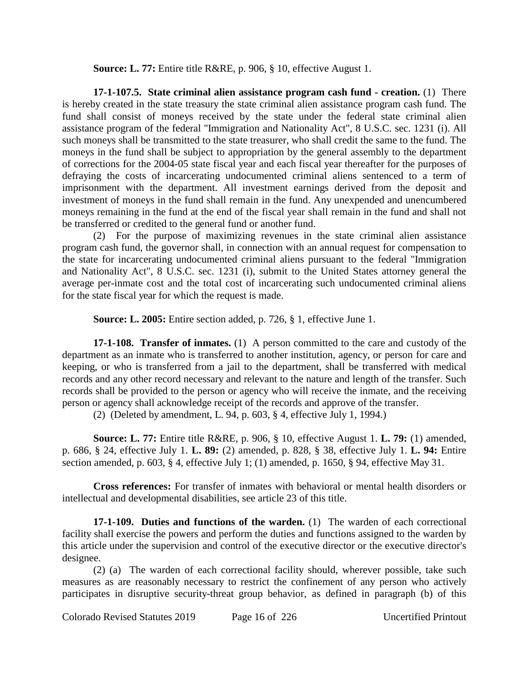**Source: L. 77:** Entire title R&RE, p. 906, § 10, effective August 1.

**17-1-107.5. State criminal alien assistance program cash fund - creation.** (1) There is hereby created in the state treasury the state criminal alien assistance program cash fund. The fund shall consist of moneys received by the state under the federal state criminal alien assistance program of the federal "Immigration and Nationality Act", 8 U.S.C. sec. 1231 (i). All such moneys shall be transmitted to the state treasurer, who shall credit the same to the fund. The moneys in the fund shall be subject to appropriation by the general assembly to the department of corrections for the 2004-05 state fiscal year and each fiscal year thereafter for the purposes of defraying the costs of incarcerating undocumented criminal aliens sentenced to a term of imprisonment with the department. All investment earnings derived from the deposit and investment of moneys in the fund shall remain in the fund. Any unexpended and unencumbered moneys remaining in the fund at the end of the fiscal year shall remain in the fund and shall not be transferred or credited to the general fund or another fund.

(2) For the purpose of maximizing revenues in the state criminal alien assistance program cash fund, the governor shall, in connection with an annual request for compensation to the state for incarcerating undocumented criminal aliens pursuant to the federal "Immigration and Nationality Act", 8 U.S.C. sec. 1231 (i), submit to the United States attorney general the average per-inmate cost and the total cost of incarcerating such undocumented criminal aliens for the state fiscal year for which the request is made.

**Source: L. 2005:** Entire section added, p. 726, § 1, effective June 1.

**17-1-108. Transfer of inmates.** (1) A person committed to the care and custody of the department as an inmate who is transferred to another institution, agency, or person for care and keeping, or who is transferred from a jail to the department, shall be transferred with medical records and any other record necessary and relevant to the nature and length of the transfer. Such records shall be provided to the person or agency who will receive the inmate, and the receiving person or agency shall acknowledge receipt of the records and approve of the transfer.

(2) (Deleted by amendment, L. 94, p. 603, § 4, effective July 1, 1994.)

**Source: L. 77:** Entire title R&RE, p. 906, § 10, effective August 1. **L. 79:** (1) amended, p. 686, § 24, effective July 1. **L. 89:** (2) amended, p. 828, § 38, effective July 1. **L. 94:** Entire section amended, p. 603, § 4, effective July 1; (1) amended, p. 1650, § 94, effective May 31.

**Cross references:** For transfer of inmates with behavioral or mental health disorders or intellectual and developmental disabilities, see article 23 of this title.

**17-1-109. Duties and functions of the warden.** (1) The warden of each correctional facility shall exercise the powers and perform the duties and functions assigned to the warden by this article under the supervision and control of the executive director or the executive director's designee.

(2) (a) The warden of each correctional facility should, wherever possible, take such measures as are reasonably necessary to restrict the confinement of any person who actively participates in disruptive security-threat group behavior, as defined in paragraph (b) of this

Colorado Revised Statutes 2019 Page 16 of 226 Uncertified Printout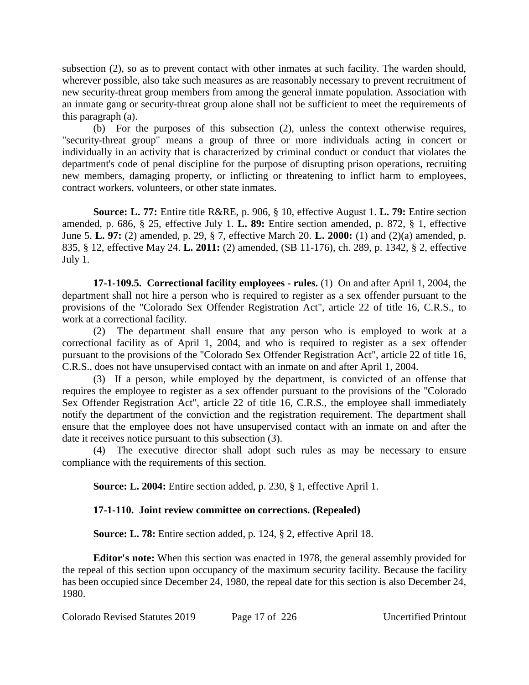subsection (2), so as to prevent contact with other inmates at such facility. The warden should, wherever possible, also take such measures as are reasonably necessary to prevent recruitment of new security-threat group members from among the general inmate population. Association with an inmate gang or security-threat group alone shall not be sufficient to meet the requirements of this paragraph (a).

(b) For the purposes of this subsection (2), unless the context otherwise requires, "security-threat group" means a group of three or more individuals acting in concert or individually in an activity that is characterized by criminal conduct or conduct that violates the department's code of penal discipline for the purpose of disrupting prison operations, recruiting new members, damaging property, or inflicting or threatening to inflict harm to employees, contract workers, volunteers, or other state inmates.

**Source: L. 77:** Entire title R&RE, p. 906, § 10, effective August 1. **L. 79:** Entire section amended, p. 686, § 25, effective July 1. **L. 89:** Entire section amended, p. 872, § 1, effective June 5. **L. 97:** (2) amended, p. 29, § 7, effective March 20. **L. 2000:** (1) and (2)(a) amended, p. 835, § 12, effective May 24. **L. 2011:** (2) amended, (SB 11-176), ch. 289, p. 1342, § 2, effective July 1.

**17-1-109.5. Correctional facility employees - rules.** (1) On and after April 1, 2004, the department shall not hire a person who is required to register as a sex offender pursuant to the provisions of the "Colorado Sex Offender Registration Act", article 22 of title 16, C.R.S., to work at a correctional facility.

(2) The department shall ensure that any person who is employed to work at a correctional facility as of April 1, 2004, and who is required to register as a sex offender pursuant to the provisions of the "Colorado Sex Offender Registration Act", article 22 of title 16, C.R.S., does not have unsupervised contact with an inmate on and after April 1, 2004.

(3) If a person, while employed by the department, is convicted of an offense that requires the employee to register as a sex offender pursuant to the provisions of the "Colorado Sex Offender Registration Act", article 22 of title 16, C.R.S., the employee shall immediately notify the department of the conviction and the registration requirement. The department shall ensure that the employee does not have unsupervised contact with an inmate on and after the date it receives notice pursuant to this subsection (3).

(4) The executive director shall adopt such rules as may be necessary to ensure compliance with the requirements of this section.

**Source: L. 2004:** Entire section added, p. 230, § 1, effective April 1.

# **17-1-110. Joint review committee on corrections. (Repealed)**

**Source: L. 78:** Entire section added, p. 124, § 2, effective April 18.

**Editor's note:** When this section was enacted in 1978, the general assembly provided for the repeal of this section upon occupancy of the maximum security facility. Because the facility has been occupied since December 24, 1980, the repeal date for this section is also December 24, 1980.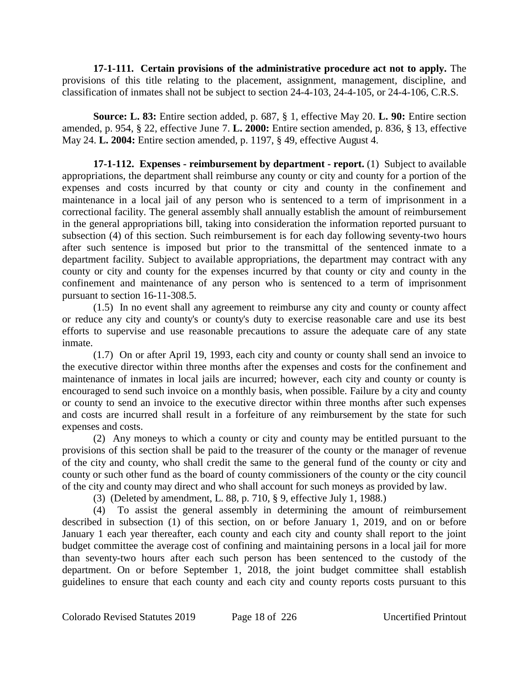**17-1-111. Certain provisions of the administrative procedure act not to apply.** The provisions of this title relating to the placement, assignment, management, discipline, and classification of inmates shall not be subject to section 24-4-103, 24-4-105, or 24-4-106, C.R.S.

**Source: L. 83:** Entire section added, p. 687, § 1, effective May 20. **L. 90:** Entire section amended, p. 954, § 22, effective June 7. **L. 2000:** Entire section amended, p. 836, § 13, effective May 24. **L. 2004:** Entire section amended, p. 1197, § 49, effective August 4.

**17-1-112. Expenses - reimbursement by department - report.** (1) Subject to available appropriations, the department shall reimburse any county or city and county for a portion of the expenses and costs incurred by that county or city and county in the confinement and maintenance in a local jail of any person who is sentenced to a term of imprisonment in a correctional facility. The general assembly shall annually establish the amount of reimbursement in the general appropriations bill, taking into consideration the information reported pursuant to subsection (4) of this section. Such reimbursement is for each day following seventy-two hours after such sentence is imposed but prior to the transmittal of the sentenced inmate to a department facility. Subject to available appropriations, the department may contract with any county or city and county for the expenses incurred by that county or city and county in the confinement and maintenance of any person who is sentenced to a term of imprisonment pursuant to section 16-11-308.5.

(1.5) In no event shall any agreement to reimburse any city and county or county affect or reduce any city and county's or county's duty to exercise reasonable care and use its best efforts to supervise and use reasonable precautions to assure the adequate care of any state inmate.

(1.7) On or after April 19, 1993, each city and county or county shall send an invoice to the executive director within three months after the expenses and costs for the confinement and maintenance of inmates in local jails are incurred; however, each city and county or county is encouraged to send such invoice on a monthly basis, when possible. Failure by a city and county or county to send an invoice to the executive director within three months after such expenses and costs are incurred shall result in a forfeiture of any reimbursement by the state for such expenses and costs.

(2) Any moneys to which a county or city and county may be entitled pursuant to the provisions of this section shall be paid to the treasurer of the county or the manager of revenue of the city and county, who shall credit the same to the general fund of the county or city and county or such other fund as the board of county commissioners of the county or the city council of the city and county may direct and who shall account for such moneys as provided by law.

(3) (Deleted by amendment, L. 88, p. 710, § 9, effective July 1, 1988.)

(4) To assist the general assembly in determining the amount of reimbursement described in subsection (1) of this section, on or before January 1, 2019, and on or before January 1 each year thereafter, each county and each city and county shall report to the joint budget committee the average cost of confining and maintaining persons in a local jail for more than seventy-two hours after each such person has been sentenced to the custody of the department. On or before September 1, 2018, the joint budget committee shall establish guidelines to ensure that each county and each city and county reports costs pursuant to this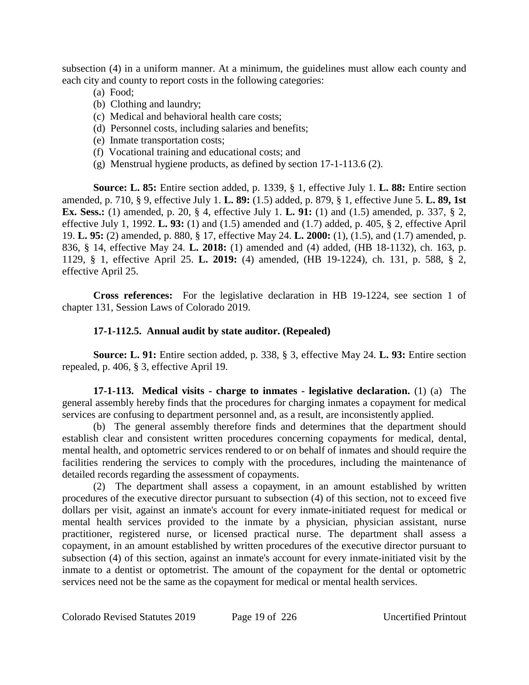subsection (4) in a uniform manner. At a minimum, the guidelines must allow each county and each city and county to report costs in the following categories:

- (a) Food;
- (b) Clothing and laundry;
- (c) Medical and behavioral health care costs;
- (d) Personnel costs, including salaries and benefits;
- (e) Inmate transportation costs;
- (f) Vocational training and educational costs; and
- (g) Menstrual hygiene products, as defined by section 17-1-113.6 (2).

**Source: L. 85:** Entire section added, p. 1339, § 1, effective July 1. **L. 88:** Entire section amended, p. 710, § 9, effective July 1. **L. 89:** (1.5) added, p. 879, § 1, effective June 5. **L. 89, 1st Ex. Sess.:** (1) amended, p. 20, § 4, effective July 1. **L. 91:** (1) and (1.5) amended, p. 337, § 2, effective July 1, 1992. **L. 93:** (1) and (1.5) amended and (1.7) added, p. 405, § 2, effective April 19. **L. 95:** (2) amended, p. 880, § 17, effective May 24. **L. 2000:** (1), (1.5), and (1.7) amended, p. 836, § 14, effective May 24. **L. 2018:** (1) amended and (4) added, (HB 18-1132), ch. 163, p. 1129, § 1, effective April 25. **L. 2019:** (4) amended, (HB 19-1224), ch. 131, p. 588, § 2, effective April 25.

**Cross references:** For the legislative declaration in HB 19-1224, see section 1 of chapter 131, Session Laws of Colorado 2019.

## **17-1-112.5. Annual audit by state auditor. (Repealed)**

**Source: L. 91:** Entire section added, p. 338, § 3, effective May 24. **L. 93:** Entire section repealed, p. 406, § 3, effective April 19.

**17-1-113. Medical visits - charge to inmates - legislative declaration.** (1) (a) The general assembly hereby finds that the procedures for charging inmates a copayment for medical services are confusing to department personnel and, as a result, are inconsistently applied.

(b) The general assembly therefore finds and determines that the department should establish clear and consistent written procedures concerning copayments for medical, dental, mental health, and optometric services rendered to or on behalf of inmates and should require the facilities rendering the services to comply with the procedures, including the maintenance of detailed records regarding the assessment of copayments.

(2) The department shall assess a copayment, in an amount established by written procedures of the executive director pursuant to subsection (4) of this section, not to exceed five dollars per visit, against an inmate's account for every inmate-initiated request for medical or mental health services provided to the inmate by a physician, physician assistant, nurse practitioner, registered nurse, or licensed practical nurse. The department shall assess a copayment, in an amount established by written procedures of the executive director pursuant to subsection (4) of this section, against an inmate's account for every inmate-initiated visit by the inmate to a dentist or optometrist. The amount of the copayment for the dental or optometric services need not be the same as the copayment for medical or mental health services.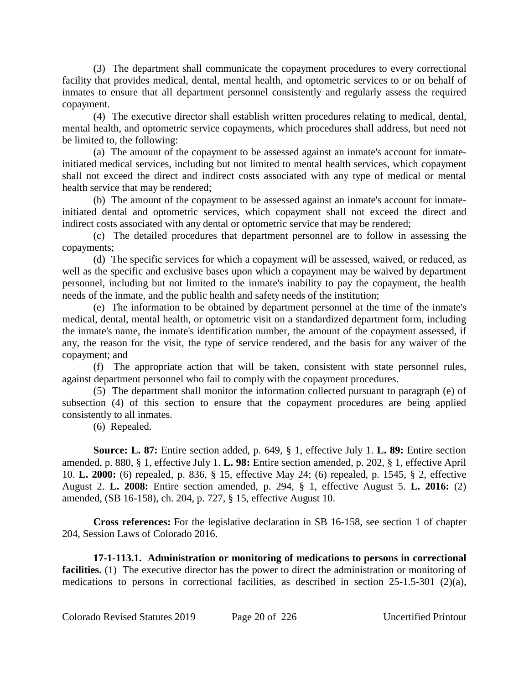(3) The department shall communicate the copayment procedures to every correctional facility that provides medical, dental, mental health, and optometric services to or on behalf of inmates to ensure that all department personnel consistently and regularly assess the required copayment.

(4) The executive director shall establish written procedures relating to medical, dental, mental health, and optometric service copayments, which procedures shall address, but need not be limited to, the following:

(a) The amount of the copayment to be assessed against an inmate's account for inmateinitiated medical services, including but not limited to mental health services, which copayment shall not exceed the direct and indirect costs associated with any type of medical or mental health service that may be rendered;

(b) The amount of the copayment to be assessed against an inmate's account for inmateinitiated dental and optometric services, which copayment shall not exceed the direct and indirect costs associated with any dental or optometric service that may be rendered;

(c) The detailed procedures that department personnel are to follow in assessing the copayments;

(d) The specific services for which a copayment will be assessed, waived, or reduced, as well as the specific and exclusive bases upon which a copayment may be waived by department personnel, including but not limited to the inmate's inability to pay the copayment, the health needs of the inmate, and the public health and safety needs of the institution;

(e) The information to be obtained by department personnel at the time of the inmate's medical, dental, mental health, or optometric visit on a standardized department form, including the inmate's name, the inmate's identification number, the amount of the copayment assessed, if any, the reason for the visit, the type of service rendered, and the basis for any waiver of the copayment; and

(f) The appropriate action that will be taken, consistent with state personnel rules, against department personnel who fail to comply with the copayment procedures.

(5) The department shall monitor the information collected pursuant to paragraph (e) of subsection (4) of this section to ensure that the copayment procedures are being applied consistently to all inmates.

(6) Repealed.

**Source: L. 87:** Entire section added, p. 649, § 1, effective July 1. **L. 89:** Entire section amended, p. 880, § 1, effective July 1. **L. 98:** Entire section amended, p. 202, § 1, effective April 10. **L. 2000:** (6) repealed, p. 836, § 15, effective May 24; (6) repealed, p. 1545, § 2, effective August 2. **L. 2008:** Entire section amended, p. 294, § 1, effective August 5. **L. 2016:** (2) amended, (SB 16-158), ch. 204, p. 727, § 15, effective August 10.

**Cross references:** For the legislative declaration in SB 16-158, see section 1 of chapter 204, Session Laws of Colorado 2016.

**17-1-113.1. Administration or monitoring of medications to persons in correctional** facilities. (1) The executive director has the power to direct the administration or monitoring of medications to persons in correctional facilities, as described in section 25-1.5-301 (2)(a),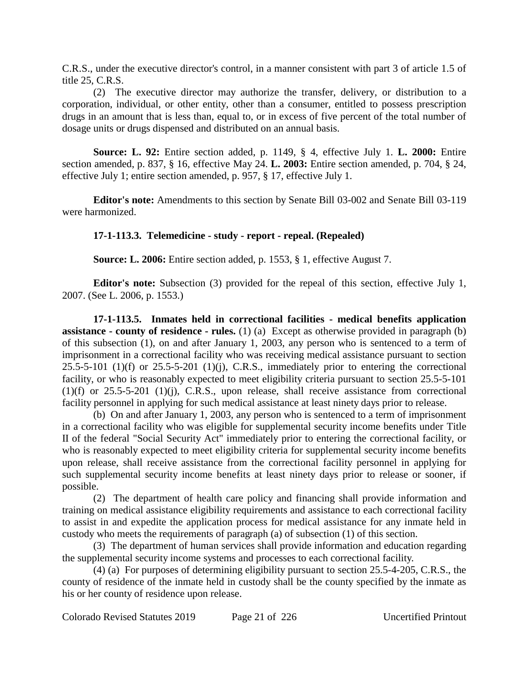C.R.S., under the executive director's control, in a manner consistent with part 3 of article 1.5 of title 25, C.R.S.

(2) The executive director may authorize the transfer, delivery, or distribution to a corporation, individual, or other entity, other than a consumer, entitled to possess prescription drugs in an amount that is less than, equal to, or in excess of five percent of the total number of dosage units or drugs dispensed and distributed on an annual basis.

**Source: L. 92:** Entire section added, p. 1149, § 4, effective July 1. **L. 2000:** Entire section amended, p. 837, § 16, effective May 24. **L. 2003:** Entire section amended, p. 704, § 24, effective July 1; entire section amended, p. 957, § 17, effective July 1.

**Editor's note:** Amendments to this section by Senate Bill 03-002 and Senate Bill 03-119 were harmonized.

## **17-1-113.3. Telemedicine - study - report - repeal. (Repealed)**

**Source: L. 2006:** Entire section added, p. 1553, § 1, effective August 7.

**Editor's note:** Subsection (3) provided for the repeal of this section, effective July 1, 2007. (See L. 2006, p. 1553.)

**17-1-113.5. Inmates held in correctional facilities - medical benefits application assistance - county of residence - rules.** (1) (a) Except as otherwise provided in paragraph (b) of this subsection (1), on and after January 1, 2003, any person who is sentenced to a term of imprisonment in a correctional facility who was receiving medical assistance pursuant to section  $25.5-5-101$  (1)(f) or  $25.5-5-201$  (1)(j), C.R.S., immediately prior to entering the correctional facility, or who is reasonably expected to meet eligibility criteria pursuant to section 25.5-5-101 (1)(f) or 25.5-5-201 (1)(j), C.R.S., upon release, shall receive assistance from correctional facility personnel in applying for such medical assistance at least ninety days prior to release.

(b) On and after January 1, 2003, any person who is sentenced to a term of imprisonment in a correctional facility who was eligible for supplemental security income benefits under Title II of the federal "Social Security Act" immediately prior to entering the correctional facility, or who is reasonably expected to meet eligibility criteria for supplemental security income benefits upon release, shall receive assistance from the correctional facility personnel in applying for such supplemental security income benefits at least ninety days prior to release or sooner, if possible.

(2) The department of health care policy and financing shall provide information and training on medical assistance eligibility requirements and assistance to each correctional facility to assist in and expedite the application process for medical assistance for any inmate held in custody who meets the requirements of paragraph (a) of subsection (1) of this section.

(3) The department of human services shall provide information and education regarding the supplemental security income systems and processes to each correctional facility.

(4) (a) For purposes of determining eligibility pursuant to section 25.5-4-205, C.R.S., the county of residence of the inmate held in custody shall be the county specified by the inmate as his or her county of residence upon release.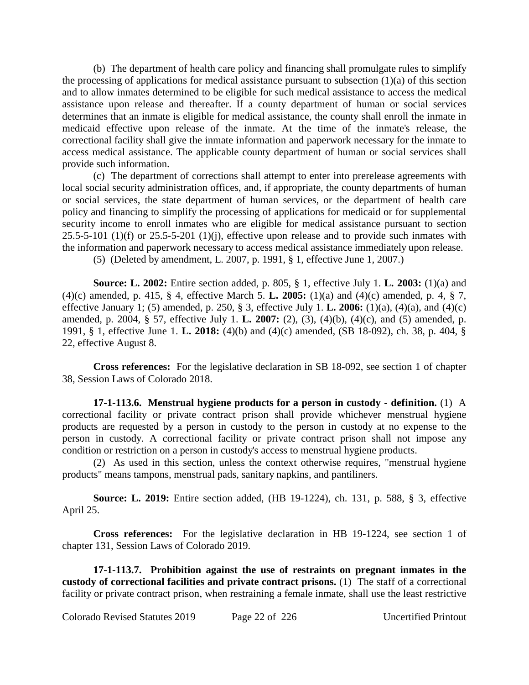(b) The department of health care policy and financing shall promulgate rules to simplify the processing of applications for medical assistance pursuant to subsection  $(1)(a)$  of this section and to allow inmates determined to be eligible for such medical assistance to access the medical assistance upon release and thereafter. If a county department of human or social services determines that an inmate is eligible for medical assistance, the county shall enroll the inmate in medicaid effective upon release of the inmate. At the time of the inmate's release, the correctional facility shall give the inmate information and paperwork necessary for the inmate to access medical assistance. The applicable county department of human or social services shall provide such information.

(c) The department of corrections shall attempt to enter into prerelease agreements with local social security administration offices, and, if appropriate, the county departments of human or social services, the state department of human services, or the department of health care policy and financing to simplify the processing of applications for medicaid or for supplemental security income to enroll inmates who are eligible for medical assistance pursuant to section  $25.5-5-101$  (1)(f) or  $25.5-5-201$  (1)(j), effective upon release and to provide such inmates with the information and paperwork necessary to access medical assistance immediately upon release.

(5) (Deleted by amendment, L. 2007, p. 1991, § 1, effective June 1, 2007.)

**Source: L. 2002:** Entire section added, p. 805, § 1, effective July 1. **L. 2003:** (1)(a) and (4)(c) amended, p. 415, § 4, effective March 5. **L. 2005:** (1)(a) and (4)(c) amended, p. 4, § 7, effective January 1; (5) amended, p. 250, § 3, effective July 1. **L. 2006:** (1)(a), (4)(a), and (4)(c) amended, p. 2004, § 57, effective July 1. **L. 2007:** (2), (3), (4)(b), (4)(c), and (5) amended, p. 1991, § 1, effective June 1. **L. 2018:** (4)(b) and (4)(c) amended, (SB 18-092), ch. 38, p. 404, § 22, effective August 8.

**Cross references:** For the legislative declaration in SB 18-092, see section 1 of chapter 38, Session Laws of Colorado 2018.

**17-1-113.6. Menstrual hygiene products for a person in custody - definition.** (1) A correctional facility or private contract prison shall provide whichever menstrual hygiene products are requested by a person in custody to the person in custody at no expense to the person in custody. A correctional facility or private contract prison shall not impose any condition or restriction on a person in custody's access to menstrual hygiene products.

(2) As used in this section, unless the context otherwise requires, "menstrual hygiene products" means tampons, menstrual pads, sanitary napkins, and pantiliners.

**Source: L. 2019:** Entire section added, (HB 19-1224), ch. 131, p. 588, § 3, effective April 25.

**Cross references:** For the legislative declaration in HB 19-1224, see section 1 of chapter 131, Session Laws of Colorado 2019.

**17-1-113.7. Prohibition against the use of restraints on pregnant inmates in the custody of correctional facilities and private contract prisons.** (1) The staff of a correctional facility or private contract prison, when restraining a female inmate, shall use the least restrictive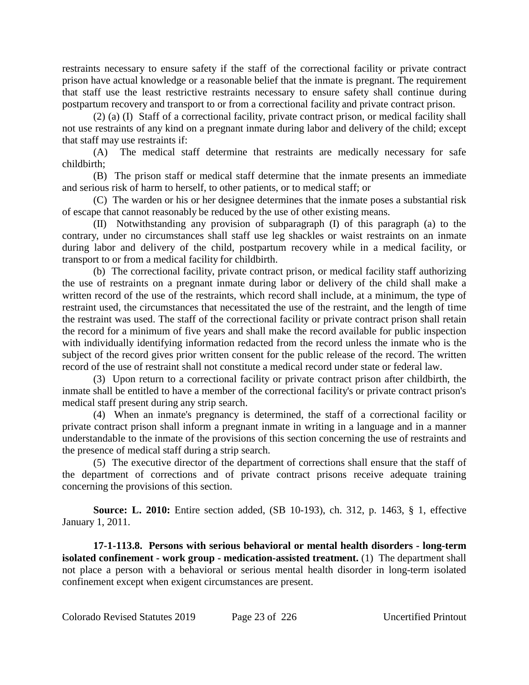restraints necessary to ensure safety if the staff of the correctional facility or private contract prison have actual knowledge or a reasonable belief that the inmate is pregnant. The requirement that staff use the least restrictive restraints necessary to ensure safety shall continue during postpartum recovery and transport to or from a correctional facility and private contract prison.

(2) (a) (I) Staff of a correctional facility, private contract prison, or medical facility shall not use restraints of any kind on a pregnant inmate during labor and delivery of the child; except that staff may use restraints if:

(A) The medical staff determine that restraints are medically necessary for safe childbirth;

(B) The prison staff or medical staff determine that the inmate presents an immediate and serious risk of harm to herself, to other patients, or to medical staff; or

(C) The warden or his or her designee determines that the inmate poses a substantial risk of escape that cannot reasonably be reduced by the use of other existing means.

(II) Notwithstanding any provision of subparagraph (I) of this paragraph (a) to the contrary, under no circumstances shall staff use leg shackles or waist restraints on an inmate during labor and delivery of the child, postpartum recovery while in a medical facility, or transport to or from a medical facility for childbirth.

(b) The correctional facility, private contract prison, or medical facility staff authorizing the use of restraints on a pregnant inmate during labor or delivery of the child shall make a written record of the use of the restraints, which record shall include, at a minimum, the type of restraint used, the circumstances that necessitated the use of the restraint, and the length of time the restraint was used. The staff of the correctional facility or private contract prison shall retain the record for a minimum of five years and shall make the record available for public inspection with individually identifying information redacted from the record unless the inmate who is the subject of the record gives prior written consent for the public release of the record. The written record of the use of restraint shall not constitute a medical record under state or federal law.

(3) Upon return to a correctional facility or private contract prison after childbirth, the inmate shall be entitled to have a member of the correctional facility's or private contract prison's medical staff present during any strip search.

(4) When an inmate's pregnancy is determined, the staff of a correctional facility or private contract prison shall inform a pregnant inmate in writing in a language and in a manner understandable to the inmate of the provisions of this section concerning the use of restraints and the presence of medical staff during a strip search.

(5) The executive director of the department of corrections shall ensure that the staff of the department of corrections and of private contract prisons receive adequate training concerning the provisions of this section.

**Source: L. 2010:** Entire section added, (SB 10-193), ch. 312, p. 1463, § 1, effective January 1, 2011.

**17-1-113.8. Persons with serious behavioral or mental health disorders - long-term isolated confinement - work group - medication-assisted treatment.** (1) The department shall not place a person with a behavioral or serious mental health disorder in long-term isolated confinement except when exigent circumstances are present.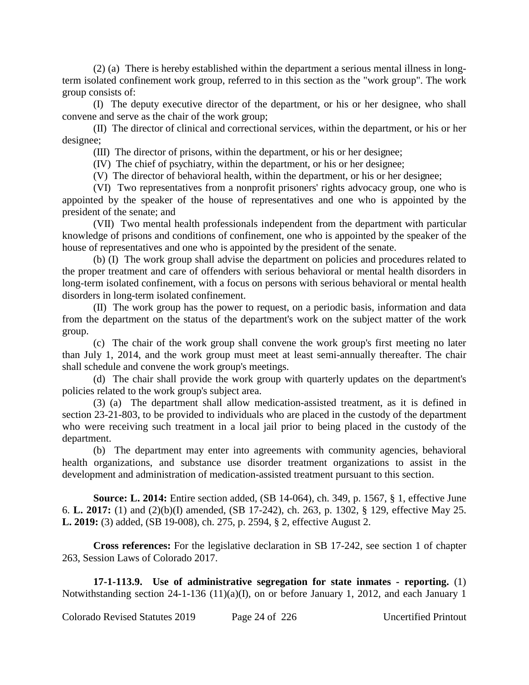(2) (a) There is hereby established within the department a serious mental illness in longterm isolated confinement work group, referred to in this section as the "work group". The work group consists of:

(I) The deputy executive director of the department, or his or her designee, who shall convene and serve as the chair of the work group;

(II) The director of clinical and correctional services, within the department, or his or her designee;

(III) The director of prisons, within the department, or his or her designee;

(IV) The chief of psychiatry, within the department, or his or her designee;

(V) The director of behavioral health, within the department, or his or her designee;

(VI) Two representatives from a nonprofit prisoners' rights advocacy group, one who is appointed by the speaker of the house of representatives and one who is appointed by the president of the senate; and

(VII) Two mental health professionals independent from the department with particular knowledge of prisons and conditions of confinement, one who is appointed by the speaker of the house of representatives and one who is appointed by the president of the senate.

(b) (I) The work group shall advise the department on policies and procedures related to the proper treatment and care of offenders with serious behavioral or mental health disorders in long-term isolated confinement, with a focus on persons with serious behavioral or mental health disorders in long-term isolated confinement.

(II) The work group has the power to request, on a periodic basis, information and data from the department on the status of the department's work on the subject matter of the work group.

(c) The chair of the work group shall convene the work group's first meeting no later than July 1, 2014, and the work group must meet at least semi-annually thereafter. The chair shall schedule and convene the work group's meetings.

(d) The chair shall provide the work group with quarterly updates on the department's policies related to the work group's subject area.

(3) (a) The department shall allow medication-assisted treatment, as it is defined in section 23-21-803, to be provided to individuals who are placed in the custody of the department who were receiving such treatment in a local jail prior to being placed in the custody of the department.

(b) The department may enter into agreements with community agencies, behavioral health organizations, and substance use disorder treatment organizations to assist in the development and administration of medication-assisted treatment pursuant to this section.

**Source: L. 2014:** Entire section added, (SB 14-064), ch. 349, p. 1567, § 1, effective June 6. **L. 2017:** (1) and (2)(b)(I) amended, (SB 17-242), ch. 263, p. 1302, § 129, effective May 25. **L. 2019:** (3) added, (SB 19-008), ch. 275, p. 2594, § 2, effective August 2.

**Cross references:** For the legislative declaration in SB 17-242, see section 1 of chapter 263, Session Laws of Colorado 2017.

**17-1-113.9. Use of administrative segregation for state inmates - reporting.** (1) Notwithstanding section 24-1-136 (11)(a)(I), on or before January 1, 2012, and each January 1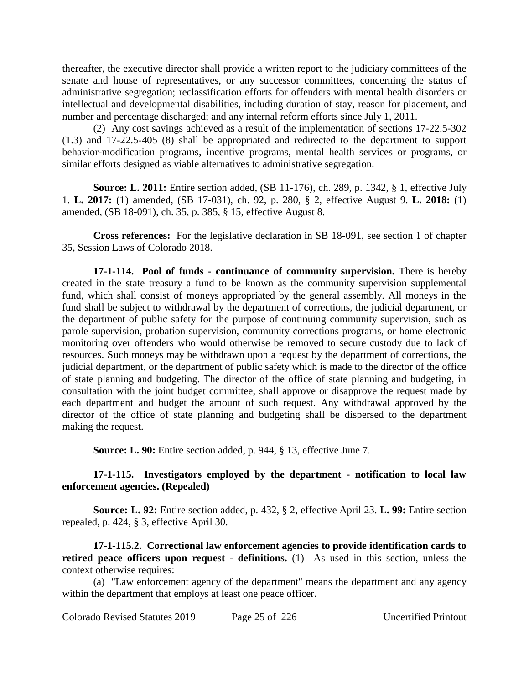thereafter, the executive director shall provide a written report to the judiciary committees of the senate and house of representatives, or any successor committees, concerning the status of administrative segregation; reclassification efforts for offenders with mental health disorders or intellectual and developmental disabilities, including duration of stay, reason for placement, and number and percentage discharged; and any internal reform efforts since July 1, 2011.

(2) Any cost savings achieved as a result of the implementation of sections 17-22.5-302 (1.3) and 17-22.5-405 (8) shall be appropriated and redirected to the department to support behavior-modification programs, incentive programs, mental health services or programs, or similar efforts designed as viable alternatives to administrative segregation.

**Source: L. 2011:** Entire section added, (SB 11-176), ch. 289, p. 1342, § 1, effective July 1. **L. 2017:** (1) amended, (SB 17-031), ch. 92, p. 280, § 2, effective August 9. **L. 2018:** (1) amended, (SB 18-091), ch. 35, p. 385, § 15, effective August 8.

**Cross references:** For the legislative declaration in SB 18-091, see section 1 of chapter 35, Session Laws of Colorado 2018.

**17-1-114. Pool of funds - continuance of community supervision.** There is hereby created in the state treasury a fund to be known as the community supervision supplemental fund, which shall consist of moneys appropriated by the general assembly. All moneys in the fund shall be subject to withdrawal by the department of corrections, the judicial department, or the department of public safety for the purpose of continuing community supervision, such as parole supervision, probation supervision, community corrections programs, or home electronic monitoring over offenders who would otherwise be removed to secure custody due to lack of resources. Such moneys may be withdrawn upon a request by the department of corrections, the judicial department, or the department of public safety which is made to the director of the office of state planning and budgeting. The director of the office of state planning and budgeting, in consultation with the joint budget committee, shall approve or disapprove the request made by each department and budget the amount of such request. Any withdrawal approved by the director of the office of state planning and budgeting shall be dispersed to the department making the request.

**Source: L. 90:** Entire section added, p. 944, § 13, effective June 7.

## **17-1-115. Investigators employed by the department - notification to local law enforcement agencies. (Repealed)**

**Source: L. 92:** Entire section added, p. 432, § 2, effective April 23. **L. 99:** Entire section repealed, p. 424, § 3, effective April 30.

**17-1-115.2. Correctional law enforcement agencies to provide identification cards to retired peace officers upon request - definitions.** (1) As used in this section, unless the context otherwise requires:

(a) "Law enforcement agency of the department" means the department and any agency within the department that employs at least one peace officer.

Colorado Revised Statutes 2019 Page 25 of 226 Uncertified Printout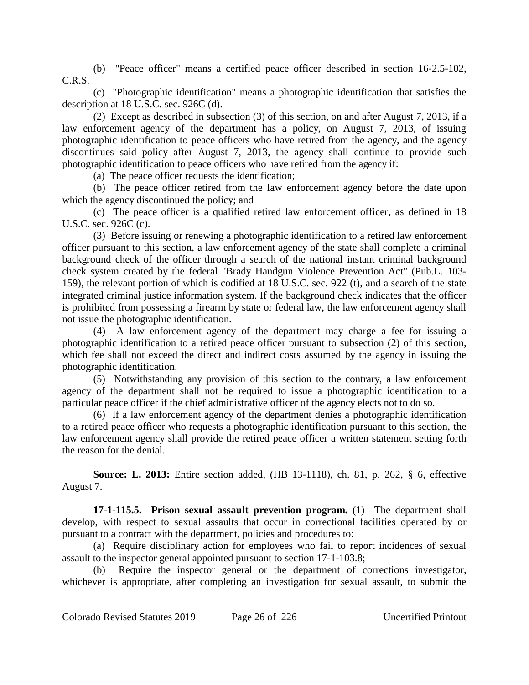(b) "Peace officer" means a certified peace officer described in section 16-2.5-102, C.R.S.

(c) "Photographic identification" means a photographic identification that satisfies the description at 18 U.S.C. sec. 926C (d).

(2) Except as described in subsection (3) of this section, on and after August 7, 2013, if a law enforcement agency of the department has a policy, on August 7, 2013, of issuing photographic identification to peace officers who have retired from the agency, and the agency discontinues said policy after August 7, 2013, the agency shall continue to provide such photographic identification to peace officers who have retired from the agency if:

(a) The peace officer requests the identification;

(b) The peace officer retired from the law enforcement agency before the date upon which the agency discontinued the policy; and

(c) The peace officer is a qualified retired law enforcement officer, as defined in 18 U.S.C. sec. 926C (c).

(3) Before issuing or renewing a photographic identification to a retired law enforcement officer pursuant to this section, a law enforcement agency of the state shall complete a criminal background check of the officer through a search of the national instant criminal background check system created by the federal "Brady Handgun Violence Prevention Act" (Pub.L. 103- 159), the relevant portion of which is codified at 18 U.S.C. sec. 922 (t), and a search of the state integrated criminal justice information system. If the background check indicates that the officer is prohibited from possessing a firearm by state or federal law, the law enforcement agency shall not issue the photographic identification.

(4) A law enforcement agency of the department may charge a fee for issuing a photographic identification to a retired peace officer pursuant to subsection (2) of this section, which fee shall not exceed the direct and indirect costs assumed by the agency in issuing the photographic identification.

(5) Notwithstanding any provision of this section to the contrary, a law enforcement agency of the department shall not be required to issue a photographic identification to a particular peace officer if the chief administrative officer of the agency elects not to do so.

(6) If a law enforcement agency of the department denies a photographic identification to a retired peace officer who requests a photographic identification pursuant to this section, the law enforcement agency shall provide the retired peace officer a written statement setting forth the reason for the denial.

**Source: L. 2013:** Entire section added, (HB 13-1118), ch. 81, p. 262, § 6, effective August 7.

**17-1-115.5. Prison sexual assault prevention program.** (1) The department shall develop, with respect to sexual assaults that occur in correctional facilities operated by or pursuant to a contract with the department, policies and procedures to:

(a) Require disciplinary action for employees who fail to report incidences of sexual assault to the inspector general appointed pursuant to section 17-1-103.8;

(b) Require the inspector general or the department of corrections investigator, whichever is appropriate, after completing an investigation for sexual assault, to submit the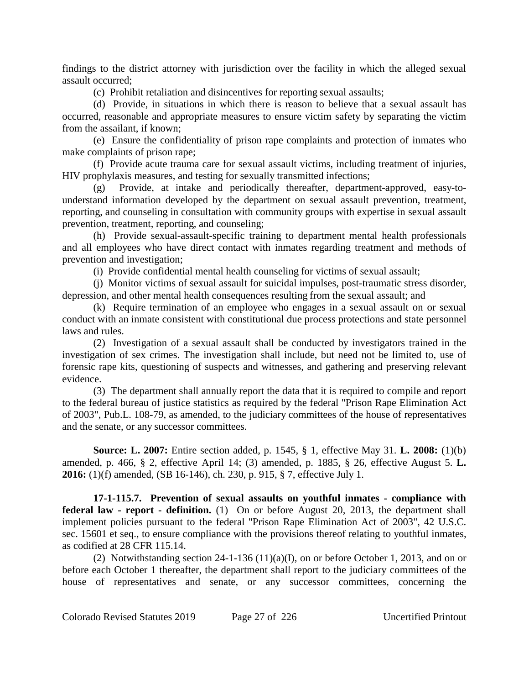findings to the district attorney with jurisdiction over the facility in which the alleged sexual assault occurred;

(c) Prohibit retaliation and disincentives for reporting sexual assaults;

(d) Provide, in situations in which there is reason to believe that a sexual assault has occurred, reasonable and appropriate measures to ensure victim safety by separating the victim from the assailant, if known;

(e) Ensure the confidentiality of prison rape complaints and protection of inmates who make complaints of prison rape;

(f) Provide acute trauma care for sexual assault victims, including treatment of injuries, HIV prophylaxis measures, and testing for sexually transmitted infections;

(g) Provide, at intake and periodically thereafter, department-approved, easy-tounderstand information developed by the department on sexual assault prevention, treatment, reporting, and counseling in consultation with community groups with expertise in sexual assault prevention, treatment, reporting, and counseling;

(h) Provide sexual-assault-specific training to department mental health professionals and all employees who have direct contact with inmates regarding treatment and methods of prevention and investigation;

(i) Provide confidential mental health counseling for victims of sexual assault;

(j) Monitor victims of sexual assault for suicidal impulses, post-traumatic stress disorder, depression, and other mental health consequences resulting from the sexual assault; and

(k) Require termination of an employee who engages in a sexual assault on or sexual conduct with an inmate consistent with constitutional due process protections and state personnel laws and rules.

(2) Investigation of a sexual assault shall be conducted by investigators trained in the investigation of sex crimes. The investigation shall include, but need not be limited to, use of forensic rape kits, questioning of suspects and witnesses, and gathering and preserving relevant evidence.

(3) The department shall annually report the data that it is required to compile and report to the federal bureau of justice statistics as required by the federal "Prison Rape Elimination Act of 2003", Pub.L. 108-79, as amended, to the judiciary committees of the house of representatives and the senate, or any successor committees.

**Source: L. 2007:** Entire section added, p. 1545, § 1, effective May 31. **L. 2008:** (1)(b) amended, p. 466, § 2, effective April 14; (3) amended, p. 1885, § 26, effective August 5. **L. 2016:** (1)(f) amended, (SB 16-146), ch. 230, p. 915, § 7, effective July 1.

**17-1-115.7. Prevention of sexual assaults on youthful inmates - compliance with federal law - report - definition.** (1) On or before August 20, 2013, the department shall implement policies pursuant to the federal "Prison Rape Elimination Act of 2003", 42 U.S.C. sec. 15601 et seq., to ensure compliance with the provisions thereof relating to youthful inmates, as codified at 28 CFR 115.14.

(2) Notwithstanding section  $24-1-136(11)(a)(I)$ , on or before October 1, 2013, and on or before each October 1 thereafter, the department shall report to the judiciary committees of the house of representatives and senate, or any successor committees, concerning the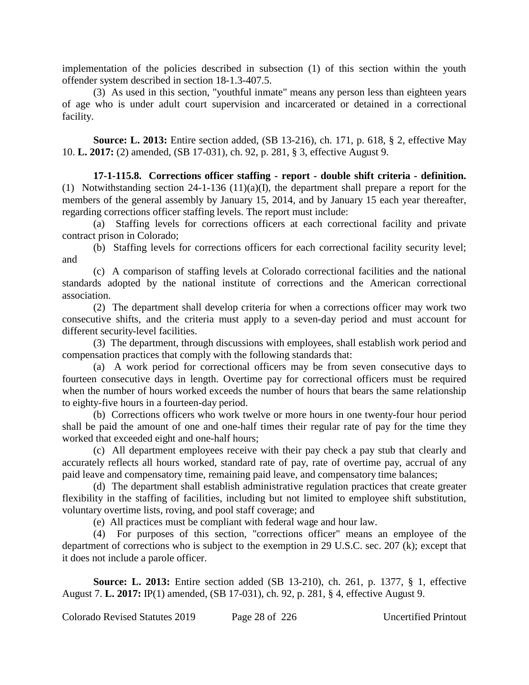implementation of the policies described in subsection (1) of this section within the youth offender system described in section 18-1.3-407.5.

(3) As used in this section, "youthful inmate" means any person less than eighteen years of age who is under adult court supervision and incarcerated or detained in a correctional facility.

**Source: L. 2013:** Entire section added, (SB 13-216), ch. 171, p. 618, § 2, effective May 10. **L. 2017:** (2) amended, (SB 17-031), ch. 92, p. 281, § 3, effective August 9.

**17-1-115.8. Corrections officer staffing - report - double shift criteria - definition.** (1) Notwithstanding section 24-1-136 (11)(a)(I), the department shall prepare a report for the members of the general assembly by January 15, 2014, and by January 15 each year thereafter, regarding corrections officer staffing levels. The report must include:

(a) Staffing levels for corrections officers at each correctional facility and private contract prison in Colorado;

(b) Staffing levels for corrections officers for each correctional facility security level; and

(c) A comparison of staffing levels at Colorado correctional facilities and the national standards adopted by the national institute of corrections and the American correctional association.

(2) The department shall develop criteria for when a corrections officer may work two consecutive shifts, and the criteria must apply to a seven-day period and must account for different security-level facilities.

(3) The department, through discussions with employees, shall establish work period and compensation practices that comply with the following standards that:

(a) A work period for correctional officers may be from seven consecutive days to fourteen consecutive days in length. Overtime pay for correctional officers must be required when the number of hours worked exceeds the number of hours that bears the same relationship to eighty-five hours in a fourteen-day period.

(b) Corrections officers who work twelve or more hours in one twenty-four hour period shall be paid the amount of one and one-half times their regular rate of pay for the time they worked that exceeded eight and one-half hours;

(c) All department employees receive with their pay check a pay stub that clearly and accurately reflects all hours worked, standard rate of pay, rate of overtime pay, accrual of any paid leave and compensatory time, remaining paid leave, and compensatory time balances;

(d) The department shall establish administrative regulation practices that create greater flexibility in the staffing of facilities, including but not limited to employee shift substitution, voluntary overtime lists, roving, and pool staff coverage; and

(e) All practices must be compliant with federal wage and hour law.

(4) For purposes of this section, "corrections officer" means an employee of the department of corrections who is subject to the exemption in 29 U.S.C. sec. 207 (k); except that it does not include a parole officer.

**Source: L. 2013:** Entire section added (SB 13-210), ch. 261, p. 1377, § 1, effective August 7. **L. 2017:** IP(1) amended, (SB 17-031), ch. 92, p. 281, § 4, effective August 9.

Colorado Revised Statutes 2019 Page 28 of 226 Uncertified Printout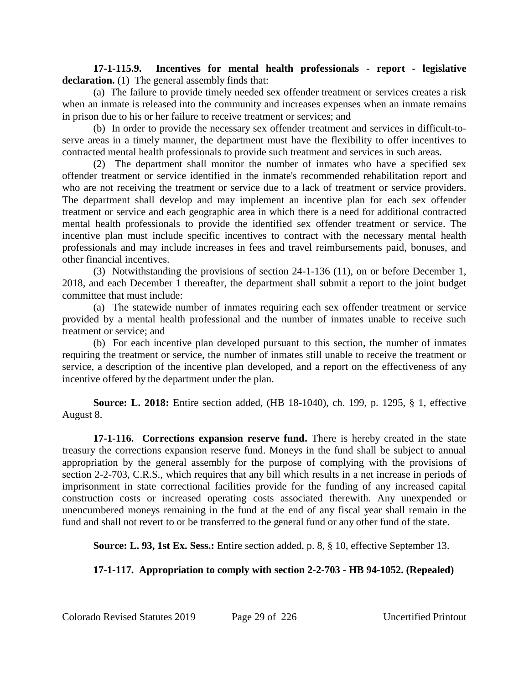**17-1-115.9. Incentives for mental health professionals - report - legislative** declaration. **(1)** The general assembly finds that:

(a) The failure to provide timely needed sex offender treatment or services creates a risk when an inmate is released into the community and increases expenses when an inmate remains in prison due to his or her failure to receive treatment or services; and

(b) In order to provide the necessary sex offender treatment and services in difficult-toserve areas in a timely manner, the department must have the flexibility to offer incentives to contracted mental health professionals to provide such treatment and services in such areas.

(2) The department shall monitor the number of inmates who have a specified sex offender treatment or service identified in the inmate's recommended rehabilitation report and who are not receiving the treatment or service due to a lack of treatment or service providers. The department shall develop and may implement an incentive plan for each sex offender treatment or service and each geographic area in which there is a need for additional contracted mental health professionals to provide the identified sex offender treatment or service. The incentive plan must include specific incentives to contract with the necessary mental health professionals and may include increases in fees and travel reimbursements paid, bonuses, and other financial incentives.

(3) Notwithstanding the provisions of section 24-1-136 (11), on or before December 1, 2018, and each December 1 thereafter, the department shall submit a report to the joint budget committee that must include:

(a) The statewide number of inmates requiring each sex offender treatment or service provided by a mental health professional and the number of inmates unable to receive such treatment or service; and

(b) For each incentive plan developed pursuant to this section, the number of inmates requiring the treatment or service, the number of inmates still unable to receive the treatment or service, a description of the incentive plan developed, and a report on the effectiveness of any incentive offered by the department under the plan.

**Source: L. 2018:** Entire section added, (HB 18-1040), ch. 199, p. 1295, § 1, effective August 8.

**17-1-116. Corrections expansion reserve fund.** There is hereby created in the state treasury the corrections expansion reserve fund. Moneys in the fund shall be subject to annual appropriation by the general assembly for the purpose of complying with the provisions of section 2-2-703, C.R.S., which requires that any bill which results in a net increase in periods of imprisonment in state correctional facilities provide for the funding of any increased capital construction costs or increased operating costs associated therewith. Any unexpended or unencumbered moneys remaining in the fund at the end of any fiscal year shall remain in the fund and shall not revert to or be transferred to the general fund or any other fund of the state.

**Source: L. 93, 1st Ex. Sess.:** Entire section added, p. 8, § 10, effective September 13.

# **17-1-117. Appropriation to comply with section 2-2-703 - HB 94-1052. (Repealed)**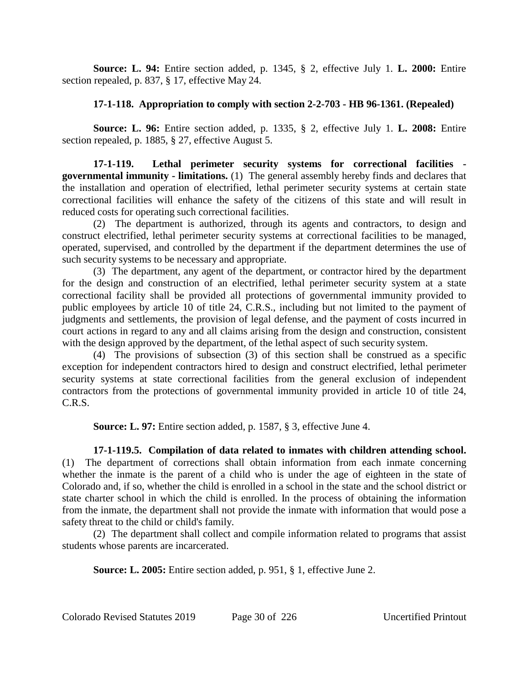**Source: L. 94:** Entire section added, p. 1345, § 2, effective July 1. **L. 2000:** Entire section repealed, p. 837, § 17, effective May 24.

## **17-1-118. Appropriation to comply with section 2-2-703 - HB 96-1361. (Repealed)**

**Source: L. 96:** Entire section added, p. 1335, § 2, effective July 1. **L. 2008:** Entire section repealed, p. 1885, § 27, effective August 5.

**17-1-119. Lethal perimeter security systems for correctional facilities governmental immunity - limitations.** (1) The general assembly hereby finds and declares that the installation and operation of electrified, lethal perimeter security systems at certain state correctional facilities will enhance the safety of the citizens of this state and will result in reduced costs for operating such correctional facilities.

(2) The department is authorized, through its agents and contractors, to design and construct electrified, lethal perimeter security systems at correctional facilities to be managed, operated, supervised, and controlled by the department if the department determines the use of such security systems to be necessary and appropriate.

(3) The department, any agent of the department, or contractor hired by the department for the design and construction of an electrified, lethal perimeter security system at a state correctional facility shall be provided all protections of governmental immunity provided to public employees by article 10 of title 24, C.R.S., including but not limited to the payment of judgments and settlements, the provision of legal defense, and the payment of costs incurred in court actions in regard to any and all claims arising from the design and construction, consistent with the design approved by the department, of the lethal aspect of such security system.

(4) The provisions of subsection (3) of this section shall be construed as a specific exception for independent contractors hired to design and construct electrified, lethal perimeter security systems at state correctional facilities from the general exclusion of independent contractors from the protections of governmental immunity provided in article 10 of title 24, C.R.S.

**Source: L. 97:** Entire section added, p. 1587, § 3, effective June 4.

**17-1-119.5. Compilation of data related to inmates with children attending school.** (1) The department of corrections shall obtain information from each inmate concerning whether the inmate is the parent of a child who is under the age of eighteen in the state of Colorado and, if so, whether the child is enrolled in a school in the state and the school district or state charter school in which the child is enrolled. In the process of obtaining the information from the inmate, the department shall not provide the inmate with information that would pose a safety threat to the child or child's family.

(2) The department shall collect and compile information related to programs that assist students whose parents are incarcerated.

**Source: L. 2005:** Entire section added, p. 951, § 1, effective June 2.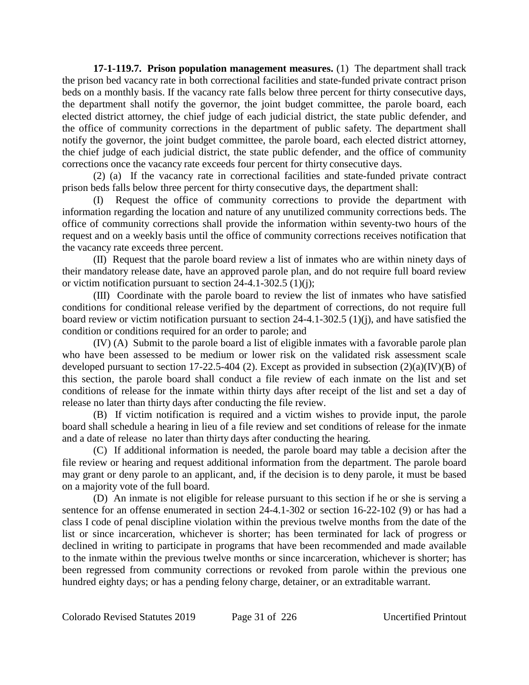**17-1-119.7. Prison population management measures.** (1) The department shall track the prison bed vacancy rate in both correctional facilities and state-funded private contract prison beds on a monthly basis. If the vacancy rate falls below three percent for thirty consecutive days, the department shall notify the governor, the joint budget committee, the parole board, each elected district attorney, the chief judge of each judicial district, the state public defender, and the office of community corrections in the department of public safety. The department shall notify the governor, the joint budget committee, the parole board, each elected district attorney, the chief judge of each judicial district, the state public defender, and the office of community corrections once the vacancy rate exceeds four percent for thirty consecutive days.

(2) (a) If the vacancy rate in correctional facilities and state-funded private contract prison beds falls below three percent for thirty consecutive days, the department shall:

(I) Request the office of community corrections to provide the department with information regarding the location and nature of any unutilized community corrections beds. The office of community corrections shall provide the information within seventy-two hours of the request and on a weekly basis until the office of community corrections receives notification that the vacancy rate exceeds three percent.

(II) Request that the parole board review a list of inmates who are within ninety days of their mandatory release date, have an approved parole plan, and do not require full board review or victim notification pursuant to section 24-4.1-302.5 (1)(j);

(III) Coordinate with the parole board to review the list of inmates who have satisfied conditions for conditional release verified by the department of corrections, do not require full board review or victim notification pursuant to section 24-4.1-302.5 (1)(j), and have satisfied the condition or conditions required for an order to parole; and

(IV) (A) Submit to the parole board a list of eligible inmates with a favorable parole plan who have been assessed to be medium or lower risk on the validated risk assessment scale developed pursuant to section 17-22.5-404 (2). Except as provided in subsection  $(2)(a)(IV)(B)$  of this section, the parole board shall conduct a file review of each inmate on the list and set conditions of release for the inmate within thirty days after receipt of the list and set a day of release no later than thirty days after conducting the file review.

(B) If victim notification is required and a victim wishes to provide input, the parole board shall schedule a hearing in lieu of a file review and set conditions of release for the inmate and a date of release no later than thirty days after conducting the hearing.

(C) If additional information is needed, the parole board may table a decision after the file review or hearing and request additional information from the department. The parole board may grant or deny parole to an applicant, and, if the decision is to deny parole, it must be based on a majority vote of the full board.

(D) An inmate is not eligible for release pursuant to this section if he or she is serving a sentence for an offense enumerated in section 24-4.1-302 or section 16-22-102 (9) or has had a class I code of penal discipline violation within the previous twelve months from the date of the list or since incarceration, whichever is shorter; has been terminated for lack of progress or declined in writing to participate in programs that have been recommended and made available to the inmate within the previous twelve months or since incarceration, whichever is shorter; has been regressed from community corrections or revoked from parole within the previous one hundred eighty days; or has a pending felony charge, detainer, or an extraditable warrant.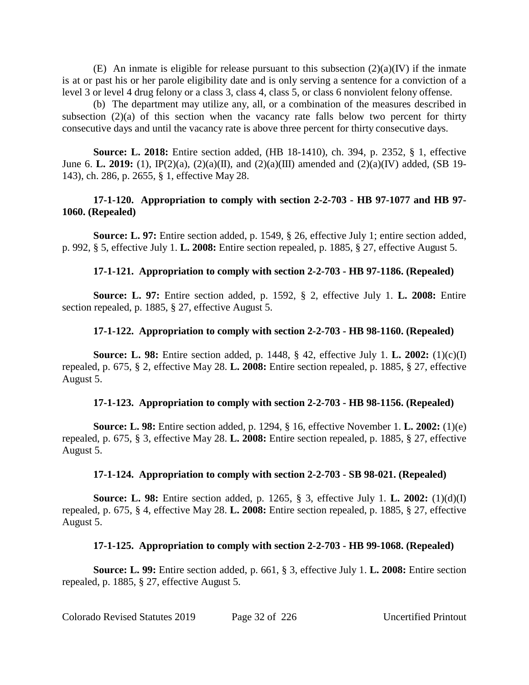(E) An inmate is eligible for release pursuant to this subsection  $(2)(a)(IV)$  if the inmate is at or past his or her parole eligibility date and is only serving a sentence for a conviction of a level 3 or level 4 drug felony or a class 3, class 4, class 5, or class 6 nonviolent felony offense.

(b) The department may utilize any, all, or a combination of the measures described in subsection  $(2)(a)$  of this section when the vacancy rate falls below two percent for thirty consecutive days and until the vacancy rate is above three percent for thirty consecutive days.

**Source: L. 2018:** Entire section added, (HB 18-1410), ch. 394, p. 2352, § 1, effective June 6. **L. 2019:** (1), IP(2)(a), (2)(a)(II), and (2)(a)(III) amended and (2)(a)(IV) added, (SB 19- 143), ch. 286, p. 2655, § 1, effective May 28.

## **17-1-120. Appropriation to comply with section 2-2-703 - HB 97-1077 and HB 97- 1060. (Repealed)**

**Source: L. 97:** Entire section added, p. 1549, § 26, effective July 1; entire section added, p. 992, § 5, effective July 1. **L. 2008:** Entire section repealed, p. 1885, § 27, effective August 5.

## **17-1-121. Appropriation to comply with section 2-2-703 - HB 97-1186. (Repealed)**

**Source: L. 97:** Entire section added, p. 1592, § 2, effective July 1. **L. 2008:** Entire section repealed, p. 1885, § 27, effective August 5.

## **17-1-122. Appropriation to comply with section 2-2-703 - HB 98-1160. (Repealed)**

**Source: L. 98:** Entire section added, p. 1448, § 42, effective July 1. **L. 2002:** (1)(c)(I) repealed, p. 675, § 2, effective May 28. **L. 2008:** Entire section repealed, p. 1885, § 27, effective August 5.

#### **17-1-123. Appropriation to comply with section 2-2-703 - HB 98-1156. (Repealed)**

**Source: L. 98:** Entire section added, p. 1294, § 16, effective November 1. **L. 2002:** (1)(e) repealed, p. 675, § 3, effective May 28. **L. 2008:** Entire section repealed, p. 1885, § 27, effective August 5.

#### **17-1-124. Appropriation to comply with section 2-2-703 - SB 98-021. (Repealed)**

**Source: L. 98:** Entire section added, p. 1265, § 3, effective July 1. **L. 2002:** (1)(d)(I) repealed, p. 675, § 4, effective May 28. **L. 2008:** Entire section repealed, p. 1885, § 27, effective August 5.

# **17-1-125. Appropriation to comply with section 2-2-703 - HB 99-1068. (Repealed)**

**Source: L. 99:** Entire section added, p. 661, § 3, effective July 1. **L. 2008:** Entire section repealed, p. 1885, § 27, effective August 5.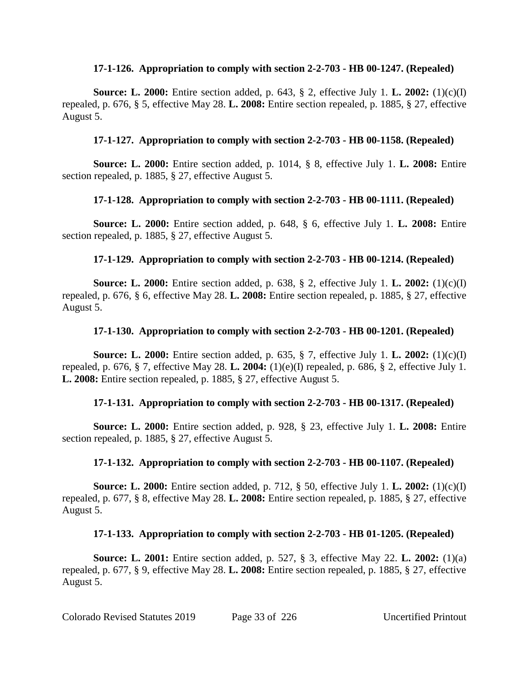#### **17-1-126. Appropriation to comply with section 2-2-703 - HB 00-1247. (Repealed)**

**Source: L. 2000:** Entire section added, p. 643, § 2, effective July 1. **L. 2002:** (1)(c)(I) repealed, p. 676, § 5, effective May 28. **L. 2008:** Entire section repealed, p. 1885, § 27, effective August 5.

# **17-1-127. Appropriation to comply with section 2-2-703 - HB 00-1158. (Repealed)**

**Source: L. 2000:** Entire section added, p. 1014, § 8, effective July 1. **L. 2008:** Entire section repealed, p. 1885, § 27, effective August 5.

# **17-1-128. Appropriation to comply with section 2-2-703 - HB 00-1111. (Repealed)**

**Source: L. 2000:** Entire section added, p. 648, § 6, effective July 1. **L. 2008:** Entire section repealed, p. 1885, § 27, effective August 5.

# **17-1-129. Appropriation to comply with section 2-2-703 - HB 00-1214. (Repealed)**

**Source: L. 2000:** Entire section added, p. 638, § 2, effective July 1. **L. 2002:** (1)(c)(I) repealed, p. 676, § 6, effective May 28. **L. 2008:** Entire section repealed, p. 1885, § 27, effective August 5.

# **17-1-130. Appropriation to comply with section 2-2-703 - HB 00-1201. (Repealed)**

**Source: L. 2000:** Entire section added, p. 635, § 7, effective July 1. **L. 2002:** (1)(c)(I) repealed, p. 676, § 7, effective May 28. **L. 2004:** (1)(e)(I) repealed, p. 686, § 2, effective July 1. **L. 2008:** Entire section repealed, p. 1885, § 27, effective August 5.

# **17-1-131. Appropriation to comply with section 2-2-703 - HB 00-1317. (Repealed)**

**Source: L. 2000:** Entire section added, p. 928, § 23, effective July 1. **L. 2008:** Entire section repealed, p. 1885, § 27, effective August 5.

# **17-1-132. Appropriation to comply with section 2-2-703 - HB 00-1107. (Repealed)**

**Source: L. 2000:** Entire section added, p. 712, § 50, effective July 1. **L. 2002:** (1)(c)(I) repealed, p. 677, § 8, effective May 28. **L. 2008:** Entire section repealed, p. 1885, § 27, effective August 5.

# **17-1-133. Appropriation to comply with section 2-2-703 - HB 01-1205. (Repealed)**

**Source: L. 2001:** Entire section added, p. 527, § 3, effective May 22. **L. 2002:** (1)(a) repealed, p. 677, § 9, effective May 28. **L. 2008:** Entire section repealed, p. 1885, § 27, effective August 5.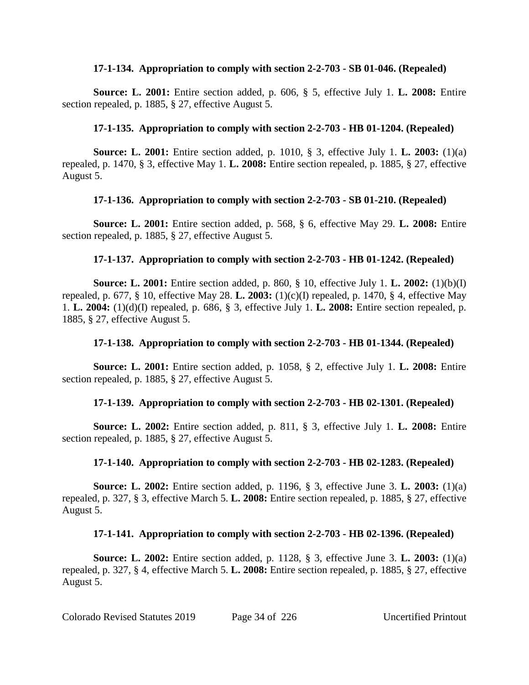#### **17-1-134. Appropriation to comply with section 2-2-703 - SB 01-046. (Repealed)**

**Source: L. 2001:** Entire section added, p. 606, § 5, effective July 1. **L. 2008:** Entire section repealed, p. 1885, § 27, effective August 5.

# **17-1-135. Appropriation to comply with section 2-2-703 - HB 01-1204. (Repealed)**

**Source: L. 2001:** Entire section added, p. 1010, § 3, effective July 1. **L. 2003:** (1)(a) repealed, p. 1470, § 3, effective May 1. **L. 2008:** Entire section repealed, p. 1885, § 27, effective August 5.

# **17-1-136. Appropriation to comply with section 2-2-703 - SB 01-210. (Repealed)**

**Source: L. 2001:** Entire section added, p. 568, § 6, effective May 29. **L. 2008:** Entire section repealed, p. 1885, § 27, effective August 5.

# **17-1-137. Appropriation to comply with section 2-2-703 - HB 01-1242. (Repealed)**

**Source: L. 2001:** Entire section added, p. 860, § 10, effective July 1. **L. 2002:** (1)(b)(I) repealed, p. 677, § 10, effective May 28. **L. 2003:** (1)(c)(I) repealed, p. 1470, § 4, effective May 1. **L. 2004:** (1)(d)(I) repealed, p. 686, § 3, effective July 1. **L. 2008:** Entire section repealed, p. 1885, § 27, effective August 5.

# **17-1-138. Appropriation to comply with section 2-2-703 - HB 01-1344. (Repealed)**

**Source: L. 2001:** Entire section added, p. 1058, § 2, effective July 1. **L. 2008:** Entire section repealed, p. 1885, § 27, effective August 5.

# **17-1-139. Appropriation to comply with section 2-2-703 - HB 02-1301. (Repealed)**

**Source: L. 2002:** Entire section added, p. 811, § 3, effective July 1. **L. 2008:** Entire section repealed, p. 1885, § 27, effective August 5.

# **17-1-140. Appropriation to comply with section 2-2-703 - HB 02-1283. (Repealed)**

**Source: L. 2002:** Entire section added, p. 1196, § 3, effective June 3. **L. 2003:** (1)(a) repealed, p. 327, § 3, effective March 5. **L. 2008:** Entire section repealed, p. 1885, § 27, effective August 5.

# **17-1-141. Appropriation to comply with section 2-2-703 - HB 02-1396. (Repealed)**

**Source: L. 2002:** Entire section added, p. 1128, § 3, effective June 3. **L. 2003:** (1)(a) repealed, p. 327, § 4, effective March 5. **L. 2008:** Entire section repealed, p. 1885, § 27, effective August 5.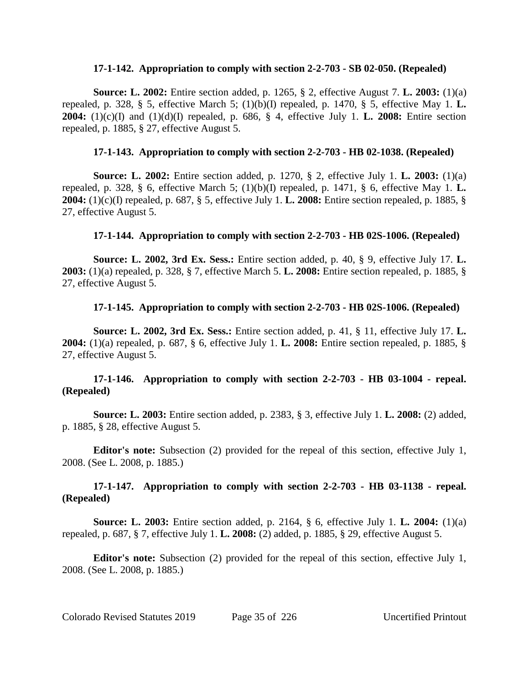#### **17-1-142. Appropriation to comply with section 2-2-703 - SB 02-050. (Repealed)**

**Source: L. 2002:** Entire section added, p. 1265, § 2, effective August 7. **L. 2003:** (1)(a) repealed, p. 328, § 5, effective March 5; (1)(b)(I) repealed, p. 1470, § 5, effective May 1. **L. 2004:** (1)(c)(I) and (1)(d)(I) repealed, p. 686, § 4, effective July 1. **L. 2008:** Entire section repealed, p. 1885, § 27, effective August 5.

## **17-1-143. Appropriation to comply with section 2-2-703 - HB 02-1038. (Repealed)**

**Source: L. 2002:** Entire section added, p. 1270, § 2, effective July 1. **L. 2003:** (1)(a) repealed, p. 328, § 6, effective March 5; (1)(b)(I) repealed, p. 1471, § 6, effective May 1. **L. 2004:** (1)(c)(I) repealed, p. 687, § 5, effective July 1. **L. 2008:** Entire section repealed, p. 1885, § 27, effective August 5.

#### **17-1-144. Appropriation to comply with section 2-2-703 - HB 02S-1006. (Repealed)**

**Source: L. 2002, 3rd Ex. Sess.:** Entire section added, p. 40, § 9, effective July 17. **L. 2003:** (1)(a) repealed, p. 328, § 7, effective March 5. **L. 2008:** Entire section repealed, p. 1885, § 27, effective August 5.

#### **17-1-145. Appropriation to comply with section 2-2-703 - HB 02S-1006. (Repealed)**

**Source: L. 2002, 3rd Ex. Sess.:** Entire section added, p. 41, § 11, effective July 17. **L. 2004:** (1)(a) repealed, p. 687, § 6, effective July 1. **L. 2008:** Entire section repealed, p. 1885, § 27, effective August 5.

# **17-1-146. Appropriation to comply with section 2-2-703 - HB 03-1004 - repeal. (Repealed)**

**Source: L. 2003:** Entire section added, p. 2383, § 3, effective July 1. **L. 2008:** (2) added, p. 1885, § 28, effective August 5.

**Editor's note:** Subsection (2) provided for the repeal of this section, effective July 1, 2008. (See L. 2008, p. 1885.)

# **17-1-147. Appropriation to comply with section 2-2-703 - HB 03-1138 - repeal. (Repealed)**

**Source: L. 2003:** Entire section added, p. 2164, § 6, effective July 1. **L. 2004:** (1)(a) repealed, p. 687, § 7, effective July 1. **L. 2008:** (2) added, p. 1885, § 29, effective August 5.

**Editor's note:** Subsection (2) provided for the repeal of this section, effective July 1, 2008. (See L. 2008, p. 1885.)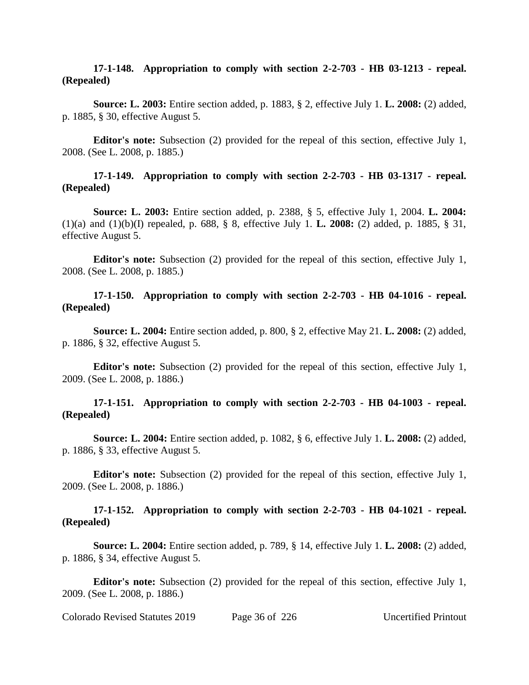#### **17-1-148. Appropriation to comply with section 2-2-703 - HB 03-1213 - repeal. (Repealed)**

**Source: L. 2003:** Entire section added, p. 1883, § 2, effective July 1. **L. 2008:** (2) added, p. 1885, § 30, effective August 5.

**Editor's note:** Subsection (2) provided for the repeal of this section, effective July 1, 2008. (See L. 2008, p. 1885.)

#### **17-1-149. Appropriation to comply with section 2-2-703 - HB 03-1317 - repeal. (Repealed)**

**Source: L. 2003:** Entire section added, p. 2388, § 5, effective July 1, 2004. **L. 2004:** (1)(a) and (1)(b)(I) repealed, p. 688, § 8, effective July 1. **L. 2008:** (2) added, p. 1885, § 31, effective August 5.

**Editor's note:** Subsection (2) provided for the repeal of this section, effective July 1, 2008. (See L. 2008, p. 1885.)

## **17-1-150. Appropriation to comply with section 2-2-703 - HB 04-1016 - repeal. (Repealed)**

**Source: L. 2004:** Entire section added, p. 800, § 2, effective May 21. **L. 2008:** (2) added, p. 1886, § 32, effective August 5.

**Editor's note:** Subsection (2) provided for the repeal of this section, effective July 1, 2009. (See L. 2008, p. 1886.)

#### **17-1-151. Appropriation to comply with section 2-2-703 - HB 04-1003 - repeal. (Repealed)**

**Source: L. 2004:** Entire section added, p. 1082, § 6, effective July 1. **L. 2008:** (2) added, p. 1886, § 33, effective August 5.

**Editor's note:** Subsection (2) provided for the repeal of this section, effective July 1, 2009. (See L. 2008, p. 1886.)

#### **17-1-152. Appropriation to comply with section 2-2-703 - HB 04-1021 - repeal. (Repealed)**

**Source: L. 2004:** Entire section added, p. 789, § 14, effective July 1. **L. 2008:** (2) added, p. 1886, § 34, effective August 5.

**Editor's note:** Subsection (2) provided for the repeal of this section, effective July 1, 2009. (See L. 2008, p. 1886.)

Colorado Revised Statutes 2019 Page 36 of 226 Uncertified Printout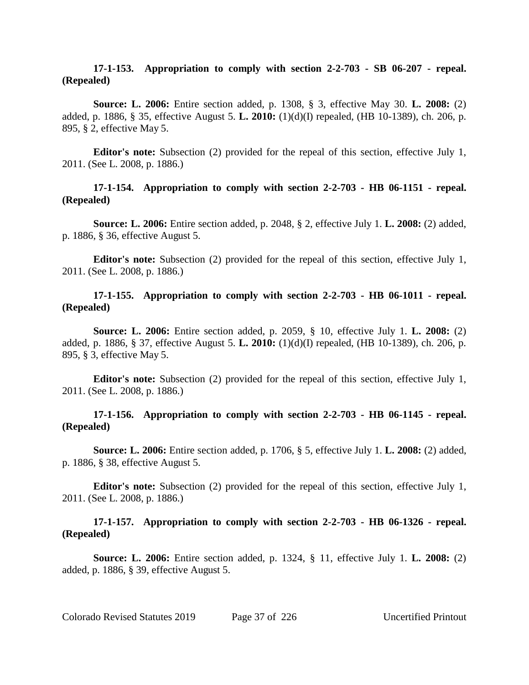#### **17-1-153. Appropriation to comply with section 2-2-703 - SB 06-207 - repeal. (Repealed)**

**Source: L. 2006:** Entire section added, p. 1308, § 3, effective May 30. **L. 2008:** (2) added, p. 1886, § 35, effective August 5. **L. 2010:** (1)(d)(I) repealed, (HB 10-1389), ch. 206, p. 895, § 2, effective May 5.

**Editor's note:** Subsection (2) provided for the repeal of this section, effective July 1, 2011. (See L. 2008, p. 1886.)

## **17-1-154. Appropriation to comply with section 2-2-703 - HB 06-1151 - repeal. (Repealed)**

**Source: L. 2006:** Entire section added, p. 2048, § 2, effective July 1. **L. 2008:** (2) added, p. 1886, § 36, effective August 5.

**Editor's note:** Subsection (2) provided for the repeal of this section, effective July 1, 2011. (See L. 2008, p. 1886.)

# **17-1-155. Appropriation to comply with section 2-2-703 - HB 06-1011 - repeal. (Repealed)**

**Source: L. 2006:** Entire section added, p. 2059, § 10, effective July 1. **L. 2008:** (2) added, p. 1886, § 37, effective August 5. **L. 2010:** (1)(d)(I) repealed, (HB 10-1389), ch. 206, p. 895, § 3, effective May 5.

**Editor's note:** Subsection (2) provided for the repeal of this section, effective July 1, 2011. (See L. 2008, p. 1886.)

# **17-1-156. Appropriation to comply with section 2-2-703 - HB 06-1145 - repeal. (Repealed)**

**Source: L. 2006:** Entire section added, p. 1706, § 5, effective July 1. **L. 2008:** (2) added, p. 1886, § 38, effective August 5.

**Editor's note:** Subsection (2) provided for the repeal of this section, effective July 1, 2011. (See L. 2008, p. 1886.)

## **17-1-157. Appropriation to comply with section 2-2-703 - HB 06-1326 - repeal. (Repealed)**

**Source: L. 2006:** Entire section added, p. 1324, § 11, effective July 1. **L. 2008:** (2) added, p. 1886, § 39, effective August 5.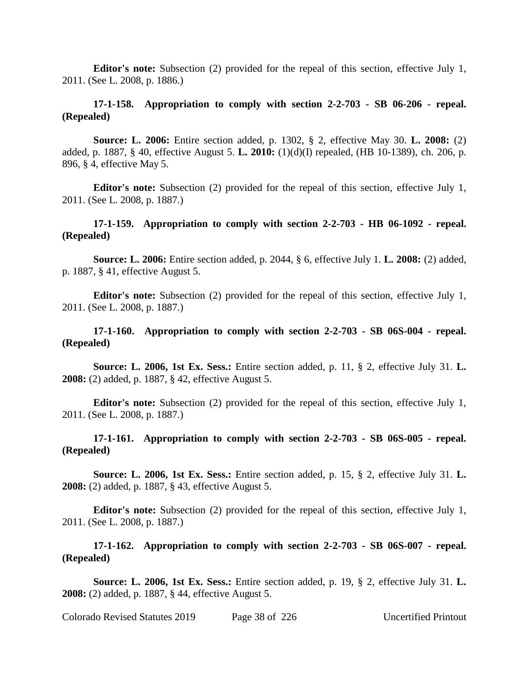**Editor's note:** Subsection (2) provided for the repeal of this section, effective July 1, 2011. (See L. 2008, p. 1886.)

## **17-1-158. Appropriation to comply with section 2-2-703 - SB 06-206 - repeal. (Repealed)**

**Source: L. 2006:** Entire section added, p. 1302, § 2, effective May 30. **L. 2008:** (2) added, p. 1887, § 40, effective August 5. **L. 2010:** (1)(d)(I) repealed, (HB 10-1389), ch. 206, p. 896, § 4, effective May 5.

**Editor's note:** Subsection (2) provided for the repeal of this section, effective July 1, 2011. (See L. 2008, p. 1887.)

## **17-1-159. Appropriation to comply with section 2-2-703 - HB 06-1092 - repeal. (Repealed)**

**Source: L. 2006:** Entire section added, p. 2044, § 6, effective July 1. **L. 2008:** (2) added, p. 1887, § 41, effective August 5.

**Editor's note:** Subsection (2) provided for the repeal of this section, effective July 1, 2011. (See L. 2008, p. 1887.)

## **17-1-160. Appropriation to comply with section 2-2-703 - SB 06S-004 - repeal. (Repealed)**

**Source: L. 2006, 1st Ex. Sess.:** Entire section added, p. 11, § 2, effective July 31. **L. 2008:** (2) added, p. 1887, § 42, effective August 5.

**Editor's note:** Subsection (2) provided for the repeal of this section, effective July 1, 2011. (See L. 2008, p. 1887.)

**17-1-161. Appropriation to comply with section 2-2-703 - SB 06S-005 - repeal. (Repealed)**

**Source: L. 2006, 1st Ex. Sess.:** Entire section added, p. 15, § 2, effective July 31. **L. 2008:** (2) added, p. 1887, § 43, effective August 5.

**Editor's note:** Subsection (2) provided for the repeal of this section, effective July 1, 2011. (See L. 2008, p. 1887.)

**17-1-162. Appropriation to comply with section 2-2-703 - SB 06S-007 - repeal. (Repealed)**

**Source: L. 2006, 1st Ex. Sess.:** Entire section added, p. 19, § 2, effective July 31. **L. 2008:** (2) added, p. 1887, § 44, effective August 5.

Colorado Revised Statutes 2019 Page 38 of 226 Uncertified Printout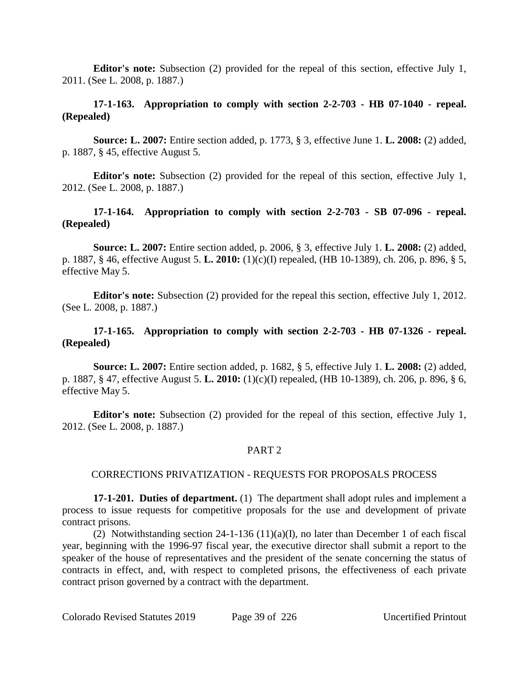**Editor's note:** Subsection (2) provided for the repeal of this section, effective July 1, 2011. (See L. 2008, p. 1887.)

# **17-1-163. Appropriation to comply with section 2-2-703 - HB 07-1040 - repeal. (Repealed)**

**Source: L. 2007:** Entire section added, p. 1773, § 3, effective June 1. **L. 2008:** (2) added, p. 1887, § 45, effective August 5.

**Editor's note:** Subsection (2) provided for the repeal of this section, effective July 1, 2012. (See L. 2008, p. 1887.)

# **17-1-164. Appropriation to comply with section 2-2-703 - SB 07-096 - repeal. (Repealed)**

**Source: L. 2007:** Entire section added, p. 2006, § 3, effective July 1. **L. 2008:** (2) added, p. 1887, § 46, effective August 5. **L. 2010:** (1)(c)(I) repealed, (HB 10-1389), ch. 206, p. 896, § 5, effective May 5.

**Editor's note:** Subsection (2) provided for the repeal this section, effective July 1, 2012. (See L. 2008, p. 1887.)

## **17-1-165. Appropriation to comply with section 2-2-703 - HB 07-1326 - repeal. (Repealed)**

**Source: L. 2007:** Entire section added, p. 1682, § 5, effective July 1. **L. 2008:** (2) added, p. 1887, § 47, effective August 5. **L. 2010:** (1)(c)(I) repealed, (HB 10-1389), ch. 206, p. 896, § 6, effective May 5.

**Editor's note:** Subsection (2) provided for the repeal of this section, effective July 1, 2012. (See L. 2008, p. 1887.)

## PART 2

## CORRECTIONS PRIVATIZATION - REQUESTS FOR PROPOSALS PROCESS

**17-1-201. Duties of department.** (1) The department shall adopt rules and implement a process to issue requests for competitive proposals for the use and development of private contract prisons.

(2) Notwithstanding section  $24-1-136(11)(a)(I)$ , no later than December 1 of each fiscal year, beginning with the 1996-97 fiscal year, the executive director shall submit a report to the speaker of the house of representatives and the president of the senate concerning the status of contracts in effect, and, with respect to completed prisons, the effectiveness of each private contract prison governed by a contract with the department.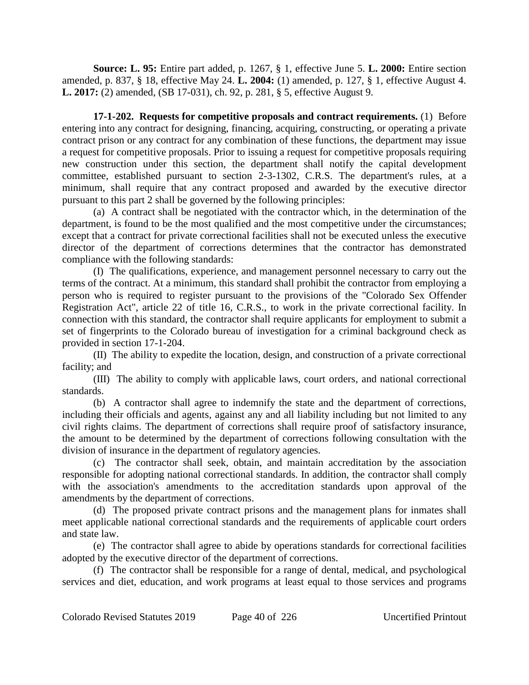**Source: L. 95:** Entire part added, p. 1267, § 1, effective June 5. **L. 2000:** Entire section amended, p. 837, § 18, effective May 24. **L. 2004:** (1) amended, p. 127, § 1, effective August 4. **L. 2017:** (2) amended, (SB 17-031), ch. 92, p. 281, § 5, effective August 9.

**17-1-202. Requests for competitive proposals and contract requirements.** (1) Before entering into any contract for designing, financing, acquiring, constructing, or operating a private contract prison or any contract for any combination of these functions, the department may issue a request for competitive proposals. Prior to issuing a request for competitive proposals requiring new construction under this section, the department shall notify the capital development committee, established pursuant to section 2-3-1302, C.R.S. The department's rules, at a minimum, shall require that any contract proposed and awarded by the executive director pursuant to this part 2 shall be governed by the following principles:

(a) A contract shall be negotiated with the contractor which, in the determination of the department, is found to be the most qualified and the most competitive under the circumstances; except that a contract for private correctional facilities shall not be executed unless the executive director of the department of corrections determines that the contractor has demonstrated compliance with the following standards:

(I) The qualifications, experience, and management personnel necessary to carry out the terms of the contract. At a minimum, this standard shall prohibit the contractor from employing a person who is required to register pursuant to the provisions of the "Colorado Sex Offender Registration Act", article 22 of title 16, C.R.S., to work in the private correctional facility. In connection with this standard, the contractor shall require applicants for employment to submit a set of fingerprints to the Colorado bureau of investigation for a criminal background check as provided in section 17-1-204.

(II) The ability to expedite the location, design, and construction of a private correctional facility; and

(III) The ability to comply with applicable laws, court orders, and national correctional standards.

(b) A contractor shall agree to indemnify the state and the department of corrections, including their officials and agents, against any and all liability including but not limited to any civil rights claims. The department of corrections shall require proof of satisfactory insurance, the amount to be determined by the department of corrections following consultation with the division of insurance in the department of regulatory agencies.

(c) The contractor shall seek, obtain, and maintain accreditation by the association responsible for adopting national correctional standards. In addition, the contractor shall comply with the association's amendments to the accreditation standards upon approval of the amendments by the department of corrections.

(d) The proposed private contract prisons and the management plans for inmates shall meet applicable national correctional standards and the requirements of applicable court orders and state law.

(e) The contractor shall agree to abide by operations standards for correctional facilities adopted by the executive director of the department of corrections.

(f) The contractor shall be responsible for a range of dental, medical, and psychological services and diet, education, and work programs at least equal to those services and programs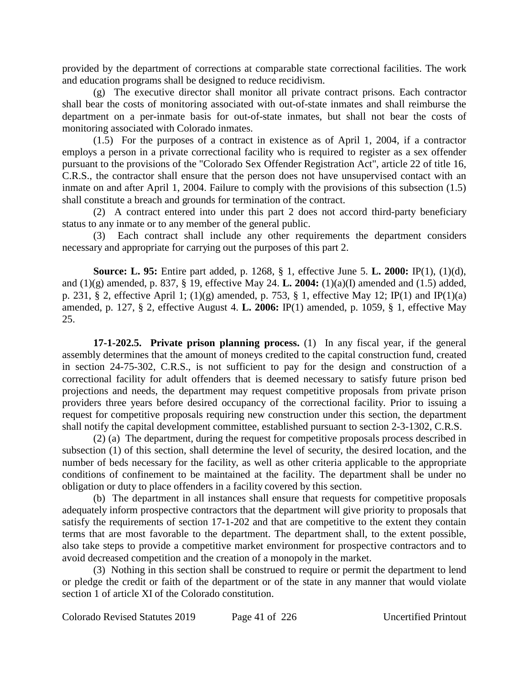provided by the department of corrections at comparable state correctional facilities. The work and education programs shall be designed to reduce recidivism.

(g) The executive director shall monitor all private contract prisons. Each contractor shall bear the costs of monitoring associated with out-of-state inmates and shall reimburse the department on a per-inmate basis for out-of-state inmates, but shall not bear the costs of monitoring associated with Colorado inmates.

(1.5) For the purposes of a contract in existence as of April 1, 2004, if a contractor employs a person in a private correctional facility who is required to register as a sex offender pursuant to the provisions of the "Colorado Sex Offender Registration Act", article 22 of title 16, C.R.S., the contractor shall ensure that the person does not have unsupervised contact with an inmate on and after April 1, 2004. Failure to comply with the provisions of this subsection (1.5) shall constitute a breach and grounds for termination of the contract.

(2) A contract entered into under this part 2 does not accord third-party beneficiary status to any inmate or to any member of the general public.

(3) Each contract shall include any other requirements the department considers necessary and appropriate for carrying out the purposes of this part 2.

**Source: L. 95:** Entire part added, p. 1268, § 1, effective June 5. **L. 2000:** IP(1), (1)(d), and (1)(g) amended, p. 837, § 19, effective May 24. **L. 2004:** (1)(a)(I) amended and (1.5) added, p. 231, § 2, effective April 1; (1)(g) amended, p. 753, § 1, effective May 12; IP(1) and IP(1)(a) amended, p. 127, § 2, effective August 4. **L. 2006:** IP(1) amended, p. 1059, § 1, effective May 25.

**17-1-202.5. Private prison planning process.** (1) In any fiscal year, if the general assembly determines that the amount of moneys credited to the capital construction fund, created in section 24-75-302, C.R.S., is not sufficient to pay for the design and construction of a correctional facility for adult offenders that is deemed necessary to satisfy future prison bed projections and needs, the department may request competitive proposals from private prison providers three years before desired occupancy of the correctional facility. Prior to issuing a request for competitive proposals requiring new construction under this section, the department shall notify the capital development committee, established pursuant to section 2-3-1302, C.R.S.

(2) (a) The department, during the request for competitive proposals process described in subsection (1) of this section, shall determine the level of security, the desired location, and the number of beds necessary for the facility, as well as other criteria applicable to the appropriate conditions of confinement to be maintained at the facility. The department shall be under no obligation or duty to place offenders in a facility covered by this section.

(b) The department in all instances shall ensure that requests for competitive proposals adequately inform prospective contractors that the department will give priority to proposals that satisfy the requirements of section 17-1-202 and that are competitive to the extent they contain terms that are most favorable to the department. The department shall, to the extent possible, also take steps to provide a competitive market environment for prospective contractors and to avoid decreased competition and the creation of a monopoly in the market.

(3) Nothing in this section shall be construed to require or permit the department to lend or pledge the credit or faith of the department or of the state in any manner that would violate section 1 of article XI of the Colorado constitution.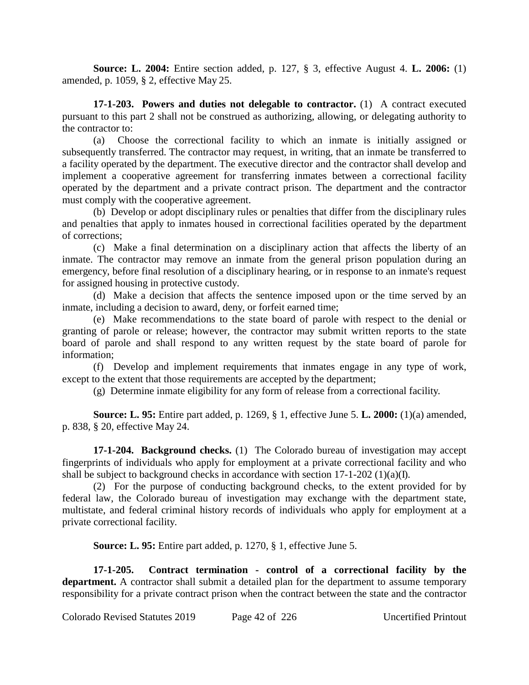**Source: L. 2004:** Entire section added, p. 127, § 3, effective August 4. **L. 2006:** (1) amended, p. 1059, § 2, effective May 25.

**17-1-203. Powers and duties not delegable to contractor.** (1) A contract executed pursuant to this part 2 shall not be construed as authorizing, allowing, or delegating authority to the contractor to:

(a) Choose the correctional facility to which an inmate is initially assigned or subsequently transferred. The contractor may request, in writing, that an inmate be transferred to a facility operated by the department. The executive director and the contractor shall develop and implement a cooperative agreement for transferring inmates between a correctional facility operated by the department and a private contract prison. The department and the contractor must comply with the cooperative agreement.

(b) Develop or adopt disciplinary rules or penalties that differ from the disciplinary rules and penalties that apply to inmates housed in correctional facilities operated by the department of corrections;

(c) Make a final determination on a disciplinary action that affects the liberty of an inmate. The contractor may remove an inmate from the general prison population during an emergency, before final resolution of a disciplinary hearing, or in response to an inmate's request for assigned housing in protective custody.

(d) Make a decision that affects the sentence imposed upon or the time served by an inmate, including a decision to award, deny, or forfeit earned time;

(e) Make recommendations to the state board of parole with respect to the denial or granting of parole or release; however, the contractor may submit written reports to the state board of parole and shall respond to any written request by the state board of parole for information;

(f) Develop and implement requirements that inmates engage in any type of work, except to the extent that those requirements are accepted by the department;

(g) Determine inmate eligibility for any form of release from a correctional facility.

**Source: L. 95:** Entire part added, p. 1269, § 1, effective June 5. **L. 2000:** (1)(a) amended, p. 838, § 20, effective May 24.

**17-1-204. Background checks.** (1) The Colorado bureau of investigation may accept fingerprints of individuals who apply for employment at a private correctional facility and who shall be subject to background checks in accordance with section 17-1-202 (1)(a)(I).

(2) For the purpose of conducting background checks, to the extent provided for by federal law, the Colorado bureau of investigation may exchange with the department state, multistate, and federal criminal history records of individuals who apply for employment at a private correctional facility.

**Source: L. 95:** Entire part added, p. 1270, § 1, effective June 5.

**17-1-205. Contract termination - control of a correctional facility by the department.** A contractor shall submit a detailed plan for the department to assume temporary responsibility for a private contract prison when the contract between the state and the contractor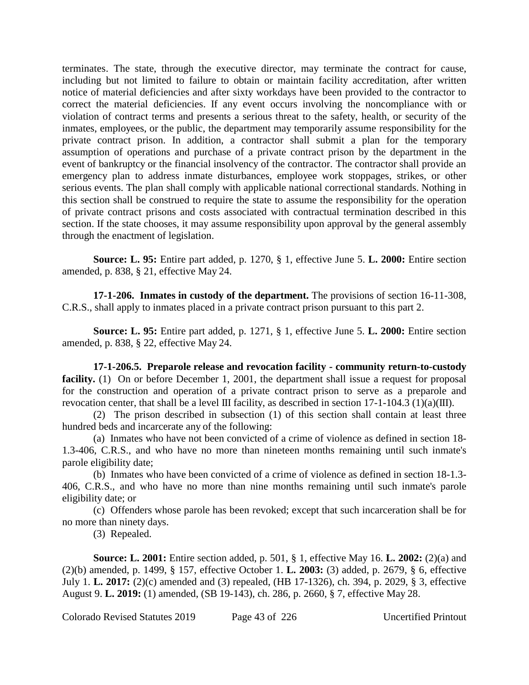terminates. The state, through the executive director, may terminate the contract for cause, including but not limited to failure to obtain or maintain facility accreditation, after written notice of material deficiencies and after sixty workdays have been provided to the contractor to correct the material deficiencies. If any event occurs involving the noncompliance with or violation of contract terms and presents a serious threat to the safety, health, or security of the inmates, employees, or the public, the department may temporarily assume responsibility for the private contract prison. In addition, a contractor shall submit a plan for the temporary assumption of operations and purchase of a private contract prison by the department in the event of bankruptcy or the financial insolvency of the contractor. The contractor shall provide an emergency plan to address inmate disturbances, employee work stoppages, strikes, or other serious events. The plan shall comply with applicable national correctional standards. Nothing in this section shall be construed to require the state to assume the responsibility for the operation of private contract prisons and costs associated with contractual termination described in this section. If the state chooses, it may assume responsibility upon approval by the general assembly through the enactment of legislation.

**Source: L. 95:** Entire part added, p. 1270, § 1, effective June 5. **L. 2000:** Entire section amended, p. 838, § 21, effective May 24.

**17-1-206. Inmates in custody of the department.** The provisions of section 16-11-308, C.R.S., shall apply to inmates placed in a private contract prison pursuant to this part 2.

**Source: L. 95:** Entire part added, p. 1271, § 1, effective June 5. **L. 2000:** Entire section amended, p. 838, § 22, effective May 24.

**17-1-206.5. Preparole release and revocation facility - community return-to-custody facility.** (1) On or before December 1, 2001, the department shall issue a request for proposal for the construction and operation of a private contract prison to serve as a preparole and revocation center, that shall be a level III facility, as described in section  $17-1-104.3$  (1)(a)(III).

(2) The prison described in subsection (1) of this section shall contain at least three hundred beds and incarcerate any of the following:

(a) Inmates who have not been convicted of a crime of violence as defined in section 18- 1.3-406, C.R.S., and who have no more than nineteen months remaining until such inmate's parole eligibility date;

(b) Inmates who have been convicted of a crime of violence as defined in section 18-1.3- 406, C.R.S., and who have no more than nine months remaining until such inmate's parole eligibility date; or

(c) Offenders whose parole has been revoked; except that such incarceration shall be for no more than ninety days.

(3) Repealed.

**Source: L. 2001:** Entire section added, p. 501, § 1, effective May 16. **L. 2002:** (2)(a) and (2)(b) amended, p. 1499, § 157, effective October 1. **L. 2003:** (3) added, p. 2679, § 6, effective July 1. **L. 2017:** (2)(c) amended and (3) repealed, (HB 17-1326), ch. 394, p. 2029, § 3, effective August 9. **L. 2019:** (1) amended, (SB 19-143), ch. 286, p. 2660, § 7, effective May 28.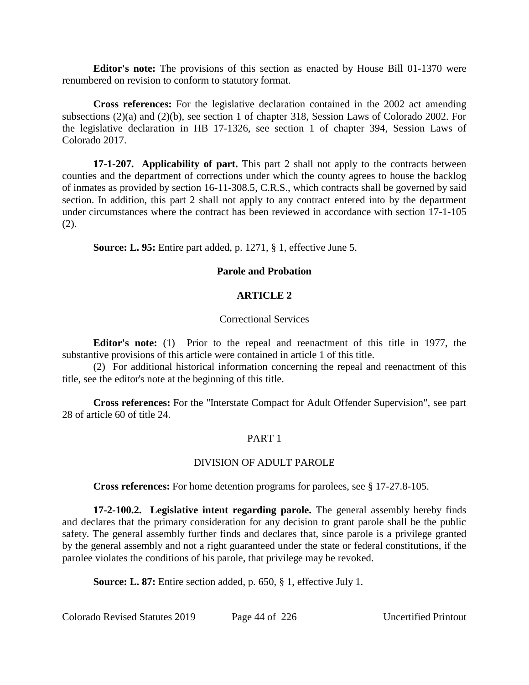**Editor's note:** The provisions of this section as enacted by House Bill 01-1370 were renumbered on revision to conform to statutory format.

**Cross references:** For the legislative declaration contained in the 2002 act amending subsections (2)(a) and (2)(b), see section 1 of chapter 318, Session Laws of Colorado 2002. For the legislative declaration in HB 17-1326, see section 1 of chapter 394, Session Laws of Colorado 2017.

**17-1-207. Applicability of part.** This part 2 shall not apply to the contracts between counties and the department of corrections under which the county agrees to house the backlog of inmates as provided by section 16-11-308.5, C.R.S., which contracts shall be governed by said section. In addition, this part 2 shall not apply to any contract entered into by the department under circumstances where the contract has been reviewed in accordance with section 17-1-105 (2).

**Source: L. 95:** Entire part added, p. 1271, § 1, effective June 5.

## **Parole and Probation**

#### **ARTICLE 2**

#### Correctional Services

**Editor's note:** (1) Prior to the repeal and reenactment of this title in 1977, the substantive provisions of this article were contained in article 1 of this title.

(2) For additional historical information concerning the repeal and reenactment of this title, see the editor's note at the beginning of this title.

**Cross references:** For the "Interstate Compact for Adult Offender Supervision", see part 28 of article 60 of title 24.

## PART 1

## DIVISION OF ADULT PAROLE

**Cross references:** For home detention programs for parolees, see § 17-27.8-105.

**17-2-100.2. Legislative intent regarding parole.** The general assembly hereby finds and declares that the primary consideration for any decision to grant parole shall be the public safety. The general assembly further finds and declares that, since parole is a privilege granted by the general assembly and not a right guaranteed under the state or federal constitutions, if the parolee violates the conditions of his parole, that privilege may be revoked.

**Source: L. 87:** Entire section added, p. 650, § 1, effective July 1.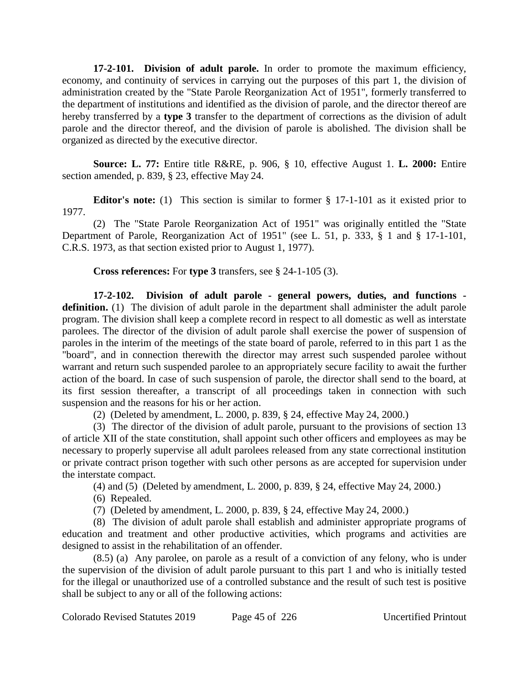**17-2-101. Division of adult parole.** In order to promote the maximum efficiency, economy, and continuity of services in carrying out the purposes of this part 1, the division of administration created by the "State Parole Reorganization Act of 1951", formerly transferred to the department of institutions and identified as the division of parole, and the director thereof are hereby transferred by a **type 3** transfer to the department of corrections as the division of adult parole and the director thereof, and the division of parole is abolished. The division shall be organized as directed by the executive director.

**Source: L. 77:** Entire title R&RE, p. 906, § 10, effective August 1. **L. 2000:** Entire section amended, p. 839, § 23, effective May 24.

**Editor's note:** (1) This section is similar to former § 17-1-101 as it existed prior to 1977.

(2) The "State Parole Reorganization Act of 1951" was originally entitled the "State Department of Parole, Reorganization Act of 1951" (see L. 51, p. 333, § 1 and § 17-1-101, C.R.S. 1973, as that section existed prior to August 1, 1977).

**Cross references:** For **type 3** transfers, see § 24-1-105 (3).

**17-2-102. Division of adult parole - general powers, duties, and functions definition.** (1) The division of adult parole in the department shall administer the adult parole program. The division shall keep a complete record in respect to all domestic as well as interstate parolees. The director of the division of adult parole shall exercise the power of suspension of paroles in the interim of the meetings of the state board of parole, referred to in this part 1 as the "board", and in connection therewith the director may arrest such suspended parolee without warrant and return such suspended parolee to an appropriately secure facility to await the further action of the board. In case of such suspension of parole, the director shall send to the board, at its first session thereafter, a transcript of all proceedings taken in connection with such suspension and the reasons for his or her action.

(2) (Deleted by amendment, L. 2000, p. 839, § 24, effective May 24, 2000.)

(3) The director of the division of adult parole, pursuant to the provisions of section 13 of article XII of the state constitution, shall appoint such other officers and employees as may be necessary to properly supervise all adult parolees released from any state correctional institution or private contract prison together with such other persons as are accepted for supervision under the interstate compact.

(4) and (5) (Deleted by amendment, L. 2000, p. 839, § 24, effective May 24, 2000.)

(6) Repealed.

(7) (Deleted by amendment, L. 2000, p. 839, § 24, effective May 24, 2000.)

(8) The division of adult parole shall establish and administer appropriate programs of education and treatment and other productive activities, which programs and activities are designed to assist in the rehabilitation of an offender.

(8.5) (a) Any parolee, on parole as a result of a conviction of any felony, who is under the supervision of the division of adult parole pursuant to this part 1 and who is initially tested for the illegal or unauthorized use of a controlled substance and the result of such test is positive shall be subject to any or all of the following actions: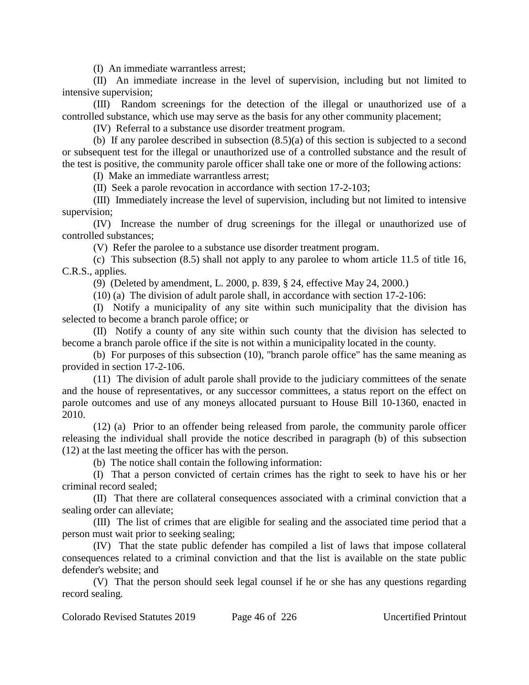(I) An immediate warrantless arrest;

(II) An immediate increase in the level of supervision, including but not limited to intensive supervision;

(III) Random screenings for the detection of the illegal or unauthorized use of a controlled substance, which use may serve as the basis for any other community placement;

(IV) Referral to a substance use disorder treatment program.

(b) If any parolee described in subsection (8.5)(a) of this section is subjected to a second or subsequent test for the illegal or unauthorized use of a controlled substance and the result of the test is positive, the community parole officer shall take one or more of the following actions:

(I) Make an immediate warrantless arrest;

(II) Seek a parole revocation in accordance with section 17-2-103;

(III) Immediately increase the level of supervision, including but not limited to intensive supervision;

(IV) Increase the number of drug screenings for the illegal or unauthorized use of controlled substances;

(V) Refer the parolee to a substance use disorder treatment program.

(c) This subsection (8.5) shall not apply to any parolee to whom article 11.5 of title 16, C.R.S., applies.

(9) (Deleted by amendment, L. 2000, p. 839, § 24, effective May 24, 2000.)

(10) (a) The division of adult parole shall, in accordance with section 17-2-106:

(I) Notify a municipality of any site within such municipality that the division has selected to become a branch parole office; or

(II) Notify a county of any site within such county that the division has selected to become a branch parole office if the site is not within a municipality located in the county.

(b) For purposes of this subsection (10), "branch parole office" has the same meaning as provided in section 17-2-106.

(11) The division of adult parole shall provide to the judiciary committees of the senate and the house of representatives, or any successor committees, a status report on the effect on parole outcomes and use of any moneys allocated pursuant to House Bill 10-1360, enacted in 2010.

(12) (a) Prior to an offender being released from parole, the community parole officer releasing the individual shall provide the notice described in paragraph (b) of this subsection (12) at the last meeting the officer has with the person.

(b) The notice shall contain the following information:

(I) That a person convicted of certain crimes has the right to seek to have his or her criminal record sealed;

(II) That there are collateral consequences associated with a criminal conviction that a sealing order can alleviate;

(III) The list of crimes that are eligible for sealing and the associated time period that a person must wait prior to seeking sealing;

(IV) That the state public defender has compiled a list of laws that impose collateral consequences related to a criminal conviction and that the list is available on the state public defender's website; and

(V) That the person should seek legal counsel if he or she has any questions regarding record sealing.

Colorado Revised Statutes 2019 Page 46 of 226 Uncertified Printout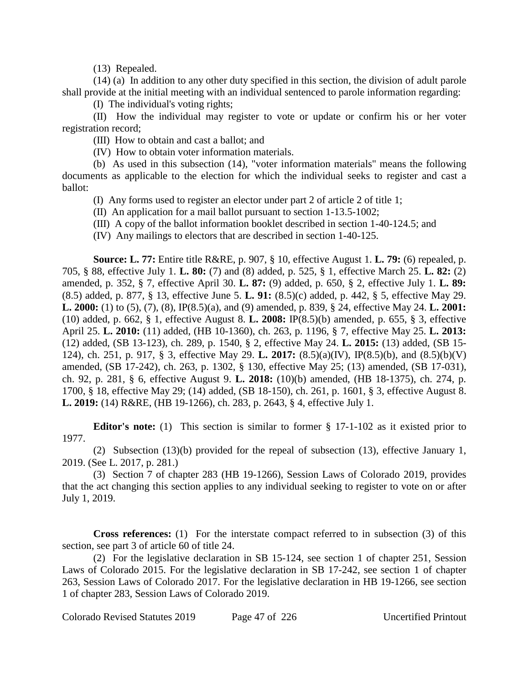(13) Repealed.

(14) (a) In addition to any other duty specified in this section, the division of adult parole shall provide at the initial meeting with an individual sentenced to parole information regarding:

(I) The individual's voting rights;

(II) How the individual may register to vote or update or confirm his or her voter registration record;

(III) How to obtain and cast a ballot; and

(IV) How to obtain voter information materials.

(b) As used in this subsection (14), "voter information materials" means the following documents as applicable to the election for which the individual seeks to register and cast a ballot:

(I) Any forms used to register an elector under part 2 of article 2 of title 1;

(II) An application for a mail ballot pursuant to section 1-13.5-1002;

(III) A copy of the ballot information booklet described in section 1-40-124.5; and

(IV) Any mailings to electors that are described in section 1-40-125.

**Source: L. 77:** Entire title R&RE, p. 907, § 10, effective August 1. **L. 79:** (6) repealed, p. 705, § 88, effective July 1. **L. 80:** (7) and (8) added, p. 525, § 1, effective March 25. **L. 82:** (2) amended, p. 352, § 7, effective April 30. **L. 87:** (9) added, p. 650, § 2, effective July 1. **L. 89:** (8.5) added, p. 877, § 13, effective June 5. **L. 91:** (8.5)(c) added, p. 442, § 5, effective May 29. **L. 2000:** (1) to (5), (7), (8), IP(8.5)(a), and (9) amended, p. 839, § 24, effective May 24. **L. 2001:** (10) added, p. 662, § 1, effective August 8. **L. 2008:** IP(8.5)(b) amended, p. 655, § 3, effective April 25. **L. 2010:** (11) added, (HB 10-1360), ch. 263, p. 1196, § 7, effective May 25. **L. 2013:** (12) added, (SB 13-123), ch. 289, p. 1540, § 2, effective May 24. **L. 2015:** (13) added, (SB 15- 124), ch. 251, p. 917, § 3, effective May 29. **L. 2017:** (8.5)(a)(IV), IP(8.5)(b), and (8.5)(b)(V) amended, (SB 17-242), ch. 263, p. 1302, § 130, effective May 25; (13) amended, (SB 17-031), ch. 92, p. 281, § 6, effective August 9. **L. 2018:** (10)(b) amended, (HB 18-1375), ch. 274, p. 1700, § 18, effective May 29; (14) added, (SB 18-150), ch. 261, p. 1601, § 3, effective August 8. **L. 2019:** (14) R&RE, (HB 19-1266), ch. 283, p. 2643, § 4, effective July 1.

**Editor's note:** (1) This section is similar to former § 17-1-102 as it existed prior to 1977.

(2) Subsection (13)(b) provided for the repeal of subsection (13), effective January 1, 2019. (See L. 2017, p. 281.)

(3) Section 7 of chapter 283 (HB 19-1266), Session Laws of Colorado 2019, provides that the act changing this section applies to any individual seeking to register to vote on or after July 1, 2019.

**Cross references:** (1) For the interstate compact referred to in subsection (3) of this section, see part 3 of article 60 of title 24.

(2) For the legislative declaration in SB 15-124, see section 1 of chapter 251, Session Laws of Colorado 2015. For the legislative declaration in SB 17-242, see section 1 of chapter 263, Session Laws of Colorado 2017. For the legislative declaration in HB 19-1266, see section 1 of chapter 283, Session Laws of Colorado 2019.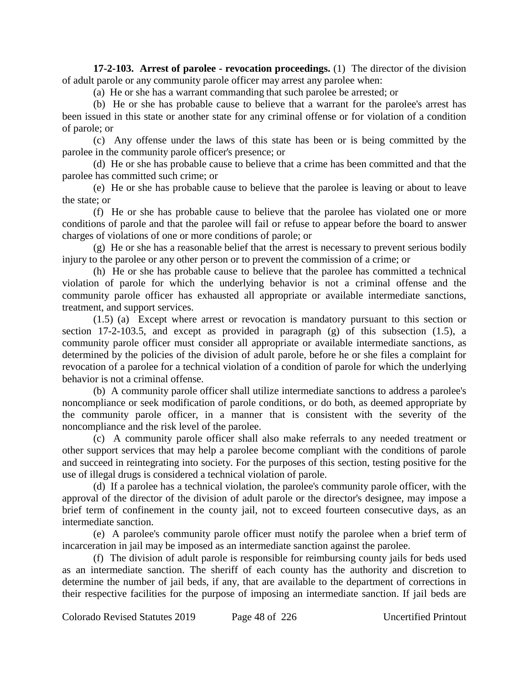**17-2-103. Arrest of parolee - revocation proceedings.** (1) The director of the division of adult parole or any community parole officer may arrest any parolee when:

(a) He or she has a warrant commanding that such parolee be arrested; or

(b) He or she has probable cause to believe that a warrant for the parolee's arrest has been issued in this state or another state for any criminal offense or for violation of a condition of parole; or

(c) Any offense under the laws of this state has been or is being committed by the parolee in the community parole officer's presence; or

(d) He or she has probable cause to believe that a crime has been committed and that the parolee has committed such crime; or

(e) He or she has probable cause to believe that the parolee is leaving or about to leave the state; or

(f) He or she has probable cause to believe that the parolee has violated one or more conditions of parole and that the parolee will fail or refuse to appear before the board to answer charges of violations of one or more conditions of parole; or

(g) He or she has a reasonable belief that the arrest is necessary to prevent serious bodily injury to the parolee or any other person or to prevent the commission of a crime; or

(h) He or she has probable cause to believe that the parolee has committed a technical violation of parole for which the underlying behavior is not a criminal offense and the community parole officer has exhausted all appropriate or available intermediate sanctions, treatment, and support services.

(1.5) (a) Except where arrest or revocation is mandatory pursuant to this section or section 17-2-103.5, and except as provided in paragraph (g) of this subsection (1.5), a community parole officer must consider all appropriate or available intermediate sanctions, as determined by the policies of the division of adult parole, before he or she files a complaint for revocation of a parolee for a technical violation of a condition of parole for which the underlying behavior is not a criminal offense.

(b) A community parole officer shall utilize intermediate sanctions to address a parolee's noncompliance or seek modification of parole conditions, or do both, as deemed appropriate by the community parole officer, in a manner that is consistent with the severity of the noncompliance and the risk level of the parolee.

(c) A community parole officer shall also make referrals to any needed treatment or other support services that may help a parolee become compliant with the conditions of parole and succeed in reintegrating into society. For the purposes of this section, testing positive for the use of illegal drugs is considered a technical violation of parole.

(d) If a parolee has a technical violation, the parolee's community parole officer, with the approval of the director of the division of adult parole or the director's designee, may impose a brief term of confinement in the county jail, not to exceed fourteen consecutive days, as an intermediate sanction.

(e) A parolee's community parole officer must notify the parolee when a brief term of incarceration in jail may be imposed as an intermediate sanction against the parolee.

(f) The division of adult parole is responsible for reimbursing county jails for beds used as an intermediate sanction. The sheriff of each county has the authority and discretion to determine the number of jail beds, if any, that are available to the department of corrections in their respective facilities for the purpose of imposing an intermediate sanction. If jail beds are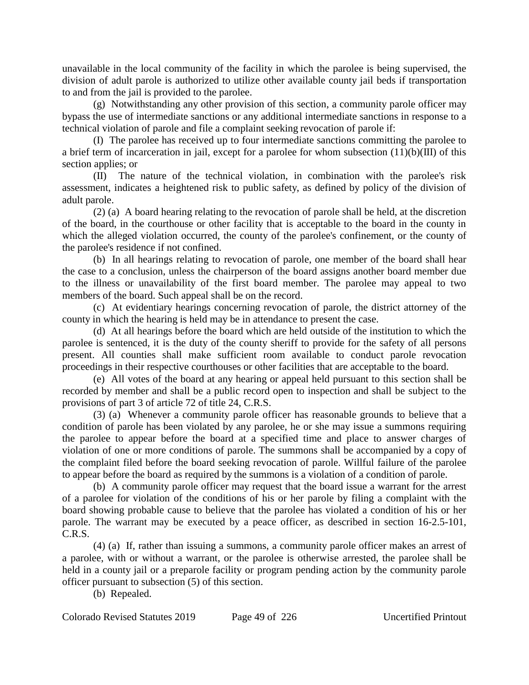unavailable in the local community of the facility in which the parolee is being supervised, the division of adult parole is authorized to utilize other available county jail beds if transportation to and from the jail is provided to the parolee.

(g) Notwithstanding any other provision of this section, a community parole officer may bypass the use of intermediate sanctions or any additional intermediate sanctions in response to a technical violation of parole and file a complaint seeking revocation of parole if:

(I) The parolee has received up to four intermediate sanctions committing the parolee to a brief term of incarceration in jail, except for a parolee for whom subsection (11)(b)(III) of this section applies; or

(II) The nature of the technical violation, in combination with the parolee's risk assessment, indicates a heightened risk to public safety, as defined by policy of the division of adult parole.

(2) (a) A board hearing relating to the revocation of parole shall be held, at the discretion of the board, in the courthouse or other facility that is acceptable to the board in the county in which the alleged violation occurred, the county of the parolee's confinement, or the county of the parolee's residence if not confined.

(b) In all hearings relating to revocation of parole, one member of the board shall hear the case to a conclusion, unless the chairperson of the board assigns another board member due to the illness or unavailability of the first board member. The parolee may appeal to two members of the board. Such appeal shall be on the record.

(c) At evidentiary hearings concerning revocation of parole, the district attorney of the county in which the hearing is held may be in attendance to present the case.

(d) At all hearings before the board which are held outside of the institution to which the parolee is sentenced, it is the duty of the county sheriff to provide for the safety of all persons present. All counties shall make sufficient room available to conduct parole revocation proceedings in their respective courthouses or other facilities that are acceptable to the board.

(e) All votes of the board at any hearing or appeal held pursuant to this section shall be recorded by member and shall be a public record open to inspection and shall be subject to the provisions of part 3 of article 72 of title 24, C.R.S.

(3) (a) Whenever a community parole officer has reasonable grounds to believe that a condition of parole has been violated by any parolee, he or she may issue a summons requiring the parolee to appear before the board at a specified time and place to answer charges of violation of one or more conditions of parole. The summons shall be accompanied by a copy of the complaint filed before the board seeking revocation of parole. Willful failure of the parolee to appear before the board as required by the summons is a violation of a condition of parole.

(b) A community parole officer may request that the board issue a warrant for the arrest of a parolee for violation of the conditions of his or her parole by filing a complaint with the board showing probable cause to believe that the parolee has violated a condition of his or her parole. The warrant may be executed by a peace officer, as described in section 16-2.5-101, C.R.S.

(4) (a) If, rather than issuing a summons, a community parole officer makes an arrest of a parolee, with or without a warrant, or the parolee is otherwise arrested, the parolee shall be held in a county jail or a preparole facility or program pending action by the community parole officer pursuant to subsection (5) of this section.

(b) Repealed.

Colorado Revised Statutes 2019 Page 49 of 226 Uncertified Printout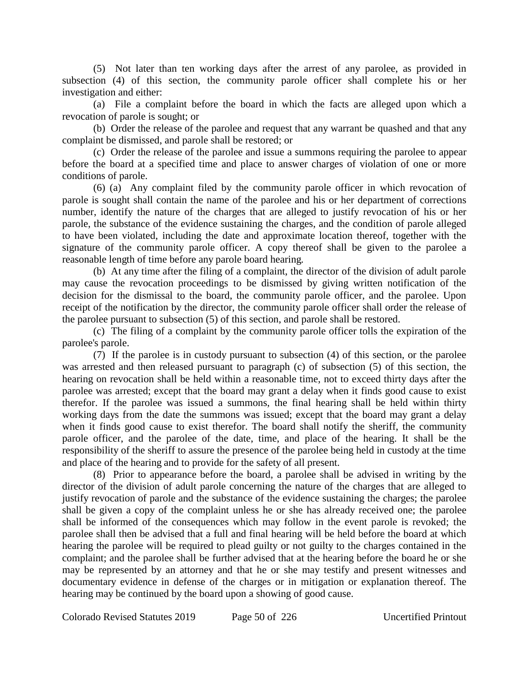(5) Not later than ten working days after the arrest of any parolee, as provided in subsection (4) of this section, the community parole officer shall complete his or her investigation and either:

(a) File a complaint before the board in which the facts are alleged upon which a revocation of parole is sought; or

(b) Order the release of the parolee and request that any warrant be quashed and that any complaint be dismissed, and parole shall be restored; or

(c) Order the release of the parolee and issue a summons requiring the parolee to appear before the board at a specified time and place to answer charges of violation of one or more conditions of parole.

(6) (a) Any complaint filed by the community parole officer in which revocation of parole is sought shall contain the name of the parolee and his or her department of corrections number, identify the nature of the charges that are alleged to justify revocation of his or her parole, the substance of the evidence sustaining the charges, and the condition of parole alleged to have been violated, including the date and approximate location thereof, together with the signature of the community parole officer. A copy thereof shall be given to the parolee a reasonable length of time before any parole board hearing.

(b) At any time after the filing of a complaint, the director of the division of adult parole may cause the revocation proceedings to be dismissed by giving written notification of the decision for the dismissal to the board, the community parole officer, and the parolee. Upon receipt of the notification by the director, the community parole officer shall order the release of the parolee pursuant to subsection (5) of this section, and parole shall be restored.

(c) The filing of a complaint by the community parole officer tolls the expiration of the parolee's parole.

(7) If the parolee is in custody pursuant to subsection (4) of this section, or the parolee was arrested and then released pursuant to paragraph (c) of subsection (5) of this section, the hearing on revocation shall be held within a reasonable time, not to exceed thirty days after the parolee was arrested; except that the board may grant a delay when it finds good cause to exist therefor. If the parolee was issued a summons, the final hearing shall be held within thirty working days from the date the summons was issued; except that the board may grant a delay when it finds good cause to exist therefor. The board shall notify the sheriff, the community parole officer, and the parolee of the date, time, and place of the hearing. It shall be the responsibility of the sheriff to assure the presence of the parolee being held in custody at the time and place of the hearing and to provide for the safety of all present.

(8) Prior to appearance before the board, a parolee shall be advised in writing by the director of the division of adult parole concerning the nature of the charges that are alleged to justify revocation of parole and the substance of the evidence sustaining the charges; the parolee shall be given a copy of the complaint unless he or she has already received one; the parolee shall be informed of the consequences which may follow in the event parole is revoked; the parolee shall then be advised that a full and final hearing will be held before the board at which hearing the parolee will be required to plead guilty or not guilty to the charges contained in the complaint; and the parolee shall be further advised that at the hearing before the board he or she may be represented by an attorney and that he or she may testify and present witnesses and documentary evidence in defense of the charges or in mitigation or explanation thereof. The hearing may be continued by the board upon a showing of good cause.

Colorado Revised Statutes 2019 Page 50 of 226 Uncertified Printout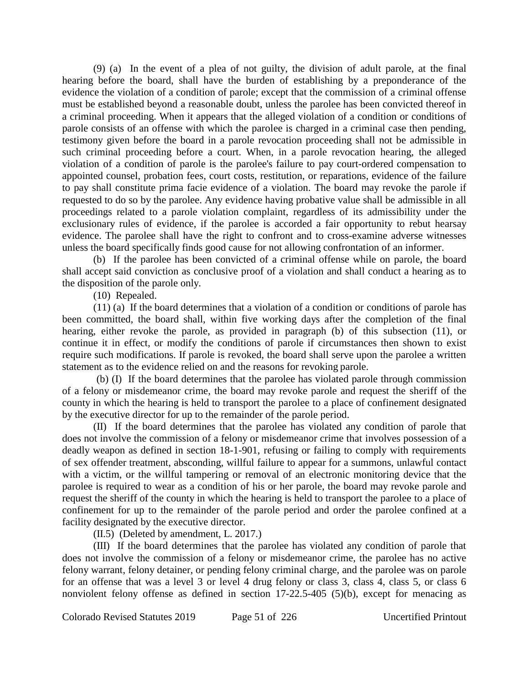(9) (a) In the event of a plea of not guilty, the division of adult parole, at the final hearing before the board, shall have the burden of establishing by a preponderance of the evidence the violation of a condition of parole; except that the commission of a criminal offense must be established beyond a reasonable doubt, unless the parolee has been convicted thereof in a criminal proceeding. When it appears that the alleged violation of a condition or conditions of parole consists of an offense with which the parolee is charged in a criminal case then pending, testimony given before the board in a parole revocation proceeding shall not be admissible in such criminal proceeding before a court. When, in a parole revocation hearing, the alleged violation of a condition of parole is the parolee's failure to pay court-ordered compensation to appointed counsel, probation fees, court costs, restitution, or reparations, evidence of the failure to pay shall constitute prima facie evidence of a violation. The board may revoke the parole if requested to do so by the parolee. Any evidence having probative value shall be admissible in all proceedings related to a parole violation complaint, regardless of its admissibility under the exclusionary rules of evidence, if the parolee is accorded a fair opportunity to rebut hearsay evidence. The parolee shall have the right to confront and to cross-examine adverse witnesses unless the board specifically finds good cause for not allowing confrontation of an informer.

(b) If the parolee has been convicted of a criminal offense while on parole, the board shall accept said conviction as conclusive proof of a violation and shall conduct a hearing as to the disposition of the parole only.

(10) Repealed.

(11) (a) If the board determines that a violation of a condition or conditions of parole has been committed, the board shall, within five working days after the completion of the final hearing, either revoke the parole, as provided in paragraph (b) of this subsection (11), or continue it in effect, or modify the conditions of parole if circumstances then shown to exist require such modifications. If parole is revoked, the board shall serve upon the parolee a written statement as to the evidence relied on and the reasons for revoking parole.

(b) (I) If the board determines that the parolee has violated parole through commission of a felony or misdemeanor crime, the board may revoke parole and request the sheriff of the county in which the hearing is held to transport the parolee to a place of confinement designated by the executive director for up to the remainder of the parole period.

(II) If the board determines that the parolee has violated any condition of parole that does not involve the commission of a felony or misdemeanor crime that involves possession of a deadly weapon as defined in section 18-1-901, refusing or failing to comply with requirements of sex offender treatment, absconding, willful failure to appear for a summons, unlawful contact with a victim, or the willful tampering or removal of an electronic monitoring device that the parolee is required to wear as a condition of his or her parole, the board may revoke parole and request the sheriff of the county in which the hearing is held to transport the parolee to a place of confinement for up to the remainder of the parole period and order the parolee confined at a facility designated by the executive director.

(II.5) (Deleted by amendment, L. 2017.)

(III) If the board determines that the parolee has violated any condition of parole that does not involve the commission of a felony or misdemeanor crime, the parolee has no active felony warrant, felony detainer, or pending felony criminal charge, and the parolee was on parole for an offense that was a level 3 or level 4 drug felony or class 3, class 4, class 5, or class 6 nonviolent felony offense as defined in section 17-22.5-405 (5)(b), except for menacing as

Colorado Revised Statutes 2019 Page 51 of 226 Uncertified Printout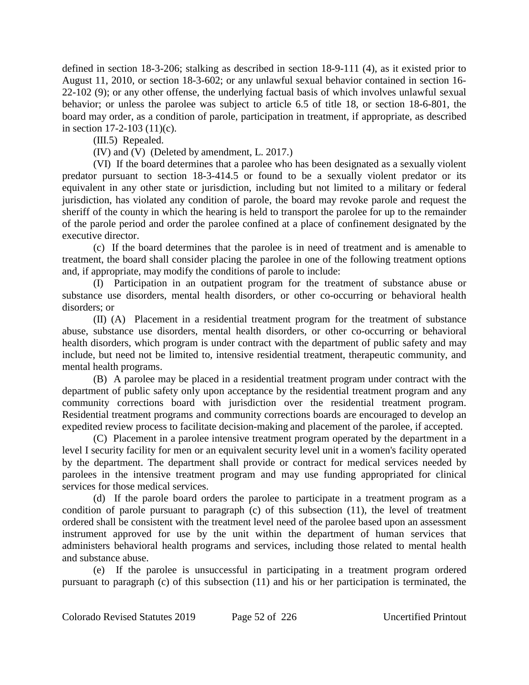defined in section 18-3-206; stalking as described in section 18-9-111 (4), as it existed prior to August 11, 2010, or section 18-3-602; or any unlawful sexual behavior contained in section 16- 22-102 (9); or any other offense, the underlying factual basis of which involves unlawful sexual behavior; or unless the parolee was subject to article 6.5 of title 18, or section 18-6-801, the board may order, as a condition of parole, participation in treatment, if appropriate, as described in section 17-2-103 (11)(c).

(III.5) Repealed.

(IV) and (V) (Deleted by amendment, L. 2017.)

(VI) If the board determines that a parolee who has been designated as a sexually violent predator pursuant to section 18-3-414.5 or found to be a sexually violent predator or its equivalent in any other state or jurisdiction, including but not limited to a military or federal jurisdiction, has violated any condition of parole, the board may revoke parole and request the sheriff of the county in which the hearing is held to transport the parolee for up to the remainder of the parole period and order the parolee confined at a place of confinement designated by the executive director.

(c) If the board determines that the parolee is in need of treatment and is amenable to treatment, the board shall consider placing the parolee in one of the following treatment options and, if appropriate, may modify the conditions of parole to include:

(I) Participation in an outpatient program for the treatment of substance abuse or substance use disorders, mental health disorders, or other co-occurring or behavioral health disorders; or

(II) (A) Placement in a residential treatment program for the treatment of substance abuse, substance use disorders, mental health disorders, or other co-occurring or behavioral health disorders, which program is under contract with the department of public safety and may include, but need not be limited to, intensive residential treatment, therapeutic community, and mental health programs.

(B) A parolee may be placed in a residential treatment program under contract with the department of public safety only upon acceptance by the residential treatment program and any community corrections board with jurisdiction over the residential treatment program. Residential treatment programs and community corrections boards are encouraged to develop an expedited review process to facilitate decision-making and placement of the parolee, if accepted.

(C) Placement in a parolee intensive treatment program operated by the department in a level I security facility for men or an equivalent security level unit in a women's facility operated by the department. The department shall provide or contract for medical services needed by parolees in the intensive treatment program and may use funding appropriated for clinical services for those medical services.

(d) If the parole board orders the parolee to participate in a treatment program as a condition of parole pursuant to paragraph (c) of this subsection (11), the level of treatment ordered shall be consistent with the treatment level need of the parolee based upon an assessment instrument approved for use by the unit within the department of human services that administers behavioral health programs and services, including those related to mental health and substance abuse.

(e) If the parolee is unsuccessful in participating in a treatment program ordered pursuant to paragraph (c) of this subsection (11) and his or her participation is terminated, the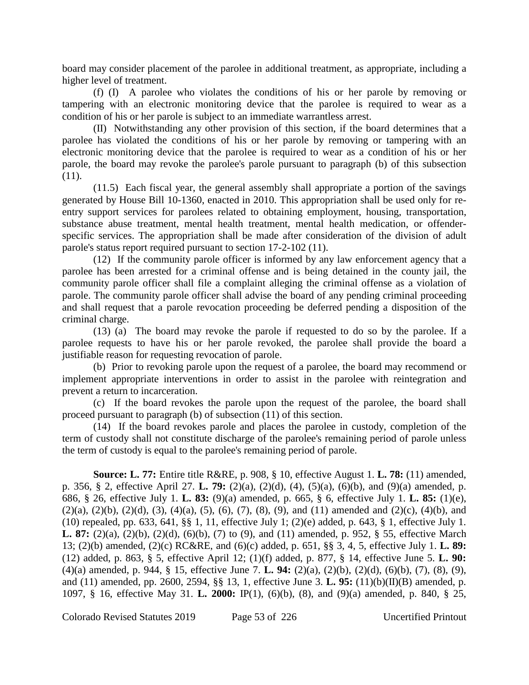board may consider placement of the parolee in additional treatment, as appropriate, including a higher level of treatment.

(f) (I) A parolee who violates the conditions of his or her parole by removing or tampering with an electronic monitoring device that the parolee is required to wear as a condition of his or her parole is subject to an immediate warrantless arrest.

(II) Notwithstanding any other provision of this section, if the board determines that a parolee has violated the conditions of his or her parole by removing or tampering with an electronic monitoring device that the parolee is required to wear as a condition of his or her parole, the board may revoke the parolee's parole pursuant to paragraph (b) of this subsection (11).

(11.5) Each fiscal year, the general assembly shall appropriate a portion of the savings generated by House Bill 10-1360, enacted in 2010. This appropriation shall be used only for reentry support services for parolees related to obtaining employment, housing, transportation, substance abuse treatment, mental health treatment, mental health medication, or offenderspecific services. The appropriation shall be made after consideration of the division of adult parole's status report required pursuant to section 17-2-102 (11).

(12) If the community parole officer is informed by any law enforcement agency that a parolee has been arrested for a criminal offense and is being detained in the county jail, the community parole officer shall file a complaint alleging the criminal offense as a violation of parole. The community parole officer shall advise the board of any pending criminal proceeding and shall request that a parole revocation proceeding be deferred pending a disposition of the criminal charge.

(13) (a) The board may revoke the parole if requested to do so by the parolee. If a parolee requests to have his or her parole revoked, the parolee shall provide the board a justifiable reason for requesting revocation of parole.

(b) Prior to revoking parole upon the request of a parolee, the board may recommend or implement appropriate interventions in order to assist in the parolee with reintegration and prevent a return to incarceration.

(c) If the board revokes the parole upon the request of the parolee, the board shall proceed pursuant to paragraph (b) of subsection (11) of this section.

(14) If the board revokes parole and places the parolee in custody, completion of the term of custody shall not constitute discharge of the parolee's remaining period of parole unless the term of custody is equal to the parolee's remaining period of parole.

**Source: L. 77:** Entire title R&RE, p. 908, § 10, effective August 1. **L. 78:** (11) amended, p. 356, § 2, effective April 27. **L. 79:** (2)(a), (2)(d), (4), (5)(a), (6)(b), and (9)(a) amended, p. 686, § 26, effective July 1. **L. 83:** (9)(a) amended, p. 665, § 6, effective July 1. **L. 85:** (1)(e),  $(2)(a)$ ,  $(2)(b)$ ,  $(2)(d)$ ,  $(3)$ ,  $(4)(a)$ ,  $(5)$ ,  $(6)$ ,  $(7)$ ,  $(8)$ ,  $(9)$ , and  $(11)$  amended and  $(2)(c)$ ,  $(4)(b)$ , and (10) repealed, pp. 633, 641, §§ 1, 11, effective July 1; (2)(e) added, p. 643, § 1, effective July 1. **L. 87:** (2)(a), (2)(b), (2)(d), (6)(b), (7) to (9), and (11) amended, p. 952, § 55, effective March 13; (2)(b) amended, (2)(c) RC&RE, and (6)(c) added, p. 651, §§ 3, 4, 5, effective July 1. **L. 89:** (12) added, p. 863, § 5, effective April 12; (1)(f) added, p. 877, § 14, effective June 5. **L. 90:** (4)(a) amended, p. 944, § 15, effective June 7. **L. 94:** (2)(a), (2)(b), (2)(d), (6)(b), (7), (8), (9), and (11) amended, pp. 2600, 2594, §§ 13, 1, effective June 3. **L. 95:** (11)(b)(II)(B) amended, p. 1097, § 16, effective May 31. **L. 2000:** IP(1), (6)(b), (8), and (9)(a) amended, p. 840, § 25,

Colorado Revised Statutes 2019 Page 53 of 226 Uncertified Printout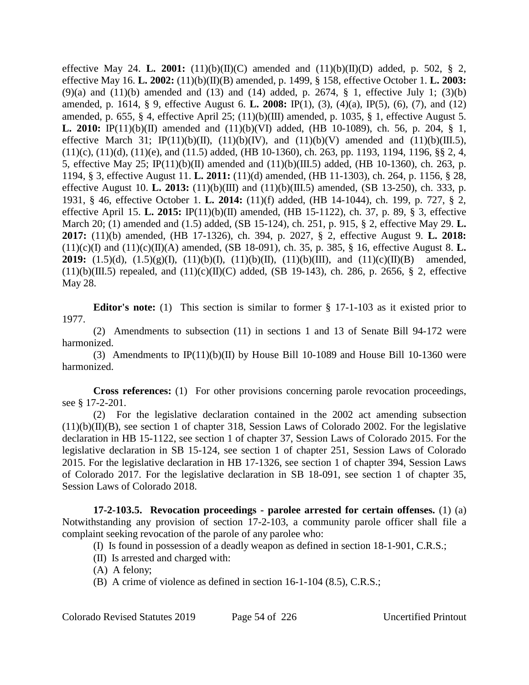effective May 24. **L. 2001:** (11)(b)(II)(C) amended and (11)(b)(II)(D) added, p. 502, § 2, effective May 16. **L. 2002:** (11)(b)(II)(B) amended, p. 1499, § 158, effective October 1. **L. 2003:** (9)(a) and (11)(b) amended and (13) and (14) added, p. 2674,  $\S$  1, effective July 1; (3)(b) amended, p. 1614, § 9, effective August 6. **L. 2008:** IP(1), (3), (4)(a), IP(5), (6), (7), and (12) amended, p. 655, § 4, effective April 25;  $(11)(b)(III)$  amended, p. 1035, § 1, effective August 5. **L. 2010:** IP(11)(b)(II) amended and (11)(b)(VI) added, (HB 10-1089), ch. 56, p. 204, § 1, effective March 31; IP(11)(b)(II), (11)(b)(IV), and (11)(b)(V) amended and (11)(b)(III.5),  $(11)(c)$ ,  $(11)(d)$ ,  $(11)(e)$ , and  $(11.5)$  added,  $(HB 10-1360)$ , ch. 263, pp. 1193, 1194, 1196, §§ 2, 4, 5, effective May 25; IP(11)(b)(II) amended and (11)(b)(III.5) added, (HB 10-1360), ch. 263, p. 1194, § 3, effective August 11. **L. 2011:** (11)(d) amended, (HB 11-1303), ch. 264, p. 1156, § 28, effective August 10. **L. 2013:** (11)(b)(III) and (11)(b)(III.5) amended, (SB 13-250), ch. 333, p. 1931, § 46, effective October 1. **L. 2014:** (11)(f) added, (HB 14-1044), ch. 199, p. 727, § 2, effective April 15. **L. 2015:** IP(11)(b)(II) amended, (HB 15-1122), ch. 37, p. 89, § 3, effective March 20; (1) amended and (1.5) added, (SB 15-124), ch. 251, p. 915, § 2, effective May 29. **L. 2017:** (11)(b) amended, (HB 17-1326), ch. 394, p. 2027, § 2, effective August 9. **L. 2018:**  $(11)(c)(I)$  and  $(11)(c)(II)(A)$  amended,  $(SB 18-091)$ , ch. 35, p. 385, § 16, effective August 8. **L. 2019:** (1.5)(d), (1.5)(g)(I), (11)(b)(I), (11)(b)(II), (11)(b)(III), and (11)(c)(II)(B) amended,  $(11)(b)(III.5)$  repealed, and  $(11)(c)(II)(C)$  added, (SB 19-143), ch. 286, p. 2656, § 2, effective May 28.

**Editor's note:** (1) This section is similar to former § 17-1-103 as it existed prior to 1977.

(2) Amendments to subsection (11) in sections 1 and 13 of Senate Bill 94-172 were harmonized.

(3) Amendments to  $IP(11)(b)(II)$  by House Bill 10-1089 and House Bill 10-1360 were harmonized.

**Cross references:** (1) For other provisions concerning parole revocation proceedings, see § 17-2-201.

(2) For the legislative declaration contained in the 2002 act amending subsection  $(11)(b)(II)(B)$ , see section 1 of chapter 318, Session Laws of Colorado 2002. For the legislative declaration in HB 15-1122, see section 1 of chapter 37, Session Laws of Colorado 2015. For the legislative declaration in SB 15-124, see section 1 of chapter 251, Session Laws of Colorado 2015. For the legislative declaration in HB 17-1326, see section 1 of chapter 394, Session Laws of Colorado 2017. For the legislative declaration in SB 18-091, see section 1 of chapter 35, Session Laws of Colorado 2018.

**17-2-103.5. Revocation proceedings - parolee arrested for certain offenses.** (1) (a) Notwithstanding any provision of section 17-2-103, a community parole officer shall file a complaint seeking revocation of the parole of any parolee who:

(I) Is found in possession of a deadly weapon as defined in section 18-1-901, C.R.S.;

(II) Is arrested and charged with:

(A) A felony;

(B) A crime of violence as defined in section 16-1-104 (8.5), C.R.S.;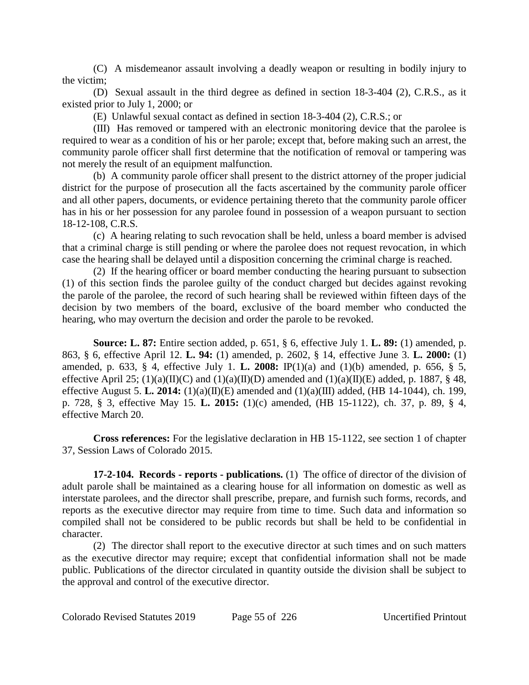(C) A misdemeanor assault involving a deadly weapon or resulting in bodily injury to the victim;

(D) Sexual assault in the third degree as defined in section 18-3-404 (2), C.R.S., as it existed prior to July 1, 2000; or

(E) Unlawful sexual contact as defined in section 18-3-404 (2), C.R.S.; or

(III) Has removed or tampered with an electronic monitoring device that the parolee is required to wear as a condition of his or her parole; except that, before making such an arrest, the community parole officer shall first determine that the notification of removal or tampering was not merely the result of an equipment malfunction.

(b) A community parole officer shall present to the district attorney of the proper judicial district for the purpose of prosecution all the facts ascertained by the community parole officer and all other papers, documents, or evidence pertaining thereto that the community parole officer has in his or her possession for any parolee found in possession of a weapon pursuant to section 18-12-108, C.R.S.

(c) A hearing relating to such revocation shall be held, unless a board member is advised that a criminal charge is still pending or where the parolee does not request revocation, in which case the hearing shall be delayed until a disposition concerning the criminal charge is reached.

(2) If the hearing officer or board member conducting the hearing pursuant to subsection (1) of this section finds the parolee guilty of the conduct charged but decides against revoking the parole of the parolee, the record of such hearing shall be reviewed within fifteen days of the decision by two members of the board, exclusive of the board member who conducted the hearing, who may overturn the decision and order the parole to be revoked.

**Source: L. 87:** Entire section added, p. 651, § 6, effective July 1. **L. 89:** (1) amended, p. 863, § 6, effective April 12. **L. 94:** (1) amended, p. 2602, § 14, effective June 3. **L. 2000:** (1) amended, p. 633, § 4, effective July 1. **L. 2008:** IP(1)(a) and (1)(b) amended, p. 656, § 5, effective April 25;  $(1)(a)(II)(C)$  and  $(1)(a)(II)(D)$  amended and  $(1)(a)(II)(E)$  added, p. 1887, § 48, effective August 5. **L. 2014:** (1)(a)(II)(E) amended and (1)(a)(III) added, (HB 14-1044), ch. 199, p. 728, § 3, effective May 15. **L. 2015:** (1)(c) amended, (HB 15-1122), ch. 37, p. 89, § 4, effective March 20.

**Cross references:** For the legislative declaration in HB 15-1122, see section 1 of chapter 37, Session Laws of Colorado 2015.

**17-2-104. Records - reports - publications.** (1) The office of director of the division of adult parole shall be maintained as a clearing house for all information on domestic as well as interstate parolees, and the director shall prescribe, prepare, and furnish such forms, records, and reports as the executive director may require from time to time. Such data and information so compiled shall not be considered to be public records but shall be held to be confidential in character.

(2) The director shall report to the executive director at such times and on such matters as the executive director may require; except that confidential information shall not be made public. Publications of the director circulated in quantity outside the division shall be subject to the approval and control of the executive director.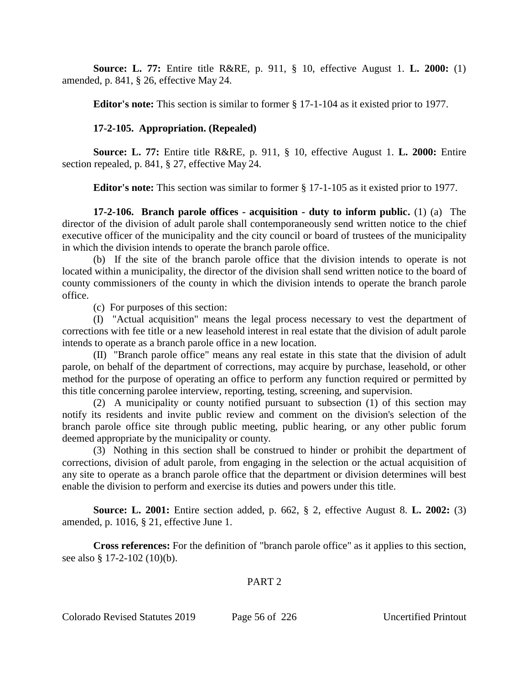**Source: L. 77:** Entire title R&RE, p. 911, § 10, effective August 1. **L. 2000:** (1) amended, p. 841, § 26, effective May 24.

**Editor's note:** This section is similar to former § 17-1-104 as it existed prior to 1977.

# **17-2-105. Appropriation. (Repealed)**

**Source: L. 77:** Entire title R&RE, p. 911, § 10, effective August 1. **L. 2000:** Entire section repealed, p. 841, § 27, effective May 24.

**Editor's note:** This section was similar to former § 17-1-105 as it existed prior to 1977.

**17-2-106. Branch parole offices - acquisition - duty to inform public.** (1) (a) The director of the division of adult parole shall contemporaneously send written notice to the chief executive officer of the municipality and the city council or board of trustees of the municipality in which the division intends to operate the branch parole office.

(b) If the site of the branch parole office that the division intends to operate is not located within a municipality, the director of the division shall send written notice to the board of county commissioners of the county in which the division intends to operate the branch parole office.

(c) For purposes of this section:

(I) "Actual acquisition" means the legal process necessary to vest the department of corrections with fee title or a new leasehold interest in real estate that the division of adult parole intends to operate as a branch parole office in a new location.

(II) "Branch parole office" means any real estate in this state that the division of adult parole, on behalf of the department of corrections, may acquire by purchase, leasehold, or other method for the purpose of operating an office to perform any function required or permitted by this title concerning parolee interview, reporting, testing, screening, and supervision.

(2) A municipality or county notified pursuant to subsection (1) of this section may notify its residents and invite public review and comment on the division's selection of the branch parole office site through public meeting, public hearing, or any other public forum deemed appropriate by the municipality or county.

(3) Nothing in this section shall be construed to hinder or prohibit the department of corrections, division of adult parole, from engaging in the selection or the actual acquisition of any site to operate as a branch parole office that the department or division determines will best enable the division to perform and exercise its duties and powers under this title.

**Source: L. 2001:** Entire section added, p. 662, § 2, effective August 8. **L. 2002:** (3) amended, p. 1016, § 21, effective June 1.

**Cross references:** For the definition of "branch parole office" as it applies to this section, see also § 17-2-102 (10)(b).

## PART 2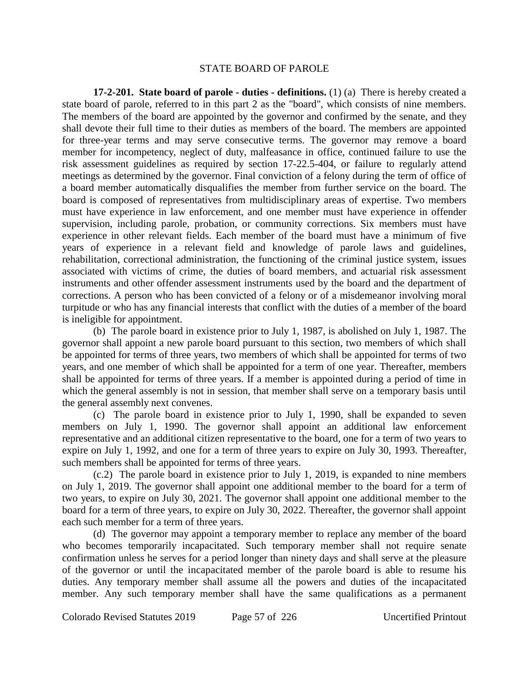#### STATE BOARD OF PAROLE

**17-2-201. State board of parole - duties - definitions.** (1) (a) There is hereby created a state board of parole, referred to in this part 2 as the "board", which consists of nine members. The members of the board are appointed by the governor and confirmed by the senate, and they shall devote their full time to their duties as members of the board. The members are appointed for three-year terms and may serve consecutive terms. The governor may remove a board member for incompetency, neglect of duty, malfeasance in office, continued failure to use the risk assessment guidelines as required by section 17-22.5-404, or failure to regularly attend meetings as determined by the governor. Final conviction of a felony during the term of office of a board member automatically disqualifies the member from further service on the board. The board is composed of representatives from multidisciplinary areas of expertise. Two members must have experience in law enforcement, and one member must have experience in offender supervision, including parole, probation, or community corrections. Six members must have experience in other relevant fields. Each member of the board must have a minimum of five years of experience in a relevant field and knowledge of parole laws and guidelines, rehabilitation, correctional administration, the functioning of the criminal justice system, issues associated with victims of crime, the duties of board members, and actuarial risk assessment instruments and other offender assessment instruments used by the board and the department of corrections. A person who has been convicted of a felony or of a misdemeanor involving moral turpitude or who has any financial interests that conflict with the duties of a member of the board is ineligible for appointment.

(b) The parole board in existence prior to July 1, 1987, is abolished on July 1, 1987. The governor shall appoint a new parole board pursuant to this section, two members of which shall be appointed for terms of three years, two members of which shall be appointed for terms of two years, and one member of which shall be appointed for a term of one year. Thereafter, members shall be appointed for terms of three years. If a member is appointed during a period of time in which the general assembly is not in session, that member shall serve on a temporary basis until the general assembly next convenes.

(c) The parole board in existence prior to July 1, 1990, shall be expanded to seven members on July 1, 1990. The governor shall appoint an additional law enforcement representative and an additional citizen representative to the board, one for a term of two years to expire on July 1, 1992, and one for a term of three years to expire on July 30, 1993. Thereafter, such members shall be appointed for terms of three years.

(c.2) The parole board in existence prior to July 1, 2019, is expanded to nine members on July 1, 2019. The governor shall appoint one additional member to the board for a term of two years, to expire on July 30, 2021. The governor shall appoint one additional member to the board for a term of three years, to expire on July 30, 2022. Thereafter, the governor shall appoint each such member for a term of three years.

(d) The governor may appoint a temporary member to replace any member of the board who becomes temporarily incapacitated. Such temporary member shall not require senate confirmation unless he serves for a period longer than ninety days and shall serve at the pleasure of the governor or until the incapacitated member of the parole board is able to resume his duties. Any temporary member shall assume all the powers and duties of the incapacitated member. Any such temporary member shall have the same qualifications as a permanent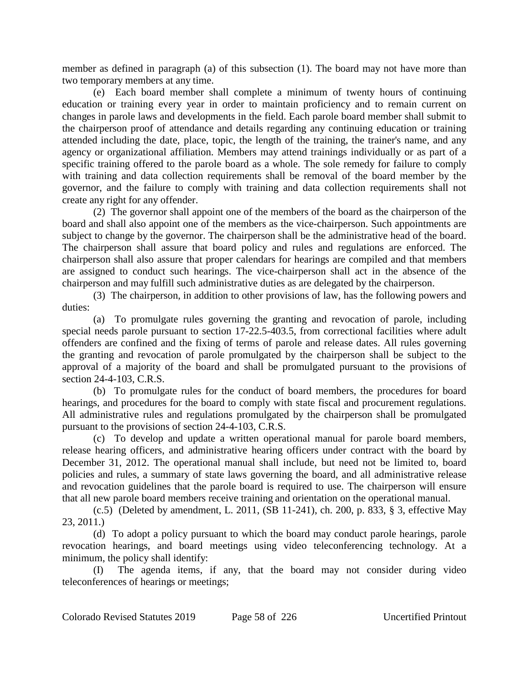member as defined in paragraph (a) of this subsection (1). The board may not have more than two temporary members at any time.

(e) Each board member shall complete a minimum of twenty hours of continuing education or training every year in order to maintain proficiency and to remain current on changes in parole laws and developments in the field. Each parole board member shall submit to the chairperson proof of attendance and details regarding any continuing education or training attended including the date, place, topic, the length of the training, the trainer's name, and any agency or organizational affiliation. Members may attend trainings individually or as part of a specific training offered to the parole board as a whole. The sole remedy for failure to comply with training and data collection requirements shall be removal of the board member by the governor, and the failure to comply with training and data collection requirements shall not create any right for any offender.

(2) The governor shall appoint one of the members of the board as the chairperson of the board and shall also appoint one of the members as the vice-chairperson. Such appointments are subject to change by the governor. The chairperson shall be the administrative head of the board. The chairperson shall assure that board policy and rules and regulations are enforced. The chairperson shall also assure that proper calendars for hearings are compiled and that members are assigned to conduct such hearings. The vice-chairperson shall act in the absence of the chairperson and may fulfill such administrative duties as are delegated by the chairperson.

(3) The chairperson, in addition to other provisions of law, has the following powers and duties:

(a) To promulgate rules governing the granting and revocation of parole, including special needs parole pursuant to section 17-22.5-403.5, from correctional facilities where adult offenders are confined and the fixing of terms of parole and release dates. All rules governing the granting and revocation of parole promulgated by the chairperson shall be subject to the approval of a majority of the board and shall be promulgated pursuant to the provisions of section 24-4-103, C.R.S.

(b) To promulgate rules for the conduct of board members, the procedures for board hearings, and procedures for the board to comply with state fiscal and procurement regulations. All administrative rules and regulations promulgated by the chairperson shall be promulgated pursuant to the provisions of section 24-4-103, C.R.S.

(c) To develop and update a written operational manual for parole board members, release hearing officers, and administrative hearing officers under contract with the board by December 31, 2012. The operational manual shall include, but need not be limited to, board policies and rules, a summary of state laws governing the board, and all administrative release and revocation guidelines that the parole board is required to use. The chairperson will ensure that all new parole board members receive training and orientation on the operational manual.

(c.5) (Deleted by amendment, L. 2011, (SB 11-241), ch. 200, p. 833, § 3, effective May 23, 2011.)

(d) To adopt a policy pursuant to which the board may conduct parole hearings, parole revocation hearings, and board meetings using video teleconferencing technology. At a minimum, the policy shall identify:

(I) The agenda items, if any, that the board may not consider during video teleconferences of hearings or meetings;

Colorado Revised Statutes 2019 Page 58 of 226 Uncertified Printout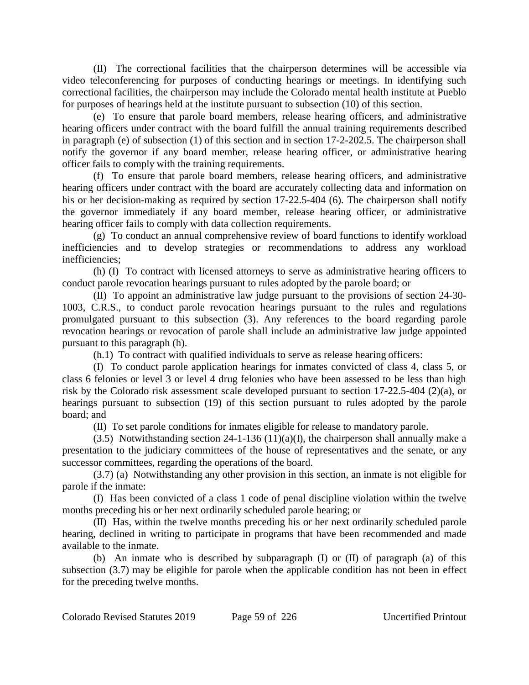(II) The correctional facilities that the chairperson determines will be accessible via video teleconferencing for purposes of conducting hearings or meetings. In identifying such correctional facilities, the chairperson may include the Colorado mental health institute at Pueblo for purposes of hearings held at the institute pursuant to subsection (10) of this section.

(e) To ensure that parole board members, release hearing officers, and administrative hearing officers under contract with the board fulfill the annual training requirements described in paragraph (e) of subsection (1) of this section and in section 17-2-202.5. The chairperson shall notify the governor if any board member, release hearing officer, or administrative hearing officer fails to comply with the training requirements.

(f) To ensure that parole board members, release hearing officers, and administrative hearing officers under contract with the board are accurately collecting data and information on his or her decision-making as required by section 17-22.5-404 (6). The chairperson shall notify the governor immediately if any board member, release hearing officer, or administrative hearing officer fails to comply with data collection requirements.

(g) To conduct an annual comprehensive review of board functions to identify workload inefficiencies and to develop strategies or recommendations to address any workload inefficiencies;

(h) (I) To contract with licensed attorneys to serve as administrative hearing officers to conduct parole revocation hearings pursuant to rules adopted by the parole board; or

(II) To appoint an administrative law judge pursuant to the provisions of section 24-30- 1003, C.R.S., to conduct parole revocation hearings pursuant to the rules and regulations promulgated pursuant to this subsection (3). Any references to the board regarding parole revocation hearings or revocation of parole shall include an administrative law judge appointed pursuant to this paragraph (h).

(h.1) To contract with qualified individuals to serve as release hearing officers:

(I) To conduct parole application hearings for inmates convicted of class 4, class 5, or class 6 felonies or level 3 or level 4 drug felonies who have been assessed to be less than high risk by the Colorado risk assessment scale developed pursuant to section 17-22.5-404 (2)(a), or hearings pursuant to subsection (19) of this section pursuant to rules adopted by the parole board; and

(II) To set parole conditions for inmates eligible for release to mandatory parole.

(3.5) Notwithstanding section 24-1-136 (11)(a)(I), the chairperson shall annually make a presentation to the judiciary committees of the house of representatives and the senate, or any successor committees, regarding the operations of the board.

(3.7) (a) Notwithstanding any other provision in this section, an inmate is not eligible for parole if the inmate:

(I) Has been convicted of a class 1 code of penal discipline violation within the twelve months preceding his or her next ordinarily scheduled parole hearing; or

(II) Has, within the twelve months preceding his or her next ordinarily scheduled parole hearing, declined in writing to participate in programs that have been recommended and made available to the inmate.

(b) An inmate who is described by subparagraph (I) or (II) of paragraph (a) of this subsection (3.7) may be eligible for parole when the applicable condition has not been in effect for the preceding twelve months.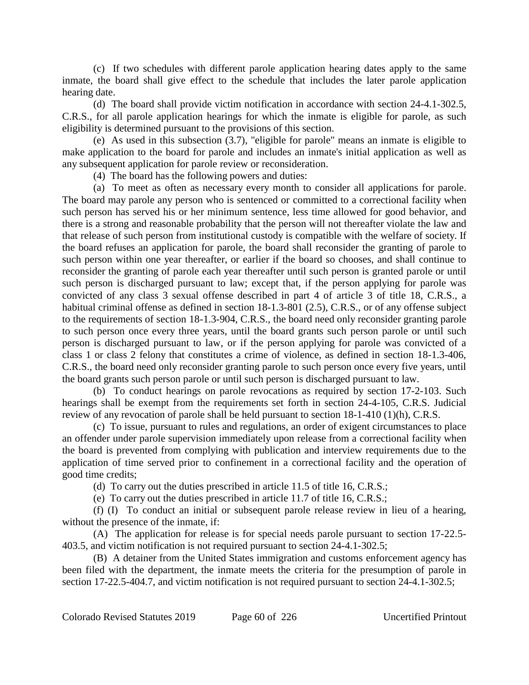(c) If two schedules with different parole application hearing dates apply to the same inmate, the board shall give effect to the schedule that includes the later parole application hearing date.

(d) The board shall provide victim notification in accordance with section 24-4.1-302.5, C.R.S., for all parole application hearings for which the inmate is eligible for parole, as such eligibility is determined pursuant to the provisions of this section.

(e) As used in this subsection (3.7), "eligible for parole" means an inmate is eligible to make application to the board for parole and includes an inmate's initial application as well as any subsequent application for parole review or reconsideration.

(4) The board has the following powers and duties:

(a) To meet as often as necessary every month to consider all applications for parole. The board may parole any person who is sentenced or committed to a correctional facility when such person has served his or her minimum sentence, less time allowed for good behavior, and there is a strong and reasonable probability that the person will not thereafter violate the law and that release of such person from institutional custody is compatible with the welfare of society. If the board refuses an application for parole, the board shall reconsider the granting of parole to such person within one year thereafter, or earlier if the board so chooses, and shall continue to reconsider the granting of parole each year thereafter until such person is granted parole or until such person is discharged pursuant to law; except that, if the person applying for parole was convicted of any class 3 sexual offense described in part 4 of article 3 of title 18, C.R.S., a habitual criminal offense as defined in section 18-1.3-801 (2.5), C.R.S., or of any offense subject to the requirements of section 18-1.3-904, C.R.S., the board need only reconsider granting parole to such person once every three years, until the board grants such person parole or until such person is discharged pursuant to law, or if the person applying for parole was convicted of a class 1 or class 2 felony that constitutes a crime of violence, as defined in section 18-1.3-406, C.R.S., the board need only reconsider granting parole to such person once every five years, until the board grants such person parole or until such person is discharged pursuant to law.

(b) To conduct hearings on parole revocations as required by section 17-2-103. Such hearings shall be exempt from the requirements set forth in section 24-4-105, C.R.S. Judicial review of any revocation of parole shall be held pursuant to section 18-1-410 (1)(h), C.R.S.

(c) To issue, pursuant to rules and regulations, an order of exigent circumstances to place an offender under parole supervision immediately upon release from a correctional facility when the board is prevented from complying with publication and interview requirements due to the application of time served prior to confinement in a correctional facility and the operation of good time credits;

(d) To carry out the duties prescribed in article 11.5 of title 16, C.R.S.;

(e) To carry out the duties prescribed in article 11.7 of title 16, C.R.S.;

(f) (I) To conduct an initial or subsequent parole release review in lieu of a hearing, without the presence of the inmate, if:

(A) The application for release is for special needs parole pursuant to section 17-22.5- 403.5, and victim notification is not required pursuant to section 24-4.1-302.5;

(B) A detainer from the United States immigration and customs enforcement agency has been filed with the department, the inmate meets the criteria for the presumption of parole in section 17-22.5-404.7, and victim notification is not required pursuant to section 24-4.1-302.5;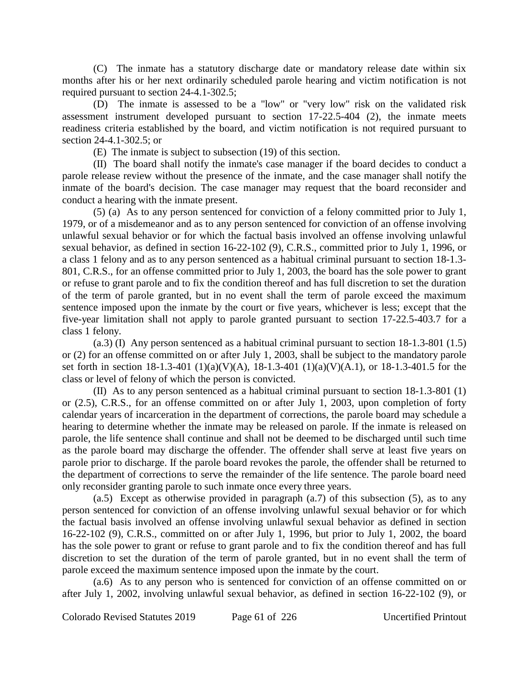(C) The inmate has a statutory discharge date or mandatory release date within six months after his or her next ordinarily scheduled parole hearing and victim notification is not required pursuant to section 24-4.1-302.5;

(D) The inmate is assessed to be a "low" or "very low" risk on the validated risk assessment instrument developed pursuant to section 17-22.5-404 (2), the inmate meets readiness criteria established by the board, and victim notification is not required pursuant to section 24-4.1-302.5; or

(E) The inmate is subject to subsection (19) of this section.

(II) The board shall notify the inmate's case manager if the board decides to conduct a parole release review without the presence of the inmate, and the case manager shall notify the inmate of the board's decision. The case manager may request that the board reconsider and conduct a hearing with the inmate present.

(5) (a) As to any person sentenced for conviction of a felony committed prior to July 1, 1979, or of a misdemeanor and as to any person sentenced for conviction of an offense involving unlawful sexual behavior or for which the factual basis involved an offense involving unlawful sexual behavior, as defined in section 16-22-102 (9), C.R.S., committed prior to July 1, 1996, or a class 1 felony and as to any person sentenced as a habitual criminal pursuant to section 18-1.3- 801, C.R.S., for an offense committed prior to July 1, 2003, the board has the sole power to grant or refuse to grant parole and to fix the condition thereof and has full discretion to set the duration of the term of parole granted, but in no event shall the term of parole exceed the maximum sentence imposed upon the inmate by the court or five years, whichever is less; except that the five-year limitation shall not apply to parole granted pursuant to section 17-22.5-403.7 for a class 1 felony.

(a.3) (I) Any person sentenced as a habitual criminal pursuant to section 18-1.3-801 (1.5) or (2) for an offense committed on or after July 1, 2003, shall be subject to the mandatory parole set forth in section 18-1.3-401 (1)(a)(V)(A), 18-1.3-401 (1)(a)(V)(A.1), or 18-1.3-401.5 for the class or level of felony of which the person is convicted.

(II) As to any person sentenced as a habitual criminal pursuant to section 18-1.3-801 (1) or (2.5), C.R.S., for an offense committed on or after July 1, 2003, upon completion of forty calendar years of incarceration in the department of corrections, the parole board may schedule a hearing to determine whether the inmate may be released on parole. If the inmate is released on parole, the life sentence shall continue and shall not be deemed to be discharged until such time as the parole board may discharge the offender. The offender shall serve at least five years on parole prior to discharge. If the parole board revokes the parole, the offender shall be returned to the department of corrections to serve the remainder of the life sentence. The parole board need only reconsider granting parole to such inmate once every three years.

(a.5) Except as otherwise provided in paragraph (a.7) of this subsection (5), as to any person sentenced for conviction of an offense involving unlawful sexual behavior or for which the factual basis involved an offense involving unlawful sexual behavior as defined in section 16-22-102 (9), C.R.S., committed on or after July 1, 1996, but prior to July 1, 2002, the board has the sole power to grant or refuse to grant parole and to fix the condition thereof and has full discretion to set the duration of the term of parole granted, but in no event shall the term of parole exceed the maximum sentence imposed upon the inmate by the court.

(a.6) As to any person who is sentenced for conviction of an offense committed on or after July 1, 2002, involving unlawful sexual behavior, as defined in section 16-22-102 (9), or

Colorado Revised Statutes 2019 Page 61 of 226 Uncertified Printout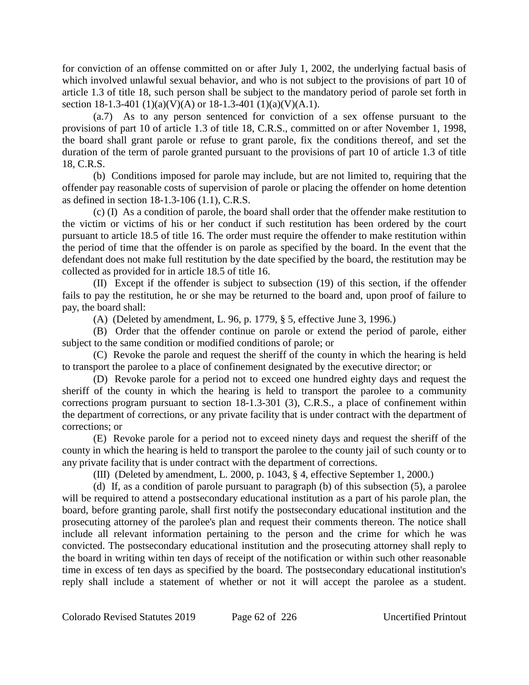for conviction of an offense committed on or after July 1, 2002, the underlying factual basis of which involved unlawful sexual behavior, and who is not subject to the provisions of part 10 of article 1.3 of title 18, such person shall be subject to the mandatory period of parole set forth in section 18-1.3-401 (1)(a)(V)(A) or 18-1.3-401 (1)(a)(V)(A.1).

(a.7) As to any person sentenced for conviction of a sex offense pursuant to the provisions of part 10 of article 1.3 of title 18, C.R.S., committed on or after November 1, 1998, the board shall grant parole or refuse to grant parole, fix the conditions thereof, and set the duration of the term of parole granted pursuant to the provisions of part 10 of article 1.3 of title 18, C.R.S.

(b) Conditions imposed for parole may include, but are not limited to, requiring that the offender pay reasonable costs of supervision of parole or placing the offender on home detention as defined in section 18-1.3-106 (1.1), C.R.S.

(c) (I) As a condition of parole, the board shall order that the offender make restitution to the victim or victims of his or her conduct if such restitution has been ordered by the court pursuant to article 18.5 of title 16. The order must require the offender to make restitution within the period of time that the offender is on parole as specified by the board. In the event that the defendant does not make full restitution by the date specified by the board, the restitution may be collected as provided for in article 18.5 of title 16.

(II) Except if the offender is subject to subsection (19) of this section, if the offender fails to pay the restitution, he or she may be returned to the board and, upon proof of failure to pay, the board shall:

(A) (Deleted by amendment, L. 96, p. 1779, § 5, effective June 3, 1996.)

(B) Order that the offender continue on parole or extend the period of parole, either subject to the same condition or modified conditions of parole; or

(C) Revoke the parole and request the sheriff of the county in which the hearing is held to transport the parolee to a place of confinement designated by the executive director; or

(D) Revoke parole for a period not to exceed one hundred eighty days and request the sheriff of the county in which the hearing is held to transport the parolee to a community corrections program pursuant to section 18-1.3-301 (3), C.R.S., a place of confinement within the department of corrections, or any private facility that is under contract with the department of corrections; or

(E) Revoke parole for a period not to exceed ninety days and request the sheriff of the county in which the hearing is held to transport the parolee to the county jail of such county or to any private facility that is under contract with the department of corrections.

(III) (Deleted by amendment, L. 2000, p. 1043, § 4, effective September 1, 2000.)

(d) If, as a condition of parole pursuant to paragraph (b) of this subsection (5), a parolee will be required to attend a postsecondary educational institution as a part of his parole plan, the board, before granting parole, shall first notify the postsecondary educational institution and the prosecuting attorney of the parolee's plan and request their comments thereon. The notice shall include all relevant information pertaining to the person and the crime for which he was convicted. The postsecondary educational institution and the prosecuting attorney shall reply to the board in writing within ten days of receipt of the notification or within such other reasonable time in excess of ten days as specified by the board. The postsecondary educational institution's reply shall include a statement of whether or not it will accept the parolee as a student.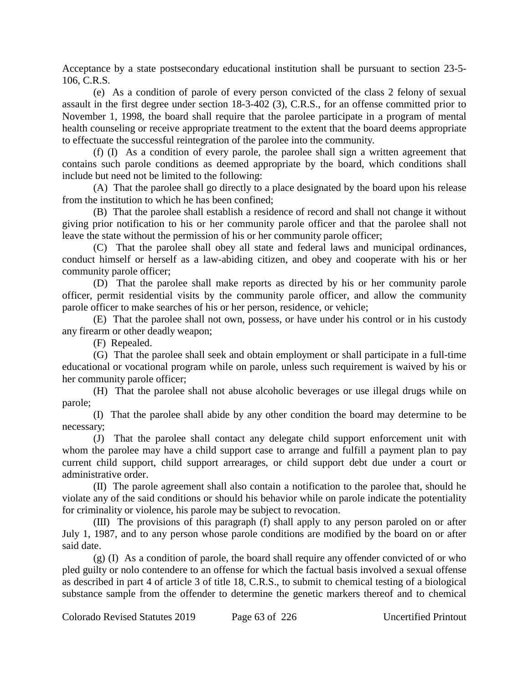Acceptance by a state postsecondary educational institution shall be pursuant to section 23-5- 106, C.R.S.

(e) As a condition of parole of every person convicted of the class 2 felony of sexual assault in the first degree under section 18-3-402 (3), C.R.S., for an offense committed prior to November 1, 1998, the board shall require that the parolee participate in a program of mental health counseling or receive appropriate treatment to the extent that the board deems appropriate to effectuate the successful reintegration of the parolee into the community.

(f) (I) As a condition of every parole, the parolee shall sign a written agreement that contains such parole conditions as deemed appropriate by the board, which conditions shall include but need not be limited to the following:

(A) That the parolee shall go directly to a place designated by the board upon his release from the institution to which he has been confined;

(B) That the parolee shall establish a residence of record and shall not change it without giving prior notification to his or her community parole officer and that the parolee shall not leave the state without the permission of his or her community parole officer;

(C) That the parolee shall obey all state and federal laws and municipal ordinances, conduct himself or herself as a law-abiding citizen, and obey and cooperate with his or her community parole officer;

(D) That the parolee shall make reports as directed by his or her community parole officer, permit residential visits by the community parole officer, and allow the community parole officer to make searches of his or her person, residence, or vehicle;

(E) That the parolee shall not own, possess, or have under his control or in his custody any firearm or other deadly weapon;

(F) Repealed.

(G) That the parolee shall seek and obtain employment or shall participate in a full-time educational or vocational program while on parole, unless such requirement is waived by his or her community parole officer;

(H) That the parolee shall not abuse alcoholic beverages or use illegal drugs while on parole;

(I) That the parolee shall abide by any other condition the board may determine to be necessary;

(J) That the parolee shall contact any delegate child support enforcement unit with whom the parolee may have a child support case to arrange and fulfill a payment plan to pay current child support, child support arrearages, or child support debt due under a court or administrative order.

(II) The parole agreement shall also contain a notification to the parolee that, should he violate any of the said conditions or should his behavior while on parole indicate the potentiality for criminality or violence, his parole may be subject to revocation.

(III) The provisions of this paragraph (f) shall apply to any person paroled on or after July 1, 1987, and to any person whose parole conditions are modified by the board on or after said date.

(g) (I) As a condition of parole, the board shall require any offender convicted of or who pled guilty or nolo contendere to an offense for which the factual basis involved a sexual offense as described in part 4 of article 3 of title 18, C.R.S., to submit to chemical testing of a biological substance sample from the offender to determine the genetic markers thereof and to chemical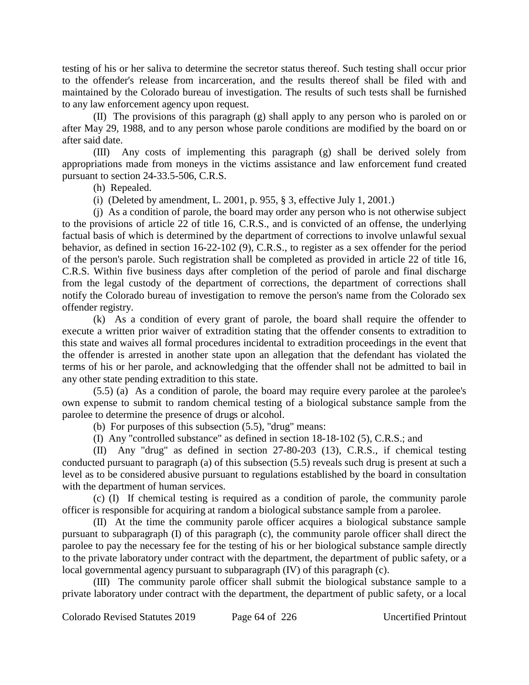testing of his or her saliva to determine the secretor status thereof. Such testing shall occur prior to the offender's release from incarceration, and the results thereof shall be filed with and maintained by the Colorado bureau of investigation. The results of such tests shall be furnished to any law enforcement agency upon request.

(II) The provisions of this paragraph (g) shall apply to any person who is paroled on or after May 29, 1988, and to any person whose parole conditions are modified by the board on or after said date.

(III) Any costs of implementing this paragraph (g) shall be derived solely from appropriations made from moneys in the victims assistance and law enforcement fund created pursuant to section 24-33.5-506, C.R.S.

(h) Repealed.

(i) (Deleted by amendment, L. 2001, p. 955, § 3, effective July 1, 2001.)

(j) As a condition of parole, the board may order any person who is not otherwise subject to the provisions of article 22 of title 16, C.R.S., and is convicted of an offense, the underlying factual basis of which is determined by the department of corrections to involve unlawful sexual behavior, as defined in section 16-22-102 (9), C.R.S., to register as a sex offender for the period of the person's parole. Such registration shall be completed as provided in article 22 of title 16, C.R.S. Within five business days after completion of the period of parole and final discharge from the legal custody of the department of corrections, the department of corrections shall notify the Colorado bureau of investigation to remove the person's name from the Colorado sex offender registry.

(k) As a condition of every grant of parole, the board shall require the offender to execute a written prior waiver of extradition stating that the offender consents to extradition to this state and waives all formal procedures incidental to extradition proceedings in the event that the offender is arrested in another state upon an allegation that the defendant has violated the terms of his or her parole, and acknowledging that the offender shall not be admitted to bail in any other state pending extradition to this state.

(5.5) (a) As a condition of parole, the board may require every parolee at the parolee's own expense to submit to random chemical testing of a biological substance sample from the parolee to determine the presence of drugs or alcohol.

(b) For purposes of this subsection (5.5), "drug" means:

(I) Any "controlled substance" as defined in section 18-18-102 (5), C.R.S.; and

(II) Any "drug" as defined in section 27-80-203 (13), C.R.S., if chemical testing conducted pursuant to paragraph (a) of this subsection (5.5) reveals such drug is present at such a level as to be considered abusive pursuant to regulations established by the board in consultation with the department of human services.

(c) (I) If chemical testing is required as a condition of parole, the community parole officer is responsible for acquiring at random a biological substance sample from a parolee.

(II) At the time the community parole officer acquires a biological substance sample pursuant to subparagraph (I) of this paragraph (c), the community parole officer shall direct the parolee to pay the necessary fee for the testing of his or her biological substance sample directly to the private laboratory under contract with the department, the department of public safety, or a local governmental agency pursuant to subparagraph (IV) of this paragraph (c).

(III) The community parole officer shall submit the biological substance sample to a private laboratory under contract with the department, the department of public safety, or a local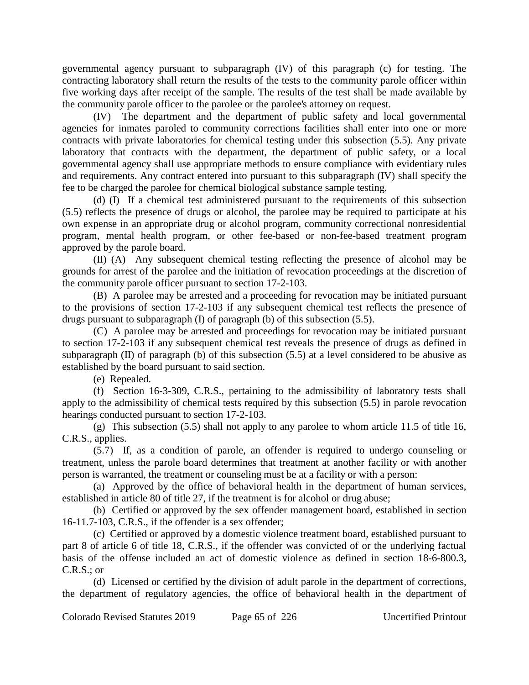governmental agency pursuant to subparagraph (IV) of this paragraph (c) for testing. The contracting laboratory shall return the results of the tests to the community parole officer within five working days after receipt of the sample. The results of the test shall be made available by the community parole officer to the parolee or the parolee's attorney on request.

(IV) The department and the department of public safety and local governmental agencies for inmates paroled to community corrections facilities shall enter into one or more contracts with private laboratories for chemical testing under this subsection (5.5). Any private laboratory that contracts with the department, the department of public safety, or a local governmental agency shall use appropriate methods to ensure compliance with evidentiary rules and requirements. Any contract entered into pursuant to this subparagraph (IV) shall specify the fee to be charged the parolee for chemical biological substance sample testing.

(d) (I) If a chemical test administered pursuant to the requirements of this subsection (5.5) reflects the presence of drugs or alcohol, the parolee may be required to participate at his own expense in an appropriate drug or alcohol program, community correctional nonresidential program, mental health program, or other fee-based or non-fee-based treatment program approved by the parole board.

(II) (A) Any subsequent chemical testing reflecting the presence of alcohol may be grounds for arrest of the parolee and the initiation of revocation proceedings at the discretion of the community parole officer pursuant to section 17-2-103.

(B) A parolee may be arrested and a proceeding for revocation may be initiated pursuant to the provisions of section 17-2-103 if any subsequent chemical test reflects the presence of drugs pursuant to subparagraph (I) of paragraph (b) of this subsection (5.5).

(C) A parolee may be arrested and proceedings for revocation may be initiated pursuant to section 17-2-103 if any subsequent chemical test reveals the presence of drugs as defined in subparagraph  $(II)$  of paragraph  $(b)$  of this subsection  $(5.5)$  at a level considered to be abusive as established by the board pursuant to said section.

(e) Repealed.

(f) Section 16-3-309, C.R.S., pertaining to the admissibility of laboratory tests shall apply to the admissibility of chemical tests required by this subsection (5.5) in parole revocation hearings conducted pursuant to section 17-2-103.

(g) This subsection (5.5) shall not apply to any parolee to whom article 11.5 of title 16, C.R.S., applies.

(5.7) If, as a condition of parole, an offender is required to undergo counseling or treatment, unless the parole board determines that treatment at another facility or with another person is warranted, the treatment or counseling must be at a facility or with a person:

(a) Approved by the office of behavioral health in the department of human services, established in article 80 of title 27, if the treatment is for alcohol or drug abuse;

(b) Certified or approved by the sex offender management board, established in section 16-11.7-103, C.R.S., if the offender is a sex offender;

(c) Certified or approved by a domestic violence treatment board, established pursuant to part 8 of article 6 of title 18, C.R.S., if the offender was convicted of or the underlying factual basis of the offense included an act of domestic violence as defined in section 18-6-800.3, C.R.S.; or

(d) Licensed or certified by the division of adult parole in the department of corrections, the department of regulatory agencies, the office of behavioral health in the department of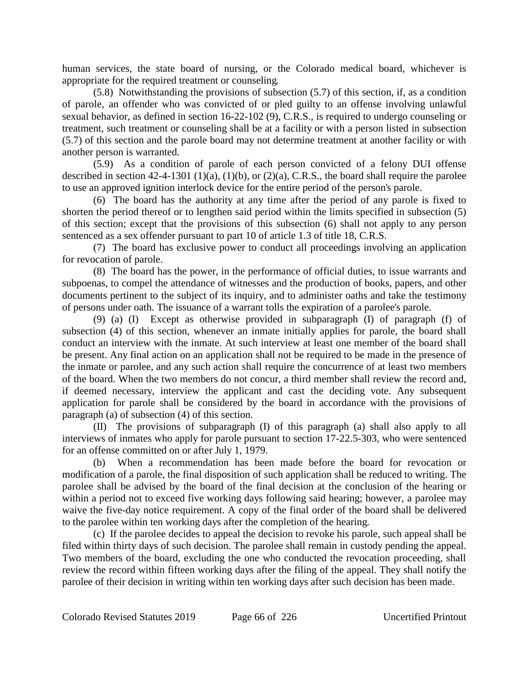human services, the state board of nursing, or the Colorado medical board, whichever is appropriate for the required treatment or counseling.

(5.8) Notwithstanding the provisions of subsection (5.7) of this section, if, as a condition of parole, an offender who was convicted of or pled guilty to an offense involving unlawful sexual behavior, as defined in section 16-22-102 (9), C.R.S., is required to undergo counseling or treatment, such treatment or counseling shall be at a facility or with a person listed in subsection (5.7) of this section and the parole board may not determine treatment at another facility or with another person is warranted.

(5.9) As a condition of parole of each person convicted of a felony DUI offense described in section  $42-4-1301$  (1)(a), (1)(b), or (2)(a), C.R.S., the board shall require the parolee to use an approved ignition interlock device for the entire period of the person's parole.

(6) The board has the authority at any time after the period of any parole is fixed to shorten the period thereof or to lengthen said period within the limits specified in subsection (5) of this section; except that the provisions of this subsection (6) shall not apply to any person sentenced as a sex offender pursuant to part 10 of article 1.3 of title 18, C.R.S.

(7) The board has exclusive power to conduct all proceedings involving an application for revocation of parole.

(8) The board has the power, in the performance of official duties, to issue warrants and subpoenas, to compel the attendance of witnesses and the production of books, papers, and other documents pertinent to the subject of its inquiry, and to administer oaths and take the testimony of persons under oath. The issuance of a warrant tolls the expiration of a parolee's parole.

(9) (a) (I) Except as otherwise provided in subparagraph (I) of paragraph (f) of subsection (4) of this section, whenever an inmate initially applies for parole, the board shall conduct an interview with the inmate. At such interview at least one member of the board shall be present. Any final action on an application shall not be required to be made in the presence of the inmate or parolee, and any such action shall require the concurrence of at least two members of the board. When the two members do not concur, a third member shall review the record and, if deemed necessary, interview the applicant and cast the deciding vote. Any subsequent application for parole shall be considered by the board in accordance with the provisions of paragraph (a) of subsection (4) of this section.

(II) The provisions of subparagraph (I) of this paragraph (a) shall also apply to all interviews of inmates who apply for parole pursuant to section 17-22.5-303, who were sentenced for an offense committed on or after July 1, 1979.

(b) When a recommendation has been made before the board for revocation or modification of a parole, the final disposition of such application shall be reduced to writing. The parolee shall be advised by the board of the final decision at the conclusion of the hearing or within a period not to exceed five working days following said hearing; however, a parolee may waive the five-day notice requirement. A copy of the final order of the board shall be delivered to the parolee within ten working days after the completion of the hearing.

(c) If the parolee decides to appeal the decision to revoke his parole, such appeal shall be filed within thirty days of such decision. The parolee shall remain in custody pending the appeal. Two members of the board, excluding the one who conducted the revocation proceeding, shall review the record within fifteen working days after the filing of the appeal. They shall notify the parolee of their decision in writing within ten working days after such decision has been made.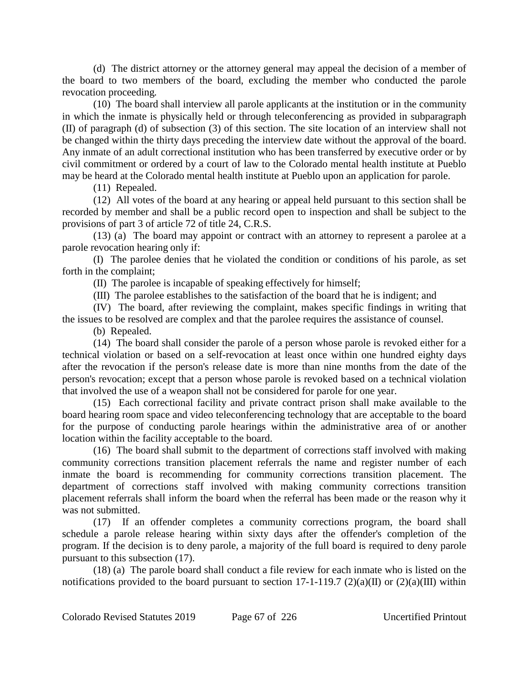(d) The district attorney or the attorney general may appeal the decision of a member of the board to two members of the board, excluding the member who conducted the parole revocation proceeding.

(10) The board shall interview all parole applicants at the institution or in the community in which the inmate is physically held or through teleconferencing as provided in subparagraph (II) of paragraph (d) of subsection (3) of this section. The site location of an interview shall not be changed within the thirty days preceding the interview date without the approval of the board. Any inmate of an adult correctional institution who has been transferred by executive order or by civil commitment or ordered by a court of law to the Colorado mental health institute at Pueblo may be heard at the Colorado mental health institute at Pueblo upon an application for parole.

(11) Repealed.

(12) All votes of the board at any hearing or appeal held pursuant to this section shall be recorded by member and shall be a public record open to inspection and shall be subject to the provisions of part 3 of article 72 of title 24, C.R.S.

(13) (a) The board may appoint or contract with an attorney to represent a parolee at a parole revocation hearing only if:

(I) The parolee denies that he violated the condition or conditions of his parole, as set forth in the complaint;

(II) The parolee is incapable of speaking effectively for himself;

(III) The parolee establishes to the satisfaction of the board that he is indigent; and

(IV) The board, after reviewing the complaint, makes specific findings in writing that the issues to be resolved are complex and that the parolee requires the assistance of counsel.

(b) Repealed.

(14) The board shall consider the parole of a person whose parole is revoked either for a technical violation or based on a self-revocation at least once within one hundred eighty days after the revocation if the person's release date is more than nine months from the date of the person's revocation; except that a person whose parole is revoked based on a technical violation that involved the use of a weapon shall not be considered for parole for one year.

(15) Each correctional facility and private contract prison shall make available to the board hearing room space and video teleconferencing technology that are acceptable to the board for the purpose of conducting parole hearings within the administrative area of or another location within the facility acceptable to the board.

(16) The board shall submit to the department of corrections staff involved with making community corrections transition placement referrals the name and register number of each inmate the board is recommending for community corrections transition placement. The department of corrections staff involved with making community corrections transition placement referrals shall inform the board when the referral has been made or the reason why it was not submitted.

(17) If an offender completes a community corrections program, the board shall schedule a parole release hearing within sixty days after the offender's completion of the program. If the decision is to deny parole, a majority of the full board is required to deny parole pursuant to this subsection (17).

(18) (a) The parole board shall conduct a file review for each inmate who is listed on the notifications provided to the board pursuant to section 17-1-119.7 (2)(a)(II) or (2)(a)(III) within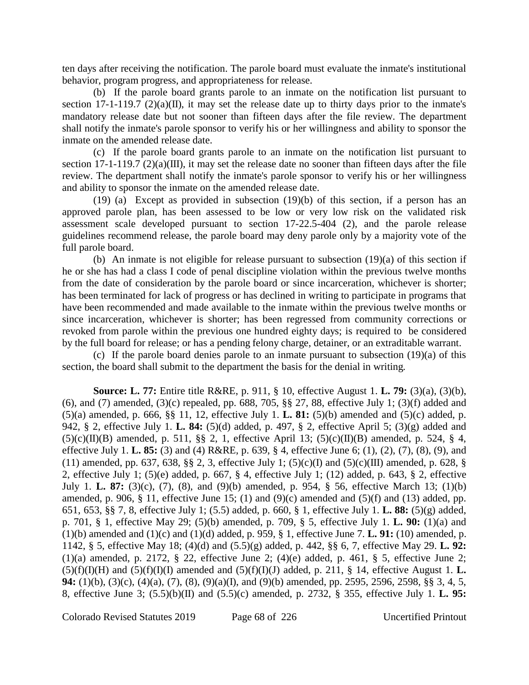ten days after receiving the notification. The parole board must evaluate the inmate's institutional behavior, program progress, and appropriateness for release.

(b) If the parole board grants parole to an inmate on the notification list pursuant to section 17-1-119.7 (2)(a)(II), it may set the release date up to thirty days prior to the inmate's mandatory release date but not sooner than fifteen days after the file review. The department shall notify the inmate's parole sponsor to verify his or her willingness and ability to sponsor the inmate on the amended release date.

(c) If the parole board grants parole to an inmate on the notification list pursuant to section 17-1-119.7 (2)(a)(III), it may set the release date no sooner than fifteen days after the file review. The department shall notify the inmate's parole sponsor to verify his or her willingness and ability to sponsor the inmate on the amended release date.

(19) (a) Except as provided in subsection (19)(b) of this section, if a person has an approved parole plan, has been assessed to be low or very low risk on the validated risk assessment scale developed pursuant to section 17-22.5-404 (2), and the parole release guidelines recommend release, the parole board may deny parole only by a majority vote of the full parole board.

(b) An inmate is not eligible for release pursuant to subsection (19)(a) of this section if he or she has had a class I code of penal discipline violation within the previous twelve months from the date of consideration by the parole board or since incarceration, whichever is shorter; has been terminated for lack of progress or has declined in writing to participate in programs that have been recommended and made available to the inmate within the previous twelve months or since incarceration, whichever is shorter; has been regressed from community corrections or revoked from parole within the previous one hundred eighty days; is required to be considered by the full board for release; or has a pending felony charge, detainer, or an extraditable warrant.

(c) If the parole board denies parole to an inmate pursuant to subsection (19)(a) of this section, the board shall submit to the department the basis for the denial in writing.

**Source: L. 77:** Entire title R&RE, p. 911, § 10, effective August 1. **L. 79:** (3)(a), (3)(b), (6), and (7) amended, (3)(c) repealed, pp. 688, 705, §§ 27, 88, effective July 1; (3)(f) added and (5)(a) amended, p. 666, §§ 11, 12, effective July 1. **L. 81:** (5)(b) amended and (5)(c) added, p. 942, § 2, effective July 1. **L. 84:** (5)(d) added, p. 497, § 2, effective April 5; (3)(g) added and  $(5)(c)(II)(B)$  amended, p. 511, §§ 2, 1, effective April 13;  $(5)(c)(II)(B)$  amended, p. 524, § 4, effective July 1. **L. 85:** (3) and (4) R&RE, p. 639, § 4, effective June 6; (1), (2), (7), (8), (9), and (11) amended, pp. 637, 638, §§ 2, 3, effective July 1; (5)(c)(I) and (5)(c)(III) amended, p. 628, § 2, effective July 1; (5)(e) added, p. 667, § 4, effective July 1; (12) added, p. 643, § 2, effective July 1. **L. 87:** (3)(c), (7), (8), and (9)(b) amended, p. 954, § 56, effective March 13; (1)(b) amended, p. 906,  $\S$  11, effective June 15; (1) and (9)(c) amended and (5)(f) and (13) added, pp. 651, 653, §§ 7, 8, effective July 1; (5.5) added, p. 660, § 1, effective July 1. **L. 88:** (5)(g) added, p. 701, § 1, effective May 29; (5)(b) amended, p. 709, § 5, effective July 1. **L. 90:** (1)(a) and (1)(b) amended and (1)(c) and (1)(d) added, p. 959, § 1, effective June 7. **L. 91:** (10) amended, p. 1142, § 5, effective May 18; (4)(d) and (5.5)(g) added, p. 442, §§ 6, 7, effective May 29. **L. 92:** (1)(a) amended, p. 2172,  $\S$  22, effective June 2; (4)(e) added, p. 461,  $\S$  5, effective June 2;  $(5)(f)(I)(H)$  and  $(5)(f)(I)(I)$  amended and  $(5)(f)(I)(J)$  added, p. 211, § 14, effective August 1. **L. 94:** (1)(b), (3)(c), (4)(a), (7), (8), (9)(a)(I), and (9)(b) amended, pp. 2595, 2596, 2598, §§ 3, 4, 5, 8, effective June 3; (5.5)(b)(II) and (5.5)(c) amended, p. 2732, § 355, effective July 1. **L. 95:**

Colorado Revised Statutes 2019 Page 68 of 226 Uncertified Printout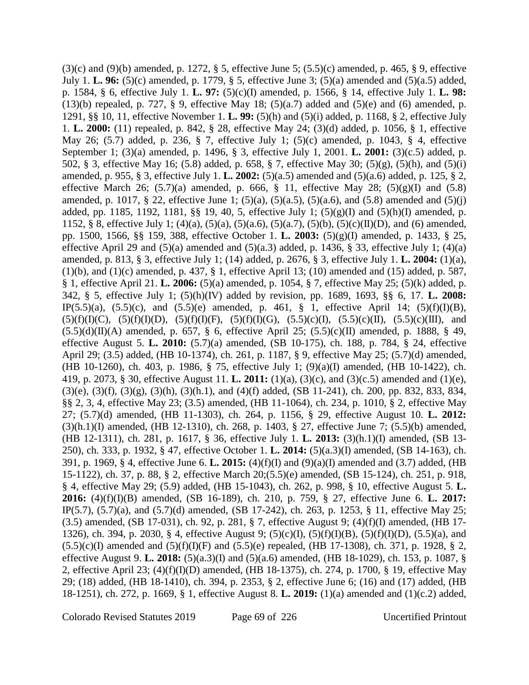$(3)(c)$  and  $(9)(b)$  amended, p. 1272, § 5, effective June 5;  $(5.5)(c)$  amended, p. 465, § 9, effective July 1. **L. 96:** (5)(c) amended, p. 1779, § 5, effective June 3; (5)(a) amended and (5)(a.5) added, p. 1584, § 6, effective July 1. **L. 97:** (5)(c)(I) amended, p. 1566, § 14, effective July 1. **L. 98:** (13)(b) repealed, p. 727, § 9, effective May 18; (5)(a.7) added and (5)(e) and (6) amended, p. 1291, §§ 10, 11, effective November 1. **L. 99:** (5)(h) and (5)(i) added, p. 1168, § 2, effective July 1. **L. 2000:** (11) repealed, p. 842, § 28, effective May 24; (3)(d) added, p. 1056, § 1, effective May 26; (5.7) added, p. 236, § 7, effective July 1; (5)(c) amended, p. 1043, § 4, effective September 1; (3)(a) amended, p. 1496, § 3, effective July 1, 2001. **L. 2001:** (3)(c.5) added, p. 502, § 3, effective May 16; (5.8) added, p. 658, § 7, effective May 30; (5)(g), (5)(h), and (5)(i) amended, p. 955, § 3, effective July 1. **L. 2002:** (5)(a.5) amended and (5)(a.6) added, p. 125, § 2, effective March 26;  $(5.7)(a)$  amended, p. 666, § 11, effective May 28;  $(5)(g)(I)$  and  $(5.8)$ amended, p. 1017, § 22, effective June 1; (5)(a), (5)(a.5), (5)(a.6), and (5.8) amended and (5)(j) added, pp. 1185, 1192, 1181, §§ 19, 40, 5, effective July 1; (5)(g)(I) and (5)(h)(I) amended, p. 1152, § 8, effective July 1; (4)(a), (5)(a), (5)(a.6), (5)(a.7), (5)(b), (5)(c)(II)(D), and (6) amended, pp. 1500, 1566, §§ 159, 388, effective October 1. **L. 2003:** (5)(g)(I) amended, p. 1433, § 25, effective April 29 and  $(5)(a)$  amended and  $(5)(a.3)$  added, p. 1436, § 33, effective July 1; (4)(a) amended, p. 813, § 3, effective July 1; (14) added, p. 2676, § 3, effective July 1. **L. 2004:** (1)(a), (1)(b), and (1)(c) amended, p. 437, § 1, effective April 13; (10) amended and (15) added, p. 587, § 1, effective April 21. **L. 2006:** (5)(a) amended, p. 1054, § 7, effective May 25; (5)(k) added, p. 342, § 5, effective July 1; (5)(h)(IV) added by revision, pp. 1689, 1693, §§ 6, 17. **L. 2008:** IP(5.5)(a),  $(5.5)(c)$ , and  $(5.5)(e)$  amended, p. 461, § 1, effective April 14;  $(5)(f)(I)(B)$ ,  $(5)(f)(I)(C)$ ,  $(5)(f)(I)(D)$ ,  $(5)(f)(I)(F)$ ,  $(5)(f)(I)(G)$ ,  $(5.5)(c)(I)$ ,  $(5.5)(c)(II)$ ,  $(5.5)(c)(III)$ , and  $(5.5)(d)(II)(A)$  amended, p. 657, § 6, effective April 25;  $(5.5)(c)(II)$  amended, p. 1888, § 49, effective August 5. **L. 2010:** (5.7)(a) amended, (SB 10-175), ch. 188, p. 784, § 24, effective April 29; (3.5) added, (HB 10-1374), ch. 261, p. 1187, § 9, effective May 25; (5.7)(d) amended, (HB 10-1260), ch. 403, p. 1986, § 75, effective July 1; (9)(a)(I) amended, (HB 10-1422), ch. 419, p. 2073, § 30, effective August 11. **L. 2011:** (1)(a), (3)(c), and (3)(c.5) amended and (1)(e),  $(3)(e)$ ,  $(3)(f)$ ,  $(3)(g)$ ,  $(3)(h)$ ,  $(3)(h.1)$ , and  $(4)(f)$  added,  $(SB 11-241)$ , ch. 200, pp. 832, 833, 834, §§ 2, 3, 4, effective May 23; (3.5) amended, (HB 11-1064), ch. 234, p. 1010, § 2, effective May 27; (5.7)(d) amended, (HB 11-1303), ch. 264, p. 1156, § 29, effective August 10. **L. 2012:** (3)(h.1)(I) amended, (HB 12-1310), ch. 268, p. 1403, § 27, effective June 7; (5.5)(b) amended, (HB 12-1311), ch. 281, p. 1617, § 36, effective July 1. **L. 2013:** (3)(h.1)(I) amended, (SB 13- 250), ch. 333, p. 1932, § 47, effective October 1. **L. 2014:** (5)(a.3)(I) amended, (SB 14-163), ch. 391, p. 1969, § 4, effective June 6. **L. 2015:** (4)(f)(I) and (9)(a)(I) amended and (3.7) added, (HB 15-1122), ch. 37, p. 88, § 2, effective March 20;(5.5)(e) amended, (SB 15-124), ch. 251, p. 918, § 4, effective May 29; (5.9) added, (HB 15-1043), ch. 262, p. 998, § 10, effective August 5. **L. 2016:** (4)(f)(I)(B) amended, (SB 16-189), ch. 210, p. 759, § 27, effective June 6. **L. 2017:** IP(5.7), (5.7)(a), and (5.7)(d) amended, (SB 17-242), ch. 263, p. 1253, § 11, effective May 25; (3.5) amended, (SB 17-031), ch. 92, p. 281, § 7, effective August 9; (4)(f)(I) amended, (HB 17- 1326), ch. 394, p. 2030, § 4, effective August 9; (5)(c)(I), (5)(f)(I)(B), (5)(f)(I)(D), (5.5)(a), and  $(5.5)(c)(I)$  amended and  $(5)(f)(I)(F)$  and  $(5.5)(e)$  repealed, (HB 17-1308), ch. 371, p. 1928, § 2, effective August 9. **L. 2018:** (5)(a.3)(I) and (5)(a.6) amended, (HB 18-1029), ch. 153, p. 1087, § 2, effective April 23; (4)(f)(I)(D) amended, (HB 18-1375), ch. 274, p. 1700, § 19, effective May 29; (18) added, (HB 18-1410), ch. 394, p. 2353, § 2, effective June 6; (16) and (17) added, (HB 18-1251), ch. 272, p. 1669, § 1, effective August 8. **L. 2019:** (1)(a) amended and (1)(c.2) added,

Colorado Revised Statutes 2019 Page 69 of 226 Uncertified Printout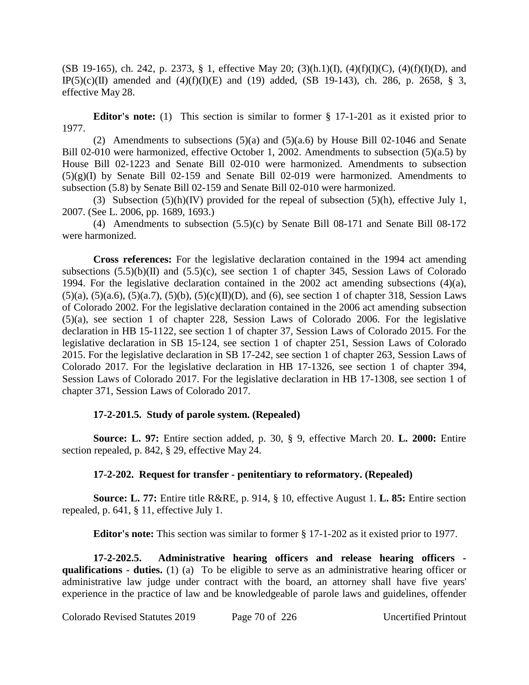(SB 19-165), ch. 242, p. 2373, § 1, effective May 20; (3)(h.1)(I), (4)(f)(I)(C), (4)(f)(I)(D), and IP(5)(c)(II) amended and  $(4)(f)(I)(E)$  and  $(19)$  added,  $(SB 19-143)$ , ch. 286, p. 2658, § 3, effective May 28.

**Editor's note:** (1) This section is similar to former § 17-1-201 as it existed prior to 1977.

(2) Amendments to subsections (5)(a) and (5)(a.6) by House Bill 02-1046 and Senate Bill 02-010 were harmonized, effective October 1, 2002. Amendments to subsection (5)(a.5) by House Bill 02-1223 and Senate Bill 02-010 were harmonized. Amendments to subsection  $(5)(g)(I)$  by Senate Bill 02-159 and Senate Bill 02-019 were harmonized. Amendments to subsection (5.8) by Senate Bill 02-159 and Senate Bill 02-010 were harmonized.

(3) Subsection  $(5)(h)(IV)$  provided for the repeal of subsection  $(5)(h)$ , effective July 1, 2007. (See L. 2006, pp. 1689, 1693.)

(4) Amendments to subsection (5.5)(c) by Senate Bill 08-171 and Senate Bill 08-172 were harmonized.

**Cross references:** For the legislative declaration contained in the 1994 act amending subsections  $(5.5)(b)(II)$  and  $(5.5)(c)$ , see section 1 of chapter 345, Session Laws of Colorado 1994. For the legislative declaration contained in the 2002 act amending subsections (4)(a),  $(5)(a)$ ,  $(5)(a.6)$ ,  $(5)(a.7)$ ,  $(5)(b)$ ,  $(5)(c)(II)(D)$ , and  $(6)$ , see section 1 of chapter 318, Session Laws of Colorado 2002. For the legislative declaration contained in the 2006 act amending subsection (5)(a), see section 1 of chapter 228, Session Laws of Colorado 2006. For the legislative declaration in HB 15-1122, see section 1 of chapter 37, Session Laws of Colorado 2015. For the legislative declaration in SB 15-124, see section 1 of chapter 251, Session Laws of Colorado 2015. For the legislative declaration in SB 17-242, see section 1 of chapter 263, Session Laws of Colorado 2017. For the legislative declaration in HB 17-1326, see section 1 of chapter 394, Session Laws of Colorado 2017. For the legislative declaration in HB 17-1308, see section 1 of chapter 371, Session Laws of Colorado 2017.

## **17-2-201.5. Study of parole system. (Repealed)**

**Source: L. 97:** Entire section added, p. 30, § 9, effective March 20. **L. 2000:** Entire section repealed, p. 842, § 29, effective May 24.

# **17-2-202. Request for transfer - penitentiary to reformatory. (Repealed)**

**Source: L. 77:** Entire title R&RE, p. 914, § 10, effective August 1. **L. 85:** Entire section repealed, p. 641, § 11, effective July 1.

**Editor's note:** This section was similar to former § 17-1-202 as it existed prior to 1977.

**17-2-202.5. Administrative hearing officers and release hearing officers qualifications - duties.** (1) (a) To be eligible to serve as an administrative hearing officer or administrative law judge under contract with the board, an attorney shall have five years' experience in the practice of law and be knowledgeable of parole laws and guidelines, offender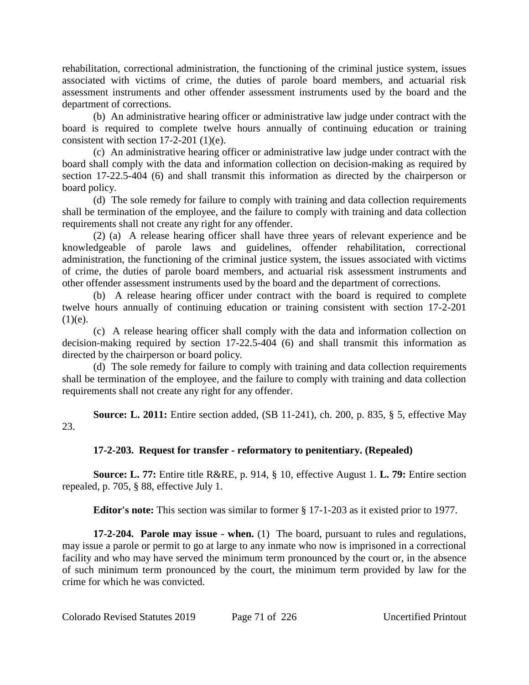rehabilitation, correctional administration, the functioning of the criminal justice system, issues associated with victims of crime, the duties of parole board members, and actuarial risk assessment instruments and other offender assessment instruments used by the board and the department of corrections.

(b) An administrative hearing officer or administrative law judge under contract with the board is required to complete twelve hours annually of continuing education or training consistent with section 17-2-201 (1)(e).

(c) An administrative hearing officer or administrative law judge under contract with the board shall comply with the data and information collection on decision-making as required by section 17-22.5-404 (6) and shall transmit this information as directed by the chairperson or board policy.

(d) The sole remedy for failure to comply with training and data collection requirements shall be termination of the employee, and the failure to comply with training and data collection requirements shall not create any right for any offender.

(2) (a) A release hearing officer shall have three years of relevant experience and be knowledgeable of parole laws and guidelines, offender rehabilitation, correctional administration, the functioning of the criminal justice system, the issues associated with victims of crime, the duties of parole board members, and actuarial risk assessment instruments and other offender assessment instruments used by the board and the department of corrections.

(b) A release hearing officer under contract with the board is required to complete twelve hours annually of continuing education or training consistent with section 17-2-201  $(1)(e)$ .

(c) A release hearing officer shall comply with the data and information collection on decision-making required by section 17-22.5-404 (6) and shall transmit this information as directed by the chairperson or board policy.

(d) The sole remedy for failure to comply with training and data collection requirements shall be termination of the employee, and the failure to comply with training and data collection requirements shall not create any right for any offender.

**Source: L. 2011:** Entire section added, (SB 11-241), ch. 200, p. 835, § 5, effective May 23.

# **17-2-203. Request for transfer - reformatory to penitentiary. (Repealed)**

**Source: L. 77:** Entire title R&RE, p. 914, § 10, effective August 1. **L. 79:** Entire section repealed, p. 705, § 88, effective July 1.

**Editor's note:** This section was similar to former § 17-1-203 as it existed prior to 1977.

**17-2-204. Parole may issue - when.** (1) The board, pursuant to rules and regulations, may issue a parole or permit to go at large to any inmate who now is imprisoned in a correctional facility and who may have served the minimum term pronounced by the court or, in the absence of such minimum term pronounced by the court, the minimum term provided by law for the crime for which he was convicted.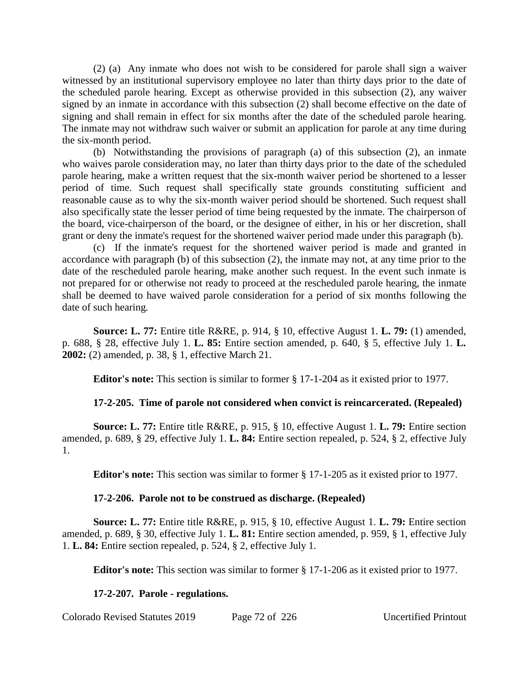(2) (a) Any inmate who does not wish to be considered for parole shall sign a waiver witnessed by an institutional supervisory employee no later than thirty days prior to the date of the scheduled parole hearing. Except as otherwise provided in this subsection (2), any waiver signed by an inmate in accordance with this subsection (2) shall become effective on the date of signing and shall remain in effect for six months after the date of the scheduled parole hearing. The inmate may not withdraw such waiver or submit an application for parole at any time during the six-month period.

(b) Notwithstanding the provisions of paragraph (a) of this subsection (2), an inmate who waives parole consideration may, no later than thirty days prior to the date of the scheduled parole hearing, make a written request that the six-month waiver period be shortened to a lesser period of time. Such request shall specifically state grounds constituting sufficient and reasonable cause as to why the six-month waiver period should be shortened. Such request shall also specifically state the lesser period of time being requested by the inmate. The chairperson of the board, vice-chairperson of the board, or the designee of either, in his or her discretion, shall grant or deny the inmate's request for the shortened waiver period made under this paragraph (b).

(c) If the inmate's request for the shortened waiver period is made and granted in accordance with paragraph (b) of this subsection (2), the inmate may not, at any time prior to the date of the rescheduled parole hearing, make another such request. In the event such inmate is not prepared for or otherwise not ready to proceed at the rescheduled parole hearing, the inmate shall be deemed to have waived parole consideration for a period of six months following the date of such hearing.

**Source: L. 77:** Entire title R&RE, p. 914, § 10, effective August 1. **L. 79:** (1) amended, p. 688, § 28, effective July 1. **L. 85:** Entire section amended, p. 640, § 5, effective July 1. **L. 2002:** (2) amended, p. 38, § 1, effective March 21.

**Editor's note:** This section is similar to former § 17-1-204 as it existed prior to 1977.

## **17-2-205. Time of parole not considered when convict is reincarcerated. (Repealed)**

**Source: L. 77:** Entire title R&RE, p. 915, § 10, effective August 1. **L. 79:** Entire section amended, p. 689, § 29, effective July 1. **L. 84:** Entire section repealed, p. 524, § 2, effective July 1.

**Editor's note:** This section was similar to former § 17-1-205 as it existed prior to 1977.

## **17-2-206. Parole not to be construed as discharge. (Repealed)**

**Source: L. 77:** Entire title R&RE, p. 915, § 10, effective August 1. **L. 79:** Entire section amended, p. 689, § 30, effective July 1. **L. 81:** Entire section amended, p. 959, § 1, effective July 1. **L. 84:** Entire section repealed, p. 524, § 2, effective July 1.

**Editor's note:** This section was similar to former § 17-1-206 as it existed prior to 1977.

## **17-2-207. Parole - regulations.**

Colorado Revised Statutes 2019 Page 72 of 226 Uncertified Printout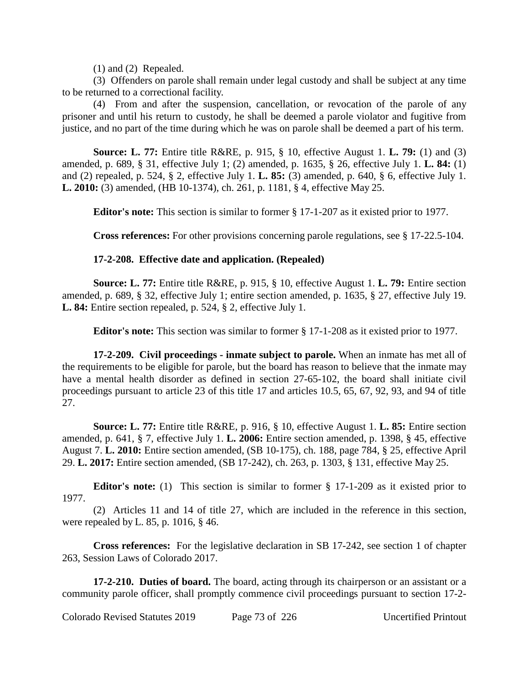(1) and (2) Repealed.

(3) Offenders on parole shall remain under legal custody and shall be subject at any time to be returned to a correctional facility.

(4) From and after the suspension, cancellation, or revocation of the parole of any prisoner and until his return to custody, he shall be deemed a parole violator and fugitive from justice, and no part of the time during which he was on parole shall be deemed a part of his term.

**Source: L. 77:** Entire title R&RE, p. 915, § 10, effective August 1. **L. 79:** (1) and (3) amended, p. 689, § 31, effective July 1; (2) amended, p. 1635, § 26, effective July 1. **L. 84:** (1) and (2) repealed, p. 524, § 2, effective July 1. **L. 85:** (3) amended, p. 640, § 6, effective July 1. **L. 2010:** (3) amended, (HB 10-1374), ch. 261, p. 1181, § 4, effective May 25.

**Editor's note:** This section is similar to former § 17-1-207 as it existed prior to 1977.

**Cross references:** For other provisions concerning parole regulations, see § 17-22.5-104.

## **17-2-208. Effective date and application. (Repealed)**

**Source: L. 77:** Entire title R&RE, p. 915, § 10, effective August 1. **L. 79:** Entire section amended, p. 689, § 32, effective July 1; entire section amended, p. 1635, § 27, effective July 19. **L. 84:** Entire section repealed, p. 524, § 2, effective July 1.

**Editor's note:** This section was similar to former § 17-1-208 as it existed prior to 1977.

**17-2-209. Civil proceedings - inmate subject to parole.** When an inmate has met all of the requirements to be eligible for parole, but the board has reason to believe that the inmate may have a mental health disorder as defined in section 27-65-102, the board shall initiate civil proceedings pursuant to article 23 of this title 17 and articles 10.5, 65, 67, 92, 93, and 94 of title 27.

**Source: L. 77:** Entire title R&RE, p. 916, § 10, effective August 1. **L. 85:** Entire section amended, p. 641, § 7, effective July 1. **L. 2006:** Entire section amended, p. 1398, § 45, effective August 7. **L. 2010:** Entire section amended, (SB 10-175), ch. 188, page 784, § 25, effective April 29. **L. 2017:** Entire section amended, (SB 17-242), ch. 263, p. 1303, § 131, effective May 25.

**Editor's note:** (1) This section is similar to former § 17-1-209 as it existed prior to 1977.

(2) Articles 11 and 14 of title 27, which are included in the reference in this section, were repealed by L. 85, p. 1016, § 46.

**Cross references:** For the legislative declaration in SB 17-242, see section 1 of chapter 263, Session Laws of Colorado 2017.

**17-2-210. Duties of board.** The board, acting through its chairperson or an assistant or a community parole officer, shall promptly commence civil proceedings pursuant to section 17-2-

Colorado Revised Statutes 2019 Page 73 of 226 Uncertified Printout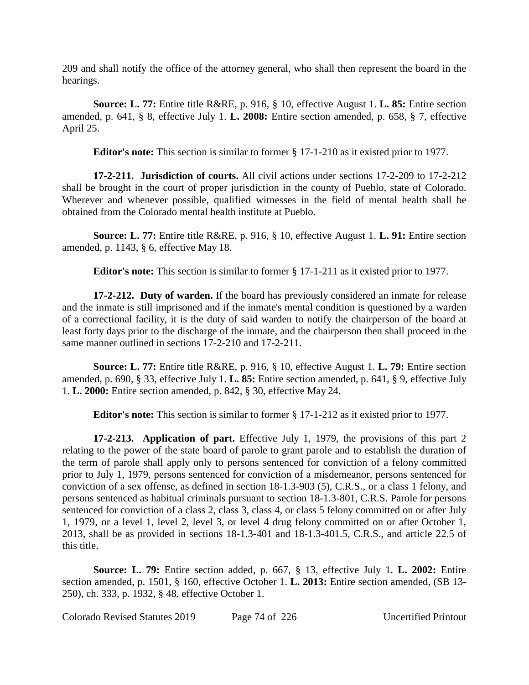209 and shall notify the office of the attorney general, who shall then represent the board in the hearings.

**Source: L. 77:** Entire title R&RE, p. 916, § 10, effective August 1. **L. 85:** Entire section amended, p. 641, § 8, effective July 1. **L. 2008:** Entire section amended, p. 658, § 7, effective April 25.

**Editor's note:** This section is similar to former § 17-1-210 as it existed prior to 1977.

**17-2-211. Jurisdiction of courts.** All civil actions under sections 17-2-209 to 17-2-212 shall be brought in the court of proper jurisdiction in the county of Pueblo, state of Colorado. Wherever and whenever possible, qualified witnesses in the field of mental health shall be obtained from the Colorado mental health institute at Pueblo.

**Source: L. 77:** Entire title R&RE, p. 916, § 10, effective August 1. **L. 91:** Entire section amended, p. 1143, § 6, effective May 18.

**Editor's note:** This section is similar to former § 17-1-211 as it existed prior to 1977.

**17-2-212. Duty of warden.** If the board has previously considered an inmate for release and the inmate is still imprisoned and if the inmate's mental condition is questioned by a warden of a correctional facility, it is the duty of said warden to notify the chairperson of the board at least forty days prior to the discharge of the inmate, and the chairperson then shall proceed in the same manner outlined in sections 17-2-210 and 17-2-211.

**Source: L. 77:** Entire title R&RE, p. 916, § 10, effective August 1. **L. 79:** Entire section amended, p. 690, § 33, effective July 1. **L. 85:** Entire section amended, p. 641, § 9, effective July 1. **L. 2000:** Entire section amended, p. 842, § 30, effective May 24.

**Editor's note:** This section is similar to former § 17-1-212 as it existed prior to 1977.

**17-2-213. Application of part.** Effective July 1, 1979, the provisions of this part 2 relating to the power of the state board of parole to grant parole and to establish the duration of the term of parole shall apply only to persons sentenced for conviction of a felony committed prior to July 1, 1979, persons sentenced for conviction of a misdemeanor, persons sentenced for conviction of a sex offense, as defined in section 18-1.3-903 (5), C.R.S., or a class 1 felony, and persons sentenced as habitual criminals pursuant to section 18-1.3-801, C.R.S. Parole for persons sentenced for conviction of a class 2, class 3, class 4, or class 5 felony committed on or after July 1, 1979, or a level 1, level 2, level 3, or level 4 drug felony committed on or after October 1, 2013, shall be as provided in sections 18-1.3-401 and 18-1.3-401.5, C.R.S., and article 22.5 of this title.

**Source: L. 79:** Entire section added, p. 667, § 13, effective July 1. **L. 2002:** Entire section amended, p. 1501, § 160, effective October 1. **L. 2013:** Entire section amended, (SB 13- 250), ch. 333, p. 1932, § 48, effective October 1.

Colorado Revised Statutes 2019 Page 74 of 226 Uncertified Printout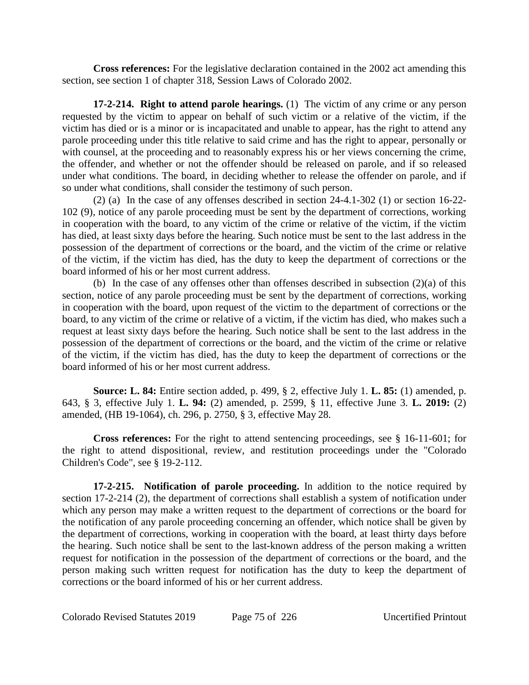**Cross references:** For the legislative declaration contained in the 2002 act amending this section, see section 1 of chapter 318, Session Laws of Colorado 2002.

**17-2-214. Right to attend parole hearings.** (1) The victim of any crime or any person requested by the victim to appear on behalf of such victim or a relative of the victim, if the victim has died or is a minor or is incapacitated and unable to appear, has the right to attend any parole proceeding under this title relative to said crime and has the right to appear, personally or with counsel, at the proceeding and to reasonably express his or her views concerning the crime, the offender, and whether or not the offender should be released on parole, and if so released under what conditions. The board, in deciding whether to release the offender on parole, and if so under what conditions, shall consider the testimony of such person.

(2) (a) In the case of any offenses described in section 24-4.1-302 (1) or section 16-22- 102 (9), notice of any parole proceeding must be sent by the department of corrections, working in cooperation with the board, to any victim of the crime or relative of the victim, if the victim has died, at least sixty days before the hearing. Such notice must be sent to the last address in the possession of the department of corrections or the board, and the victim of the crime or relative of the victim, if the victim has died, has the duty to keep the department of corrections or the board informed of his or her most current address.

(b) In the case of any offenses other than offenses described in subsection  $(2)(a)$  of this section, notice of any parole proceeding must be sent by the department of corrections, working in cooperation with the board, upon request of the victim to the department of corrections or the board, to any victim of the crime or relative of a victim, if the victim has died, who makes such a request at least sixty days before the hearing. Such notice shall be sent to the last address in the possession of the department of corrections or the board, and the victim of the crime or relative of the victim, if the victim has died, has the duty to keep the department of corrections or the board informed of his or her most current address.

**Source: L. 84:** Entire section added, p. 499, § 2, effective July 1. **L. 85:** (1) amended, p. 643, § 3, effective July 1. **L. 94:** (2) amended, p. 2599, § 11, effective June 3. **L. 2019:** (2) amended, (HB 19-1064), ch. 296, p. 2750, § 3, effective May 28.

**Cross references:** For the right to attend sentencing proceedings, see § 16-11-601; for the right to attend dispositional, review, and restitution proceedings under the "Colorado Children's Code", see § 19-2-112.

**17-2-215. Notification of parole proceeding.** In addition to the notice required by section 17-2-214 (2), the department of corrections shall establish a system of notification under which any person may make a written request to the department of corrections or the board for the notification of any parole proceeding concerning an offender, which notice shall be given by the department of corrections, working in cooperation with the board, at least thirty days before the hearing. Such notice shall be sent to the last-known address of the person making a written request for notification in the possession of the department of corrections or the board, and the person making such written request for notification has the duty to keep the department of corrections or the board informed of his or her current address.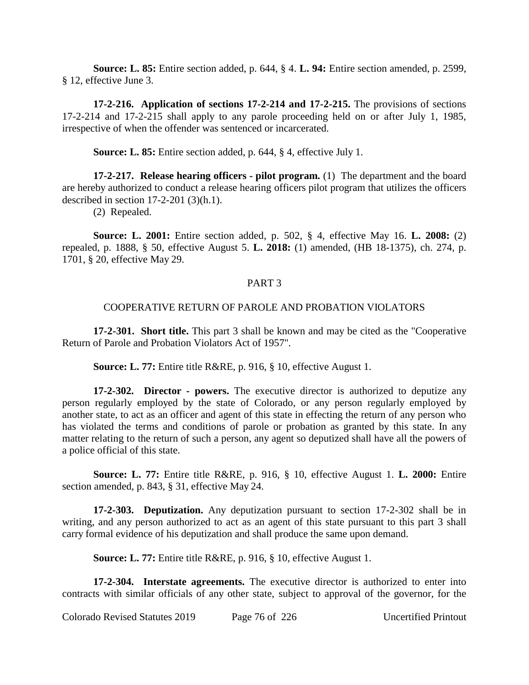**Source: L. 85:** Entire section added, p. 644, § 4. **L. 94:** Entire section amended, p. 2599, § 12, effective June 3.

**17-2-216. Application of sections 17-2-214 and 17-2-215.** The provisions of sections 17-2-214 and 17-2-215 shall apply to any parole proceeding held on or after July 1, 1985, irrespective of when the offender was sentenced or incarcerated.

**Source: L. 85:** Entire section added, p. 644, § 4, effective July 1.

**17-2-217. Release hearing officers - pilot program.** (1) The department and the board are hereby authorized to conduct a release hearing officers pilot program that utilizes the officers described in section  $17-2-201$  (3)(h.1).

(2) Repealed.

**Source: L. 2001:** Entire section added, p. 502, § 4, effective May 16. **L. 2008:** (2) repealed, p. 1888, § 50, effective August 5. **L. 2018:** (1) amended, (HB 18-1375), ch. 274, p. 1701, § 20, effective May 29.

### PART 3

## COOPERATIVE RETURN OF PAROLE AND PROBATION VIOLATORS

**17-2-301. Short title.** This part 3 shall be known and may be cited as the "Cooperative Return of Parole and Probation Violators Act of 1957".

**Source: L. 77:** Entire title R&RE, p. 916, § 10, effective August 1.

**17-2-302. Director - powers.** The executive director is authorized to deputize any person regularly employed by the state of Colorado, or any person regularly employed by another state, to act as an officer and agent of this state in effecting the return of any person who has violated the terms and conditions of parole or probation as granted by this state. In any matter relating to the return of such a person, any agent so deputized shall have all the powers of a police official of this state.

**Source: L. 77:** Entire title R&RE, p. 916, § 10, effective August 1. **L. 2000:** Entire section amended, p. 843, § 31, effective May 24.

**17-2-303. Deputization.** Any deputization pursuant to section 17-2-302 shall be in writing, and any person authorized to act as an agent of this state pursuant to this part 3 shall carry formal evidence of his deputization and shall produce the same upon demand.

**Source: L. 77:** Entire title R&RE, p. 916, § 10, effective August 1.

**17-2-304. Interstate agreements.** The executive director is authorized to enter into contracts with similar officials of any other state, subject to approval of the governor, for the

Colorado Revised Statutes 2019 Page 76 of 226 Uncertified Printout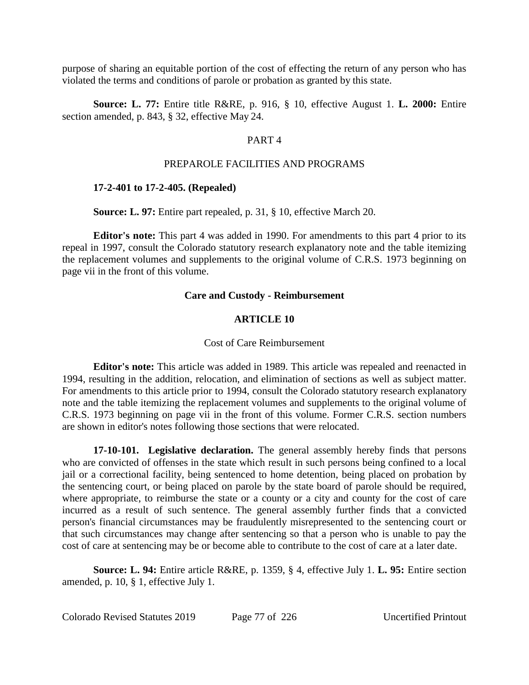purpose of sharing an equitable portion of the cost of effecting the return of any person who has violated the terms and conditions of parole or probation as granted by this state.

**Source: L. 77:** Entire title R&RE, p. 916, § 10, effective August 1. **L. 2000:** Entire section amended, p. 843, § 32, effective May 24.

### PART 4

### PREPAROLE FACILITIES AND PROGRAMS

### **17-2-401 to 17-2-405. (Repealed)**

**Source: L. 97:** Entire part repealed, p. 31, § 10, effective March 20.

**Editor's note:** This part 4 was added in 1990. For amendments to this part 4 prior to its repeal in 1997, consult the Colorado statutory research explanatory note and the table itemizing the replacement volumes and supplements to the original volume of C.R.S. 1973 beginning on page vii in the front of this volume.

### **Care and Custody - Reimbursement**

### **ARTICLE 10**

#### Cost of Care Reimbursement

**Editor's note:** This article was added in 1989. This article was repealed and reenacted in 1994, resulting in the addition, relocation, and elimination of sections as well as subject matter. For amendments to this article prior to 1994, consult the Colorado statutory research explanatory note and the table itemizing the replacement volumes and supplements to the original volume of C.R.S. 1973 beginning on page vii in the front of this volume. Former C.R.S. section numbers are shown in editor's notes following those sections that were relocated.

**17-10-101. Legislative declaration.** The general assembly hereby finds that persons who are convicted of offenses in the state which result in such persons being confined to a local jail or a correctional facility, being sentenced to home detention, being placed on probation by the sentencing court, or being placed on parole by the state board of parole should be required, where appropriate, to reimburse the state or a county or a city and county for the cost of care incurred as a result of such sentence. The general assembly further finds that a convicted person's financial circumstances may be fraudulently misrepresented to the sentencing court or that such circumstances may change after sentencing so that a person who is unable to pay the cost of care at sentencing may be or become able to contribute to the cost of care at a later date.

**Source: L. 94:** Entire article R&RE, p. 1359, § 4, effective July 1. **L. 95:** Entire section amended, p. 10, § 1, effective July 1.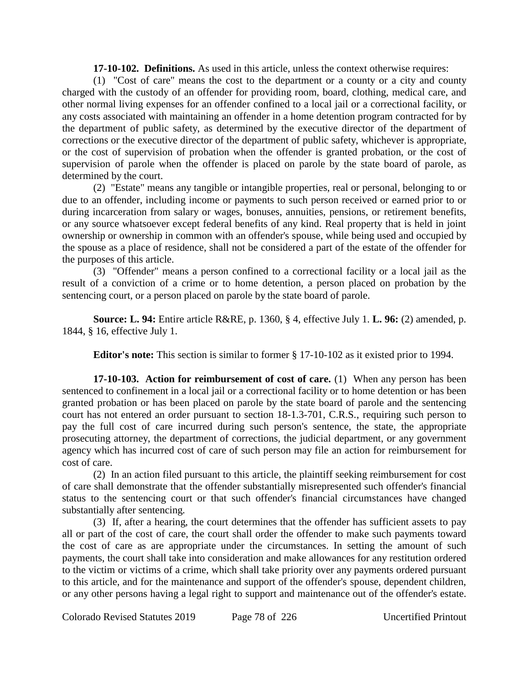**17-10-102. Definitions.** As used in this article, unless the context otherwise requires:

(1) "Cost of care" means the cost to the department or a county or a city and county charged with the custody of an offender for providing room, board, clothing, medical care, and other normal living expenses for an offender confined to a local jail or a correctional facility, or any costs associated with maintaining an offender in a home detention program contracted for by the department of public safety, as determined by the executive director of the department of corrections or the executive director of the department of public safety, whichever is appropriate, or the cost of supervision of probation when the offender is granted probation, or the cost of supervision of parole when the offender is placed on parole by the state board of parole, as determined by the court.

(2) "Estate" means any tangible or intangible properties, real or personal, belonging to or due to an offender, including income or payments to such person received or earned prior to or during incarceration from salary or wages, bonuses, annuities, pensions, or retirement benefits, or any source whatsoever except federal benefits of any kind. Real property that is held in joint ownership or ownership in common with an offender's spouse, while being used and occupied by the spouse as a place of residence, shall not be considered a part of the estate of the offender for the purposes of this article.

(3) "Offender" means a person confined to a correctional facility or a local jail as the result of a conviction of a crime or to home detention, a person placed on probation by the sentencing court, or a person placed on parole by the state board of parole.

**Source: L. 94:** Entire article R&RE, p. 1360, § 4, effective July 1. **L. 96:** (2) amended, p. 1844, § 16, effective July 1.

**Editor's note:** This section is similar to former § 17-10-102 as it existed prior to 1994.

**17-10-103. Action for reimbursement of cost of care.** (1) When any person has been sentenced to confinement in a local jail or a correctional facility or to home detention or has been granted probation or has been placed on parole by the state board of parole and the sentencing court has not entered an order pursuant to section 18-1.3-701, C.R.S., requiring such person to pay the full cost of care incurred during such person's sentence, the state, the appropriate prosecuting attorney, the department of corrections, the judicial department, or any government agency which has incurred cost of care of such person may file an action for reimbursement for cost of care.

(2) In an action filed pursuant to this article, the plaintiff seeking reimbursement for cost of care shall demonstrate that the offender substantially misrepresented such offender's financial status to the sentencing court or that such offender's financial circumstances have changed substantially after sentencing.

(3) If, after a hearing, the court determines that the offender has sufficient assets to pay all or part of the cost of care, the court shall order the offender to make such payments toward the cost of care as are appropriate under the circumstances. In setting the amount of such payments, the court shall take into consideration and make allowances for any restitution ordered to the victim or victims of a crime, which shall take priority over any payments ordered pursuant to this article, and for the maintenance and support of the offender's spouse, dependent children, or any other persons having a legal right to support and maintenance out of the offender's estate.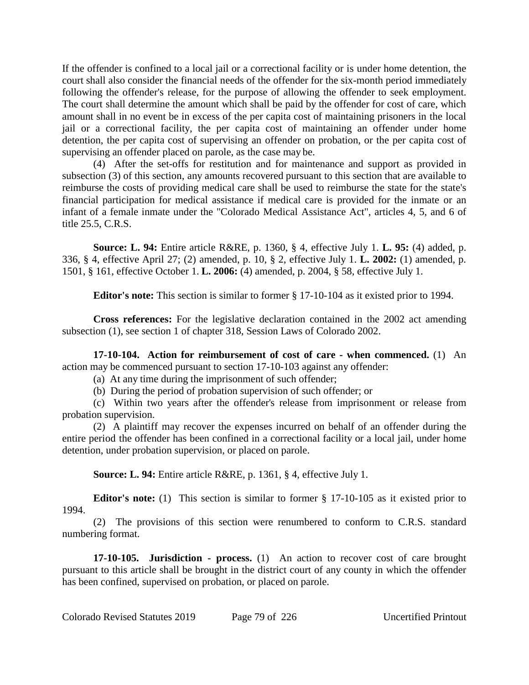If the offender is confined to a local jail or a correctional facility or is under home detention, the court shall also consider the financial needs of the offender for the six-month period immediately following the offender's release, for the purpose of allowing the offender to seek employment. The court shall determine the amount which shall be paid by the offender for cost of care, which amount shall in no event be in excess of the per capita cost of maintaining prisoners in the local jail or a correctional facility, the per capita cost of maintaining an offender under home detention, the per capita cost of supervising an offender on probation, or the per capita cost of supervising an offender placed on parole, as the case may be.

(4) After the set-offs for restitution and for maintenance and support as provided in subsection (3) of this section, any amounts recovered pursuant to this section that are available to reimburse the costs of providing medical care shall be used to reimburse the state for the state's financial participation for medical assistance if medical care is provided for the inmate or an infant of a female inmate under the "Colorado Medical Assistance Act", articles 4, 5, and 6 of title 25.5, C.R.S.

**Source: L. 94:** Entire article R&RE, p. 1360, § 4, effective July 1. **L. 95:** (4) added, p. 336, § 4, effective April 27; (2) amended, p. 10, § 2, effective July 1. **L. 2002:** (1) amended, p. 1501, § 161, effective October 1. **L. 2006:** (4) amended, p. 2004, § 58, effective July 1.

**Editor's note:** This section is similar to former § 17-10-104 as it existed prior to 1994.

**Cross references:** For the legislative declaration contained in the 2002 act amending subsection (1), see section 1 of chapter 318, Session Laws of Colorado 2002.

**17-10-104. Action for reimbursement of cost of care - when commenced.** (1) An action may be commenced pursuant to section 17-10-103 against any offender:

(a) At any time during the imprisonment of such offender;

(b) During the period of probation supervision of such offender; or

(c) Within two years after the offender's release from imprisonment or release from probation supervision.

(2) A plaintiff may recover the expenses incurred on behalf of an offender during the entire period the offender has been confined in a correctional facility or a local jail, under home detention, under probation supervision, or placed on parole.

**Source: L. 94:** Entire article R&RE, p. 1361, § 4, effective July 1.

**Editor's note:** (1) This section is similar to former § 17-10-105 as it existed prior to 1994.

(2) The provisions of this section were renumbered to conform to C.R.S. standard numbering format.

**17-10-105. Jurisdiction - process.** (1) An action to recover cost of care brought pursuant to this article shall be brought in the district court of any county in which the offender has been confined, supervised on probation, or placed on parole.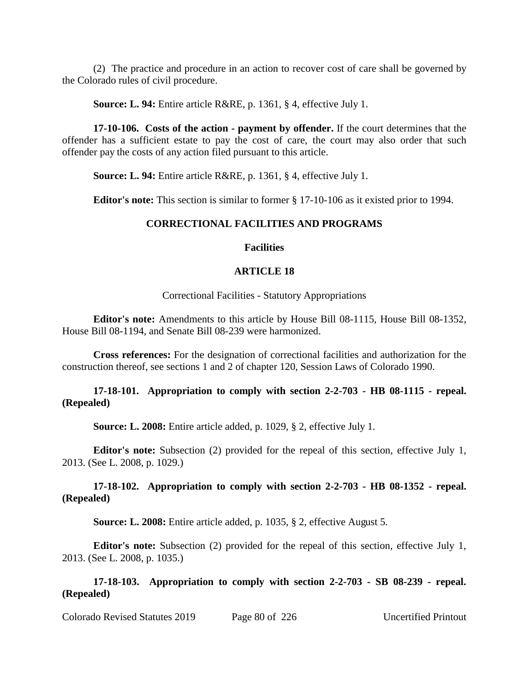(2) The practice and procedure in an action to recover cost of care shall be governed by the Colorado rules of civil procedure.

**Source: L. 94:** Entire article R&RE, p. 1361, § 4, effective July 1.

**17-10-106. Costs of the action - payment by offender.** If the court determines that the offender has a sufficient estate to pay the cost of care, the court may also order that such offender pay the costs of any action filed pursuant to this article.

**Source: L. 94:** Entire article R&RE, p. 1361, § 4, effective July 1.

**Editor's note:** This section is similar to former § 17-10-106 as it existed prior to 1994.

### **CORRECTIONAL FACILITIES AND PROGRAMS**

### **Facilities**

### **ARTICLE 18**

Correctional Facilities - Statutory Appropriations

**Editor's note:** Amendments to this article by House Bill 08-1115, House Bill 08-1352, House Bill 08-1194, and Senate Bill 08-239 were harmonized.

**Cross references:** For the designation of correctional facilities and authorization for the construction thereof, see sections 1 and 2 of chapter 120, Session Laws of Colorado 1990.

### **17-18-101. Appropriation to comply with section 2-2-703 - HB 08-1115 - repeal. (Repealed)**

**Source: L. 2008:** Entire article added, p. 1029, § 2, effective July 1.

**Editor's note:** Subsection (2) provided for the repeal of this section, effective July 1, 2013. (See L. 2008, p. 1029.)

### **17-18-102. Appropriation to comply with section 2-2-703 - HB 08-1352 - repeal. (Repealed)**

**Source: L. 2008:** Entire article added, p. 1035, § 2, effective August 5.

**Editor's note:** Subsection (2) provided for the repeal of this section, effective July 1, 2013. (See L. 2008, p. 1035.)

**17-18-103. Appropriation to comply with section 2-2-703 - SB 08-239 - repeal. (Repealed)**

Colorado Revised Statutes 2019 Page 80 of 226 Uncertified Printout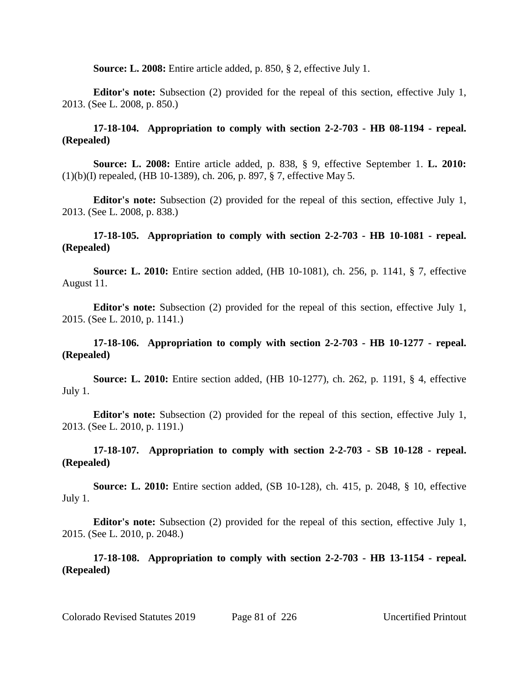**Source: L. 2008:** Entire article added, p. 850, § 2, effective July 1.

**Editor's note:** Subsection (2) provided for the repeal of this section, effective July 1, 2013. (See L. 2008, p. 850.)

## **17-18-104. Appropriation to comply with section 2-2-703 - HB 08-1194 - repeal. (Repealed)**

**Source: L. 2008:** Entire article added, p. 838, § 9, effective September 1. **L. 2010:** (1)(b)(I) repealed, (HB 10-1389), ch. 206, p. 897, § 7, effective May 5.

**Editor's note:** Subsection (2) provided for the repeal of this section, effective July 1, 2013. (See L. 2008, p. 838.)

### **17-18-105. Appropriation to comply with section 2-2-703 - HB 10-1081 - repeal. (Repealed)**

**Source: L. 2010:** Entire section added, (HB 10-1081), ch. 256, p. 1141, § 7, effective August 11.

**Editor's note:** Subsection (2) provided for the repeal of this section, effective July 1, 2015. (See L. 2010, p. 1141.)

## **17-18-106. Appropriation to comply with section 2-2-703 - HB 10-1277 - repeal. (Repealed)**

**Source: L. 2010:** Entire section added, (HB 10-1277), ch. 262, p. 1191, § 4, effective July 1.

**Editor's note:** Subsection (2) provided for the repeal of this section, effective July 1, 2013. (See L. 2010, p. 1191.)

**17-18-107. Appropriation to comply with section 2-2-703 - SB 10-128 - repeal. (Repealed)**

**Source: L. 2010:** Entire section added, (SB 10-128), ch. 415, p. 2048, § 10, effective July 1.

**Editor's note:** Subsection (2) provided for the repeal of this section, effective July 1, 2015. (See L. 2010, p. 2048.)

**17-18-108. Appropriation to comply with section 2-2-703 - HB 13-1154 - repeal. (Repealed)**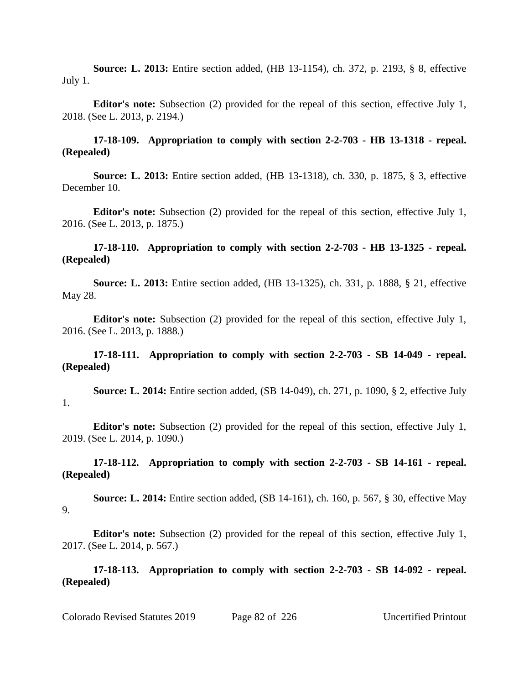**Source: L. 2013:** Entire section added, (HB 13-1154), ch. 372, p. 2193, § 8, effective July 1.

**Editor's note:** Subsection (2) provided for the repeal of this section, effective July 1, 2018. (See L. 2013, p. 2194.)

## **17-18-109. Appropriation to comply with section 2-2-703 - HB 13-1318 - repeal. (Repealed)**

**Source: L. 2013:** Entire section added, (HB 13-1318), ch. 330, p. 1875, § 3, effective December 10.

**Editor's note:** Subsection (2) provided for the repeal of this section, effective July 1, 2016. (See L. 2013, p. 1875.)

## **17-18-110. Appropriation to comply with section 2-2-703 - HB 13-1325 - repeal. (Repealed)**

**Source: L. 2013:** Entire section added, (HB 13-1325), ch. 331, p. 1888, § 21, effective May 28.

**Editor's note:** Subsection (2) provided for the repeal of this section, effective July 1, 2016. (See L. 2013, p. 1888.)

### **17-18-111. Appropriation to comply with section 2-2-703 - SB 14-049 - repeal. (Repealed)**

**Source: L. 2014:** Entire section added, (SB 14-049), ch. 271, p. 1090, § 2, effective July 1.

**Editor's note:** Subsection (2) provided for the repeal of this section, effective July 1, 2019. (See L. 2014, p. 1090.)

### **17-18-112. Appropriation to comply with section 2-2-703 - SB 14-161 - repeal. (Repealed)**

**Source: L. 2014:** Entire section added, (SB 14-161), ch. 160, p. 567, § 30, effective May 9.

**Editor's note:** Subsection (2) provided for the repeal of this section, effective July 1, 2017. (See L. 2014, p. 567.)

**17-18-113. Appropriation to comply with section 2-2-703 - SB 14-092 - repeal. (Repealed)**

Colorado Revised Statutes 2019 Page 82 of 226 Uncertified Printout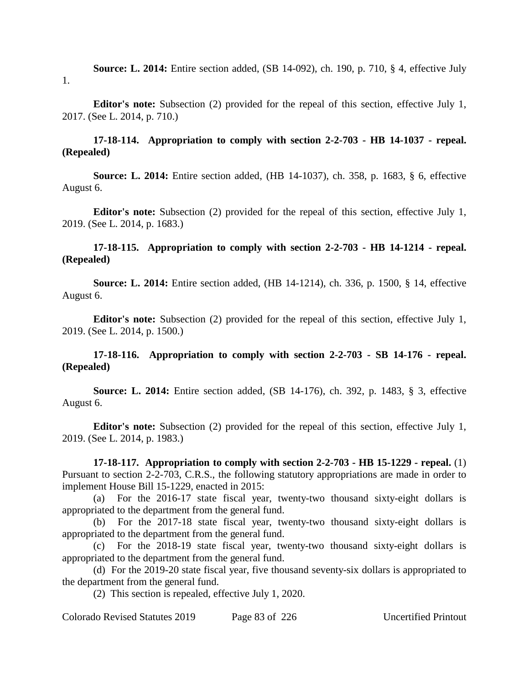**Source: L. 2014:** Entire section added, (SB 14-092), ch. 190, p. 710, § 4, effective July 1.

**Editor's note:** Subsection (2) provided for the repeal of this section, effective July 1, 2017. (See L. 2014, p. 710.)

# **17-18-114. Appropriation to comply with section 2-2-703 - HB 14-1037 - repeal. (Repealed)**

**Source: L. 2014:** Entire section added, (HB 14-1037), ch. 358, p. 1683, § 6, effective August 6.

**Editor's note:** Subsection (2) provided for the repeal of this section, effective July 1, 2019. (See L. 2014, p. 1683.)

## **17-18-115. Appropriation to comply with section 2-2-703 - HB 14-1214 - repeal. (Repealed)**

**Source: L. 2014:** Entire section added, (HB 14-1214), ch. 336, p. 1500, § 14, effective August 6.

**Editor's note:** Subsection (2) provided for the repeal of this section, effective July 1, 2019. (See L. 2014, p. 1500.)

## **17-18-116. Appropriation to comply with section 2-2-703 - SB 14-176 - repeal. (Repealed)**

**Source: L. 2014:** Entire section added, (SB 14-176), ch. 392, p. 1483, § 3, effective August 6.

**Editor's note:** Subsection (2) provided for the repeal of this section, effective July 1, 2019. (See L. 2014, p. 1983.)

**17-18-117. Appropriation to comply with section 2-2-703 - HB 15-1229 - repeal.** (1) Pursuant to section 2-2-703, C.R.S., the following statutory appropriations are made in order to implement House Bill 15-1229, enacted in 2015:

(a) For the 2016-17 state fiscal year, twenty-two thousand sixty-eight dollars is appropriated to the department from the general fund.

(b) For the 2017-18 state fiscal year, twenty-two thousand sixty-eight dollars is appropriated to the department from the general fund.

(c) For the 2018-19 state fiscal year, twenty-two thousand sixty-eight dollars is appropriated to the department from the general fund.

(d) For the 2019-20 state fiscal year, five thousand seventy-six dollars is appropriated to the department from the general fund.

(2) This section is repealed, effective July 1, 2020.

Colorado Revised Statutes 2019 Page 83 of 226 Uncertified Printout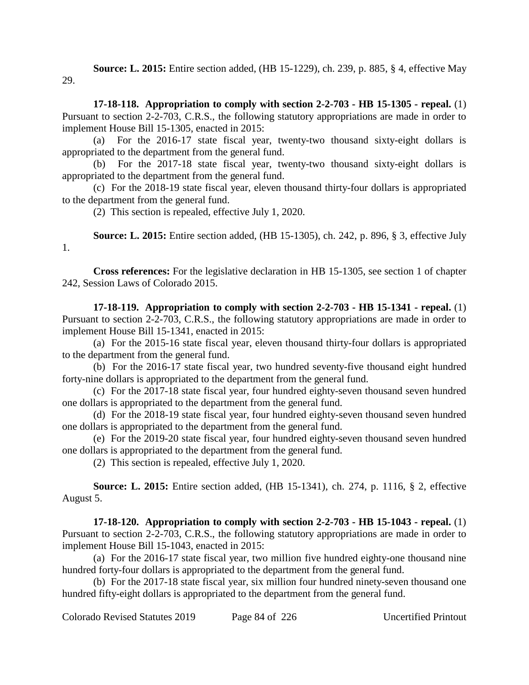**Source: L. 2015:** Entire section added, (HB 15-1229), ch. 239, p. 885, § 4, effective May 29.

**17-18-118. Appropriation to comply with section 2-2-703 - HB 15-1305 - repeal.** (1) Pursuant to section 2-2-703, C.R.S., the following statutory appropriations are made in order to implement House Bill 15-1305, enacted in 2015:

(a) For the 2016-17 state fiscal year, twenty-two thousand sixty-eight dollars is appropriated to the department from the general fund.

(b) For the 2017-18 state fiscal year, twenty-two thousand sixty-eight dollars is appropriated to the department from the general fund.

(c) For the 2018-19 state fiscal year, eleven thousand thirty-four dollars is appropriated to the department from the general fund.

(2) This section is repealed, effective July 1, 2020.

**Source: L. 2015:** Entire section added, (HB 15-1305), ch. 242, p. 896, § 3, effective July 1.

**Cross references:** For the legislative declaration in HB 15-1305, see section 1 of chapter 242, Session Laws of Colorado 2015.

**17-18-119. Appropriation to comply with section 2-2-703 - HB 15-1341 - repeal.** (1) Pursuant to section 2-2-703, C.R.S., the following statutory appropriations are made in order to implement House Bill 15-1341, enacted in 2015:

(a) For the 2015-16 state fiscal year, eleven thousand thirty-four dollars is appropriated to the department from the general fund.

(b) For the 2016-17 state fiscal year, two hundred seventy-five thousand eight hundred forty-nine dollars is appropriated to the department from the general fund.

(c) For the 2017-18 state fiscal year, four hundred eighty-seven thousand seven hundred one dollars is appropriated to the department from the general fund.

(d) For the 2018-19 state fiscal year, four hundred eighty-seven thousand seven hundred one dollars is appropriated to the department from the general fund.

(e) For the 2019-20 state fiscal year, four hundred eighty-seven thousand seven hundred one dollars is appropriated to the department from the general fund.

(2) This section is repealed, effective July 1, 2020.

**Source: L. 2015:** Entire section added, (HB 15-1341), ch. 274, p. 1116, § 2, effective August 5.

**17-18-120. Appropriation to comply with section 2-2-703 - HB 15-1043 - repeal.** (1) Pursuant to section 2-2-703, C.R.S., the following statutory appropriations are made in order to implement House Bill 15-1043, enacted in 2015:

(a) For the 2016-17 state fiscal year, two million five hundred eighty-one thousand nine hundred forty-four dollars is appropriated to the department from the general fund.

(b) For the 2017-18 state fiscal year, six million four hundred ninety-seven thousand one hundred fifty-eight dollars is appropriated to the department from the general fund.

Colorado Revised Statutes 2019 Page 84 of 226 Uncertified Printout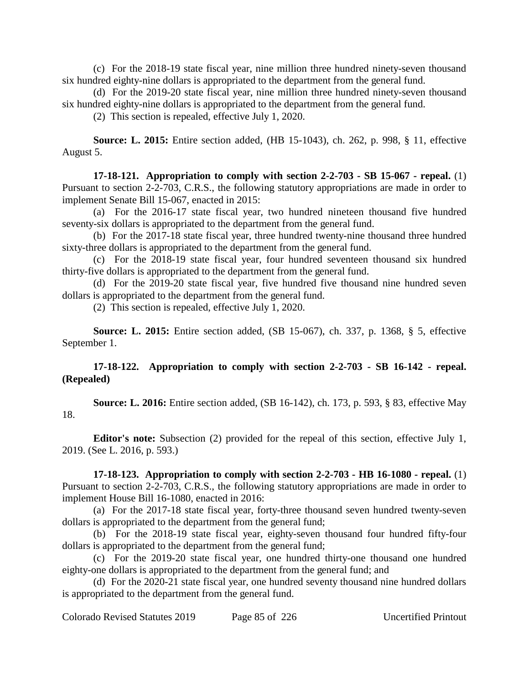(c) For the 2018-19 state fiscal year, nine million three hundred ninety-seven thousand six hundred eighty-nine dollars is appropriated to the department from the general fund.

(d) For the 2019-20 state fiscal year, nine million three hundred ninety-seven thousand six hundred eighty-nine dollars is appropriated to the department from the general fund.

(2) This section is repealed, effective July 1, 2020.

**Source: L. 2015:** Entire section added, (HB 15-1043), ch. 262, p. 998, § 11, effective August 5.

**17-18-121. Appropriation to comply with section 2-2-703 - SB 15-067 - repeal.** (1) Pursuant to section 2-2-703, C.R.S., the following statutory appropriations are made in order to implement Senate Bill 15-067, enacted in 2015:

(a) For the 2016-17 state fiscal year, two hundred nineteen thousand five hundred seventy-six dollars is appropriated to the department from the general fund.

(b) For the 2017-18 state fiscal year, three hundred twenty-nine thousand three hundred sixty-three dollars is appropriated to the department from the general fund.

(c) For the 2018-19 state fiscal year, four hundred seventeen thousand six hundred thirty-five dollars is appropriated to the department from the general fund.

(d) For the 2019-20 state fiscal year, five hundred five thousand nine hundred seven dollars is appropriated to the department from the general fund.

(2) This section is repealed, effective July 1, 2020.

**Source: L. 2015:** Entire section added, (SB 15-067), ch. 337, p. 1368, § 5, effective September 1.

# **17-18-122. Appropriation to comply with section 2-2-703 - SB 16-142 - repeal. (Repealed)**

**Source: L. 2016:** Entire section added, (SB 16-142), ch. 173, p. 593, § 83, effective May 18.

**Editor's note:** Subsection (2) provided for the repeal of this section, effective July 1, 2019. (See L. 2016, p. 593.)

**17-18-123. Appropriation to comply with section 2-2-703 - HB 16-1080 - repeal.** (1) Pursuant to section 2-2-703, C.R.S., the following statutory appropriations are made in order to implement House Bill 16-1080, enacted in 2016:

(a) For the 2017-18 state fiscal year, forty-three thousand seven hundred twenty-seven dollars is appropriated to the department from the general fund;

(b) For the 2018-19 state fiscal year, eighty-seven thousand four hundred fifty-four dollars is appropriated to the department from the general fund;

(c) For the 2019-20 state fiscal year, one hundred thirty-one thousand one hundred eighty-one dollars is appropriated to the department from the general fund; and

(d) For the 2020-21 state fiscal year, one hundred seventy thousand nine hundred dollars is appropriated to the department from the general fund.

Colorado Revised Statutes 2019 Page 85 of 226 Uncertified Printout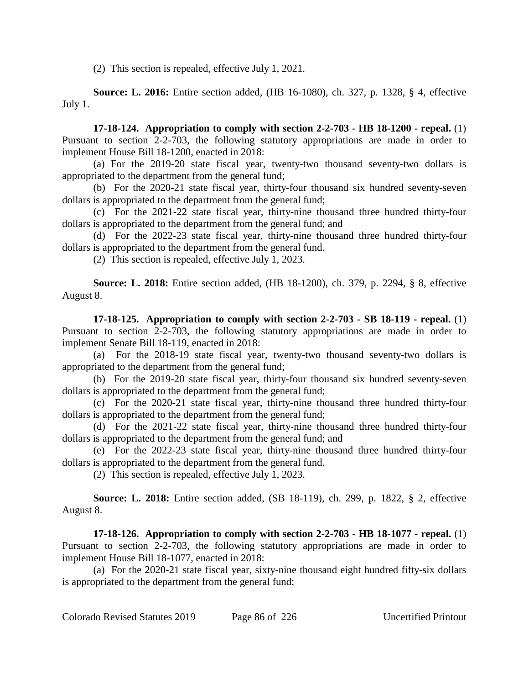(2) This section is repealed, effective July 1, 2021.

**Source: L. 2016:** Entire section added, (HB 16-1080), ch. 327, p. 1328, § 4, effective July 1.

**17-18-124. Appropriation to comply with section 2-2-703 - HB 18-1200 - repeal.** (1) Pursuant to section 2-2-703, the following statutory appropriations are made in order to implement House Bill 18-1200, enacted in 2018:

(a) For the 2019-20 state fiscal year, twenty-two thousand seventy-two dollars is appropriated to the department from the general fund;

(b) For the 2020-21 state fiscal year, thirty-four thousand six hundred seventy-seven dollars is appropriated to the department from the general fund;

(c) For the 2021-22 state fiscal year, thirty-nine thousand three hundred thirty-four dollars is appropriated to the department from the general fund; and

(d) For the 2022-23 state fiscal year, thirty-nine thousand three hundred thirty-four dollars is appropriated to the department from the general fund.

(2) This section is repealed, effective July 1, 2023.

**Source: L. 2018:** Entire section added, (HB 18-1200), ch. 379, p. 2294, § 8, effective August 8.

**17-18-125. Appropriation to comply with section 2-2-703 - SB 18-119 - repeal.** (1) Pursuant to section 2-2-703, the following statutory appropriations are made in order to implement Senate Bill 18-119, enacted in 2018:

(a) For the 2018-19 state fiscal year, twenty-two thousand seventy-two dollars is appropriated to the department from the general fund;

(b) For the 2019-20 state fiscal year, thirty-four thousand six hundred seventy-seven dollars is appropriated to the department from the general fund;

(c) For the 2020-21 state fiscal year, thirty-nine thousand three hundred thirty-four dollars is appropriated to the department from the general fund;

(d) For the 2021-22 state fiscal year, thirty-nine thousand three hundred thirty-four dollars is appropriated to the department from the general fund; and

(e) For the 2022-23 state fiscal year, thirty-nine thousand three hundred thirty-four dollars is appropriated to the department from the general fund.

(2) This section is repealed, effective July 1, 2023.

**Source: L. 2018:** Entire section added, (SB 18-119), ch. 299, p. 1822, § 2, effective August 8.

**17-18-126. Appropriation to comply with section 2-2-703 - HB 18-1077 - repeal.** (1) Pursuant to section 2-2-703, the following statutory appropriations are made in order to implement House Bill 18-1077, enacted in 2018:

(a) For the 2020-21 state fiscal year, sixty-nine thousand eight hundred fifty-six dollars is appropriated to the department from the general fund;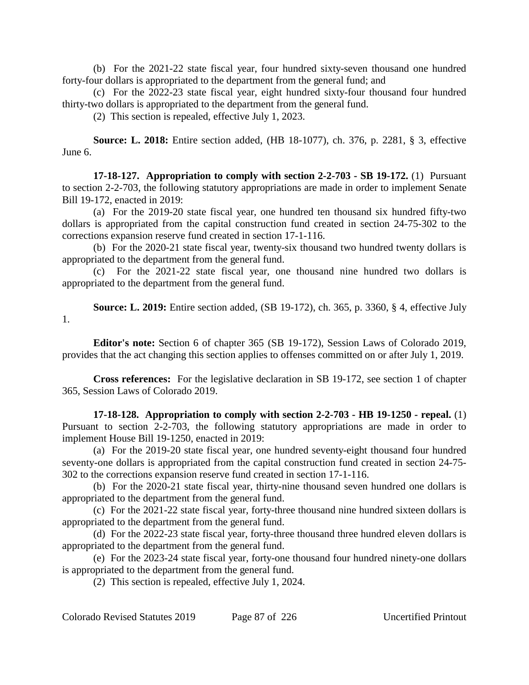(b) For the 2021-22 state fiscal year, four hundred sixty-seven thousand one hundred forty-four dollars is appropriated to the department from the general fund; and

(c) For the 2022-23 state fiscal year, eight hundred sixty-four thousand four hundred thirty-two dollars is appropriated to the department from the general fund.

(2) This section is repealed, effective July 1, 2023.

**Source: L. 2018:** Entire section added, (HB 18-1077), ch. 376, p. 2281, § 3, effective June 6.

**17-18-127. Appropriation to comply with section 2-2-703 - SB 19-172.** (1) Pursuant to section 2-2-703, the following statutory appropriations are made in order to implement Senate Bill 19-172, enacted in 2019:

(a) For the 2019-20 state fiscal year, one hundred ten thousand six hundred fifty-two dollars is appropriated from the capital construction fund created in section 24-75-302 to the corrections expansion reserve fund created in section 17-1-116.

(b) For the 2020-21 state fiscal year, twenty-six thousand two hundred twenty dollars is appropriated to the department from the general fund.

(c) For the 2021-22 state fiscal year, one thousand nine hundred two dollars is appropriated to the department from the general fund.

**Source: L. 2019:** Entire section added, (SB 19-172), ch. 365, p. 3360, § 4, effective July 1.

**Editor's note:** Section 6 of chapter 365 (SB 19-172), Session Laws of Colorado 2019, provides that the act changing this section applies to offenses committed on or after July 1, 2019.

**Cross references:** For the legislative declaration in SB 19-172, see section 1 of chapter 365, Session Laws of Colorado 2019.

**17-18-128. Appropriation to comply with section 2-2-703 - HB 19-1250 - repeal.** (1) Pursuant to section 2-2-703, the following statutory appropriations are made in order to implement House Bill 19-1250, enacted in 2019:

(a) For the 2019-20 state fiscal year, one hundred seventy-eight thousand four hundred seventy-one dollars is appropriated from the capital construction fund created in section 24-75- 302 to the corrections expansion reserve fund created in section 17-1-116.

(b) For the 2020-21 state fiscal year, thirty-nine thousand seven hundred one dollars is appropriated to the department from the general fund.

(c) For the 2021-22 state fiscal year, forty-three thousand nine hundred sixteen dollars is appropriated to the department from the general fund.

(d) For the 2022-23 state fiscal year, forty-three thousand three hundred eleven dollars is appropriated to the department from the general fund.

(e) For the 2023-24 state fiscal year, forty-one thousand four hundred ninety-one dollars is appropriated to the department from the general fund.

(2) This section is repealed, effective July 1, 2024.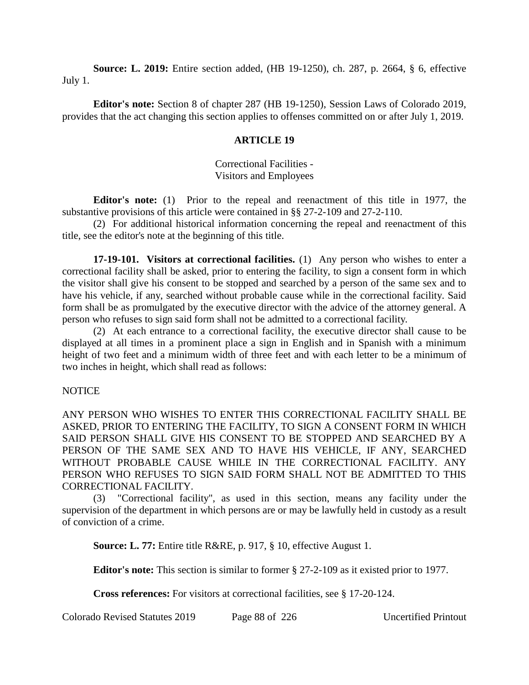**Source: L. 2019:** Entire section added, (HB 19-1250), ch. 287, p. 2664, § 6, effective July 1.

**Editor's note:** Section 8 of chapter 287 (HB 19-1250), Session Laws of Colorado 2019, provides that the act changing this section applies to offenses committed on or after July 1, 2019.

### **ARTICLE 19**

Correctional Facilities - Visitors and Employees

**Editor's note:** (1) Prior to the repeal and reenactment of this title in 1977, the substantive provisions of this article were contained in §§ 27-2-109 and 27-2-110.

(2) For additional historical information concerning the repeal and reenactment of this title, see the editor's note at the beginning of this title.

**17-19-101. Visitors at correctional facilities.** (1) Any person who wishes to enter a correctional facility shall be asked, prior to entering the facility, to sign a consent form in which the visitor shall give his consent to be stopped and searched by a person of the same sex and to have his vehicle, if any, searched without probable cause while in the correctional facility. Said form shall be as promulgated by the executive director with the advice of the attorney general. A person who refuses to sign said form shall not be admitted to a correctional facility.

(2) At each entrance to a correctional facility, the executive director shall cause to be displayed at all times in a prominent place a sign in English and in Spanish with a minimum height of two feet and a minimum width of three feet and with each letter to be a minimum of two inches in height, which shall read as follows:

### NOTICE

ANY PERSON WHO WISHES TO ENTER THIS CORRECTIONAL FACILITY SHALL BE ASKED, PRIOR TO ENTERING THE FACILITY, TO SIGN A CONSENT FORM IN WHICH SAID PERSON SHALL GIVE HIS CONSENT TO BE STOPPED AND SEARCHED BY A PERSON OF THE SAME SEX AND TO HAVE HIS VEHICLE, IF ANY, SEARCHED WITHOUT PROBABLE CAUSE WHILE IN THE CORRECTIONAL FACILITY. ANY PERSON WHO REFUSES TO SIGN SAID FORM SHALL NOT BE ADMITTED TO THIS CORRECTIONAL FACILITY.

(3) "Correctional facility", as used in this section, means any facility under the supervision of the department in which persons are or may be lawfully held in custody as a result of conviction of a crime.

**Source: L. 77:** Entire title R&RE, p. 917, § 10, effective August 1.

**Editor's note:** This section is similar to former § 27-2-109 as it existed prior to 1977.

**Cross references:** For visitors at correctional facilities, see § 17-20-124.

Colorado Revised Statutes 2019 Page 88 of 226 Uncertified Printout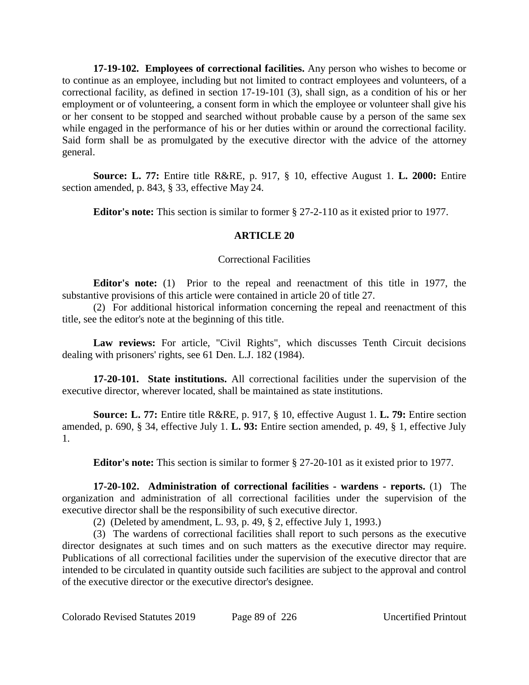**17-19-102. Employees of correctional facilities.** Any person who wishes to become or to continue as an employee, including but not limited to contract employees and volunteers, of a correctional facility, as defined in section 17-19-101 (3), shall sign, as a condition of his or her employment or of volunteering, a consent form in which the employee or volunteer shall give his or her consent to be stopped and searched without probable cause by a person of the same sex while engaged in the performance of his or her duties within or around the correctional facility. Said form shall be as promulgated by the executive director with the advice of the attorney general.

**Source: L. 77:** Entire title R&RE, p. 917, § 10, effective August 1. **L. 2000:** Entire section amended, p. 843, § 33, effective May 24.

**Editor's note:** This section is similar to former § 27-2-110 as it existed prior to 1977.

## **ARTICLE 20**

## Correctional Facilities

**Editor's note:** (1) Prior to the repeal and reenactment of this title in 1977, the substantive provisions of this article were contained in article 20 of title 27.

(2) For additional historical information concerning the repeal and reenactment of this title, see the editor's note at the beginning of this title.

**Law reviews:** For article, "Civil Rights", which discusses Tenth Circuit decisions dealing with prisoners' rights, see 61 Den. L.J. 182 (1984).

**17-20-101. State institutions.** All correctional facilities under the supervision of the executive director, wherever located, shall be maintained as state institutions.

**Source: L. 77:** Entire title R&RE, p. 917, § 10, effective August 1. **L. 79:** Entire section amended, p. 690, § 34, effective July 1. **L. 93:** Entire section amended, p. 49, § 1, effective July 1.

**Editor's note:** This section is similar to former § 27-20-101 as it existed prior to 1977.

**17-20-102. Administration of correctional facilities - wardens - reports.** (1) The organization and administration of all correctional facilities under the supervision of the executive director shall be the responsibility of such executive director.

(2) (Deleted by amendment, L. 93, p. 49, § 2, effective July 1, 1993.)

(3) The wardens of correctional facilities shall report to such persons as the executive director designates at such times and on such matters as the executive director may require. Publications of all correctional facilities under the supervision of the executive director that are intended to be circulated in quantity outside such facilities are subject to the approval and control of the executive director or the executive director's designee.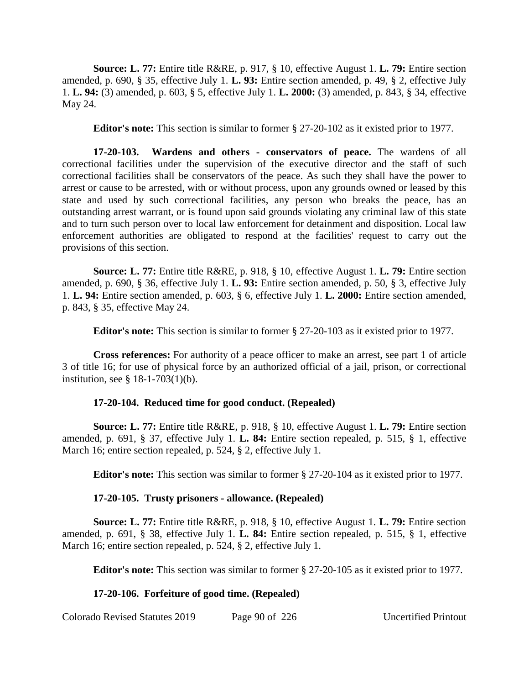**Source: L. 77:** Entire title R&RE, p. 917, § 10, effective August 1. **L. 79:** Entire section amended, p. 690, § 35, effective July 1. **L. 93:** Entire section amended, p. 49, § 2, effective July 1. **L. 94:** (3) amended, p. 603, § 5, effective July 1. **L. 2000:** (3) amended, p. 843, § 34, effective May 24.

**Editor's note:** This section is similar to former § 27-20-102 as it existed prior to 1977.

**17-20-103. Wardens and others - conservators of peace.** The wardens of all correctional facilities under the supervision of the executive director and the staff of such correctional facilities shall be conservators of the peace. As such they shall have the power to arrest or cause to be arrested, with or without process, upon any grounds owned or leased by this state and used by such correctional facilities, any person who breaks the peace, has an outstanding arrest warrant, or is found upon said grounds violating any criminal law of this state and to turn such person over to local law enforcement for detainment and disposition. Local law enforcement authorities are obligated to respond at the facilities' request to carry out the provisions of this section.

**Source: L. 77:** Entire title R&RE, p. 918, § 10, effective August 1. **L. 79:** Entire section amended, p. 690, § 36, effective July 1. **L. 93:** Entire section amended, p. 50, § 3, effective July 1. **L. 94:** Entire section amended, p. 603, § 6, effective July 1. **L. 2000:** Entire section amended, p. 843, § 35, effective May 24.

**Editor's note:** This section is similar to former § 27-20-103 as it existed prior to 1977.

**Cross references:** For authority of a peace officer to make an arrest, see part 1 of article 3 of title 16; for use of physical force by an authorized official of a jail, prison, or correctional institution, see § 18-1-703(1)(b).

# **17-20-104. Reduced time for good conduct. (Repealed)**

**Source: L. 77:** Entire title R&RE, p. 918, § 10, effective August 1. **L. 79:** Entire section amended, p. 691, § 37, effective July 1. **L. 84:** Entire section repealed, p. 515, § 1, effective March 16; entire section repealed, p. 524, § 2, effective July 1.

**Editor's note:** This section was similar to former § 27-20-104 as it existed prior to 1977.

# **17-20-105. Trusty prisoners - allowance. (Repealed)**

**Source: L. 77:** Entire title R&RE, p. 918, § 10, effective August 1. **L. 79:** Entire section amended, p. 691, § 38, effective July 1. **L. 84:** Entire section repealed, p. 515, § 1, effective March 16; entire section repealed, p. 524, § 2, effective July 1.

**Editor's note:** This section was similar to former § 27-20-105 as it existed prior to 1977.

# **17-20-106. Forfeiture of good time. (Repealed)**

Colorado Revised Statutes 2019 Page 90 of 226 Uncertified Printout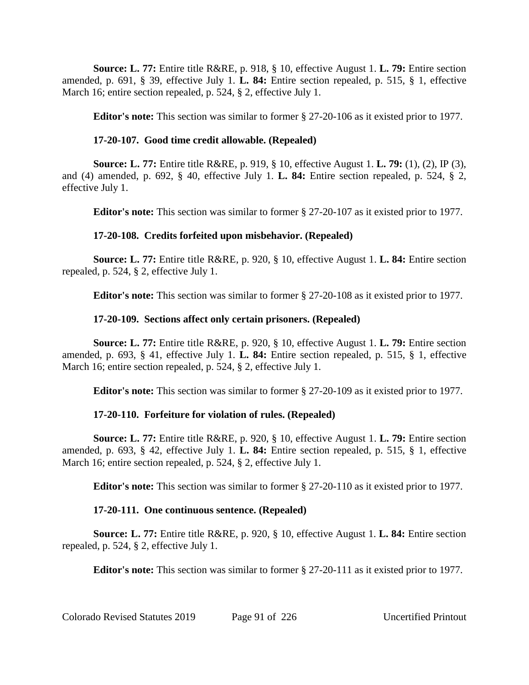**Source: L. 77:** Entire title R&RE, p. 918, § 10, effective August 1. **L. 79:** Entire section amended, p. 691, § 39, effective July 1. **L. 84:** Entire section repealed, p. 515, § 1, effective March 16; entire section repealed, p. 524, § 2, effective July 1.

**Editor's note:** This section was similar to former § 27-20-106 as it existed prior to 1977.

# **17-20-107. Good time credit allowable. (Repealed)**

**Source: L. 77:** Entire title R&RE, p. 919, § 10, effective August 1. **L. 79:** (1), (2), IP (3), and (4) amended, p. 692, § 40, effective July 1. **L. 84:** Entire section repealed, p. 524, § 2, effective July 1.

**Editor's note:** This section was similar to former § 27-20-107 as it existed prior to 1977.

# **17-20-108. Credits forfeited upon misbehavior. (Repealed)**

**Source: L. 77:** Entire title R&RE, p. 920, § 10, effective August 1. **L. 84:** Entire section repealed, p. 524, § 2, effective July 1.

**Editor's note:** This section was similar to former § 27-20-108 as it existed prior to 1977.

# **17-20-109. Sections affect only certain prisoners. (Repealed)**

**Source: L. 77:** Entire title R&RE, p. 920, § 10, effective August 1. **L. 79:** Entire section amended, p. 693, § 41, effective July 1. **L. 84:** Entire section repealed, p. 515, § 1, effective March 16; entire section repealed, p. 524, § 2, effective July 1.

**Editor's note:** This section was similar to former § 27-20-109 as it existed prior to 1977.

# **17-20-110. Forfeiture for violation of rules. (Repealed)**

**Source: L. 77:** Entire title R&RE, p. 920, § 10, effective August 1. **L. 79:** Entire section amended, p. 693, § 42, effective July 1. **L. 84:** Entire section repealed, p. 515, § 1, effective March 16; entire section repealed, p. 524, § 2, effective July 1.

**Editor's note:** This section was similar to former § 27-20-110 as it existed prior to 1977.

# **17-20-111. One continuous sentence. (Repealed)**

**Source: L. 77:** Entire title R&RE, p. 920, § 10, effective August 1. **L. 84:** Entire section repealed, p. 524, § 2, effective July 1.

**Editor's note:** This section was similar to former § 27-20-111 as it existed prior to 1977.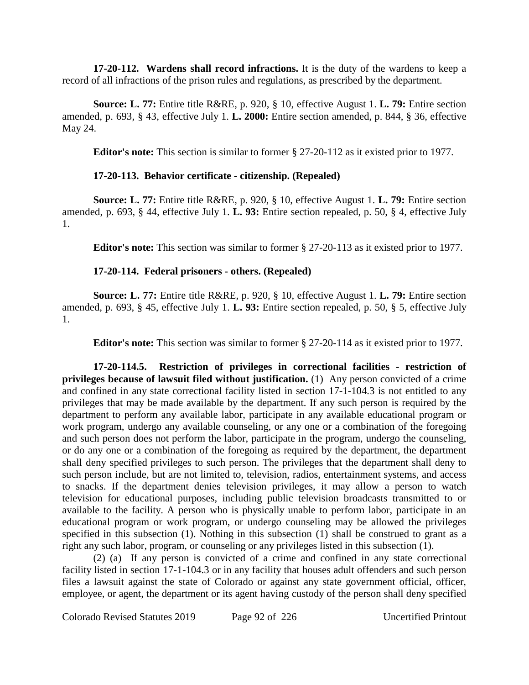**17-20-112. Wardens shall record infractions.** It is the duty of the wardens to keep a record of all infractions of the prison rules and regulations, as prescribed by the department.

**Source: L. 77:** Entire title R&RE, p. 920, § 10, effective August 1. **L. 79:** Entire section amended, p. 693, § 43, effective July 1. **L. 2000:** Entire section amended, p. 844, § 36, effective May 24.

**Editor's note:** This section is similar to former § 27-20-112 as it existed prior to 1977.

# **17-20-113. Behavior certificate - citizenship. (Repealed)**

**Source: L. 77:** Entire title R&RE, p. 920, § 10, effective August 1. **L. 79:** Entire section amended, p. 693, § 44, effective July 1. **L. 93:** Entire section repealed, p. 50, § 4, effective July 1.

**Editor's note:** This section was similar to former § 27-20-113 as it existed prior to 1977.

# **17-20-114. Federal prisoners - others. (Repealed)**

**Source: L. 77:** Entire title R&RE, p. 920, § 10, effective August 1. **L. 79:** Entire section amended, p. 693, § 45, effective July 1. **L. 93:** Entire section repealed, p. 50, § 5, effective July 1.

**Editor's note:** This section was similar to former § 27-20-114 as it existed prior to 1977.

**17-20-114.5. Restriction of privileges in correctional facilities - restriction of privileges because of lawsuit filed without justification.** (1) Any person convicted of a crime and confined in any state correctional facility listed in section 17-1-104.3 is not entitled to any privileges that may be made available by the department. If any such person is required by the department to perform any available labor, participate in any available educational program or work program, undergo any available counseling, or any one or a combination of the foregoing and such person does not perform the labor, participate in the program, undergo the counseling, or do any one or a combination of the foregoing as required by the department, the department shall deny specified privileges to such person. The privileges that the department shall deny to such person include, but are not limited to, television, radios, entertainment systems, and access to snacks. If the department denies television privileges, it may allow a person to watch television for educational purposes, including public television broadcasts transmitted to or available to the facility. A person who is physically unable to perform labor, participate in an educational program or work program, or undergo counseling may be allowed the privileges specified in this subsection (1). Nothing in this subsection (1) shall be construed to grant as a right any such labor, program, or counseling or any privileges listed in this subsection (1).

(2) (a) If any person is convicted of a crime and confined in any state correctional facility listed in section 17-1-104.3 or in any facility that houses adult offenders and such person files a lawsuit against the state of Colorado or against any state government official, officer, employee, or agent, the department or its agent having custody of the person shall deny specified

Colorado Revised Statutes 2019 Page 92 of 226 Uncertified Printout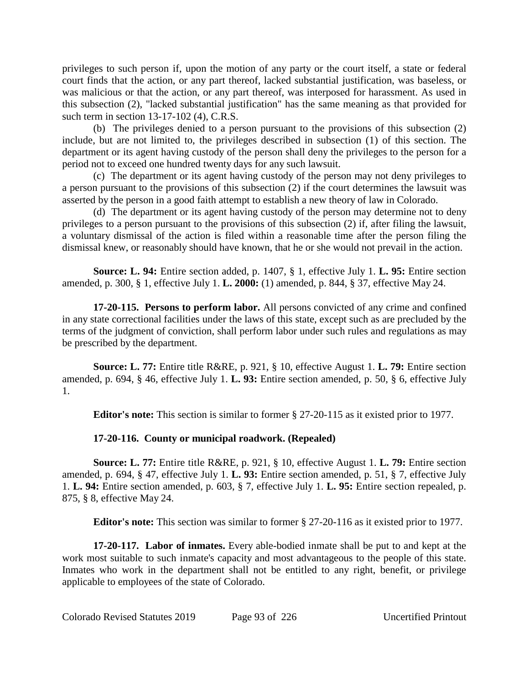privileges to such person if, upon the motion of any party or the court itself, a state or federal court finds that the action, or any part thereof, lacked substantial justification, was baseless, or was malicious or that the action, or any part thereof, was interposed for harassment. As used in this subsection (2), "lacked substantial justification" has the same meaning as that provided for such term in section 13-17-102 (4), C.R.S.

(b) The privileges denied to a person pursuant to the provisions of this subsection (2) include, but are not limited to, the privileges described in subsection (1) of this section. The department or its agent having custody of the person shall deny the privileges to the person for a period not to exceed one hundred twenty days for any such lawsuit.

(c) The department or its agent having custody of the person may not deny privileges to a person pursuant to the provisions of this subsection (2) if the court determines the lawsuit was asserted by the person in a good faith attempt to establish a new theory of law in Colorado.

(d) The department or its agent having custody of the person may determine not to deny privileges to a person pursuant to the provisions of this subsection (2) if, after filing the lawsuit, a voluntary dismissal of the action is filed within a reasonable time after the person filing the dismissal knew, or reasonably should have known, that he or she would not prevail in the action.

**Source: L. 94:** Entire section added, p. 1407, § 1, effective July 1. **L. 95:** Entire section amended, p. 300, § 1, effective July 1. **L. 2000:** (1) amended, p. 844, § 37, effective May 24.

**17-20-115. Persons to perform labor.** All persons convicted of any crime and confined in any state correctional facilities under the laws of this state, except such as are precluded by the terms of the judgment of conviction, shall perform labor under such rules and regulations as may be prescribed by the department.

**Source: L. 77:** Entire title R&RE, p. 921, § 10, effective August 1. **L. 79:** Entire section amended, p. 694, § 46, effective July 1. **L. 93:** Entire section amended, p. 50, § 6, effective July 1.

**Editor's note:** This section is similar to former § 27-20-115 as it existed prior to 1977.

# **17-20-116. County or municipal roadwork. (Repealed)**

**Source: L. 77:** Entire title R&RE, p. 921, § 10, effective August 1. **L. 79:** Entire section amended, p. 694, § 47, effective July 1. **L. 93:** Entire section amended, p. 51, § 7, effective July 1. **L. 94:** Entire section amended, p. 603, § 7, effective July 1. **L. 95:** Entire section repealed, p. 875, § 8, effective May 24.

**Editor's note:** This section was similar to former § 27-20-116 as it existed prior to 1977.

**17-20-117. Labor of inmates.** Every able-bodied inmate shall be put to and kept at the work most suitable to such inmate's capacity and most advantageous to the people of this state. Inmates who work in the department shall not be entitled to any right, benefit, or privilege applicable to employees of the state of Colorado.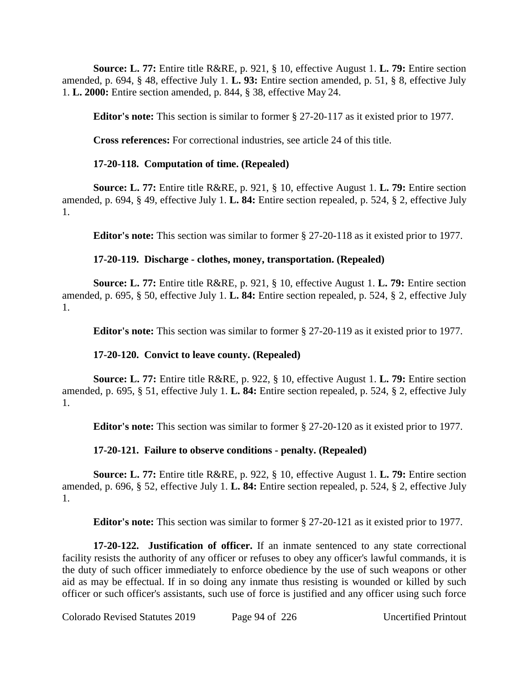**Source: L. 77:** Entire title R&RE, p. 921, § 10, effective August 1. **L. 79:** Entire section amended, p. 694, § 48, effective July 1. **L. 93:** Entire section amended, p. 51, § 8, effective July 1. **L. 2000:** Entire section amended, p. 844, § 38, effective May 24.

**Editor's note:** This section is similar to former § 27-20-117 as it existed prior to 1977.

**Cross references:** For correctional industries, see article 24 of this title.

## **17-20-118. Computation of time. (Repealed)**

**Source: L. 77:** Entire title R&RE, p. 921, § 10, effective August 1. **L. 79:** Entire section amended, p. 694, § 49, effective July 1. **L. 84:** Entire section repealed, p. 524, § 2, effective July 1.

**Editor's note:** This section was similar to former § 27-20-118 as it existed prior to 1977.

## **17-20-119. Discharge - clothes, money, transportation. (Repealed)**

**Source: L. 77:** Entire title R&RE, p. 921, § 10, effective August 1. **L. 79:** Entire section amended, p. 695, § 50, effective July 1. **L. 84:** Entire section repealed, p. 524, § 2, effective July 1.

**Editor's note:** This section was similar to former § 27-20-119 as it existed prior to 1977.

# **17-20-120. Convict to leave county. (Repealed)**

**Source: L. 77:** Entire title R&RE, p. 922, § 10, effective August 1. **L. 79:** Entire section amended, p. 695, § 51, effective July 1. **L. 84:** Entire section repealed, p. 524, § 2, effective July 1.

**Editor's note:** This section was similar to former § 27-20-120 as it existed prior to 1977.

# **17-20-121. Failure to observe conditions - penalty. (Repealed)**

**Source: L. 77:** Entire title R&RE, p. 922, § 10, effective August 1. **L. 79:** Entire section amended, p. 696, § 52, effective July 1. **L. 84:** Entire section repealed, p. 524, § 2, effective July 1.

**Editor's note:** This section was similar to former § 27-20-121 as it existed prior to 1977.

**17-20-122. Justification of officer.** If an inmate sentenced to any state correctional facility resists the authority of any officer or refuses to obey any officer's lawful commands, it is the duty of such officer immediately to enforce obedience by the use of such weapons or other aid as may be effectual. If in so doing any inmate thus resisting is wounded or killed by such officer or such officer's assistants, such use of force is justified and any officer using such force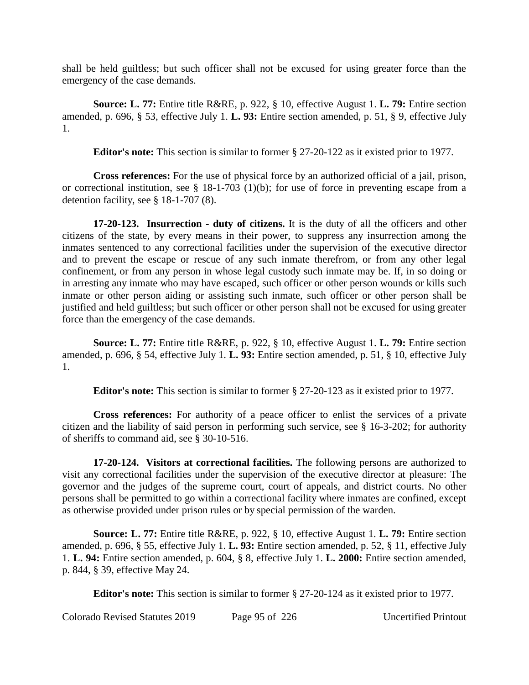shall be held guiltless; but such officer shall not be excused for using greater force than the emergency of the case demands.

**Source: L. 77:** Entire title R&RE, p. 922, § 10, effective August 1. **L. 79:** Entire section amended, p. 696, § 53, effective July 1. **L. 93:** Entire section amended, p. 51, § 9, effective July 1.

**Editor's note:** This section is similar to former § 27-20-122 as it existed prior to 1977.

**Cross references:** For the use of physical force by an authorized official of a jail, prison, or correctional institution, see § 18-1-703 (1)(b); for use of force in preventing escape from a detention facility, see § 18-1-707 (8).

**17-20-123. Insurrection - duty of citizens.** It is the duty of all the officers and other citizens of the state, by every means in their power, to suppress any insurrection among the inmates sentenced to any correctional facilities under the supervision of the executive director and to prevent the escape or rescue of any such inmate therefrom, or from any other legal confinement, or from any person in whose legal custody such inmate may be. If, in so doing or in arresting any inmate who may have escaped, such officer or other person wounds or kills such inmate or other person aiding or assisting such inmate, such officer or other person shall be justified and held guiltless; but such officer or other person shall not be excused for using greater force than the emergency of the case demands.

**Source: L. 77:** Entire title R&RE, p. 922, § 10, effective August 1. **L. 79:** Entire section amended, p. 696, § 54, effective July 1. **L. 93:** Entire section amended, p. 51, § 10, effective July 1.

**Editor's note:** This section is similar to former § 27-20-123 as it existed prior to 1977.

**Cross references:** For authority of a peace officer to enlist the services of a private citizen and the liability of said person in performing such service, see § 16-3-202; for authority of sheriffs to command aid, see § 30-10-516.

**17-20-124. Visitors at correctional facilities.** The following persons are authorized to visit any correctional facilities under the supervision of the executive director at pleasure: The governor and the judges of the supreme court, court of appeals, and district courts. No other persons shall be permitted to go within a correctional facility where inmates are confined, except as otherwise provided under prison rules or by special permission of the warden.

**Source: L. 77:** Entire title R&RE, p. 922, § 10, effective August 1. **L. 79:** Entire section amended, p. 696, § 55, effective July 1. **L. 93:** Entire section amended, p. 52, § 11, effective July 1. **L. 94:** Entire section amended, p. 604, § 8, effective July 1. **L. 2000:** Entire section amended, p. 844, § 39, effective May 24.

**Editor's note:** This section is similar to former § 27-20-124 as it existed prior to 1977.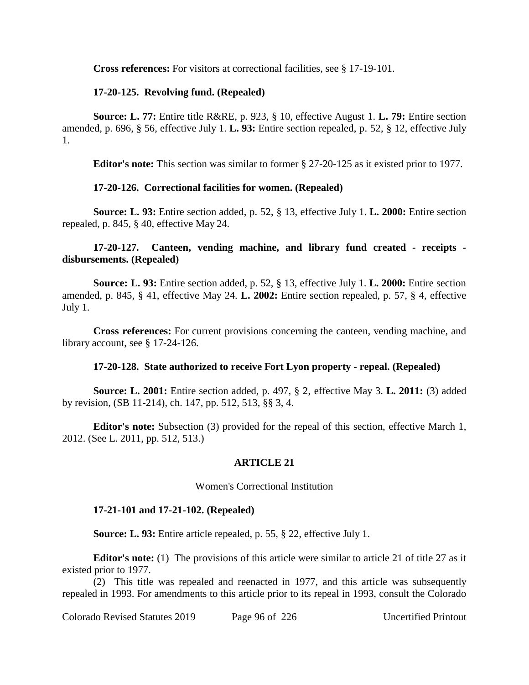**Cross references:** For visitors at correctional facilities, see § 17-19-101.

### **17-20-125. Revolving fund. (Repealed)**

**Source: L. 77:** Entire title R&RE, p. 923, § 10, effective August 1. **L. 79:** Entire section amended, p. 696, § 56, effective July 1. **L. 93:** Entire section repealed, p. 52, § 12, effective July 1.

**Editor's note:** This section was similar to former § 27-20-125 as it existed prior to 1977.

## **17-20-126. Correctional facilities for women. (Repealed)**

**Source: L. 93:** Entire section added, p. 52, § 13, effective July 1. **L. 2000:** Entire section repealed, p. 845, § 40, effective May 24.

## **17-20-127. Canteen, vending machine, and library fund created - receipts disbursements. (Repealed)**

**Source: L. 93:** Entire section added, p. 52, § 13, effective July 1. **L. 2000:** Entire section amended, p. 845, § 41, effective May 24. **L. 2002:** Entire section repealed, p. 57, § 4, effective July 1.

**Cross references:** For current provisions concerning the canteen, vending machine, and library account, see § 17-24-126.

### **17-20-128. State authorized to receive Fort Lyon property - repeal. (Repealed)**

**Source: L. 2001:** Entire section added, p. 497, § 2, effective May 3. **L. 2011:** (3) added by revision, (SB 11-214), ch. 147, pp. 512, 513, §§ 3, 4.

**Editor's note:** Subsection (3) provided for the repeal of this section, effective March 1, 2012. (See L. 2011, pp. 512, 513.)

### **ARTICLE 21**

### Women's Correctional Institution

### **17-21-101 and 17-21-102. (Repealed)**

**Source: L. 93:** Entire article repealed, p. 55, § 22, effective July 1.

**Editor's note:** (1) The provisions of this article were similar to article 21 of title 27 as it existed prior to 1977.

(2) This title was repealed and reenacted in 1977, and this article was subsequently repealed in 1993. For amendments to this article prior to its repeal in 1993, consult the Colorado

Colorado Revised Statutes 2019 Page 96 of 226 Uncertified Printout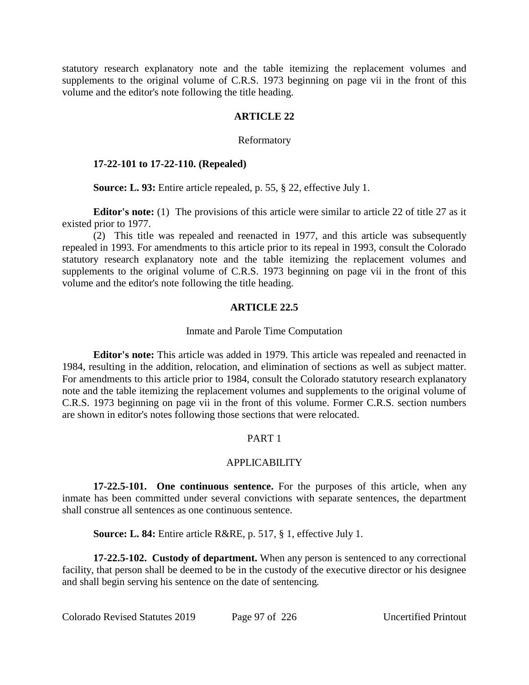statutory research explanatory note and the table itemizing the replacement volumes and supplements to the original volume of C.R.S. 1973 beginning on page vii in the front of this volume and the editor's note following the title heading.

### **ARTICLE 22**

### Reformatory

### **17-22-101 to 17-22-110. (Repealed)**

**Source: L. 93:** Entire article repealed, p. 55, § 22, effective July 1.

**Editor's note:** (1) The provisions of this article were similar to article 22 of title 27 as it existed prior to 1977.

(2) This title was repealed and reenacted in 1977, and this article was subsequently repealed in 1993. For amendments to this article prior to its repeal in 1993, consult the Colorado statutory research explanatory note and the table itemizing the replacement volumes and supplements to the original volume of C.R.S. 1973 beginning on page vii in the front of this volume and the editor's note following the title heading.

# **ARTICLE 22.5**

### Inmate and Parole Time Computation

**Editor's note:** This article was added in 1979. This article was repealed and reenacted in 1984, resulting in the addition, relocation, and elimination of sections as well as subject matter. For amendments to this article prior to 1984, consult the Colorado statutory research explanatory note and the table itemizing the replacement volumes and supplements to the original volume of C.R.S. 1973 beginning on page vii in the front of this volume. Former C.R.S. section numbers are shown in editor's notes following those sections that were relocated.

### PART 1

### APPLICABILITY

**17-22.5-101. One continuous sentence.** For the purposes of this article, when any inmate has been committed under several convictions with separate sentences, the department shall construe all sentences as one continuous sentence.

**Source: L. 84:** Entire article R&RE, p. 517, § 1, effective July 1.

**17-22.5-102. Custody of department.** When any person is sentenced to any correctional facility, that person shall be deemed to be in the custody of the executive director or his designee and shall begin serving his sentence on the date of sentencing.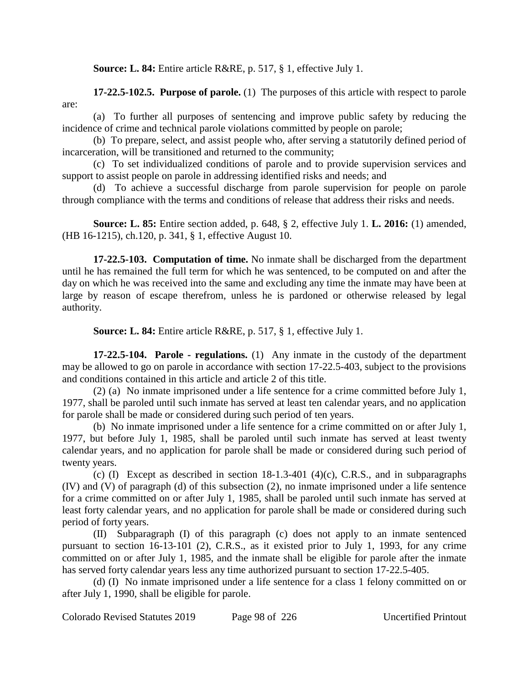**Source: L. 84:** Entire article R&RE, p. 517, § 1, effective July 1.

**17-22.5-102.5. Purpose of parole.** (1) The purposes of this article with respect to parole are:

(a) To further all purposes of sentencing and improve public safety by reducing the incidence of crime and technical parole violations committed by people on parole;

(b) To prepare, select, and assist people who, after serving a statutorily defined period of incarceration, will be transitioned and returned to the community;

(c) To set individualized conditions of parole and to provide supervision services and support to assist people on parole in addressing identified risks and needs; and

(d) To achieve a successful discharge from parole supervision for people on parole through compliance with the terms and conditions of release that address their risks and needs.

**Source: L. 85:** Entire section added, p. 648, § 2, effective July 1. **L. 2016:** (1) amended, (HB 16-1215), ch.120, p. 341, § 1, effective August 10.

**17-22.5-103. Computation of time.** No inmate shall be discharged from the department until he has remained the full term for which he was sentenced, to be computed on and after the day on which he was received into the same and excluding any time the inmate may have been at large by reason of escape therefrom, unless he is pardoned or otherwise released by legal authority.

**Source: L. 84:** Entire article R&RE, p. 517, § 1, effective July 1.

**17-22.5-104. Parole - regulations.** (1) Any inmate in the custody of the department may be allowed to go on parole in accordance with section 17-22.5-403, subject to the provisions and conditions contained in this article and article 2 of this title.

(2) (a) No inmate imprisoned under a life sentence for a crime committed before July 1, 1977, shall be paroled until such inmate has served at least ten calendar years, and no application for parole shall be made or considered during such period of ten years.

(b) No inmate imprisoned under a life sentence for a crime committed on or after July 1, 1977, but before July 1, 1985, shall be paroled until such inmate has served at least twenty calendar years, and no application for parole shall be made or considered during such period of twenty years.

(c) (I) Except as described in section  $18-1.3-401$  (4)(c), C.R.S., and in subparagraphs (IV) and (V) of paragraph (d) of this subsection (2), no inmate imprisoned under a life sentence for a crime committed on or after July 1, 1985, shall be paroled until such inmate has served at least forty calendar years, and no application for parole shall be made or considered during such period of forty years.

(II) Subparagraph (I) of this paragraph (c) does not apply to an inmate sentenced pursuant to section 16-13-101 (2), C.R.S., as it existed prior to July 1, 1993, for any crime committed on or after July 1, 1985, and the inmate shall be eligible for parole after the inmate has served forty calendar years less any time authorized pursuant to section 17-22.5-405.

(d) (I) No inmate imprisoned under a life sentence for a class 1 felony committed on or after July 1, 1990, shall be eligible for parole.

Colorado Revised Statutes 2019 Page 98 of 226 Uncertified Printout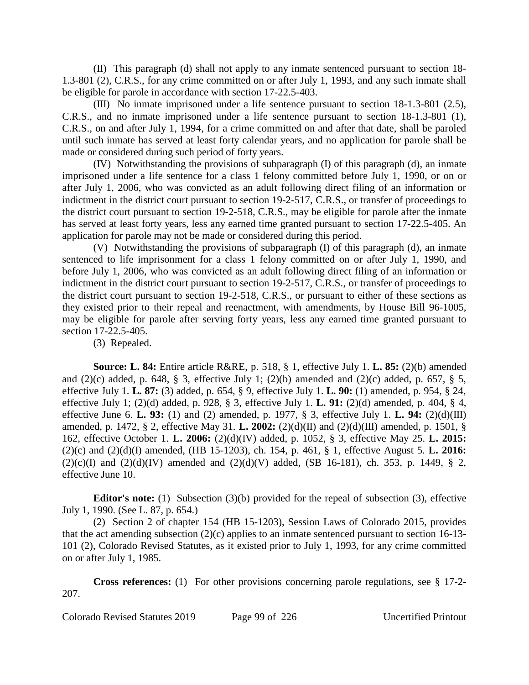(II) This paragraph (d) shall not apply to any inmate sentenced pursuant to section 18- 1.3-801 (2), C.R.S., for any crime committed on or after July 1, 1993, and any such inmate shall be eligible for parole in accordance with section 17-22.5-403.

(III) No inmate imprisoned under a life sentence pursuant to section 18-1.3-801 (2.5), C.R.S., and no inmate imprisoned under a life sentence pursuant to section 18-1.3-801 (1), C.R.S., on and after July 1, 1994, for a crime committed on and after that date, shall be paroled until such inmate has served at least forty calendar years, and no application for parole shall be made or considered during such period of forty years.

(IV) Notwithstanding the provisions of subparagraph (I) of this paragraph (d), an inmate imprisoned under a life sentence for a class 1 felony committed before July 1, 1990, or on or after July 1, 2006, who was convicted as an adult following direct filing of an information or indictment in the district court pursuant to section 19-2-517, C.R.S., or transfer of proceedings to the district court pursuant to section 19-2-518, C.R.S., may be eligible for parole after the inmate has served at least forty years, less any earned time granted pursuant to section 17-22.5-405. An application for parole may not be made or considered during this period.

(V) Notwithstanding the provisions of subparagraph (I) of this paragraph (d), an inmate sentenced to life imprisonment for a class 1 felony committed on or after July 1, 1990, and before July 1, 2006, who was convicted as an adult following direct filing of an information or indictment in the district court pursuant to section 19-2-517, C.R.S., or transfer of proceedings to the district court pursuant to section 19-2-518, C.R.S., or pursuant to either of these sections as they existed prior to their repeal and reenactment, with amendments, by House Bill 96-1005, may be eligible for parole after serving forty years, less any earned time granted pursuant to section 17-22.5-405.

(3) Repealed.

**Source: L. 84:** Entire article R&RE, p. 518, § 1, effective July 1. **L. 85:** (2)(b) amended and  $(2)(c)$  added, p. 648, § 3, effective July 1;  $(2)(b)$  amended and  $(2)(c)$  added, p. 657, § 5, effective July 1. **L. 87:** (3) added, p. 654, § 9, effective July 1. **L. 90:** (1) amended, p. 954, § 24, effective July 1; (2)(d) added, p. 928, § 3, effective July 1. **L. 91:** (2)(d) amended, p. 404, § 4, effective June 6. **L. 93:** (1) and (2) amended, p. 1977, § 3, effective July 1. **L. 94:** (2)(d)(III) amended, p. 1472, § 2, effective May 31. **L. 2002:** (2)(d)(II) and (2)(d)(III) amended, p. 1501, § 162, effective October 1. **L. 2006:** (2)(d)(IV) added, p. 1052, § 3, effective May 25. **L. 2015:** (2)(c) and (2)(d)(I) amended, (HB 15-1203), ch. 154, p. 461, § 1, effective August 5. **L. 2016:**  $(2)(c)(I)$  and  $(2)(d)(IV)$  amended and  $(2)(d)(V)$  added, (SB 16-181), ch. 353, p. 1449, § 2, effective June 10.

**Editor's note:** (1) Subsection (3)(b) provided for the repeal of subsection (3), effective July 1, 1990. (See L. 87, p. 654.)

(2) Section 2 of chapter 154 (HB 15-1203), Session Laws of Colorado 2015, provides that the act amending subsection (2)(c) applies to an inmate sentenced pursuant to section 16-13- 101 (2), Colorado Revised Statutes, as it existed prior to July 1, 1993, for any crime committed on or after July 1, 1985.

**Cross references:** (1) For other provisions concerning parole regulations, see § 17-2- 207.

Colorado Revised Statutes 2019 Page 99 of 226 Uncertified Printout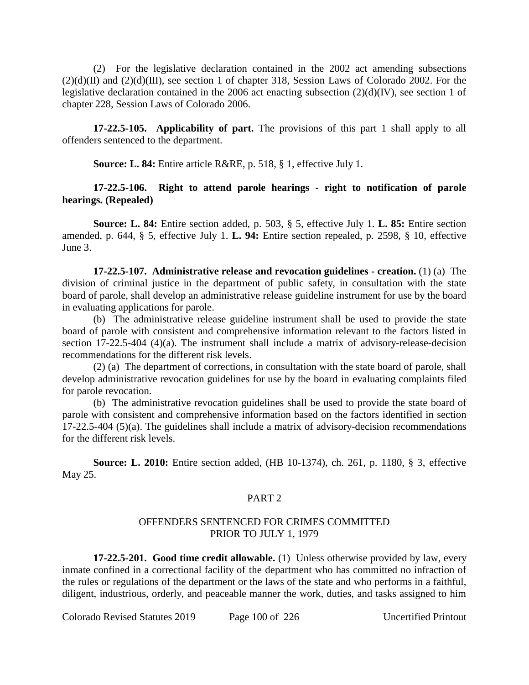(2) For the legislative declaration contained in the 2002 act amending subsections  $(2)(d)(II)$  and  $(2)(d)(III)$ , see section 1 of chapter 318, Session Laws of Colorado 2002. For the legislative declaration contained in the 2006 act enacting subsection (2)(d)(IV), see section 1 of chapter 228, Session Laws of Colorado 2006.

**17-22.5-105. Applicability of part.** The provisions of this part 1 shall apply to all offenders sentenced to the department.

**Source: L. 84:** Entire article R&RE, p. 518, § 1, effective July 1.

### **17-22.5-106. Right to attend parole hearings - right to notification of parole hearings. (Repealed)**

**Source: L. 84:** Entire section added, p. 503, § 5, effective July 1. **L. 85:** Entire section amended, p. 644, § 5, effective July 1. **L. 94:** Entire section repealed, p. 2598, § 10, effective June 3.

**17-22.5-107. Administrative release and revocation guidelines - creation.** (1) (a) The division of criminal justice in the department of public safety, in consultation with the state board of parole, shall develop an administrative release guideline instrument for use by the board in evaluating applications for parole.

(b) The administrative release guideline instrument shall be used to provide the state board of parole with consistent and comprehensive information relevant to the factors listed in section  $17-22.5-404$  (4)(a). The instrument shall include a matrix of advisory-release-decision recommendations for the different risk levels.

(2) (a) The department of corrections, in consultation with the state board of parole, shall develop administrative revocation guidelines for use by the board in evaluating complaints filed for parole revocation.

(b) The administrative revocation guidelines shall be used to provide the state board of parole with consistent and comprehensive information based on the factors identified in section 17-22.5-404 (5)(a). The guidelines shall include a matrix of advisory-decision recommendations for the different risk levels.

**Source: L. 2010:** Entire section added, (HB 10-1374), ch. 261, p. 1180, § 3, effective May 25.

### PART<sub>2</sub>

### OFFENDERS SENTENCED FOR CRIMES COMMITTED PRIOR TO JULY 1, 1979

**17-22.5-201. Good time credit allowable.** (1) Unless otherwise provided by law, every inmate confined in a correctional facility of the department who has committed no infraction of the rules or regulations of the department or the laws of the state and who performs in a faithful, diligent, industrious, orderly, and peaceable manner the work, duties, and tasks assigned to him

Colorado Revised Statutes 2019 Page 100 of 226 Uncertified Printout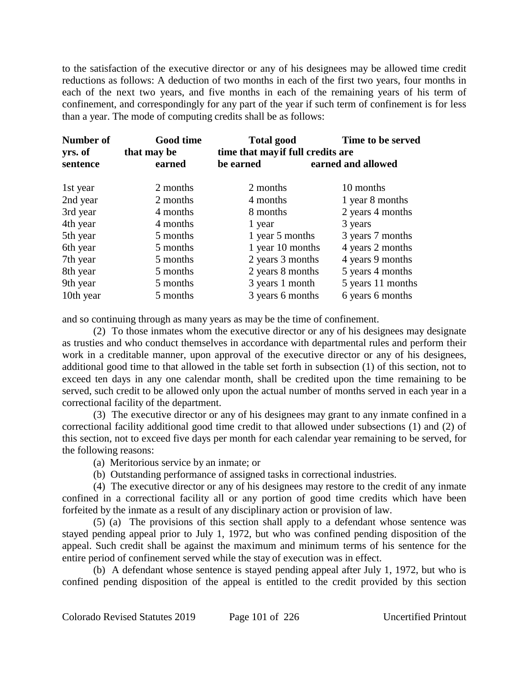to the satisfaction of the executive director or any of his designees may be allowed time credit reductions as follows: A deduction of two months in each of the first two years, four months in each of the next two years, and five months in each of the remaining years of his term of confinement, and correspondingly for any part of the year if such term of confinement is for less than a year. The mode of computing credits shall be as follows:

| Number of<br>yrs. of | <b>Good time</b><br>that may be | Time to be served<br><b>Total good</b><br>time that may if full credits are |                    |
|----------------------|---------------------------------|-----------------------------------------------------------------------------|--------------------|
| sentence             | earned                          | be earned                                                                   | earned and allowed |
| 1st year             | 2 months                        | 2 months                                                                    | 10 months          |
| 2nd year             | 2 months                        | 4 months                                                                    | 1 year 8 months    |
| 3rd year             | 4 months                        | 8 months                                                                    | 2 years 4 months   |
| 4th year             | 4 months                        | 1 year                                                                      | 3 years            |
| 5th year             | 5 months                        | 1 year 5 months                                                             | 3 years 7 months   |
| 6th year             | 5 months                        | 1 year 10 months                                                            | 4 years 2 months   |
| 7th year             | 5 months                        | 2 years 3 months                                                            | 4 years 9 months   |
| 8th year             | 5 months                        | 2 years 8 months                                                            | 5 years 4 months   |
| 9th year             | 5 months                        | 3 years 1 month                                                             | 5 years 11 months  |
| 10th year            | 5 months                        | 3 years 6 months                                                            | 6 years 6 months   |

and so continuing through as many years as may be the time of confinement.

(2) To those inmates whom the executive director or any of his designees may designate as trusties and who conduct themselves in accordance with departmental rules and perform their work in a creditable manner, upon approval of the executive director or any of his designees, additional good time to that allowed in the table set forth in subsection (1) of this section, not to exceed ten days in any one calendar month, shall be credited upon the time remaining to be served, such credit to be allowed only upon the actual number of months served in each year in a correctional facility of the department.

(3) The executive director or any of his designees may grant to any inmate confined in a correctional facility additional good time credit to that allowed under subsections (1) and (2) of this section, not to exceed five days per month for each calendar year remaining to be served, for the following reasons:

- (a) Meritorious service by an inmate; or
- (b) Outstanding performance of assigned tasks in correctional industries.

(4) The executive director or any of his designees may restore to the credit of any inmate confined in a correctional facility all or any portion of good time credits which have been forfeited by the inmate as a result of any disciplinary action or provision of law.

(5) (a) The provisions of this section shall apply to a defendant whose sentence was stayed pending appeal prior to July 1, 1972, but who was confined pending disposition of the appeal. Such credit shall be against the maximum and minimum terms of his sentence for the entire period of confinement served while the stay of execution was in effect.

(b) A defendant whose sentence is stayed pending appeal after July 1, 1972, but who is confined pending disposition of the appeal is entitled to the credit provided by this section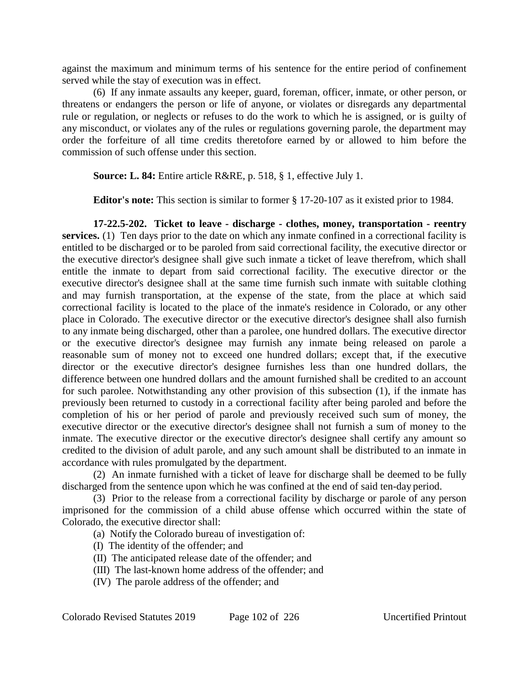against the maximum and minimum terms of his sentence for the entire period of confinement served while the stay of execution was in effect.

(6) If any inmate assaults any keeper, guard, foreman, officer, inmate, or other person, or threatens or endangers the person or life of anyone, or violates or disregards any departmental rule or regulation, or neglects or refuses to do the work to which he is assigned, or is guilty of any misconduct, or violates any of the rules or regulations governing parole, the department may order the forfeiture of all time credits theretofore earned by or allowed to him before the commission of such offense under this section.

**Source: L. 84:** Entire article R&RE, p. 518, § 1, effective July 1.

**Editor's note:** This section is similar to former § 17-20-107 as it existed prior to 1984.

**17-22.5-202. Ticket to leave - discharge - clothes, money, transportation - reentry services.** (1) Ten days prior to the date on which any inmate confined in a correctional facility is entitled to be discharged or to be paroled from said correctional facility, the executive director or the executive director's designee shall give such inmate a ticket of leave therefrom, which shall entitle the inmate to depart from said correctional facility. The executive director or the executive director's designee shall at the same time furnish such inmate with suitable clothing and may furnish transportation, at the expense of the state, from the place at which said correctional facility is located to the place of the inmate's residence in Colorado, or any other place in Colorado. The executive director or the executive director's designee shall also furnish to any inmate being discharged, other than a parolee, one hundred dollars. The executive director or the executive director's designee may furnish any inmate being released on parole a reasonable sum of money not to exceed one hundred dollars; except that, if the executive director or the executive director's designee furnishes less than one hundred dollars, the difference between one hundred dollars and the amount furnished shall be credited to an account for such parolee. Notwithstanding any other provision of this subsection (1), if the inmate has previously been returned to custody in a correctional facility after being paroled and before the completion of his or her period of parole and previously received such sum of money, the executive director or the executive director's designee shall not furnish a sum of money to the inmate. The executive director or the executive director's designee shall certify any amount so credited to the division of adult parole, and any such amount shall be distributed to an inmate in accordance with rules promulgated by the department.

(2) An inmate furnished with a ticket of leave for discharge shall be deemed to be fully discharged from the sentence upon which he was confined at the end of said ten-day period.

(3) Prior to the release from a correctional facility by discharge or parole of any person imprisoned for the commission of a child abuse offense which occurred within the state of Colorado, the executive director shall:

- (a) Notify the Colorado bureau of investigation of:
- (I) The identity of the offender; and
- (II) The anticipated release date of the offender; and
- (III) The last-known home address of the offender; and
- (IV) The parole address of the offender; and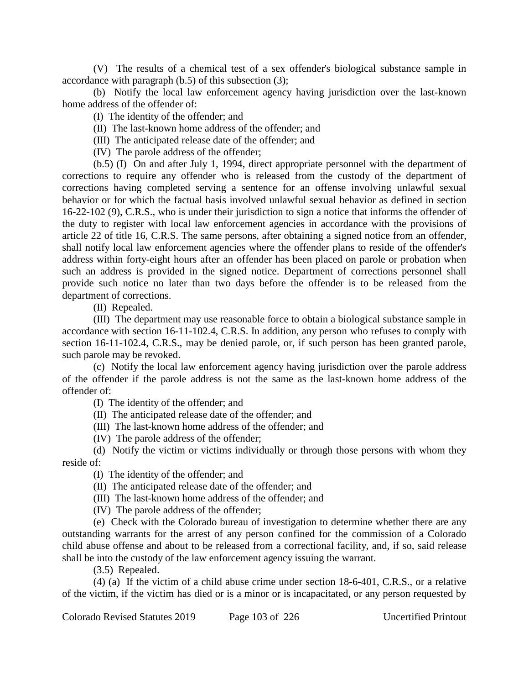(V) The results of a chemical test of a sex offender's biological substance sample in accordance with paragraph (b.5) of this subsection (3);

(b) Notify the local law enforcement agency having jurisdiction over the last-known home address of the offender of:

(I) The identity of the offender; and

(II) The last-known home address of the offender; and

(III) The anticipated release date of the offender; and

(IV) The parole address of the offender;

(b.5) (I) On and after July 1, 1994, direct appropriate personnel with the department of corrections to require any offender who is released from the custody of the department of corrections having completed serving a sentence for an offense involving unlawful sexual behavior or for which the factual basis involved unlawful sexual behavior as defined in section 16-22-102 (9), C.R.S., who is under their jurisdiction to sign a notice that informs the offender of the duty to register with local law enforcement agencies in accordance with the provisions of article 22 of title 16, C.R.S. The same persons, after obtaining a signed notice from an offender, shall notify local law enforcement agencies where the offender plans to reside of the offender's address within forty-eight hours after an offender has been placed on parole or probation when such an address is provided in the signed notice. Department of corrections personnel shall provide such notice no later than two days before the offender is to be released from the department of corrections.

(II) Repealed.

(III) The department may use reasonable force to obtain a biological substance sample in accordance with section 16-11-102.4, C.R.S. In addition, any person who refuses to comply with section 16-11-102.4, C.R.S., may be denied parole, or, if such person has been granted parole, such parole may be revoked.

(c) Notify the local law enforcement agency having jurisdiction over the parole address of the offender if the parole address is not the same as the last-known home address of the offender of:

(I) The identity of the offender; and

(II) The anticipated release date of the offender; and

(III) The last-known home address of the offender; and

(IV) The parole address of the offender;

(d) Notify the victim or victims individually or through those persons with whom they reside of:

(I) The identity of the offender; and

(II) The anticipated release date of the offender; and

(III) The last-known home address of the offender; and

(IV) The parole address of the offender;

(e) Check with the Colorado bureau of investigation to determine whether there are any outstanding warrants for the arrest of any person confined for the commission of a Colorado child abuse offense and about to be released from a correctional facility, and, if so, said release shall be into the custody of the law enforcement agency issuing the warrant.

(3.5) Repealed.

(4) (a) If the victim of a child abuse crime under section 18-6-401, C.R.S., or a relative of the victim, if the victim has died or is a minor or is incapacitated, or any person requested by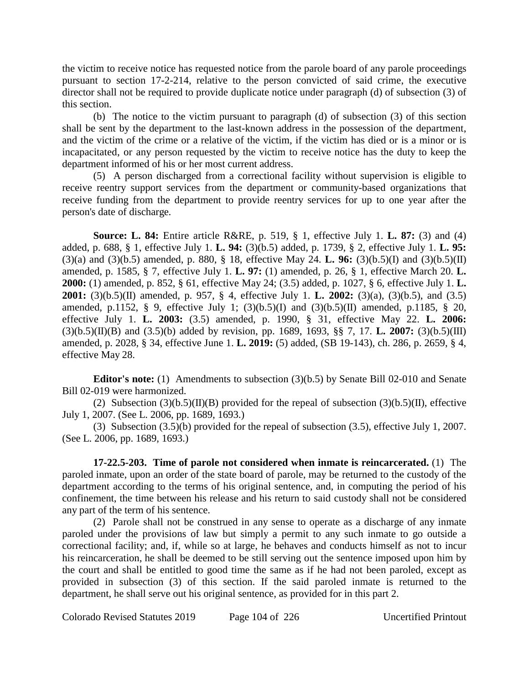the victim to receive notice has requested notice from the parole board of any parole proceedings pursuant to section 17-2-214, relative to the person convicted of said crime, the executive director shall not be required to provide duplicate notice under paragraph (d) of subsection (3) of this section.

(b) The notice to the victim pursuant to paragraph (d) of subsection (3) of this section shall be sent by the department to the last-known address in the possession of the department, and the victim of the crime or a relative of the victim, if the victim has died or is a minor or is incapacitated, or any person requested by the victim to receive notice has the duty to keep the department informed of his or her most current address.

(5) A person discharged from a correctional facility without supervision is eligible to receive reentry support services from the department or community-based organizations that receive funding from the department to provide reentry services for up to one year after the person's date of discharge.

**Source: L. 84:** Entire article R&RE, p. 519, § 1, effective July 1. **L. 87:** (3) and (4) added, p. 688, § 1, effective July 1. **L. 94:** (3)(b.5) added, p. 1739, § 2, effective July 1. **L. 95:** (3)(a) and (3)(b.5) amended, p. 880, § 18, effective May 24. **L. 96:** (3)(b.5)(I) and (3)(b.5)(II) amended, p. 1585, § 7, effective July 1. **L. 97:** (1) amended, p. 26, § 1, effective March 20. **L. 2000:** (1) amended, p. 852, § 61, effective May 24; (3.5) added, p. 1027, § 6, effective July 1. **L. 2001:** (3)(b.5)(II) amended, p. 957, § 4, effective July 1. **L. 2002:** (3)(a), (3)(b.5), and (3.5) amended, p.1152, § 9, effective July 1;  $(3)(b.5)(I)$  and  $(3)(b.5)(II)$  amended, p.1185, § 20, effective July 1. **L. 2003:** (3.5) amended, p. 1990, § 31, effective May 22. **L. 2006:** (3)(b.5)(II)(B) and (3.5)(b) added by revision, pp. 1689, 1693, §§ 7, 17. **L. 2007:** (3)(b.5)(III) amended, p. 2028, § 34, effective June 1. **L. 2019:** (5) added, (SB 19-143), ch. 286, p. 2659, § 4, effective May 28.

**Editor's note:** (1) Amendments to subsection (3)(b.5) by Senate Bill 02-010 and Senate Bill 02-019 were harmonized.

(2) Subsection  $(3)(b.5)(II)(B)$  provided for the repeal of subsection  $(3)(b.5)(II)$ , effective July 1, 2007. (See L. 2006, pp. 1689, 1693.)

(3) Subsection (3.5)(b) provided for the repeal of subsection (3.5), effective July 1, 2007. (See L. 2006, pp. 1689, 1693.)

**17-22.5-203. Time of parole not considered when inmate is reincarcerated.** (1) The paroled inmate, upon an order of the state board of parole, may be returned to the custody of the department according to the terms of his original sentence, and, in computing the period of his confinement, the time between his release and his return to said custody shall not be considered any part of the term of his sentence.

(2) Parole shall not be construed in any sense to operate as a discharge of any inmate paroled under the provisions of law but simply a permit to any such inmate to go outside a correctional facility; and, if, while so at large, he behaves and conducts himself as not to incur his reincarceration, he shall be deemed to be still serving out the sentence imposed upon him by the court and shall be entitled to good time the same as if he had not been paroled, except as provided in subsection (3) of this section. If the said paroled inmate is returned to the department, he shall serve out his original sentence, as provided for in this part 2.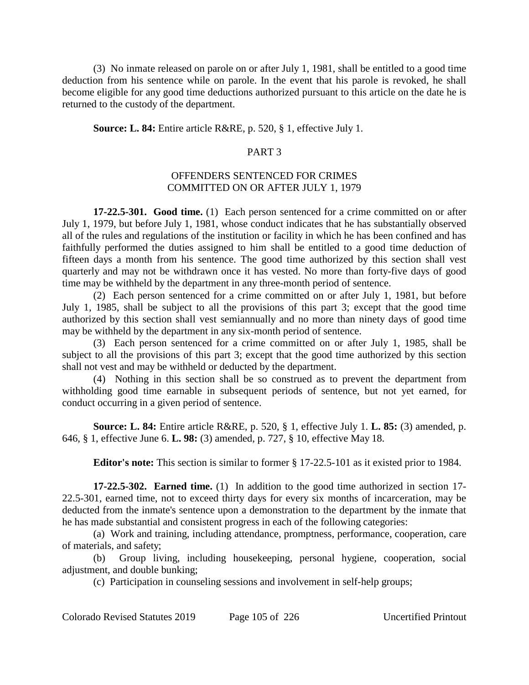(3) No inmate released on parole on or after July 1, 1981, shall be entitled to a good time deduction from his sentence while on parole. In the event that his parole is revoked, he shall become eligible for any good time deductions authorized pursuant to this article on the date he is returned to the custody of the department.

#### **Source: L. 84:** Entire article R&RE, p. 520, § 1, effective July 1.

## PART 3

## OFFENDERS SENTENCED FOR CRIMES COMMITTED ON OR AFTER JULY 1, 1979

**17-22.5-301. Good time.** (1) Each person sentenced for a crime committed on or after July 1, 1979, but before July 1, 1981, whose conduct indicates that he has substantially observed all of the rules and regulations of the institution or facility in which he has been confined and has faithfully performed the duties assigned to him shall be entitled to a good time deduction of fifteen days a month from his sentence. The good time authorized by this section shall vest quarterly and may not be withdrawn once it has vested. No more than forty-five days of good time may be withheld by the department in any three-month period of sentence.

(2) Each person sentenced for a crime committed on or after July 1, 1981, but before July 1, 1985, shall be subject to all the provisions of this part 3; except that the good time authorized by this section shall vest semiannually and no more than ninety days of good time may be withheld by the department in any six-month period of sentence.

(3) Each person sentenced for a crime committed on or after July 1, 1985, shall be subject to all the provisions of this part 3; except that the good time authorized by this section shall not vest and may be withheld or deducted by the department.

(4) Nothing in this section shall be so construed as to prevent the department from withholding good time earnable in subsequent periods of sentence, but not yet earned, for conduct occurring in a given period of sentence.

**Source: L. 84:** Entire article R&RE, p. 520, § 1, effective July 1. **L. 85:** (3) amended, p. 646, § 1, effective June 6. **L. 98:** (3) amended, p. 727, § 10, effective May 18.

**Editor's note:** This section is similar to former § 17-22.5-101 as it existed prior to 1984.

**17-22.5-302. Earned time.** (1) In addition to the good time authorized in section 17- 22.5-301, earned time, not to exceed thirty days for every six months of incarceration, may be deducted from the inmate's sentence upon a demonstration to the department by the inmate that he has made substantial and consistent progress in each of the following categories:

(a) Work and training, including attendance, promptness, performance, cooperation, care of materials, and safety;

(b) Group living, including housekeeping, personal hygiene, cooperation, social adjustment, and double bunking;

(c) Participation in counseling sessions and involvement in self-help groups;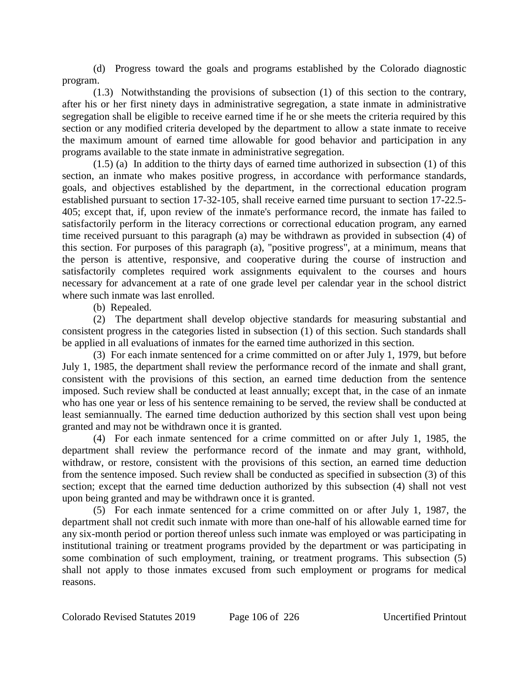(d) Progress toward the goals and programs established by the Colorado diagnostic program.

(1.3) Notwithstanding the provisions of subsection (1) of this section to the contrary, after his or her first ninety days in administrative segregation, a state inmate in administrative segregation shall be eligible to receive earned time if he or she meets the criteria required by this section or any modified criteria developed by the department to allow a state inmate to receive the maximum amount of earned time allowable for good behavior and participation in any programs available to the state inmate in administrative segregation.

(1.5) (a) In addition to the thirty days of earned time authorized in subsection (1) of this section, an inmate who makes positive progress, in accordance with performance standards, goals, and objectives established by the department, in the correctional education program established pursuant to section 17-32-105, shall receive earned time pursuant to section 17-22.5- 405; except that, if, upon review of the inmate's performance record, the inmate has failed to satisfactorily perform in the literacy corrections or correctional education program, any earned time received pursuant to this paragraph (a) may be withdrawn as provided in subsection (4) of this section. For purposes of this paragraph (a), "positive progress", at a minimum, means that the person is attentive, responsive, and cooperative during the course of instruction and satisfactorily completes required work assignments equivalent to the courses and hours necessary for advancement at a rate of one grade level per calendar year in the school district where such inmate was last enrolled.

(b) Repealed.

(2) The department shall develop objective standards for measuring substantial and consistent progress in the categories listed in subsection (1) of this section. Such standards shall be applied in all evaluations of inmates for the earned time authorized in this section.

(3) For each inmate sentenced for a crime committed on or after July 1, 1979, but before July 1, 1985, the department shall review the performance record of the inmate and shall grant, consistent with the provisions of this section, an earned time deduction from the sentence imposed. Such review shall be conducted at least annually; except that, in the case of an inmate who has one year or less of his sentence remaining to be served, the review shall be conducted at least semiannually. The earned time deduction authorized by this section shall vest upon being granted and may not be withdrawn once it is granted.

(4) For each inmate sentenced for a crime committed on or after July 1, 1985, the department shall review the performance record of the inmate and may grant, withhold, withdraw, or restore, consistent with the provisions of this section, an earned time deduction from the sentence imposed. Such review shall be conducted as specified in subsection (3) of this section; except that the earned time deduction authorized by this subsection (4) shall not vest upon being granted and may be withdrawn once it is granted.

(5) For each inmate sentenced for a crime committed on or after July 1, 1987, the department shall not credit such inmate with more than one-half of his allowable earned time for any six-month period or portion thereof unless such inmate was employed or was participating in institutional training or treatment programs provided by the department or was participating in some combination of such employment, training, or treatment programs. This subsection (5) shall not apply to those inmates excused from such employment or programs for medical reasons.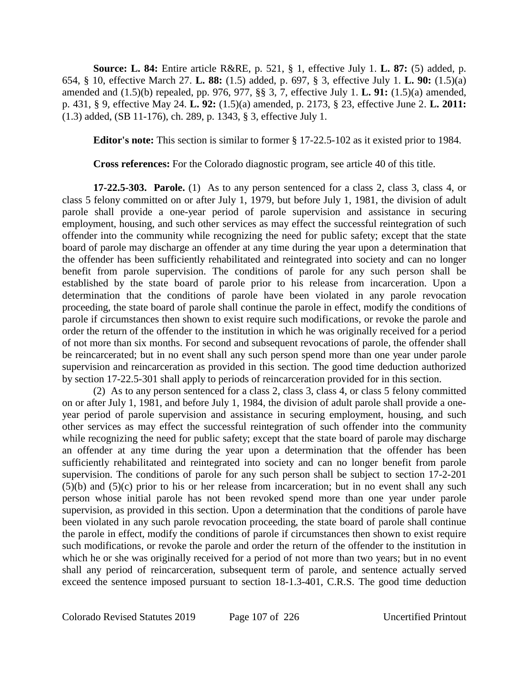**Source: L. 84:** Entire article R&RE, p. 521, § 1, effective July 1. **L. 87:** (5) added, p. 654, § 10, effective March 27. **L. 88:** (1.5) added, p. 697, § 3, effective July 1. **L. 90:** (1.5)(a) amended and (1.5)(b) repealed, pp. 976, 977, §§ 3, 7, effective July 1. **L. 91:** (1.5)(a) amended, p. 431, § 9, effective May 24. **L. 92:** (1.5)(a) amended, p. 2173, § 23, effective June 2. **L. 2011:** (1.3) added, (SB 11-176), ch. 289, p. 1343, § 3, effective July 1.

**Editor's note:** This section is similar to former § 17-22.5-102 as it existed prior to 1984.

**Cross references:** For the Colorado diagnostic program, see article 40 of this title.

**17-22.5-303. Parole.** (1) As to any person sentenced for a class 2, class 3, class 4, or class 5 felony committed on or after July 1, 1979, but before July 1, 1981, the division of adult parole shall provide a one-year period of parole supervision and assistance in securing employment, housing, and such other services as may effect the successful reintegration of such offender into the community while recognizing the need for public safety; except that the state board of parole may discharge an offender at any time during the year upon a determination that the offender has been sufficiently rehabilitated and reintegrated into society and can no longer benefit from parole supervision. The conditions of parole for any such person shall be established by the state board of parole prior to his release from incarceration. Upon a determination that the conditions of parole have been violated in any parole revocation proceeding, the state board of parole shall continue the parole in effect, modify the conditions of parole if circumstances then shown to exist require such modifications, or revoke the parole and order the return of the offender to the institution in which he was originally received for a period of not more than six months. For second and subsequent revocations of parole, the offender shall be reincarcerated; but in no event shall any such person spend more than one year under parole supervision and reincarceration as provided in this section. The good time deduction authorized by section 17-22.5-301 shall apply to periods of reincarceration provided for in this section.

(2) As to any person sentenced for a class 2, class 3, class 4, or class 5 felony committed on or after July 1, 1981, and before July 1, 1984, the division of adult parole shall provide a oneyear period of parole supervision and assistance in securing employment, housing, and such other services as may effect the successful reintegration of such offender into the community while recognizing the need for public safety; except that the state board of parole may discharge an offender at any time during the year upon a determination that the offender has been sufficiently rehabilitated and reintegrated into society and can no longer benefit from parole supervision. The conditions of parole for any such person shall be subject to section 17-2-201  $(5)(b)$  and  $(5)(c)$  prior to his or her release from incarceration; but in no event shall any such person whose initial parole has not been revoked spend more than one year under parole supervision, as provided in this section. Upon a determination that the conditions of parole have been violated in any such parole revocation proceeding, the state board of parole shall continue the parole in effect, modify the conditions of parole if circumstances then shown to exist require such modifications, or revoke the parole and order the return of the offender to the institution in which he or she was originally received for a period of not more than two years; but in no event shall any period of reincarceration, subsequent term of parole, and sentence actually served exceed the sentence imposed pursuant to section 18-1.3-401, C.R.S. The good time deduction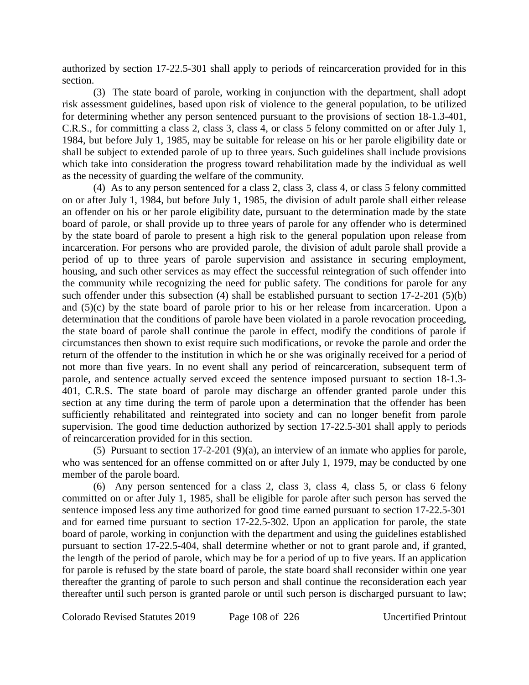authorized by section 17-22.5-301 shall apply to periods of reincarceration provided for in this section.

(3) The state board of parole, working in conjunction with the department, shall adopt risk assessment guidelines, based upon risk of violence to the general population, to be utilized for determining whether any person sentenced pursuant to the provisions of section 18-1.3-401, C.R.S., for committing a class 2, class 3, class 4, or class 5 felony committed on or after July 1, 1984, but before July 1, 1985, may be suitable for release on his or her parole eligibility date or shall be subject to extended parole of up to three years. Such guidelines shall include provisions which take into consideration the progress toward rehabilitation made by the individual as well as the necessity of guarding the welfare of the community.

(4) As to any person sentenced for a class 2, class 3, class 4, or class 5 felony committed on or after July 1, 1984, but before July 1, 1985, the division of adult parole shall either release an offender on his or her parole eligibility date, pursuant to the determination made by the state board of parole, or shall provide up to three years of parole for any offender who is determined by the state board of parole to present a high risk to the general population upon release from incarceration. For persons who are provided parole, the division of adult parole shall provide a period of up to three years of parole supervision and assistance in securing employment, housing, and such other services as may effect the successful reintegration of such offender into the community while recognizing the need for public safety. The conditions for parole for any such offender under this subsection (4) shall be established pursuant to section 17-2-201 (5)(b) and  $(5)(c)$  by the state board of parole prior to his or her release from incarceration. Upon a determination that the conditions of parole have been violated in a parole revocation proceeding, the state board of parole shall continue the parole in effect, modify the conditions of parole if circumstances then shown to exist require such modifications, or revoke the parole and order the return of the offender to the institution in which he or she was originally received for a period of not more than five years. In no event shall any period of reincarceration, subsequent term of parole, and sentence actually served exceed the sentence imposed pursuant to section 18-1.3- 401, C.R.S. The state board of parole may discharge an offender granted parole under this section at any time during the term of parole upon a determination that the offender has been sufficiently rehabilitated and reintegrated into society and can no longer benefit from parole supervision. The good time deduction authorized by section 17-22.5-301 shall apply to periods of reincarceration provided for in this section.

(5) Pursuant to section 17-2-201 (9)(a), an interview of an inmate who applies for parole, who was sentenced for an offense committed on or after July 1, 1979, may be conducted by one member of the parole board.

(6) Any person sentenced for a class 2, class 3, class 4, class 5, or class 6 felony committed on or after July 1, 1985, shall be eligible for parole after such person has served the sentence imposed less any time authorized for good time earned pursuant to section 17-22.5-301 and for earned time pursuant to section 17-22.5-302. Upon an application for parole, the state board of parole, working in conjunction with the department and using the guidelines established pursuant to section 17-22.5-404, shall determine whether or not to grant parole and, if granted, the length of the period of parole, which may be for a period of up to five years. If an application for parole is refused by the state board of parole, the state board shall reconsider within one year thereafter the granting of parole to such person and shall continue the reconsideration each year thereafter until such person is granted parole or until such person is discharged pursuant to law;

Colorado Revised Statutes 2019 Page 108 of 226 Uncertified Printout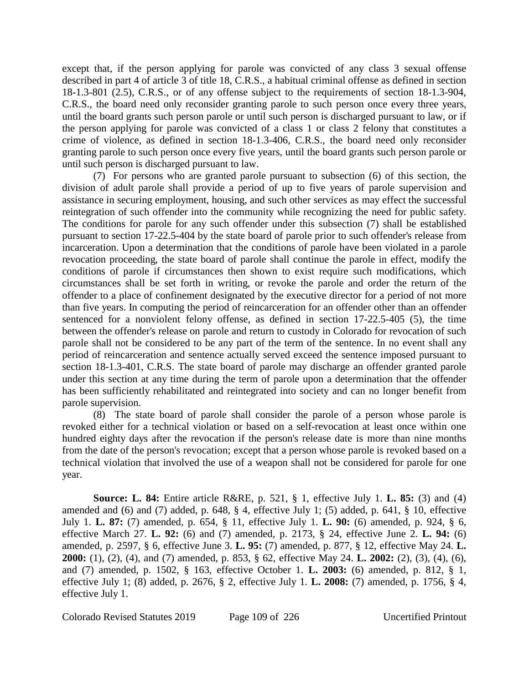except that, if the person applying for parole was convicted of any class 3 sexual offense described in part 4 of article 3 of title 18, C.R.S., a habitual criminal offense as defined in section 18-1.3-801 (2.5), C.R.S., or of any offense subject to the requirements of section 18-1.3-904, C.R.S., the board need only reconsider granting parole to such person once every three years, until the board grants such person parole or until such person is discharged pursuant to law, or if the person applying for parole was convicted of a class 1 or class 2 felony that constitutes a crime of violence, as defined in section 18-1.3-406, C.R.S., the board need only reconsider granting parole to such person once every five years, until the board grants such person parole or until such person is discharged pursuant to law.

(7) For persons who are granted parole pursuant to subsection (6) of this section, the division of adult parole shall provide a period of up to five years of parole supervision and assistance in securing employment, housing, and such other services as may effect the successful reintegration of such offender into the community while recognizing the need for public safety. The conditions for parole for any such offender under this subsection (7) shall be established pursuant to section 17-22.5-404 by the state board of parole prior to such offender's release from incarceration. Upon a determination that the conditions of parole have been violated in a parole revocation proceeding, the state board of parole shall continue the parole in effect, modify the conditions of parole if circumstances then shown to exist require such modifications, which circumstances shall be set forth in writing, or revoke the parole and order the return of the offender to a place of confinement designated by the executive director for a period of not more than five years. In computing the period of reincarceration for an offender other than an offender sentenced for a nonviolent felony offense, as defined in section 17-22.5-405 (5), the time between the offender's release on parole and return to custody in Colorado for revocation of such parole shall not be considered to be any part of the term of the sentence. In no event shall any period of reincarceration and sentence actually served exceed the sentence imposed pursuant to section 18-1.3-401, C.R.S. The state board of parole may discharge an offender granted parole under this section at any time during the term of parole upon a determination that the offender has been sufficiently rehabilitated and reintegrated into society and can no longer benefit from parole supervision.

(8) The state board of parole shall consider the parole of a person whose parole is revoked either for a technical violation or based on a self-revocation at least once within one hundred eighty days after the revocation if the person's release date is more than nine months from the date of the person's revocation; except that a person whose parole is revoked based on a technical violation that involved the use of a weapon shall not be considered for parole for one year.

**Source: L. 84:** Entire article R&RE, p. 521, § 1, effective July 1. **L. 85:** (3) and (4) amended and (6) and (7) added, p. 648, § 4, effective July 1; (5) added, p. 641, § 10, effective July 1. **L. 87:** (7) amended, p. 654, § 11, effective July 1. **L. 90:** (6) amended, p. 924, § 6, effective March 27. **L. 92:** (6) and (7) amended, p. 2173, § 24, effective June 2. **L. 94:** (6) amended, p. 2597, § 6, effective June 3. **L. 95:** (7) amended, p. 877, § 12, effective May 24. **L. 2000:** (1), (2), (4), and (7) amended, p. 853, § 62, effective May 24. **L. 2002:** (2), (3), (4), (6), and (7) amended, p. 1502, § 163, effective October 1. **L. 2003:** (6) amended, p. 812, § 1, effective July 1; (8) added, p. 2676, § 2, effective July 1. **L. 2008:** (7) amended, p. 1756, § 4, effective July 1.

Colorado Revised Statutes 2019 Page 109 of 226 Uncertified Printout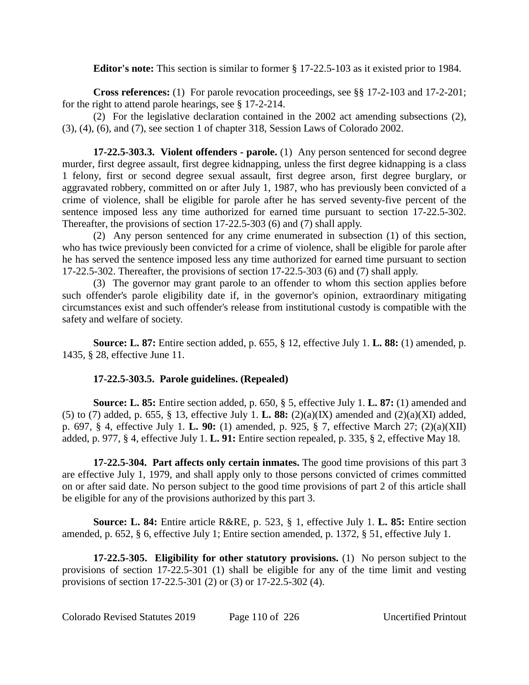### **Editor's note:** This section is similar to former § 17-22.5-103 as it existed prior to 1984.

**Cross references:** (1) For parole revocation proceedings, see §§ 17-2-103 and 17-2-201; for the right to attend parole hearings, see § 17-2-214.

(2) For the legislative declaration contained in the 2002 act amending subsections (2), (3), (4), (6), and (7), see section 1 of chapter 318, Session Laws of Colorado 2002.

**17-22.5-303.3. Violent offenders - parole.** (1) Any person sentenced for second degree murder, first degree assault, first degree kidnapping, unless the first degree kidnapping is a class 1 felony, first or second degree sexual assault, first degree arson, first degree burglary, or aggravated robbery, committed on or after July 1, 1987, who has previously been convicted of a crime of violence, shall be eligible for parole after he has served seventy-five percent of the sentence imposed less any time authorized for earned time pursuant to section 17-22.5-302. Thereafter, the provisions of section 17-22.5-303 (6) and (7) shall apply.

(2) Any person sentenced for any crime enumerated in subsection (1) of this section, who has twice previously been convicted for a crime of violence, shall be eligible for parole after he has served the sentence imposed less any time authorized for earned time pursuant to section 17-22.5-302. Thereafter, the provisions of section 17-22.5-303 (6) and (7) shall apply.

(3) The governor may grant parole to an offender to whom this section applies before such offender's parole eligibility date if, in the governor's opinion, extraordinary mitigating circumstances exist and such offender's release from institutional custody is compatible with the safety and welfare of society.

**Source: L. 87:** Entire section added, p. 655, § 12, effective July 1. **L. 88:** (1) amended, p. 1435, § 28, effective June 11.

## **17-22.5-303.5. Parole guidelines. (Repealed)**

**Source: L. 85:** Entire section added, p. 650, § 5, effective July 1. **L. 87:** (1) amended and (5) to (7) added, p. 655, § 13, effective July 1. **L. 88:** (2)(a)(IX) amended and (2)(a)(XI) added, p. 697, § 4, effective July 1. **L. 90:** (1) amended, p. 925, § 7, effective March 27; (2)(a)(XII) added, p. 977, § 4, effective July 1. **L. 91:** Entire section repealed, p. 335, § 2, effective May 18.

**17-22.5-304. Part affects only certain inmates.** The good time provisions of this part 3 are effective July 1, 1979, and shall apply only to those persons convicted of crimes committed on or after said date. No person subject to the good time provisions of part 2 of this article shall be eligible for any of the provisions authorized by this part 3.

**Source: L. 84:** Entire article R&RE, p. 523, § 1, effective July 1. **L. 85:** Entire section amended, p. 652, § 6, effective July 1; Entire section amended, p. 1372, § 51, effective July 1.

**17-22.5-305. Eligibility for other statutory provisions.** (1) No person subject to the provisions of section 17-22.5-301 (1) shall be eligible for any of the time limit and vesting provisions of section 17-22.5-301 (2) or (3) or 17-22.5-302 (4).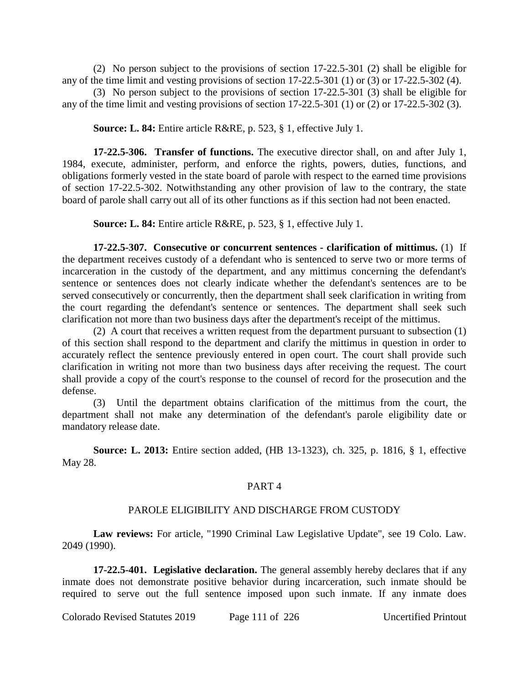(2) No person subject to the provisions of section 17-22.5-301 (2) shall be eligible for any of the time limit and vesting provisions of section 17-22.5-301 (1) or (3) or 17-22.5-302 (4).

(3) No person subject to the provisions of section 17-22.5-301 (3) shall be eligible for any of the time limit and vesting provisions of section 17-22.5-301 (1) or (2) or 17-22.5-302 (3).

**Source: L. 84:** Entire article R&RE, p. 523, § 1, effective July 1.

**17-22.5-306. Transfer of functions.** The executive director shall, on and after July 1, 1984, execute, administer, perform, and enforce the rights, powers, duties, functions, and obligations formerly vested in the state board of parole with respect to the earned time provisions of section 17-22.5-302. Notwithstanding any other provision of law to the contrary, the state board of parole shall carry out all of its other functions as if this section had not been enacted.

**Source: L. 84:** Entire article R&RE, p. 523, § 1, effective July 1.

**17-22.5-307. Consecutive or concurrent sentences - clarification of mittimus.** (1) If the department receives custody of a defendant who is sentenced to serve two or more terms of incarceration in the custody of the department, and any mittimus concerning the defendant's sentence or sentences does not clearly indicate whether the defendant's sentences are to be served consecutively or concurrently, then the department shall seek clarification in writing from the court regarding the defendant's sentence or sentences. The department shall seek such clarification not more than two business days after the department's receipt of the mittimus.

(2) A court that receives a written request from the department pursuant to subsection (1) of this section shall respond to the department and clarify the mittimus in question in order to accurately reflect the sentence previously entered in open court. The court shall provide such clarification in writing not more than two business days after receiving the request. The court shall provide a copy of the court's response to the counsel of record for the prosecution and the defense.

(3) Until the department obtains clarification of the mittimus from the court, the department shall not make any determination of the defendant's parole eligibility date or mandatory release date.

**Source: L. 2013:** Entire section added, (HB 13-1323), ch. 325, p. 1816, § 1, effective May 28.

#### PART 4

#### PAROLE ELIGIBILITY AND DISCHARGE FROM CUSTODY

**Law reviews:** For article, "1990 Criminal Law Legislative Update", see 19 Colo. Law. 2049 (1990).

**17-22.5-401. Legislative declaration.** The general assembly hereby declares that if any inmate does not demonstrate positive behavior during incarceration, such inmate should be required to serve out the full sentence imposed upon such inmate. If any inmate does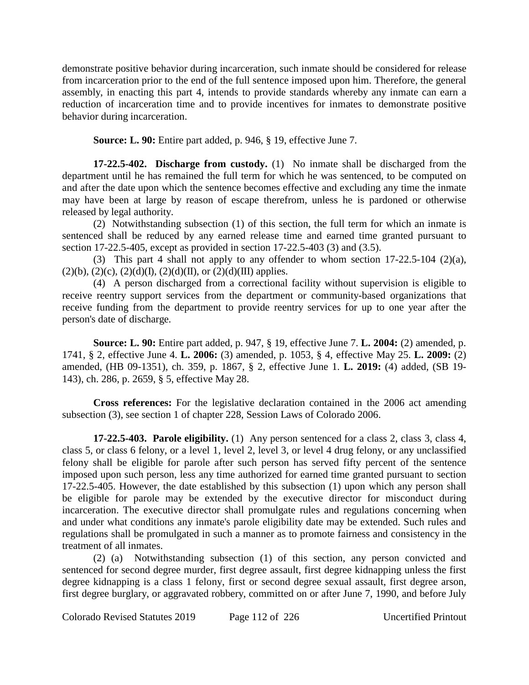demonstrate positive behavior during incarceration, such inmate should be considered for release from incarceration prior to the end of the full sentence imposed upon him. Therefore, the general assembly, in enacting this part 4, intends to provide standards whereby any inmate can earn a reduction of incarceration time and to provide incentives for inmates to demonstrate positive behavior during incarceration.

**Source: L. 90:** Entire part added, p. 946, § 19, effective June 7.

**17-22.5-402. Discharge from custody.** (1) No inmate shall be discharged from the department until he has remained the full term for which he was sentenced, to be computed on and after the date upon which the sentence becomes effective and excluding any time the inmate may have been at large by reason of escape therefrom, unless he is pardoned or otherwise released by legal authority.

(2) Notwithstanding subsection (1) of this section, the full term for which an inmate is sentenced shall be reduced by any earned release time and earned time granted pursuant to section 17-22.5-405, except as provided in section 17-22.5-403 (3) and (3.5).

(3) This part 4 shall not apply to any offender to whom section 17-22.5-104 (2)(a),  $(2)(b)$ ,  $(2)(c)$ ,  $(2)(d)(I)$ ,  $(2)(d)(II)$ , or  $(2)(d)(III)$  applies.

(4) A person discharged from a correctional facility without supervision is eligible to receive reentry support services from the department or community-based organizations that receive funding from the department to provide reentry services for up to one year after the person's date of discharge.

**Source: L. 90:** Entire part added, p. 947, § 19, effective June 7. **L. 2004:** (2) amended, p. 1741, § 2, effective June 4. **L. 2006:** (3) amended, p. 1053, § 4, effective May 25. **L. 2009:** (2) amended, (HB 09-1351), ch. 359, p. 1867, § 2, effective June 1. **L. 2019:** (4) added, (SB 19- 143), ch. 286, p. 2659, § 5, effective May 28.

**Cross references:** For the legislative declaration contained in the 2006 act amending subsection (3), see section 1 of chapter 228, Session Laws of Colorado 2006.

**17-22.5-403. Parole eligibility.** (1) Any person sentenced for a class 2, class 3, class 4, class 5, or class 6 felony, or a level 1, level 2, level 3, or level 4 drug felony, or any unclassified felony shall be eligible for parole after such person has served fifty percent of the sentence imposed upon such person, less any time authorized for earned time granted pursuant to section 17-22.5-405. However, the date established by this subsection (1) upon which any person shall be eligible for parole may be extended by the executive director for misconduct during incarceration. The executive director shall promulgate rules and regulations concerning when and under what conditions any inmate's parole eligibility date may be extended. Such rules and regulations shall be promulgated in such a manner as to promote fairness and consistency in the treatment of all inmates.

(2) (a) Notwithstanding subsection (1) of this section, any person convicted and sentenced for second degree murder, first degree assault, first degree kidnapping unless the first degree kidnapping is a class 1 felony, first or second degree sexual assault, first degree arson, first degree burglary, or aggravated robbery, committed on or after June 7, 1990, and before July

Colorado Revised Statutes 2019 Page 112 of 226 Uncertified Printout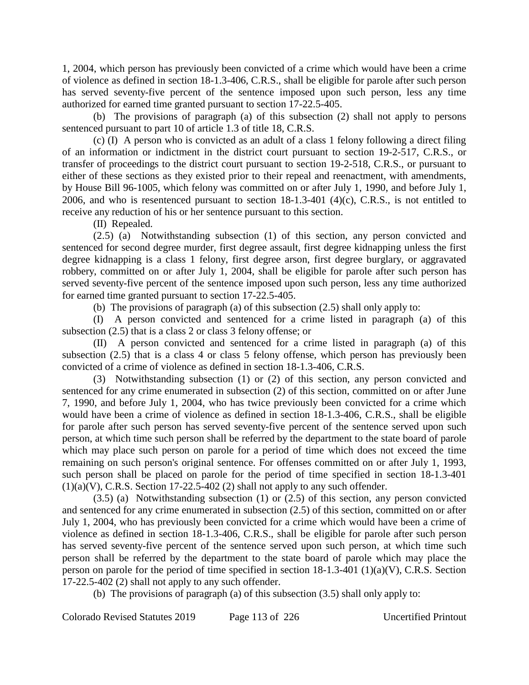1, 2004, which person has previously been convicted of a crime which would have been a crime of violence as defined in section 18-1.3-406, C.R.S., shall be eligible for parole after such person has served seventy-five percent of the sentence imposed upon such person, less any time authorized for earned time granted pursuant to section 17-22.5-405.

(b) The provisions of paragraph (a) of this subsection (2) shall not apply to persons sentenced pursuant to part 10 of article 1.3 of title 18, C.R.S.

(c) (I) A person who is convicted as an adult of a class 1 felony following a direct filing of an information or indictment in the district court pursuant to section 19-2-517, C.R.S., or transfer of proceedings to the district court pursuant to section 19-2-518, C.R.S., or pursuant to either of these sections as they existed prior to their repeal and reenactment, with amendments, by House Bill 96-1005, which felony was committed on or after July 1, 1990, and before July 1, 2006, and who is resentenced pursuant to section  $18-1.3-401$  (4)(c), C.R.S., is not entitled to receive any reduction of his or her sentence pursuant to this section.

(II) Repealed.

(2.5) (a) Notwithstanding subsection (1) of this section, any person convicted and sentenced for second degree murder, first degree assault, first degree kidnapping unless the first degree kidnapping is a class 1 felony, first degree arson, first degree burglary, or aggravated robbery, committed on or after July 1, 2004, shall be eligible for parole after such person has served seventy-five percent of the sentence imposed upon such person, less any time authorized for earned time granted pursuant to section 17-22.5-405.

(b) The provisions of paragraph (a) of this subsection (2.5) shall only apply to:

(I) A person convicted and sentenced for a crime listed in paragraph (a) of this subsection (2.5) that is a class 2 or class 3 felony offense; or

(II) A person convicted and sentenced for a crime listed in paragraph (a) of this subsection (2.5) that is a class 4 or class 5 felony offense, which person has previously been convicted of a crime of violence as defined in section 18-1.3-406, C.R.S.

(3) Notwithstanding subsection (1) or (2) of this section, any person convicted and sentenced for any crime enumerated in subsection (2) of this section, committed on or after June 7, 1990, and before July 1, 2004, who has twice previously been convicted for a crime which would have been a crime of violence as defined in section 18-1.3-406, C.R.S., shall be eligible for parole after such person has served seventy-five percent of the sentence served upon such person, at which time such person shall be referred by the department to the state board of parole which may place such person on parole for a period of time which does not exceed the time remaining on such person's original sentence. For offenses committed on or after July 1, 1993, such person shall be placed on parole for the period of time specified in section 18-1.3-401  $(1)(a)(V)$ , C.R.S. Section 17-22.5-402 (2) shall not apply to any such offender.

(3.5) (a) Notwithstanding subsection (1) or (2.5) of this section, any person convicted and sentenced for any crime enumerated in subsection (2.5) of this section, committed on or after July 1, 2004, who has previously been convicted for a crime which would have been a crime of violence as defined in section 18-1.3-406, C.R.S., shall be eligible for parole after such person has served seventy-five percent of the sentence served upon such person, at which time such person shall be referred by the department to the state board of parole which may place the person on parole for the period of time specified in section 18-1.3-401 (1)(a)(V), C.R.S. Section 17-22.5-402 (2) shall not apply to any such offender.

(b) The provisions of paragraph (a) of this subsection (3.5) shall only apply to:

Colorado Revised Statutes 2019 Page 113 of 226 Uncertified Printout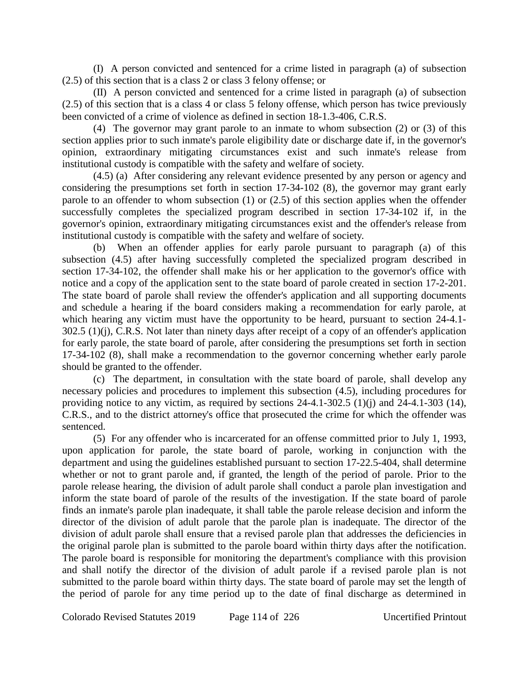(I) A person convicted and sentenced for a crime listed in paragraph (a) of subsection (2.5) of this section that is a class 2 or class 3 felony offense; or

(II) A person convicted and sentenced for a crime listed in paragraph (a) of subsection (2.5) of this section that is a class 4 or class 5 felony offense, which person has twice previously been convicted of a crime of violence as defined in section 18-1.3-406, C.R.S.

(4) The governor may grant parole to an inmate to whom subsection (2) or (3) of this section applies prior to such inmate's parole eligibility date or discharge date if, in the governor's opinion, extraordinary mitigating circumstances exist and such inmate's release from institutional custody is compatible with the safety and welfare of society.

(4.5) (a) After considering any relevant evidence presented by any person or agency and considering the presumptions set forth in section 17-34-102 (8), the governor may grant early parole to an offender to whom subsection (1) or (2.5) of this section applies when the offender successfully completes the specialized program described in section 17-34-102 if, in the governor's opinion, extraordinary mitigating circumstances exist and the offender's release from institutional custody is compatible with the safety and welfare of society.

(b) When an offender applies for early parole pursuant to paragraph (a) of this subsection (4.5) after having successfully completed the specialized program described in section 17-34-102, the offender shall make his or her application to the governor's office with notice and a copy of the application sent to the state board of parole created in section 17-2-201. The state board of parole shall review the offender's application and all supporting documents and schedule a hearing if the board considers making a recommendation for early parole, at which hearing any victim must have the opportunity to be heard, pursuant to section 24-4.1-302.5 (1)(j), C.R.S. Not later than ninety days after receipt of a copy of an offender's application for early parole, the state board of parole, after considering the presumptions set forth in section 17-34-102 (8), shall make a recommendation to the governor concerning whether early parole should be granted to the offender.

(c) The department, in consultation with the state board of parole, shall develop any necessary policies and procedures to implement this subsection (4.5), including procedures for providing notice to any victim, as required by sections 24-4.1-302.5 (1)(j) and 24-4.1-303 (14), C.R.S., and to the district attorney's office that prosecuted the crime for which the offender was sentenced.

(5) For any offender who is incarcerated for an offense committed prior to July 1, 1993, upon application for parole, the state board of parole, working in conjunction with the department and using the guidelines established pursuant to section 17-22.5-404, shall determine whether or not to grant parole and, if granted, the length of the period of parole. Prior to the parole release hearing, the division of adult parole shall conduct a parole plan investigation and inform the state board of parole of the results of the investigation. If the state board of parole finds an inmate's parole plan inadequate, it shall table the parole release decision and inform the director of the division of adult parole that the parole plan is inadequate. The director of the division of adult parole shall ensure that a revised parole plan that addresses the deficiencies in the original parole plan is submitted to the parole board within thirty days after the notification. The parole board is responsible for monitoring the department's compliance with this provision and shall notify the director of the division of adult parole if a revised parole plan is not submitted to the parole board within thirty days. The state board of parole may set the length of the period of parole for any time period up to the date of final discharge as determined in

Colorado Revised Statutes 2019 Page 114 of 226 Uncertified Printout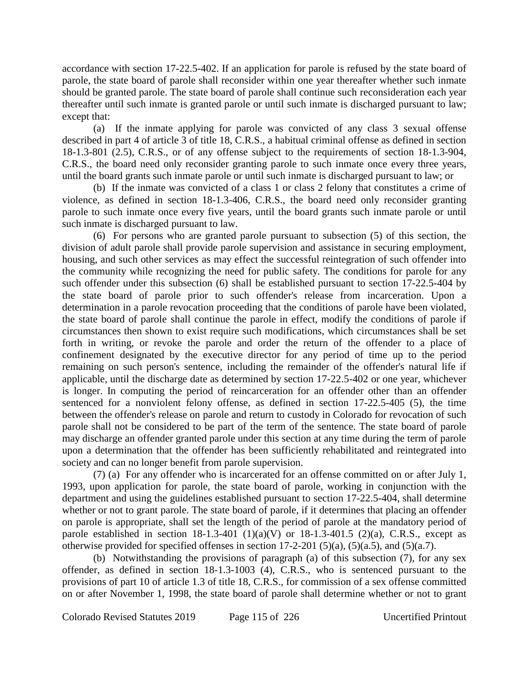accordance with section 17-22.5-402. If an application for parole is refused by the state board of parole, the state board of parole shall reconsider within one year thereafter whether such inmate should be granted parole. The state board of parole shall continue such reconsideration each year thereafter until such inmate is granted parole or until such inmate is discharged pursuant to law; except that:

(a) If the inmate applying for parole was convicted of any class 3 sexual offense described in part 4 of article 3 of title 18, C.R.S., a habitual criminal offense as defined in section 18-1.3-801 (2.5), C.R.S., or of any offense subject to the requirements of section 18-1.3-904, C.R.S., the board need only reconsider granting parole to such inmate once every three years, until the board grants such inmate parole or until such inmate is discharged pursuant to law; or

(b) If the inmate was convicted of a class 1 or class 2 felony that constitutes a crime of violence, as defined in section 18-1.3-406, C.R.S., the board need only reconsider granting parole to such inmate once every five years, until the board grants such inmate parole or until such inmate is discharged pursuant to law.

(6) For persons who are granted parole pursuant to subsection (5) of this section, the division of adult parole shall provide parole supervision and assistance in securing employment, housing, and such other services as may effect the successful reintegration of such offender into the community while recognizing the need for public safety. The conditions for parole for any such offender under this subsection (6) shall be established pursuant to section 17-22.5-404 by the state board of parole prior to such offender's release from incarceration. Upon a determination in a parole revocation proceeding that the conditions of parole have been violated, the state board of parole shall continue the parole in effect, modify the conditions of parole if circumstances then shown to exist require such modifications, which circumstances shall be set forth in writing, or revoke the parole and order the return of the offender to a place of confinement designated by the executive director for any period of time up to the period remaining on such person's sentence, including the remainder of the offender's natural life if applicable, until the discharge date as determined by section 17-22.5-402 or one year, whichever is longer. In computing the period of reincarceration for an offender other than an offender sentenced for a nonviolent felony offense, as defined in section 17-22.5-405 (5), the time between the offender's release on parole and return to custody in Colorado for revocation of such parole shall not be considered to be part of the term of the sentence. The state board of parole may discharge an offender granted parole under this section at any time during the term of parole upon a determination that the offender has been sufficiently rehabilitated and reintegrated into society and can no longer benefit from parole supervision.

(7) (a) For any offender who is incarcerated for an offense committed on or after July 1, 1993, upon application for parole, the state board of parole, working in conjunction with the department and using the guidelines established pursuant to section 17-22.5-404, shall determine whether or not to grant parole. The state board of parole, if it determines that placing an offender on parole is appropriate, shall set the length of the period of parole at the mandatory period of parole established in section  $18-1.3-401(1)(a)(V)$  or  $18-1.3-401.5(2)(a)$ , C.R.S., except as otherwise provided for specified offenses in section  $17-2-201$  (5)(a), (5)(a.5), and (5)(a.7).

(b) Notwithstanding the provisions of paragraph (a) of this subsection (7), for any sex offender, as defined in section 18-1.3-1003 (4), C.R.S., who is sentenced pursuant to the provisions of part 10 of article 1.3 of title 18, C.R.S., for commission of a sex offense committed on or after November 1, 1998, the state board of parole shall determine whether or not to grant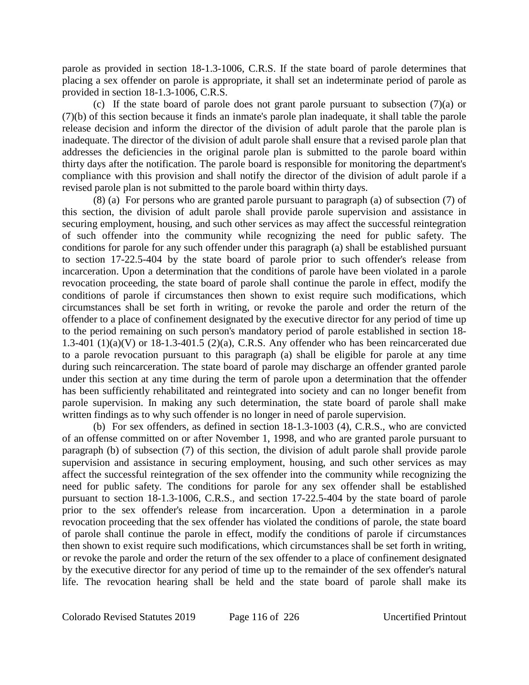parole as provided in section 18-1.3-1006, C.R.S. If the state board of parole determines that placing a sex offender on parole is appropriate, it shall set an indeterminate period of parole as provided in section 18-1.3-1006, C.R.S.

(c) If the state board of parole does not grant parole pursuant to subsection (7)(a) or (7)(b) of this section because it finds an inmate's parole plan inadequate, it shall table the parole release decision and inform the director of the division of adult parole that the parole plan is inadequate. The director of the division of adult parole shall ensure that a revised parole plan that addresses the deficiencies in the original parole plan is submitted to the parole board within thirty days after the notification. The parole board is responsible for monitoring the department's compliance with this provision and shall notify the director of the division of adult parole if a revised parole plan is not submitted to the parole board within thirty days.

(8) (a) For persons who are granted parole pursuant to paragraph (a) of subsection (7) of this section, the division of adult parole shall provide parole supervision and assistance in securing employment, housing, and such other services as may affect the successful reintegration of such offender into the community while recognizing the need for public safety. The conditions for parole for any such offender under this paragraph (a) shall be established pursuant to section 17-22.5-404 by the state board of parole prior to such offender's release from incarceration. Upon a determination that the conditions of parole have been violated in a parole revocation proceeding, the state board of parole shall continue the parole in effect, modify the conditions of parole if circumstances then shown to exist require such modifications, which circumstances shall be set forth in writing, or revoke the parole and order the return of the offender to a place of confinement designated by the executive director for any period of time up to the period remaining on such person's mandatory period of parole established in section 18- 1.3-401 (1)(a)(V) or 18-1.3-401.5 (2)(a), C.R.S. Any offender who has been reincarcerated due to a parole revocation pursuant to this paragraph (a) shall be eligible for parole at any time during such reincarceration. The state board of parole may discharge an offender granted parole under this section at any time during the term of parole upon a determination that the offender has been sufficiently rehabilitated and reintegrated into society and can no longer benefit from parole supervision. In making any such determination, the state board of parole shall make written findings as to why such offender is no longer in need of parole supervision.

(b) For sex offenders, as defined in section 18-1.3-1003 (4), C.R.S., who are convicted of an offense committed on or after November 1, 1998, and who are granted parole pursuant to paragraph (b) of subsection (7) of this section, the division of adult parole shall provide parole supervision and assistance in securing employment, housing, and such other services as may affect the successful reintegration of the sex offender into the community while recognizing the need for public safety. The conditions for parole for any sex offender shall be established pursuant to section 18-1.3-1006, C.R.S., and section 17-22.5-404 by the state board of parole prior to the sex offender's release from incarceration. Upon a determination in a parole revocation proceeding that the sex offender has violated the conditions of parole, the state board of parole shall continue the parole in effect, modify the conditions of parole if circumstances then shown to exist require such modifications, which circumstances shall be set forth in writing, or revoke the parole and order the return of the sex offender to a place of confinement designated by the executive director for any period of time up to the remainder of the sex offender's natural life. The revocation hearing shall be held and the state board of parole shall make its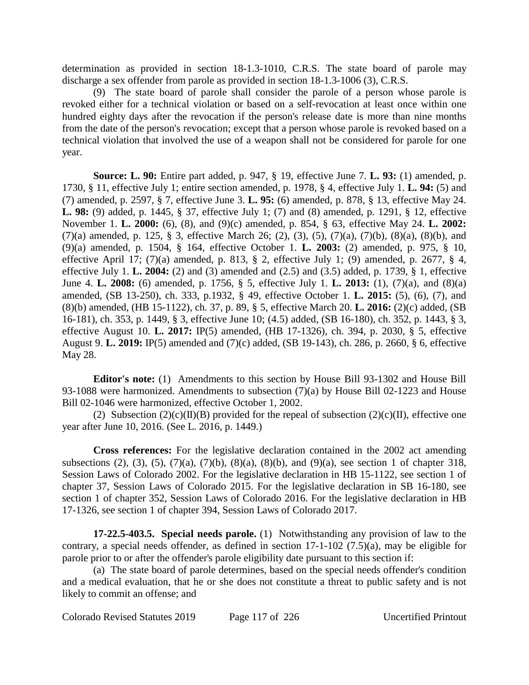determination as provided in section 18-1.3-1010, C.R.S. The state board of parole may discharge a sex offender from parole as provided in section 18-1.3-1006 (3), C.R.S.

(9) The state board of parole shall consider the parole of a person whose parole is revoked either for a technical violation or based on a self-revocation at least once within one hundred eighty days after the revocation if the person's release date is more than nine months from the date of the person's revocation; except that a person whose parole is revoked based on a technical violation that involved the use of a weapon shall not be considered for parole for one year.

**Source: L. 90:** Entire part added, p. 947, § 19, effective June 7. **L. 93:** (1) amended, p. 1730, § 11, effective July 1; entire section amended, p. 1978, § 4, effective July 1. **L. 94:** (5) and (7) amended, p. 2597, § 7, effective June 3. **L. 95:** (6) amended, p. 878, § 13, effective May 24. **L. 98:** (9) added, p. 1445, § 37, effective July 1; (7) and (8) amended, p. 1291, § 12, effective November 1. **L. 2000:** (6), (8), and (9)(c) amended, p. 854, § 63, effective May 24. **L. 2002:** (7)(a) amended, p. 125, § 3, effective March 26; (2), (3), (5), (7)(a), (7)(b), (8)(a), (8)(b), and (9)(a) amended, p. 1504, § 164, effective October 1. **L. 2003:** (2) amended, p. 975, § 10, effective April 17; (7)(a) amended, p. 813,  $\S$  2, effective July 1; (9) amended, p. 2677,  $\S$  4, effective July 1. **L. 2004:** (2) and (3) amended and (2.5) and (3.5) added, p. 1739, § 1, effective June 4. **L. 2008:** (6) amended, p. 1756, § 5, effective July 1. **L. 2013:** (1), (7)(a), and (8)(a) amended, (SB 13-250), ch. 333, p.1932, § 49, effective October 1. **L. 2015:** (5), (6), (7), and (8)(b) amended, (HB 15-1122), ch. 37, p. 89, § 5, effective March 20. **L. 2016:** (2)(c) added, (SB 16-181), ch. 353, p. 1449, § 3, effective June 10; (4.5) added, (SB 16-180), ch. 352, p. 1443, § 3, effective August 10. **L. 2017:** IP(5) amended, (HB 17-1326), ch. 394, p. 2030, § 5, effective August 9. **L. 2019:** IP(5) amended and (7)(c) added, (SB 19-143), ch. 286, p. 2660, § 6, effective May 28.

**Editor's note:** (1) Amendments to this section by House Bill 93-1302 and House Bill 93-1088 were harmonized. Amendments to subsection (7)(a) by House Bill 02-1223 and House Bill 02-1046 were harmonized, effective October 1, 2002.

(2) Subsection  $(2)(c)(II)(B)$  provided for the repeal of subsection  $(2)(c)(II)$ , effective one year after June 10, 2016. (See L. 2016, p. 1449.)

**Cross references:** For the legislative declaration contained in the 2002 act amending subsections (2), (3), (5), (7)(a), (7)(b), (8)(a), (8)(b), and (9)(a), see section 1 of chapter 318, Session Laws of Colorado 2002. For the legislative declaration in HB 15-1122, see section 1 of chapter 37, Session Laws of Colorado 2015. For the legislative declaration in SB 16-180, see section 1 of chapter 352, Session Laws of Colorado 2016. For the legislative declaration in HB 17-1326, see section 1 of chapter 394, Session Laws of Colorado 2017.

**17-22.5-403.5. Special needs parole.** (1) Notwithstanding any provision of law to the contrary, a special needs offender, as defined in section 17-1-102 (7.5)(a), may be eligible for parole prior to or after the offender's parole eligibility date pursuant to this section if:

(a) The state board of parole determines, based on the special needs offender's condition and a medical evaluation, that he or she does not constitute a threat to public safety and is not likely to commit an offense; and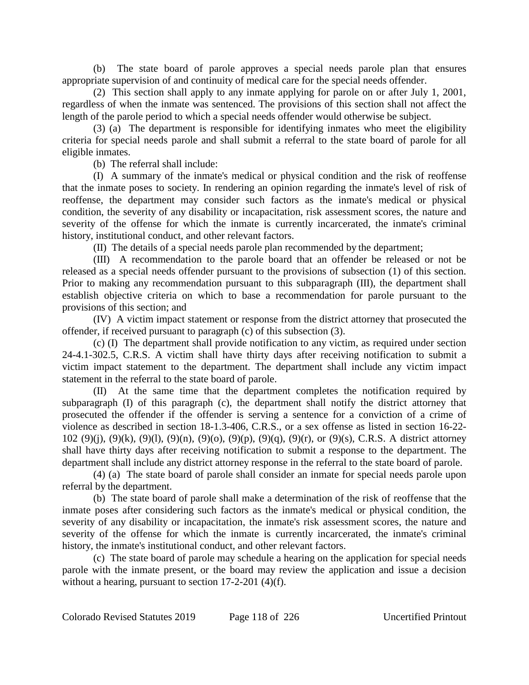(b) The state board of parole approves a special needs parole plan that ensures appropriate supervision of and continuity of medical care for the special needs offender.

(2) This section shall apply to any inmate applying for parole on or after July 1, 2001, regardless of when the inmate was sentenced. The provisions of this section shall not affect the length of the parole period to which a special needs offender would otherwise be subject.

(3) (a) The department is responsible for identifying inmates who meet the eligibility criteria for special needs parole and shall submit a referral to the state board of parole for all eligible inmates.

(b) The referral shall include:

(I) A summary of the inmate's medical or physical condition and the risk of reoffense that the inmate poses to society. In rendering an opinion regarding the inmate's level of risk of reoffense, the department may consider such factors as the inmate's medical or physical condition, the severity of any disability or incapacitation, risk assessment scores, the nature and severity of the offense for which the inmate is currently incarcerated, the inmate's criminal history, institutional conduct, and other relevant factors.

(II) The details of a special needs parole plan recommended by the department;

(III) A recommendation to the parole board that an offender be released or not be released as a special needs offender pursuant to the provisions of subsection (1) of this section. Prior to making any recommendation pursuant to this subparagraph (III), the department shall establish objective criteria on which to base a recommendation for parole pursuant to the provisions of this section; and

(IV) A victim impact statement or response from the district attorney that prosecuted the offender, if received pursuant to paragraph (c) of this subsection (3).

(c) (I) The department shall provide notification to any victim, as required under section 24-4.1-302.5, C.R.S. A victim shall have thirty days after receiving notification to submit a victim impact statement to the department. The department shall include any victim impact statement in the referral to the state board of parole.

(II) At the same time that the department completes the notification required by subparagraph (I) of this paragraph (c), the department shall notify the district attorney that prosecuted the offender if the offender is serving a sentence for a conviction of a crime of violence as described in section 18-1.3-406, C.R.S., or a sex offense as listed in section 16-22- 102 (9)(j), (9)(k), (9)(l), (9)(n), (9)(o), (9)(p), (9)(q), (9)(r), or (9)(s), C.R.S. A district attorney shall have thirty days after receiving notification to submit a response to the department. The department shall include any district attorney response in the referral to the state board of parole.

(4) (a) The state board of parole shall consider an inmate for special needs parole upon referral by the department.

(b) The state board of parole shall make a determination of the risk of reoffense that the inmate poses after considering such factors as the inmate's medical or physical condition, the severity of any disability or incapacitation, the inmate's risk assessment scores, the nature and severity of the offense for which the inmate is currently incarcerated, the inmate's criminal history, the inmate's institutional conduct, and other relevant factors.

(c) The state board of parole may schedule a hearing on the application for special needs parole with the inmate present, or the board may review the application and issue a decision without a hearing, pursuant to section 17-2-201 (4)(f).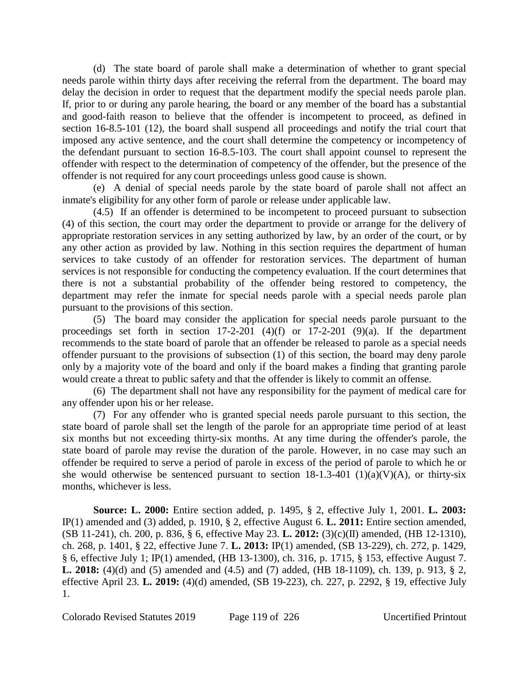(d) The state board of parole shall make a determination of whether to grant special needs parole within thirty days after receiving the referral from the department. The board may delay the decision in order to request that the department modify the special needs parole plan. If, prior to or during any parole hearing, the board or any member of the board has a substantial and good-faith reason to believe that the offender is incompetent to proceed, as defined in section 16-8.5-101 (12), the board shall suspend all proceedings and notify the trial court that imposed any active sentence, and the court shall determine the competency or incompetency of the defendant pursuant to section 16-8.5-103. The court shall appoint counsel to represent the offender with respect to the determination of competency of the offender, but the presence of the offender is not required for any court proceedings unless good cause is shown.

(e) A denial of special needs parole by the state board of parole shall not affect an inmate's eligibility for any other form of parole or release under applicable law.

(4.5) If an offender is determined to be incompetent to proceed pursuant to subsection (4) of this section, the court may order the department to provide or arrange for the delivery of appropriate restoration services in any setting authorized by law, by an order of the court, or by any other action as provided by law. Nothing in this section requires the department of human services to take custody of an offender for restoration services. The department of human services is not responsible for conducting the competency evaluation. If the court determines that there is not a substantial probability of the offender being restored to competency, the department may refer the inmate for special needs parole with a special needs parole plan pursuant to the provisions of this section.

(5) The board may consider the application for special needs parole pursuant to the proceedings set forth in section  $17-2-201$  (4)(f) or  $17-2-201$  (9)(a). If the department recommends to the state board of parole that an offender be released to parole as a special needs offender pursuant to the provisions of subsection (1) of this section, the board may deny parole only by a majority vote of the board and only if the board makes a finding that granting parole would create a threat to public safety and that the offender is likely to commit an offense.

(6) The department shall not have any responsibility for the payment of medical care for any offender upon his or her release.

(7) For any offender who is granted special needs parole pursuant to this section, the state board of parole shall set the length of the parole for an appropriate time period of at least six months but not exceeding thirty-six months. At any time during the offender's parole, the state board of parole may revise the duration of the parole. However, in no case may such an offender be required to serve a period of parole in excess of the period of parole to which he or she would otherwise be sentenced pursuant to section  $18-1.3-401$  (1)(a)(V)(A), or thirty-six months, whichever is less.

**Source: L. 2000:** Entire section added, p. 1495, § 2, effective July 1, 2001. **L. 2003:** IP(1) amended and (3) added, p. 1910, § 2, effective August 6. **L. 2011:** Entire section amended, (SB 11-241), ch. 200, p. 836, § 6, effective May 23. **L. 2012:** (3)(c)(II) amended, (HB 12-1310), ch. 268, p. 1401, § 22, effective June 7. **L. 2013:** IP(1) amended, (SB 13-229), ch. 272, p. 1429, § 6, effective July 1; IP(1) amended, (HB 13-1300), ch. 316, p. 1715, § 153, effective August 7. **L. 2018:** (4)(d) and (5) amended and (4.5) and (7) added, (HB 18-1109), ch. 139, p. 913, § 2, effective April 23. **L. 2019:** (4)(d) amended, (SB 19-223), ch. 227, p. 2292, § 19, effective July 1.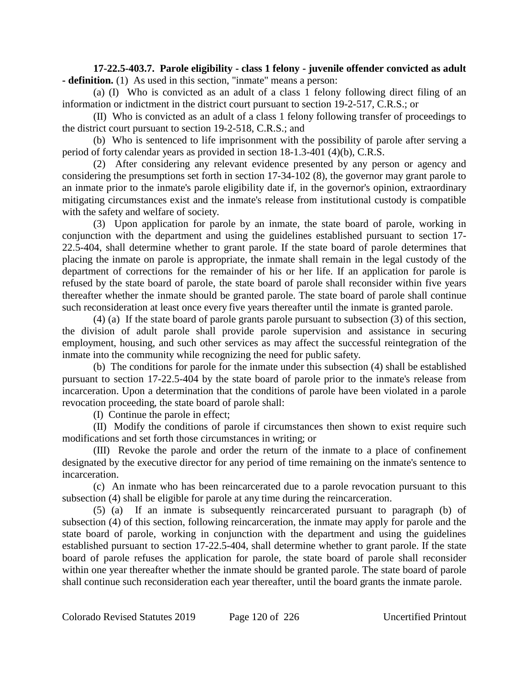**17-22.5-403.7. Parole eligibility - class 1 felony - juvenile offender convicted as adult - definition.** (1) As used in this section, "inmate" means a person:

(a) (I) Who is convicted as an adult of a class 1 felony following direct filing of an information or indictment in the district court pursuant to section 19-2-517, C.R.S.; or

(II) Who is convicted as an adult of a class 1 felony following transfer of proceedings to the district court pursuant to section 19-2-518, C.R.S.; and

(b) Who is sentenced to life imprisonment with the possibility of parole after serving a period of forty calendar years as provided in section 18-1.3-401 (4)(b), C.R.S.

(2) After considering any relevant evidence presented by any person or agency and considering the presumptions set forth in section 17-34-102 (8), the governor may grant parole to an inmate prior to the inmate's parole eligibility date if, in the governor's opinion, extraordinary mitigating circumstances exist and the inmate's release from institutional custody is compatible with the safety and welfare of society.

(3) Upon application for parole by an inmate, the state board of parole, working in conjunction with the department and using the guidelines established pursuant to section 17- 22.5-404, shall determine whether to grant parole. If the state board of parole determines that placing the inmate on parole is appropriate, the inmate shall remain in the legal custody of the department of corrections for the remainder of his or her life. If an application for parole is refused by the state board of parole, the state board of parole shall reconsider within five years thereafter whether the inmate should be granted parole. The state board of parole shall continue such reconsideration at least once every five years thereafter until the inmate is granted parole.

(4) (a) If the state board of parole grants parole pursuant to subsection (3) of this section, the division of adult parole shall provide parole supervision and assistance in securing employment, housing, and such other services as may affect the successful reintegration of the inmate into the community while recognizing the need for public safety.

(b) The conditions for parole for the inmate under this subsection (4) shall be established pursuant to section 17-22.5-404 by the state board of parole prior to the inmate's release from incarceration. Upon a determination that the conditions of parole have been violated in a parole revocation proceeding, the state board of parole shall:

(I) Continue the parole in effect;

(II) Modify the conditions of parole if circumstances then shown to exist require such modifications and set forth those circumstances in writing; or

(III) Revoke the parole and order the return of the inmate to a place of confinement designated by the executive director for any period of time remaining on the inmate's sentence to incarceration.

(c) An inmate who has been reincarcerated due to a parole revocation pursuant to this subsection (4) shall be eligible for parole at any time during the reincarceration.

(5) (a) If an inmate is subsequently reincarcerated pursuant to paragraph (b) of subsection (4) of this section, following reincarceration, the inmate may apply for parole and the state board of parole, working in conjunction with the department and using the guidelines established pursuant to section 17-22.5-404, shall determine whether to grant parole. If the state board of parole refuses the application for parole, the state board of parole shall reconsider within one year thereafter whether the inmate should be granted parole. The state board of parole shall continue such reconsideration each year thereafter, until the board grants the inmate parole.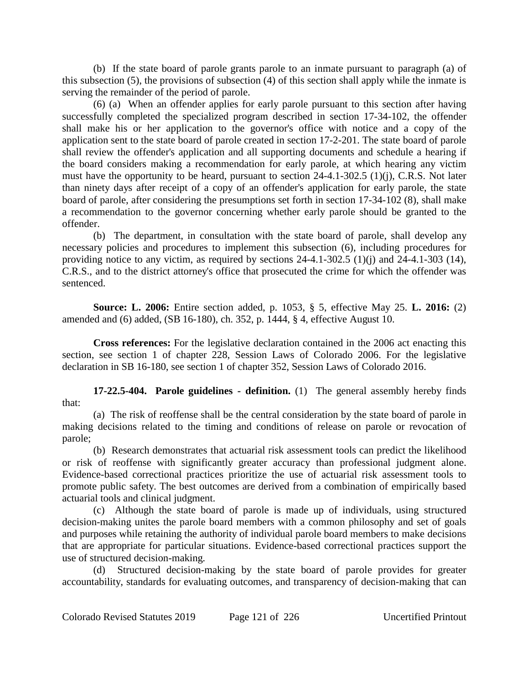(b) If the state board of parole grants parole to an inmate pursuant to paragraph (a) of this subsection (5), the provisions of subsection (4) of this section shall apply while the inmate is serving the remainder of the period of parole.

(6) (a) When an offender applies for early parole pursuant to this section after having successfully completed the specialized program described in section 17-34-102, the offender shall make his or her application to the governor's office with notice and a copy of the application sent to the state board of parole created in section 17-2-201. The state board of parole shall review the offender's application and all supporting documents and schedule a hearing if the board considers making a recommendation for early parole, at which hearing any victim must have the opportunity to be heard, pursuant to section 24-4.1-302.5 (1)(j), C.R.S. Not later than ninety days after receipt of a copy of an offender's application for early parole, the state board of parole, after considering the presumptions set forth in section 17-34-102 (8), shall make a recommendation to the governor concerning whether early parole should be granted to the offender.

(b) The department, in consultation with the state board of parole, shall develop any necessary policies and procedures to implement this subsection (6), including procedures for providing notice to any victim, as required by sections 24-4.1-302.5 (1)(j) and 24-4.1-303 (14), C.R.S., and to the district attorney's office that prosecuted the crime for which the offender was sentenced.

**Source: L. 2006:** Entire section added, p. 1053, § 5, effective May 25. **L. 2016:** (2) amended and (6) added, (SB 16-180), ch. 352, p. 1444, § 4, effective August 10.

**Cross references:** For the legislative declaration contained in the 2006 act enacting this section, see section 1 of chapter 228, Session Laws of Colorado 2006. For the legislative declaration in SB 16-180, see section 1 of chapter 352, Session Laws of Colorado 2016.

**17-22.5-404. Parole guidelines - definition.** (1) The general assembly hereby finds that:

(a) The risk of reoffense shall be the central consideration by the state board of parole in making decisions related to the timing and conditions of release on parole or revocation of parole;

(b) Research demonstrates that actuarial risk assessment tools can predict the likelihood or risk of reoffense with significantly greater accuracy than professional judgment alone. Evidence-based correctional practices prioritize the use of actuarial risk assessment tools to promote public safety. The best outcomes are derived from a combination of empirically based actuarial tools and clinical judgment.

(c) Although the state board of parole is made up of individuals, using structured decision-making unites the parole board members with a common philosophy and set of goals and purposes while retaining the authority of individual parole board members to make decisions that are appropriate for particular situations. Evidence-based correctional practices support the use of structured decision-making.

(d) Structured decision-making by the state board of parole provides for greater accountability, standards for evaluating outcomes, and transparency of decision-making that can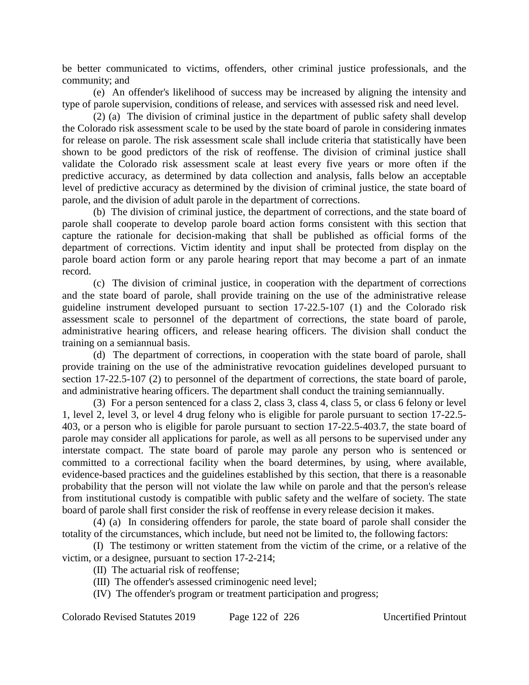be better communicated to victims, offenders, other criminal justice professionals, and the community; and

(e) An offender's likelihood of success may be increased by aligning the intensity and type of parole supervision, conditions of release, and services with assessed risk and need level.

(2) (a) The division of criminal justice in the department of public safety shall develop the Colorado risk assessment scale to be used by the state board of parole in considering inmates for release on parole. The risk assessment scale shall include criteria that statistically have been shown to be good predictors of the risk of reoffense. The division of criminal justice shall validate the Colorado risk assessment scale at least every five years or more often if the predictive accuracy, as determined by data collection and analysis, falls below an acceptable level of predictive accuracy as determined by the division of criminal justice, the state board of parole, and the division of adult parole in the department of corrections.

(b) The division of criminal justice, the department of corrections, and the state board of parole shall cooperate to develop parole board action forms consistent with this section that capture the rationale for decision-making that shall be published as official forms of the department of corrections. Victim identity and input shall be protected from display on the parole board action form or any parole hearing report that may become a part of an inmate record.

(c) The division of criminal justice, in cooperation with the department of corrections and the state board of parole, shall provide training on the use of the administrative release guideline instrument developed pursuant to section 17-22.5-107 (1) and the Colorado risk assessment scale to personnel of the department of corrections, the state board of parole, administrative hearing officers, and release hearing officers. The division shall conduct the training on a semiannual basis.

(d) The department of corrections, in cooperation with the state board of parole, shall provide training on the use of the administrative revocation guidelines developed pursuant to section 17-22.5-107 (2) to personnel of the department of corrections, the state board of parole, and administrative hearing officers. The department shall conduct the training semiannually.

(3) For a person sentenced for a class 2, class 3, class 4, class 5, or class 6 felony or level 1, level 2, level 3, or level 4 drug felony who is eligible for parole pursuant to section 17-22.5- 403, or a person who is eligible for parole pursuant to section 17-22.5-403.7, the state board of parole may consider all applications for parole, as well as all persons to be supervised under any interstate compact. The state board of parole may parole any person who is sentenced or committed to a correctional facility when the board determines, by using, where available, evidence-based practices and the guidelines established by this section, that there is a reasonable probability that the person will not violate the law while on parole and that the person's release from institutional custody is compatible with public safety and the welfare of society. The state board of parole shall first consider the risk of reoffense in every release decision it makes.

(4) (a) In considering offenders for parole, the state board of parole shall consider the totality of the circumstances, which include, but need not be limited to, the following factors:

(I) The testimony or written statement from the victim of the crime, or a relative of the victim, or a designee, pursuant to section 17-2-214;

(II) The actuarial risk of reoffense;

- (III) The offender's assessed criminogenic need level;
- (IV) The offender's program or treatment participation and progress;

Colorado Revised Statutes 2019 Page 122 of 226 Uncertified Printout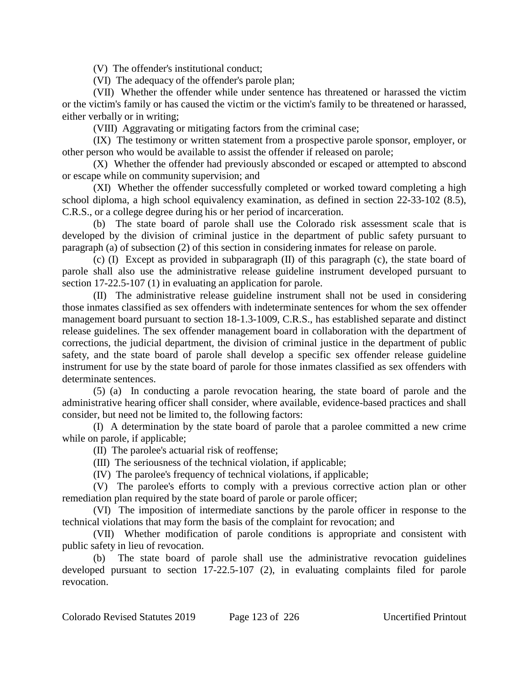(V) The offender's institutional conduct;

(VI) The adequacy of the offender's parole plan;

(VII) Whether the offender while under sentence has threatened or harassed the victim or the victim's family or has caused the victim or the victim's family to be threatened or harassed, either verbally or in writing;

(VIII) Aggravating or mitigating factors from the criminal case;

(IX) The testimony or written statement from a prospective parole sponsor, employer, or other person who would be available to assist the offender if released on parole;

(X) Whether the offender had previously absconded or escaped or attempted to abscond or escape while on community supervision; and

(XI) Whether the offender successfully completed or worked toward completing a high school diploma, a high school equivalency examination, as defined in section 22-33-102 (8.5), C.R.S., or a college degree during his or her period of incarceration.

(b) The state board of parole shall use the Colorado risk assessment scale that is developed by the division of criminal justice in the department of public safety pursuant to paragraph (a) of subsection (2) of this section in considering inmates for release on parole.

(c) (I) Except as provided in subparagraph (II) of this paragraph (c), the state board of parole shall also use the administrative release guideline instrument developed pursuant to section 17-22.5-107 (1) in evaluating an application for parole.

(II) The administrative release guideline instrument shall not be used in considering those inmates classified as sex offenders with indeterminate sentences for whom the sex offender management board pursuant to section 18-1.3-1009, C.R.S., has established separate and distinct release guidelines. The sex offender management board in collaboration with the department of corrections, the judicial department, the division of criminal justice in the department of public safety, and the state board of parole shall develop a specific sex offender release guideline instrument for use by the state board of parole for those inmates classified as sex offenders with determinate sentences.

(5) (a) In conducting a parole revocation hearing, the state board of parole and the administrative hearing officer shall consider, where available, evidence-based practices and shall consider, but need not be limited to, the following factors:

(I) A determination by the state board of parole that a parolee committed a new crime while on parole, if applicable;

(II) The parolee's actuarial risk of reoffense;

(III) The seriousness of the technical violation, if applicable;

(IV) The parolee's frequency of technical violations, if applicable;

(V) The parolee's efforts to comply with a previous corrective action plan or other remediation plan required by the state board of parole or parole officer;

(VI) The imposition of intermediate sanctions by the parole officer in response to the technical violations that may form the basis of the complaint for revocation; and

(VII) Whether modification of parole conditions is appropriate and consistent with public safety in lieu of revocation.

(b) The state board of parole shall use the administrative revocation guidelines developed pursuant to section 17-22.5-107 (2), in evaluating complaints filed for parole revocation.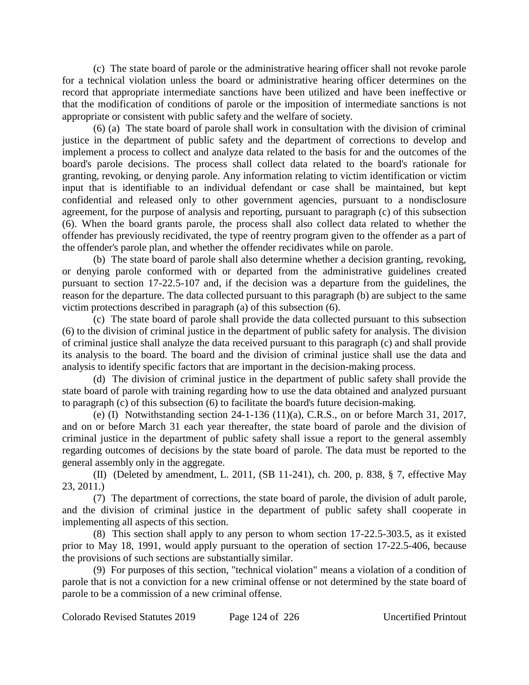(c) The state board of parole or the administrative hearing officer shall not revoke parole for a technical violation unless the board or administrative hearing officer determines on the record that appropriate intermediate sanctions have been utilized and have been ineffective or that the modification of conditions of parole or the imposition of intermediate sanctions is not appropriate or consistent with public safety and the welfare of society.

(6) (a) The state board of parole shall work in consultation with the division of criminal justice in the department of public safety and the department of corrections to develop and implement a process to collect and analyze data related to the basis for and the outcomes of the board's parole decisions. The process shall collect data related to the board's rationale for granting, revoking, or denying parole. Any information relating to victim identification or victim input that is identifiable to an individual defendant or case shall be maintained, but kept confidential and released only to other government agencies, pursuant to a nondisclosure agreement, for the purpose of analysis and reporting, pursuant to paragraph (c) of this subsection (6). When the board grants parole, the process shall also collect data related to whether the offender has previously recidivated, the type of reentry program given to the offender as a part of the offender's parole plan, and whether the offender recidivates while on parole.

(b) The state board of parole shall also determine whether a decision granting, revoking, or denying parole conformed with or departed from the administrative guidelines created pursuant to section 17-22.5-107 and, if the decision was a departure from the guidelines, the reason for the departure. The data collected pursuant to this paragraph (b) are subject to the same victim protections described in paragraph (a) of this subsection (6).

(c) The state board of parole shall provide the data collected pursuant to this subsection (6) to the division of criminal justice in the department of public safety for analysis. The division of criminal justice shall analyze the data received pursuant to this paragraph (c) and shall provide its analysis to the board. The board and the division of criminal justice shall use the data and analysis to identify specific factors that are important in the decision-making process.

(d) The division of criminal justice in the department of public safety shall provide the state board of parole with training regarding how to use the data obtained and analyzed pursuant to paragraph (c) of this subsection (6) to facilitate the board's future decision-making.

(e) (I) Notwithstanding section 24-1-136 (11)(a), C.R.S., on or before March 31, 2017, and on or before March 31 each year thereafter, the state board of parole and the division of criminal justice in the department of public safety shall issue a report to the general assembly regarding outcomes of decisions by the state board of parole. The data must be reported to the general assembly only in the aggregate.

(II) (Deleted by amendment, L. 2011, (SB 11-241), ch. 200, p. 838, § 7, effective May 23, 2011.)

(7) The department of corrections, the state board of parole, the division of adult parole, and the division of criminal justice in the department of public safety shall cooperate in implementing all aspects of this section.

(8) This section shall apply to any person to whom section 17-22.5-303.5, as it existed prior to May 18, 1991, would apply pursuant to the operation of section 17-22.5-406, because the provisions of such sections are substantially similar.

(9) For purposes of this section, "technical violation" means a violation of a condition of parole that is not a conviction for a new criminal offense or not determined by the state board of parole to be a commission of a new criminal offense.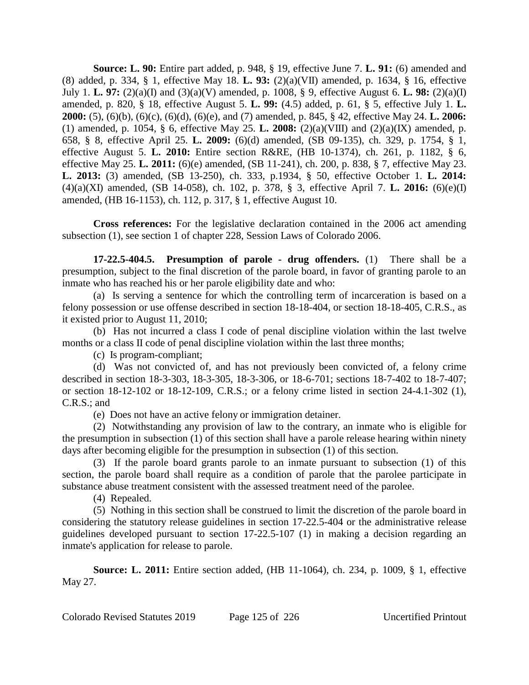**Source: L. 90:** Entire part added, p. 948, § 19, effective June 7. **L. 91:** (6) amended and (8) added, p. 334, § 1, effective May 18. **L. 93:** (2)(a)(VII) amended, p. 1634, § 16, effective July 1. **L. 97:** (2)(a)(I) and (3)(a)(V) amended, p. 1008, § 9, effective August 6. **L. 98:** (2)(a)(I) amended, p. 820, § 18, effective August 5. **L. 99:** (4.5) added, p. 61, § 5, effective July 1. **L. 2000:** (5), (6)(b), (6)(c), (6)(d), (6)(e), and (7) amended, p. 845, § 42, effective May 24. **L. 2006:** (1) amended, p. 1054, § 6, effective May 25. **L. 2008:** (2)(a)(VIII) and (2)(a)(IX) amended, p. 658, § 8, effective April 25. **L. 2009:** (6)(d) amended, (SB 09-135), ch. 329, p. 1754, § 1, effective August 5. **L. 2010:** Entire section R&RE, (HB 10-1374), ch. 261, p. 1182, § 6, effective May 25. **L. 2011:** (6)(e) amended, (SB 11-241), ch. 200, p. 838, § 7, effective May 23. **L. 2013:** (3) amended, (SB 13-250), ch. 333, p.1934, § 50, effective October 1. **L. 2014:** (4)(a)(XI) amended, (SB 14-058), ch. 102, p. 378, § 3, effective April 7. **L. 2016:** (6)(e)(I) amended, (HB 16-1153), ch. 112, p. 317, § 1, effective August 10.

**Cross references:** For the legislative declaration contained in the 2006 act amending subsection (1), see section 1 of chapter 228, Session Laws of Colorado 2006.

**17-22.5-404.5. Presumption of parole - drug offenders.** (1) There shall be a presumption, subject to the final discretion of the parole board, in favor of granting parole to an inmate who has reached his or her parole eligibility date and who:

(a) Is serving a sentence for which the controlling term of incarceration is based on a felony possession or use offense described in section 18-18-404, or section 18-18-405, C.R.S., as it existed prior to August 11, 2010;

(b) Has not incurred a class I code of penal discipline violation within the last twelve months or a class II code of penal discipline violation within the last three months;

(c) Is program-compliant;

(d) Was not convicted of, and has not previously been convicted of, a felony crime described in section 18-3-303, 18-3-305, 18-3-306, or 18-6-701; sections 18-7-402 to 18-7-407; or section 18-12-102 or 18-12-109, C.R.S.; or a felony crime listed in section 24-4.1-302 (1), C.R.S.; and

(e) Does not have an active felony or immigration detainer.

(2) Notwithstanding any provision of law to the contrary, an inmate who is eligible for the presumption in subsection (1) of this section shall have a parole release hearing within ninety days after becoming eligible for the presumption in subsection (1) of this section.

(3) If the parole board grants parole to an inmate pursuant to subsection (1) of this section, the parole board shall require as a condition of parole that the parolee participate in substance abuse treatment consistent with the assessed treatment need of the parolee.

(4) Repealed.

(5) Nothing in this section shall be construed to limit the discretion of the parole board in considering the statutory release guidelines in section 17-22.5-404 or the administrative release guidelines developed pursuant to section 17-22.5-107 (1) in making a decision regarding an inmate's application for release to parole.

**Source: L. 2011:** Entire section added, (HB 11-1064), ch. 234, p. 1009, § 1, effective May 27.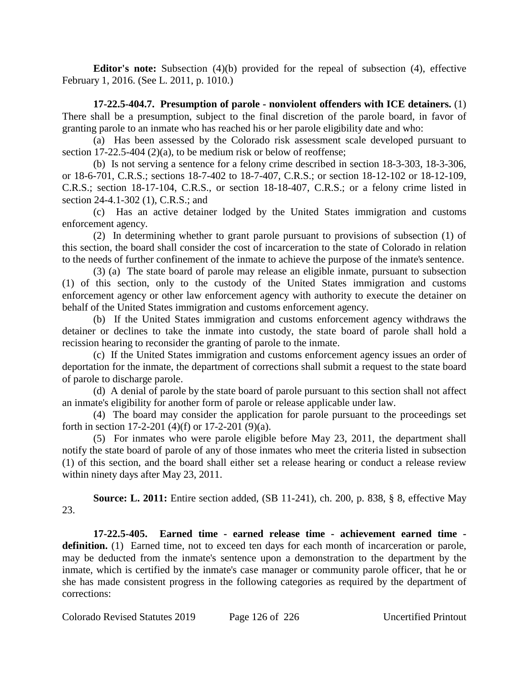**Editor's note:** Subsection (4)(b) provided for the repeal of subsection (4), effective February 1, 2016. (See L. 2011, p. 1010.)

**17-22.5-404.7. Presumption of parole - nonviolent offenders with ICE detainers.** (1) There shall be a presumption, subject to the final discretion of the parole board, in favor of granting parole to an inmate who has reached his or her parole eligibility date and who:

(a) Has been assessed by the Colorado risk assessment scale developed pursuant to section 17-22.5-404 (2)(a), to be medium risk or below of reoffense;

(b) Is not serving a sentence for a felony crime described in section 18-3-303, 18-3-306, or 18-6-701, C.R.S.; sections 18-7-402 to 18-7-407, C.R.S.; or section 18-12-102 or 18-12-109, C.R.S.; section 18-17-104, C.R.S., or section 18-18-407, C.R.S.; or a felony crime listed in section 24-4.1-302 (1), C.R.S.; and

(c) Has an active detainer lodged by the United States immigration and customs enforcement agency.

(2) In determining whether to grant parole pursuant to provisions of subsection (1) of this section, the board shall consider the cost of incarceration to the state of Colorado in relation to the needs of further confinement of the inmate to achieve the purpose of the inmate's sentence.

(3) (a) The state board of parole may release an eligible inmate, pursuant to subsection (1) of this section, only to the custody of the United States immigration and customs enforcement agency or other law enforcement agency with authority to execute the detainer on behalf of the United States immigration and customs enforcement agency.

(b) If the United States immigration and customs enforcement agency withdraws the detainer or declines to take the inmate into custody, the state board of parole shall hold a recission hearing to reconsider the granting of parole to the inmate.

(c) If the United States immigration and customs enforcement agency issues an order of deportation for the inmate, the department of corrections shall submit a request to the state board of parole to discharge parole.

(d) A denial of parole by the state board of parole pursuant to this section shall not affect an inmate's eligibility for another form of parole or release applicable under law.

(4) The board may consider the application for parole pursuant to the proceedings set forth in section 17-2-201 (4)(f) or 17-2-201 (9)(a).

(5) For inmates who were parole eligible before May 23, 2011, the department shall notify the state board of parole of any of those inmates who meet the criteria listed in subsection (1) of this section, and the board shall either set a release hearing or conduct a release review within ninety days after May 23, 2011.

**Source: L. 2011:** Entire section added, (SB 11-241), ch. 200, p. 838, § 8, effective May 23.

**17-22.5-405. Earned time - earned release time - achievement earned time**  definition. (1) Earned time, not to exceed ten days for each month of incarceration or parole, may be deducted from the inmate's sentence upon a demonstration to the department by the inmate, which is certified by the inmate's case manager or community parole officer, that he or she has made consistent progress in the following categories as required by the department of corrections: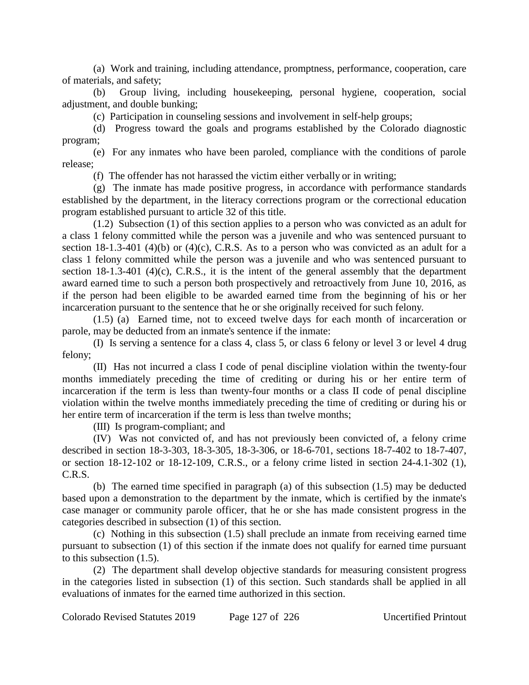(a) Work and training, including attendance, promptness, performance, cooperation, care of materials, and safety;

(b) Group living, including housekeeping, personal hygiene, cooperation, social adjustment, and double bunking;

(c) Participation in counseling sessions and involvement in self-help groups;

(d) Progress toward the goals and programs established by the Colorado diagnostic program;

(e) For any inmates who have been paroled, compliance with the conditions of parole release;

(f) The offender has not harassed the victim either verbally or in writing;

(g) The inmate has made positive progress, in accordance with performance standards established by the department, in the literacy corrections program or the correctional education program established pursuant to article 32 of this title.

(1.2) Subsection (1) of this section applies to a person who was convicted as an adult for a class 1 felony committed while the person was a juvenile and who was sentenced pursuant to section 18-1.3-401 (4)(b) or (4)(c), C.R.S. As to a person who was convicted as an adult for a class 1 felony committed while the person was a juvenile and who was sentenced pursuant to section 18-1.3-401 (4)(c), C.R.S., it is the intent of the general assembly that the department award earned time to such a person both prospectively and retroactively from June 10, 2016, as if the person had been eligible to be awarded earned time from the beginning of his or her incarceration pursuant to the sentence that he or she originally received for such felony.

(1.5) (a) Earned time, not to exceed twelve days for each month of incarceration or parole, may be deducted from an inmate's sentence if the inmate:

(I) Is serving a sentence for a class 4, class 5, or class 6 felony or level 3 or level 4 drug felony;

(II) Has not incurred a class I code of penal discipline violation within the twenty-four months immediately preceding the time of crediting or during his or her entire term of incarceration if the term is less than twenty-four months or a class II code of penal discipline violation within the twelve months immediately preceding the time of crediting or during his or her entire term of incarceration if the term is less than twelve months;

(III) Is program-compliant; and

(IV) Was not convicted of, and has not previously been convicted of, a felony crime described in section 18-3-303, 18-3-305, 18-3-306, or 18-6-701, sections 18-7-402 to 18-7-407, or section 18-12-102 or 18-12-109, C.R.S., or a felony crime listed in section 24-4.1-302 (1), C.R.S.

(b) The earned time specified in paragraph (a) of this subsection (1.5) may be deducted based upon a demonstration to the department by the inmate, which is certified by the inmate's case manager or community parole officer, that he or she has made consistent progress in the categories described in subsection (1) of this section.

(c) Nothing in this subsection (1.5) shall preclude an inmate from receiving earned time pursuant to subsection (1) of this section if the inmate does not qualify for earned time pursuant to this subsection (1.5).

(2) The department shall develop objective standards for measuring consistent progress in the categories listed in subsection (1) of this section. Such standards shall be applied in all evaluations of inmates for the earned time authorized in this section.

Colorado Revised Statutes 2019 Page 127 of 226 Uncertified Printout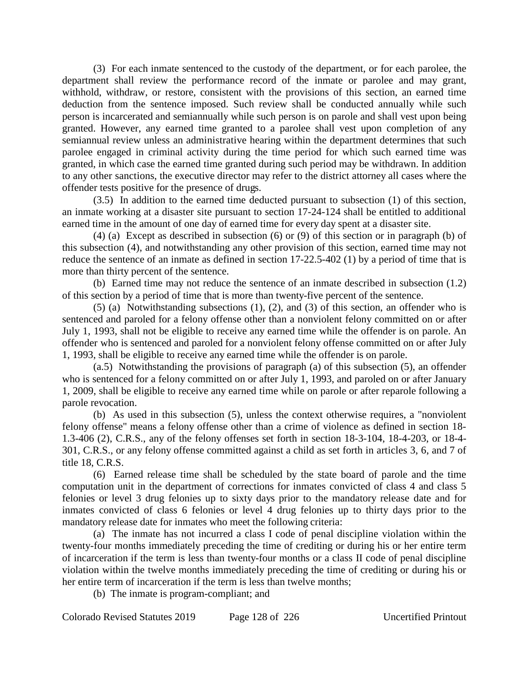(3) For each inmate sentenced to the custody of the department, or for each parolee, the department shall review the performance record of the inmate or parolee and may grant, withhold, withdraw, or restore, consistent with the provisions of this section, an earned time deduction from the sentence imposed. Such review shall be conducted annually while such person is incarcerated and semiannually while such person is on parole and shall vest upon being granted. However, any earned time granted to a parolee shall vest upon completion of any semiannual review unless an administrative hearing within the department determines that such parolee engaged in criminal activity during the time period for which such earned time was granted, in which case the earned time granted during such period may be withdrawn. In addition to any other sanctions, the executive director may refer to the district attorney all cases where the offender tests positive for the presence of drugs.

(3.5) In addition to the earned time deducted pursuant to subsection (1) of this section, an inmate working at a disaster site pursuant to section 17-24-124 shall be entitled to additional earned time in the amount of one day of earned time for every day spent at a disaster site.

(4) (a) Except as described in subsection (6) or (9) of this section or in paragraph (b) of this subsection (4), and notwithstanding any other provision of this section, earned time may not reduce the sentence of an inmate as defined in section 17-22.5-402 (1) by a period of time that is more than thirty percent of the sentence.

(b) Earned time may not reduce the sentence of an inmate described in subsection (1.2) of this section by a period of time that is more than twenty-five percent of the sentence.

(5) (a) Notwithstanding subsections (1), (2), and (3) of this section, an offender who is sentenced and paroled for a felony offense other than a nonviolent felony committed on or after July 1, 1993, shall not be eligible to receive any earned time while the offender is on parole. An offender who is sentenced and paroled for a nonviolent felony offense committed on or after July 1, 1993, shall be eligible to receive any earned time while the offender is on parole.

(a.5) Notwithstanding the provisions of paragraph (a) of this subsection (5), an offender who is sentenced for a felony committed on or after July 1, 1993, and paroled on or after January 1, 2009, shall be eligible to receive any earned time while on parole or after reparole following a parole revocation.

(b) As used in this subsection (5), unless the context otherwise requires, a "nonviolent felony offense" means a felony offense other than a crime of violence as defined in section 18- 1.3-406 (2), C.R.S., any of the felony offenses set forth in section 18-3-104, 18-4-203, or 18-4- 301, C.R.S., or any felony offense committed against a child as set forth in articles 3, 6, and 7 of title 18, C.R.S.

(6) Earned release time shall be scheduled by the state board of parole and the time computation unit in the department of corrections for inmates convicted of class 4 and class 5 felonies or level 3 drug felonies up to sixty days prior to the mandatory release date and for inmates convicted of class 6 felonies or level 4 drug felonies up to thirty days prior to the mandatory release date for inmates who meet the following criteria:

(a) The inmate has not incurred a class I code of penal discipline violation within the twenty-four months immediately preceding the time of crediting or during his or her entire term of incarceration if the term is less than twenty-four months or a class II code of penal discipline violation within the twelve months immediately preceding the time of crediting or during his or her entire term of incarceration if the term is less than twelve months;

(b) The inmate is program-compliant; and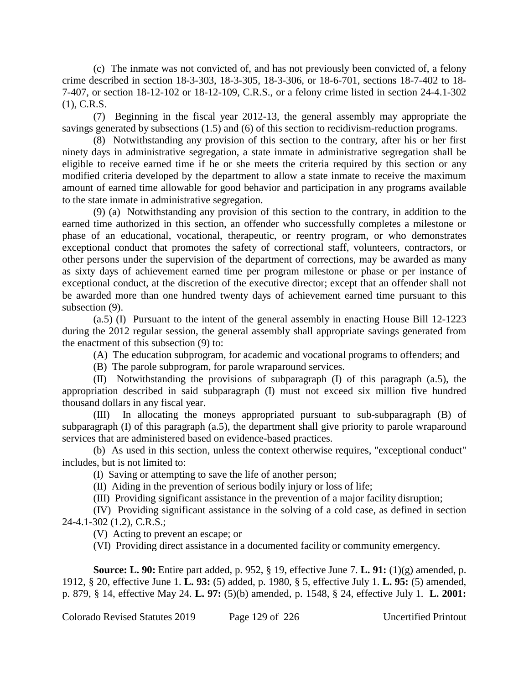(c) The inmate was not convicted of, and has not previously been convicted of, a felony crime described in section 18-3-303, 18-3-305, 18-3-306, or 18-6-701, sections 18-7-402 to 18- 7-407, or section 18-12-102 or 18-12-109, C.R.S., or a felony crime listed in section 24-4.1-302 (1), C.R.S.

(7) Beginning in the fiscal year 2012-13, the general assembly may appropriate the savings generated by subsections (1.5) and (6) of this section to recidivism-reduction programs.

(8) Notwithstanding any provision of this section to the contrary, after his or her first ninety days in administrative segregation, a state inmate in administrative segregation shall be eligible to receive earned time if he or she meets the criteria required by this section or any modified criteria developed by the department to allow a state inmate to receive the maximum amount of earned time allowable for good behavior and participation in any programs available to the state inmate in administrative segregation.

(9) (a) Notwithstanding any provision of this section to the contrary, in addition to the earned time authorized in this section, an offender who successfully completes a milestone or phase of an educational, vocational, therapeutic, or reentry program, or who demonstrates exceptional conduct that promotes the safety of correctional staff, volunteers, contractors, or other persons under the supervision of the department of corrections, may be awarded as many as sixty days of achievement earned time per program milestone or phase or per instance of exceptional conduct, at the discretion of the executive director; except that an offender shall not be awarded more than one hundred twenty days of achievement earned time pursuant to this subsection (9).

(a.5) (I) Pursuant to the intent of the general assembly in enacting House Bill 12-1223 during the 2012 regular session, the general assembly shall appropriate savings generated from the enactment of this subsection (9) to:

(A) The education subprogram, for academic and vocational programs to offenders; and

(B) The parole subprogram, for parole wraparound services.

(II) Notwithstanding the provisions of subparagraph (I) of this paragraph (a.5), the appropriation described in said subparagraph (I) must not exceed six million five hundred thousand dollars in any fiscal year.

(III) In allocating the moneys appropriated pursuant to sub-subparagraph (B) of subparagraph (I) of this paragraph (a.5), the department shall give priority to parole wraparound services that are administered based on evidence-based practices.

(b) As used in this section, unless the context otherwise requires, "exceptional conduct" includes, but is not limited to:

(I) Saving or attempting to save the life of another person;

(II) Aiding in the prevention of serious bodily injury or loss of life;

(III) Providing significant assistance in the prevention of a major facility disruption;

(IV) Providing significant assistance in the solving of a cold case, as defined in section 24-4.1-302 (1.2), C.R.S.;

(V) Acting to prevent an escape; or

(VI) Providing direct assistance in a documented facility or community emergency.

**Source: L. 90:** Entire part added, p. 952, § 19, effective June 7. **L. 91:** (1)(g) amended, p. 1912, § 20, effective June 1. **L. 93:** (5) added, p. 1980, § 5, effective July 1. **L. 95:** (5) amended, p. 879, § 14, effective May 24. **L. 97:** (5)(b) amended, p. 1548, § 24, effective July 1. **L. 2001:**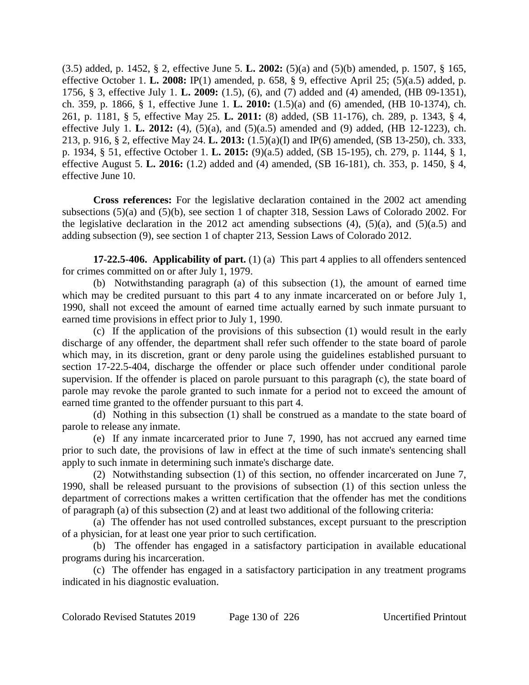(3.5) added, p. 1452, § 2, effective June 5. **L. 2002:** (5)(a) and (5)(b) amended, p. 1507, § 165, effective October 1. **L. 2008:** IP(1) amended, p. 658, § 9, effective April 25; (5)(a.5) added, p. 1756, § 3, effective July 1. **L. 2009:** (1.5), (6), and (7) added and (4) amended, (HB 09-1351), ch. 359, p. 1866, § 1, effective June 1. **L. 2010:** (1.5)(a) and (6) amended, (HB 10-1374), ch. 261, p. 1181, § 5, effective May 25. **L. 2011:** (8) added, (SB 11-176), ch. 289, p. 1343, § 4, effective July 1. **L. 2012:** (4), (5)(a), and (5)(a.5) amended and (9) added, (HB 12-1223), ch. 213, p. 916, § 2, effective May 24. **L. 2013:** (1.5)(a)(I) and IP(6) amended, (SB 13-250), ch. 333, p. 1934, § 51, effective October 1. **L. 2015:** (9)(a.5) added, (SB 15-195), ch. 279, p. 1144, § 1, effective August 5. **L. 2016:** (1.2) added and (4) amended, (SB 16-181), ch. 353, p. 1450, § 4, effective June 10.

**Cross references:** For the legislative declaration contained in the 2002 act amending subsections (5)(a) and (5)(b), see section 1 of chapter 318, Session Laws of Colorado 2002. For the legislative declaration in the 2012 act amending subsections  $(4)$ ,  $(5)(a)$ , and  $(5)(a.5)$  and adding subsection (9), see section 1 of chapter 213, Session Laws of Colorado 2012.

**17-22.5-406. Applicability of part.** (1) (a) This part 4 applies to all offenders sentenced for crimes committed on or after July 1, 1979.

(b) Notwithstanding paragraph (a) of this subsection (1), the amount of earned time which may be credited pursuant to this part 4 to any inmate incarcerated on or before July 1, 1990, shall not exceed the amount of earned time actually earned by such inmate pursuant to earned time provisions in effect prior to July 1, 1990.

(c) If the application of the provisions of this subsection (1) would result in the early discharge of any offender, the department shall refer such offender to the state board of parole which may, in its discretion, grant or deny parole using the guidelines established pursuant to section 17-22.5-404, discharge the offender or place such offender under conditional parole supervision. If the offender is placed on parole pursuant to this paragraph (c), the state board of parole may revoke the parole granted to such inmate for a period not to exceed the amount of earned time granted to the offender pursuant to this part 4.

(d) Nothing in this subsection (1) shall be construed as a mandate to the state board of parole to release any inmate.

(e) If any inmate incarcerated prior to June 7, 1990, has not accrued any earned time prior to such date, the provisions of law in effect at the time of such inmate's sentencing shall apply to such inmate in determining such inmate's discharge date.

(2) Notwithstanding subsection (1) of this section, no offender incarcerated on June 7, 1990, shall be released pursuant to the provisions of subsection (1) of this section unless the department of corrections makes a written certification that the offender has met the conditions of paragraph (a) of this subsection (2) and at least two additional of the following criteria:

(a) The offender has not used controlled substances, except pursuant to the prescription of a physician, for at least one year prior to such certification.

(b) The offender has engaged in a satisfactory participation in available educational programs during his incarceration.

(c) The offender has engaged in a satisfactory participation in any treatment programs indicated in his diagnostic evaluation.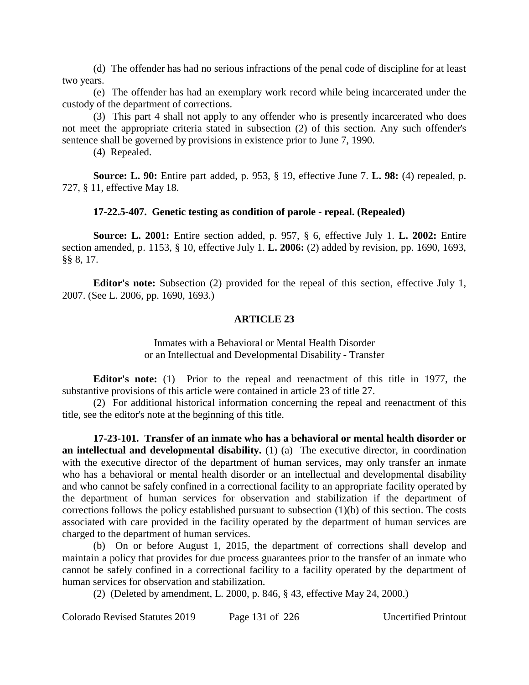(d) The offender has had no serious infractions of the penal code of discipline for at least two years.

(e) The offender has had an exemplary work record while being incarcerated under the custody of the department of corrections.

(3) This part 4 shall not apply to any offender who is presently incarcerated who does not meet the appropriate criteria stated in subsection (2) of this section. Any such offender's sentence shall be governed by provisions in existence prior to June 7, 1990.

(4) Repealed.

**Source: L. 90:** Entire part added, p. 953, § 19, effective June 7. **L. 98:** (4) repealed, p. 727, § 11, effective May 18.

#### **17-22.5-407. Genetic testing as condition of parole - repeal. (Repealed)**

**Source: L. 2001:** Entire section added, p. 957, § 6, effective July 1. **L. 2002:** Entire section amended, p. 1153, § 10, effective July 1. **L. 2006:** (2) added by revision, pp. 1690, 1693, §§ 8, 17.

**Editor's note:** Subsection (2) provided for the repeal of this section, effective July 1, 2007. (See L. 2006, pp. 1690, 1693.)

#### **ARTICLE 23**

Inmates with a Behavioral or Mental Health Disorder or an Intellectual and Developmental Disability - Transfer

**Editor's note:** (1) Prior to the repeal and reenactment of this title in 1977, the substantive provisions of this article were contained in article 23 of title 27.

(2) For additional historical information concerning the repeal and reenactment of this title, see the editor's note at the beginning of this title.

**17-23-101. Transfer of an inmate who has a behavioral or mental health disorder or an intellectual and developmental disability.** (1) (a) The executive director, in coordination with the executive director of the department of human services, may only transfer an inmate who has a behavioral or mental health disorder or an intellectual and developmental disability and who cannot be safely confined in a correctional facility to an appropriate facility operated by the department of human services for observation and stabilization if the department of corrections follows the policy established pursuant to subsection (1)(b) of this section. The costs associated with care provided in the facility operated by the department of human services are charged to the department of human services.

(b) On or before August 1, 2015, the department of corrections shall develop and maintain a policy that provides for due process guarantees prior to the transfer of an inmate who cannot be safely confined in a correctional facility to a facility operated by the department of human services for observation and stabilization.

(2) (Deleted by amendment, L. 2000, p. 846, § 43, effective May 24, 2000.)

Colorado Revised Statutes 2019 Page 131 of 226 Uncertified Printout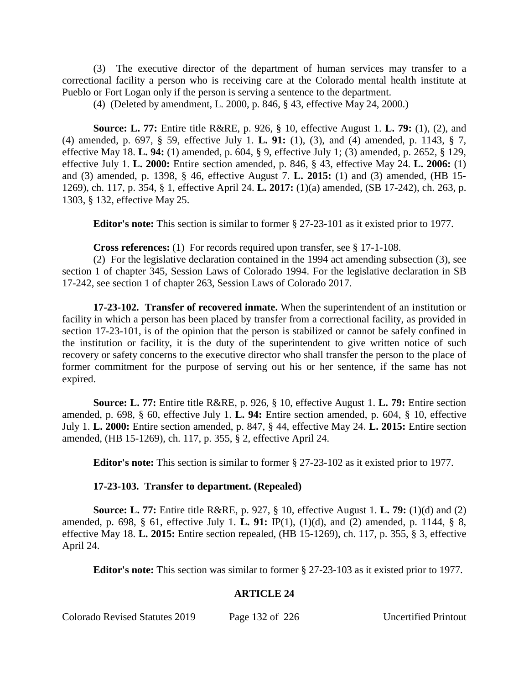(3) The executive director of the department of human services may transfer to a correctional facility a person who is receiving care at the Colorado mental health institute at Pueblo or Fort Logan only if the person is serving a sentence to the department.

(4) (Deleted by amendment, L. 2000, p. 846, § 43, effective May 24, 2000.)

**Source: L. 77:** Entire title R&RE, p. 926, § 10, effective August 1. **L. 79:** (1), (2), and (4) amended, p. 697, § 59, effective July 1. **L. 91:** (1), (3), and (4) amended, p. 1143, § 7, effective May 18. **L. 94:** (1) amended, p. 604, § 9, effective July 1; (3) amended, p. 2652, § 129, effective July 1. **L. 2000:** Entire section amended, p. 846, § 43, effective May 24. **L. 2006:** (1) and (3) amended, p. 1398, § 46, effective August 7. **L. 2015:** (1) and (3) amended, (HB 15- 1269), ch. 117, p. 354, § 1, effective April 24. **L. 2017:** (1)(a) amended, (SB 17-242), ch. 263, p. 1303, § 132, effective May 25.

**Editor's note:** This section is similar to former § 27-23-101 as it existed prior to 1977.

**Cross references:** (1) For records required upon transfer, see § 17-1-108.

(2) For the legislative declaration contained in the 1994 act amending subsection (3), see section 1 of chapter 345, Session Laws of Colorado 1994. For the legislative declaration in SB 17-242, see section 1 of chapter 263, Session Laws of Colorado 2017.

**17-23-102. Transfer of recovered inmate.** When the superintendent of an institution or facility in which a person has been placed by transfer from a correctional facility, as provided in section 17-23-101, is of the opinion that the person is stabilized or cannot be safely confined in the institution or facility, it is the duty of the superintendent to give written notice of such recovery or safety concerns to the executive director who shall transfer the person to the place of former commitment for the purpose of serving out his or her sentence, if the same has not expired.

**Source: L. 77:** Entire title R&RE, p. 926, § 10, effective August 1. **L. 79:** Entire section amended, p. 698, § 60, effective July 1. **L. 94:** Entire section amended, p. 604, § 10, effective July 1. **L. 2000:** Entire section amended, p. 847, § 44, effective May 24. **L. 2015:** Entire section amended, (HB 15-1269), ch. 117, p. 355, § 2, effective April 24.

**Editor's note:** This section is similar to former § 27-23-102 as it existed prior to 1977.

#### **17-23-103. Transfer to department. (Repealed)**

**Source: L. 77:** Entire title R&RE, p. 927, § 10, effective August 1. **L. 79:** (1)(d) and (2) amended, p. 698, § 61, effective July 1. **L. 91:** IP(1), (1)(d), and (2) amended, p. 1144, § 8, effective May 18. **L. 2015:** Entire section repealed, (HB 15-1269), ch. 117, p. 355, § 3, effective April 24.

**Editor's note:** This section was similar to former § 27-23-103 as it existed prior to 1977.

# **ARTICLE 24**

Colorado Revised Statutes 2019 Page 132 of 226 Uncertified Printout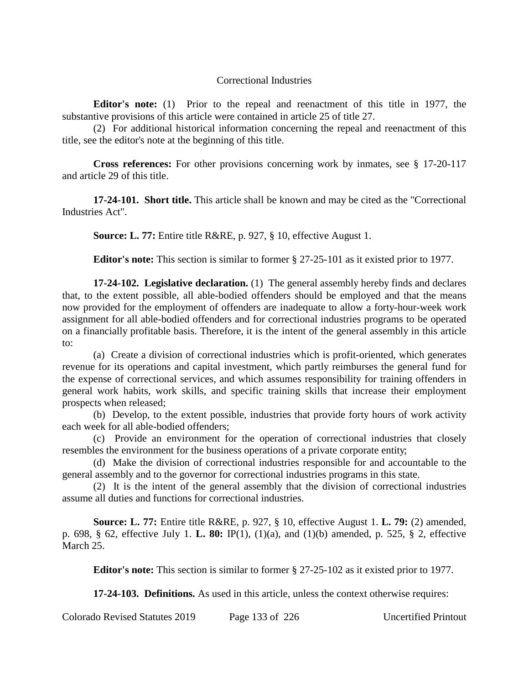## Correctional Industries

**Editor's note:** (1) Prior to the repeal and reenactment of this title in 1977, the substantive provisions of this article were contained in article 25 of title 27.

(2) For additional historical information concerning the repeal and reenactment of this title, see the editor's note at the beginning of this title.

**Cross references:** For other provisions concerning work by inmates, see § 17-20-117 and article 29 of this title.

**17-24-101. Short title.** This article shall be known and may be cited as the "Correctional Industries Act".

**Source: L. 77:** Entire title R&RE, p. 927, § 10, effective August 1.

**Editor's note:** This section is similar to former § 27-25-101 as it existed prior to 1977.

**17-24-102. Legislative declaration.** (1) The general assembly hereby finds and declares that, to the extent possible, all able-bodied offenders should be employed and that the means now provided for the employment of offenders are inadequate to allow a forty-hour-week work assignment for all able-bodied offenders and for correctional industries programs to be operated on a financially profitable basis. Therefore, it is the intent of the general assembly in this article to:

(a) Create a division of correctional industries which is profit-oriented, which generates revenue for its operations and capital investment, which partly reimburses the general fund for the expense of correctional services, and which assumes responsibility for training offenders in general work habits, work skills, and specific training skills that increase their employment prospects when released;

(b) Develop, to the extent possible, industries that provide forty hours of work activity each week for all able-bodied offenders;

(c) Provide an environment for the operation of correctional industries that closely resembles the environment for the business operations of a private corporate entity;

(d) Make the division of correctional industries responsible for and accountable to the general assembly and to the governor for correctional industries programs in this state.

(2) It is the intent of the general assembly that the division of correctional industries assume all duties and functions for correctional industries.

**Source: L. 77:** Entire title R&RE, p. 927, § 10, effective August 1. **L. 79:** (2) amended, p. 698, § 62, effective July 1. **L. 80:** IP(1), (1)(a), and (1)(b) amended, p. 525, § 2, effective March 25.

**Editor's note:** This section is similar to former § 27-25-102 as it existed prior to 1977.

**17-24-103. Definitions.** As used in this article, unless the context otherwise requires:

Colorado Revised Statutes 2019 Page 133 of 226 Uncertified Printout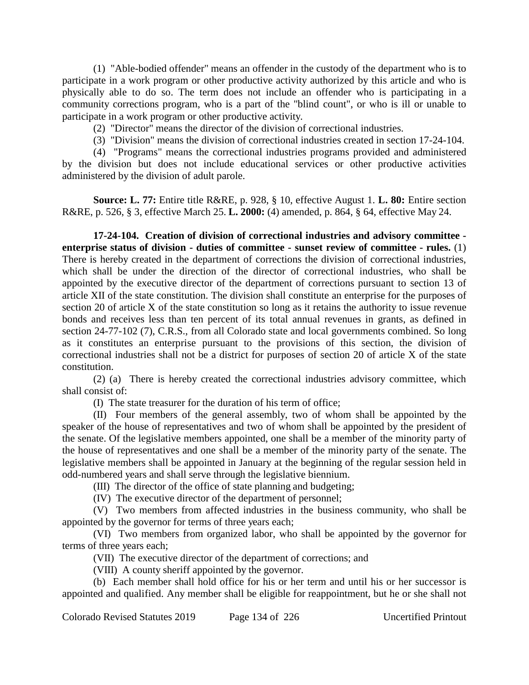(1) "Able-bodied offender" means an offender in the custody of the department who is to participate in a work program or other productive activity authorized by this article and who is physically able to do so. The term does not include an offender who is participating in a community corrections program, who is a part of the "blind count", or who is ill or unable to participate in a work program or other productive activity.

(2) "Director" means the director of the division of correctional industries.

(3) "Division" means the division of correctional industries created in section 17-24-104.

(4) "Programs" means the correctional industries programs provided and administered by the division but does not include educational services or other productive activities administered by the division of adult parole.

**Source: L. 77:** Entire title R&RE, p. 928, § 10, effective August 1. **L. 80:** Entire section R&RE, p. 526, § 3, effective March 25. **L. 2000:** (4) amended, p. 864, § 64, effective May 24.

**17-24-104. Creation of division of correctional industries and advisory committee enterprise status of division - duties of committee - sunset review of committee - rules.** (1) There is hereby created in the department of corrections the division of correctional industries, which shall be under the direction of the director of correctional industries, who shall be appointed by the executive director of the department of corrections pursuant to section 13 of article XII of the state constitution. The division shall constitute an enterprise for the purposes of section 20 of article X of the state constitution so long as it retains the authority to issue revenue bonds and receives less than ten percent of its total annual revenues in grants, as defined in section 24-77-102 (7), C.R.S., from all Colorado state and local governments combined. So long as it constitutes an enterprise pursuant to the provisions of this section, the division of correctional industries shall not be a district for purposes of section 20 of article X of the state constitution.

(2) (a) There is hereby created the correctional industries advisory committee, which shall consist of:

(I) The state treasurer for the duration of his term of office;

(II) Four members of the general assembly, two of whom shall be appointed by the speaker of the house of representatives and two of whom shall be appointed by the president of the senate. Of the legislative members appointed, one shall be a member of the minority party of the house of representatives and one shall be a member of the minority party of the senate. The legislative members shall be appointed in January at the beginning of the regular session held in odd-numbered years and shall serve through the legislative biennium.

(III) The director of the office of state planning and budgeting;

(IV) The executive director of the department of personnel;

(V) Two members from affected industries in the business community, who shall be appointed by the governor for terms of three years each;

(VI) Two members from organized labor, who shall be appointed by the governor for terms of three years each;

(VII) The executive director of the department of corrections; and

(VIII) A county sheriff appointed by the governor.

(b) Each member shall hold office for his or her term and until his or her successor is appointed and qualified. Any member shall be eligible for reappointment, but he or she shall not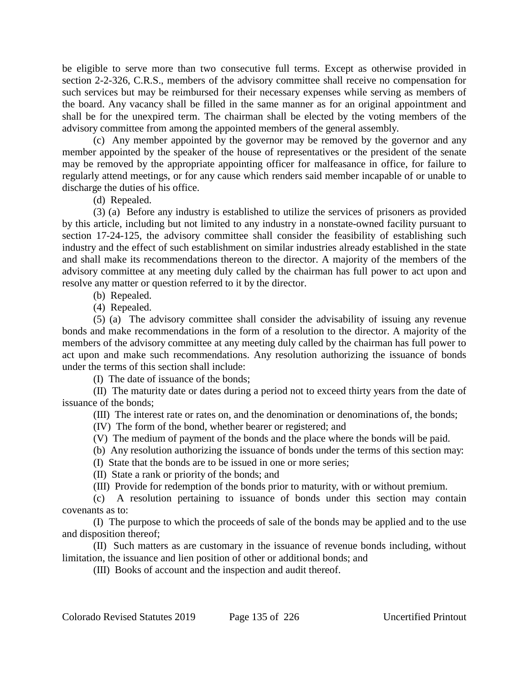be eligible to serve more than two consecutive full terms. Except as otherwise provided in section 2-2-326, C.R.S., members of the advisory committee shall receive no compensation for such services but may be reimbursed for their necessary expenses while serving as members of the board. Any vacancy shall be filled in the same manner as for an original appointment and shall be for the unexpired term. The chairman shall be elected by the voting members of the advisory committee from among the appointed members of the general assembly.

(c) Any member appointed by the governor may be removed by the governor and any member appointed by the speaker of the house of representatives or the president of the senate may be removed by the appropriate appointing officer for malfeasance in office, for failure to regularly attend meetings, or for any cause which renders said member incapable of or unable to discharge the duties of his office.

(d) Repealed.

(3) (a) Before any industry is established to utilize the services of prisoners as provided by this article, including but not limited to any industry in a nonstate-owned facility pursuant to section 17-24-125, the advisory committee shall consider the feasibility of establishing such industry and the effect of such establishment on similar industries already established in the state and shall make its recommendations thereon to the director. A majority of the members of the advisory committee at any meeting duly called by the chairman has full power to act upon and resolve any matter or question referred to it by the director.

- (b) Repealed.
- (4) Repealed.

(5) (a) The advisory committee shall consider the advisability of issuing any revenue bonds and make recommendations in the form of a resolution to the director. A majority of the members of the advisory committee at any meeting duly called by the chairman has full power to act upon and make such recommendations. Any resolution authorizing the issuance of bonds under the terms of this section shall include:

(I) The date of issuance of the bonds;

(II) The maturity date or dates during a period not to exceed thirty years from the date of issuance of the bonds;

(III) The interest rate or rates on, and the denomination or denominations of, the bonds;

- (IV) The form of the bond, whether bearer or registered; and
- (V) The medium of payment of the bonds and the place where the bonds will be paid.

(b) Any resolution authorizing the issuance of bonds under the terms of this section may:

(I) State that the bonds are to be issued in one or more series;

(II) State a rank or priority of the bonds; and

(III) Provide for redemption of the bonds prior to maturity, with or without premium.

(c) A resolution pertaining to issuance of bonds under this section may contain covenants as to:

(I) The purpose to which the proceeds of sale of the bonds may be applied and to the use and disposition thereof;

(II) Such matters as are customary in the issuance of revenue bonds including, without limitation, the issuance and lien position of other or additional bonds; and

(III) Books of account and the inspection and audit thereof.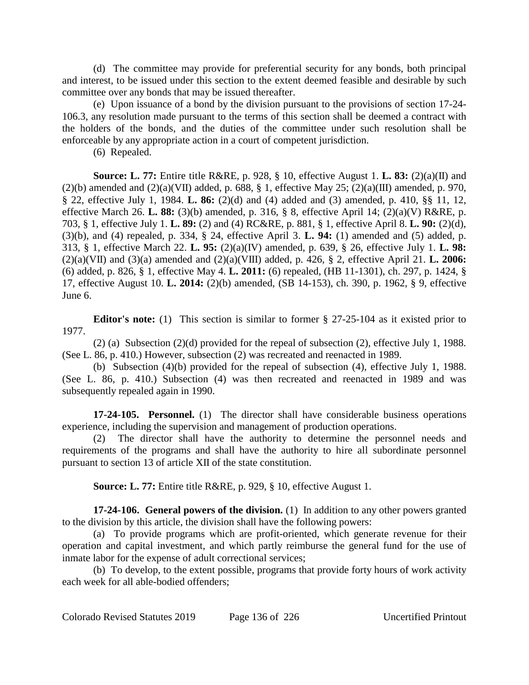(d) The committee may provide for preferential security for any bonds, both principal and interest, to be issued under this section to the extent deemed feasible and desirable by such committee over any bonds that may be issued thereafter.

(e) Upon issuance of a bond by the division pursuant to the provisions of section 17-24- 106.3, any resolution made pursuant to the terms of this section shall be deemed a contract with the holders of the bonds, and the duties of the committee under such resolution shall be enforceable by any appropriate action in a court of competent jurisdiction.

(6) Repealed.

**Source: L. 77:** Entire title R&RE, p. 928, § 10, effective August 1. **L. 83:** (2)(a)(II) and (2)(b) amended and  $(2)(a)(VII)$  added, p. 688, § 1, effective May 25; (2)(a)(III) amended, p. 970, § 22, effective July 1, 1984. **L. 86:** (2)(d) and (4) added and (3) amended, p. 410, §§ 11, 12, effective March 26. **L. 88:** (3)(b) amended, p. 316, § 8, effective April 14; (2)(a)(V) R&RE, p. 703, § 1, effective July 1. **L. 89:** (2) and (4) RC&RE, p. 881, § 1, effective April 8. **L. 90:** (2)(d), (3)(b), and (4) repealed, p. 334, § 24, effective April 3. **L. 94:** (1) amended and (5) added, p. 313, § 1, effective March 22. **L. 95:** (2)(a)(IV) amended, p. 639, § 26, effective July 1. **L. 98:** (2)(a)(VII) and (3)(a) amended and (2)(a)(VIII) added, p. 426, § 2, effective April 21. **L. 2006:** (6) added, p. 826, § 1, effective May 4. **L. 2011:** (6) repealed, (HB 11-1301), ch. 297, p. 1424, § 17, effective August 10. **L. 2014:** (2)(b) amended, (SB 14-153), ch. 390, p. 1962, § 9, effective June 6.

**Editor's note:** (1) This section is similar to former § 27-25-104 as it existed prior to 1977.

(2) (a) Subsection (2)(d) provided for the repeal of subsection (2), effective July 1, 1988. (See L. 86, p. 410.) However, subsection (2) was recreated and reenacted in 1989.

(b) Subsection (4)(b) provided for the repeal of subsection (4), effective July 1, 1988. (See L. 86, p. 410.) Subsection (4) was then recreated and reenacted in 1989 and was subsequently repealed again in 1990.

**17-24-105. Personnel.** (1) The director shall have considerable business operations experience, including the supervision and management of production operations.

(2) The director shall have the authority to determine the personnel needs and requirements of the programs and shall have the authority to hire all subordinate personnel pursuant to section 13 of article XII of the state constitution.

**Source: L. 77:** Entire title R&RE, p. 929, § 10, effective August 1.

**17-24-106. General powers of the division.** (1) In addition to any other powers granted to the division by this article, the division shall have the following powers:

(a) To provide programs which are profit-oriented, which generate revenue for their operation and capital investment, and which partly reimburse the general fund for the use of inmate labor for the expense of adult correctional services;

(b) To develop, to the extent possible, programs that provide forty hours of work activity each week for all able-bodied offenders;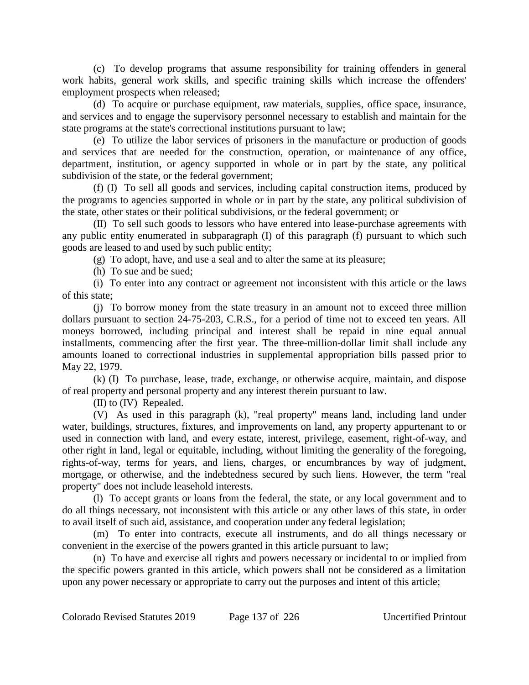(c) To develop programs that assume responsibility for training offenders in general work habits, general work skills, and specific training skills which increase the offenders' employment prospects when released;

(d) To acquire or purchase equipment, raw materials, supplies, office space, insurance, and services and to engage the supervisory personnel necessary to establish and maintain for the state programs at the state's correctional institutions pursuant to law;

(e) To utilize the labor services of prisoners in the manufacture or production of goods and services that are needed for the construction, operation, or maintenance of any office, department, institution, or agency supported in whole or in part by the state, any political subdivision of the state, or the federal government;

(f) (I) To sell all goods and services, including capital construction items, produced by the programs to agencies supported in whole or in part by the state, any political subdivision of the state, other states or their political subdivisions, or the federal government; or

(II) To sell such goods to lessors who have entered into lease-purchase agreements with any public entity enumerated in subparagraph (I) of this paragraph (f) pursuant to which such goods are leased to and used by such public entity;

(g) To adopt, have, and use a seal and to alter the same at its pleasure;

(h) To sue and be sued;

(i) To enter into any contract or agreement not inconsistent with this article or the laws of this state;

(j) To borrow money from the state treasury in an amount not to exceed three million dollars pursuant to section 24-75-203, C.R.S., for a period of time not to exceed ten years. All moneys borrowed, including principal and interest shall be repaid in nine equal annual installments, commencing after the first year. The three-million-dollar limit shall include any amounts loaned to correctional industries in supplemental appropriation bills passed prior to May 22, 1979.

(k) (I) To purchase, lease, trade, exchange, or otherwise acquire, maintain, and dispose of real property and personal property and any interest therein pursuant to law.

(II) to (IV) Repealed.

(V) As used in this paragraph (k), "real property" means land, including land under water, buildings, structures, fixtures, and improvements on land, any property appurtenant to or used in connection with land, and every estate, interest, privilege, easement, right-of-way, and other right in land, legal or equitable, including, without limiting the generality of the foregoing, rights-of-way, terms for years, and liens, charges, or encumbrances by way of judgment, mortgage, or otherwise, and the indebtedness secured by such liens. However, the term "real property" does not include leasehold interests.

(l) To accept grants or loans from the federal, the state, or any local government and to do all things necessary, not inconsistent with this article or any other laws of this state, in order to avail itself of such aid, assistance, and cooperation under any federal legislation;

(m) To enter into contracts, execute all instruments, and do all things necessary or convenient in the exercise of the powers granted in this article pursuant to law;

(n) To have and exercise all rights and powers necessary or incidental to or implied from the specific powers granted in this article, which powers shall not be considered as a limitation upon any power necessary or appropriate to carry out the purposes and intent of this article;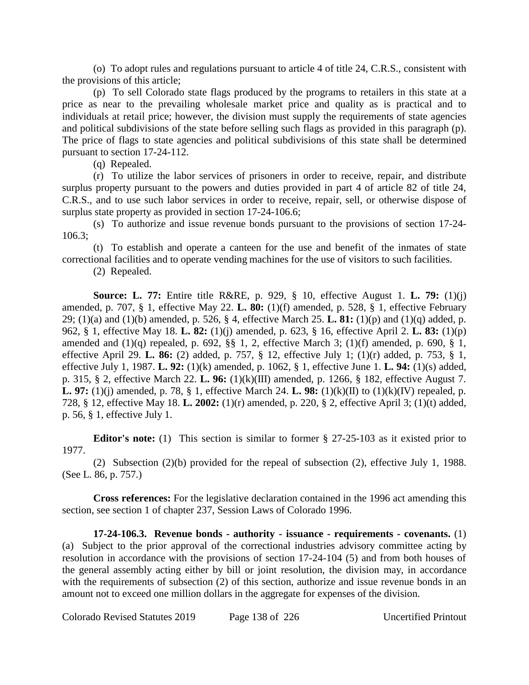(o) To adopt rules and regulations pursuant to article 4 of title 24, C.R.S., consistent with the provisions of this article;

(p) To sell Colorado state flags produced by the programs to retailers in this state at a price as near to the prevailing wholesale market price and quality as is practical and to individuals at retail price; however, the division must supply the requirements of state agencies and political subdivisions of the state before selling such flags as provided in this paragraph (p). The price of flags to state agencies and political subdivisions of this state shall be determined pursuant to section 17-24-112.

(q) Repealed.

(r) To utilize the labor services of prisoners in order to receive, repair, and distribute surplus property pursuant to the powers and duties provided in part 4 of article 82 of title 24, C.R.S., and to use such labor services in order to receive, repair, sell, or otherwise dispose of surplus state property as provided in section 17-24-106.6;

(s) To authorize and issue revenue bonds pursuant to the provisions of section 17-24- 106.3;

(t) To establish and operate a canteen for the use and benefit of the inmates of state correctional facilities and to operate vending machines for the use of visitors to such facilities.

(2) Repealed.

**Source: L. 77:** Entire title R&RE, p. 929, § 10, effective August 1. **L. 79:** (1)(j) amended, p. 707, § 1, effective May 22. **L. 80:** (1)(f) amended, p. 528, § 1, effective February 29; (1)(a) and (1)(b) amended, p. 526, § 4, effective March 25. **L. 81:** (1)(p) and (1)(q) added, p. 962, § 1, effective May 18. **L. 82:** (1)(j) amended, p. 623, § 16, effective April 2. **L. 83:** (1)(p) amended and  $(1)(q)$  repealed, p. 692, §§ 1, 2, effective March 3;  $(1)(f)$  amended, p. 690, § 1, effective April 29. **L. 86:** (2) added, p. 757, § 12, effective July 1; (1)(r) added, p. 753, § 1, effective July 1, 1987. **L. 92:** (1)(k) amended, p. 1062, § 1, effective June 1. **L. 94:** (1)(s) added, p. 315, § 2, effective March 22. **L. 96:** (1)(k)(III) amended, p. 1266, § 182, effective August 7. **L. 97:** (1)(j) amended, p. 78, § 1, effective March 24. **L. 98:** (1)(k)(II) to (1)(k)(IV) repealed, p. 728, § 12, effective May 18. **L. 2002:** (1)(r) amended, p. 220, § 2, effective April 3; (1)(t) added, p. 56, § 1, effective July 1.

**Editor's note:** (1) This section is similar to former § 27-25-103 as it existed prior to 1977.

(2) Subsection (2)(b) provided for the repeal of subsection (2), effective July 1, 1988. (See L. 86, p. 757.)

**Cross references:** For the legislative declaration contained in the 1996 act amending this section, see section 1 of chapter 237, Session Laws of Colorado 1996.

**17-24-106.3. Revenue bonds - authority - issuance - requirements - covenants.** (1) (a) Subject to the prior approval of the correctional industries advisory committee acting by resolution in accordance with the provisions of section 17-24-104 (5) and from both houses of the general assembly acting either by bill or joint resolution, the division may, in accordance with the requirements of subsection (2) of this section, authorize and issue revenue bonds in an amount not to exceed one million dollars in the aggregate for expenses of the division.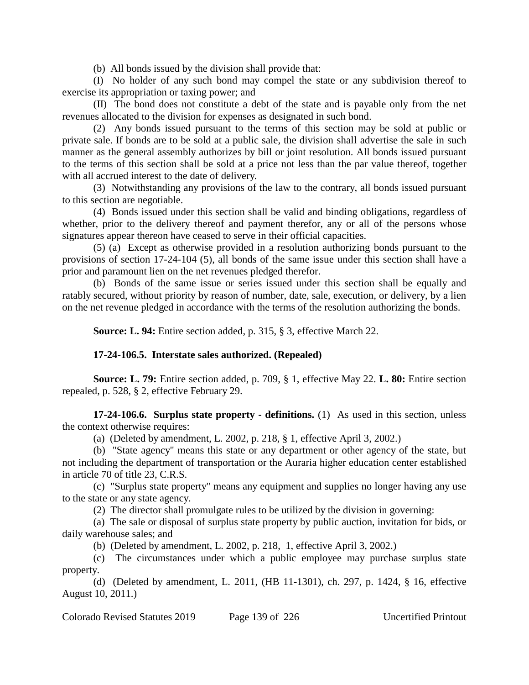(b) All bonds issued by the division shall provide that:

(I) No holder of any such bond may compel the state or any subdivision thereof to exercise its appropriation or taxing power; and

(II) The bond does not constitute a debt of the state and is payable only from the net revenues allocated to the division for expenses as designated in such bond.

(2) Any bonds issued pursuant to the terms of this section may be sold at public or private sale. If bonds are to be sold at a public sale, the division shall advertise the sale in such manner as the general assembly authorizes by bill or joint resolution. All bonds issued pursuant to the terms of this section shall be sold at a price not less than the par value thereof, together with all accrued interest to the date of delivery.

(3) Notwithstanding any provisions of the law to the contrary, all bonds issued pursuant to this section are negotiable.

(4) Bonds issued under this section shall be valid and binding obligations, regardless of whether, prior to the delivery thereof and payment therefor, any or all of the persons whose signatures appear thereon have ceased to serve in their official capacities.

(5) (a) Except as otherwise provided in a resolution authorizing bonds pursuant to the provisions of section 17-24-104 (5), all bonds of the same issue under this section shall have a prior and paramount lien on the net revenues pledged therefor.

(b) Bonds of the same issue or series issued under this section shall be equally and ratably secured, without priority by reason of number, date, sale, execution, or delivery, by a lien on the net revenue pledged in accordance with the terms of the resolution authorizing the bonds.

**Source: L. 94:** Entire section added, p. 315, § 3, effective March 22.

# **17-24-106.5. Interstate sales authorized. (Repealed)**

**Source: L. 79:** Entire section added, p. 709, § 1, effective May 22. **L. 80:** Entire section repealed, p. 528, § 2, effective February 29.

**17-24-106.6. Surplus state property - definitions.** (1) As used in this section, unless the context otherwise requires:

(a) (Deleted by amendment, L. 2002, p. 218, § 1, effective April 3, 2002.)

(b) "State agency" means this state or any department or other agency of the state, but not including the department of transportation or the Auraria higher education center established in article 70 of title 23, C.R.S.

(c) "Surplus state property" means any equipment and supplies no longer having any use to the state or any state agency.

(2) The director shall promulgate rules to be utilized by the division in governing:

(a) The sale or disposal of surplus state property by public auction, invitation for bids, or daily warehouse sales; and

(b) (Deleted by amendment, L. 2002, p. 218, 1, effective April 3, 2002.)

(c) The circumstances under which a public employee may purchase surplus state property.

(d) (Deleted by amendment, L. 2011, (HB 11-1301), ch. 297, p. 1424, § 16, effective August 10, 2011.)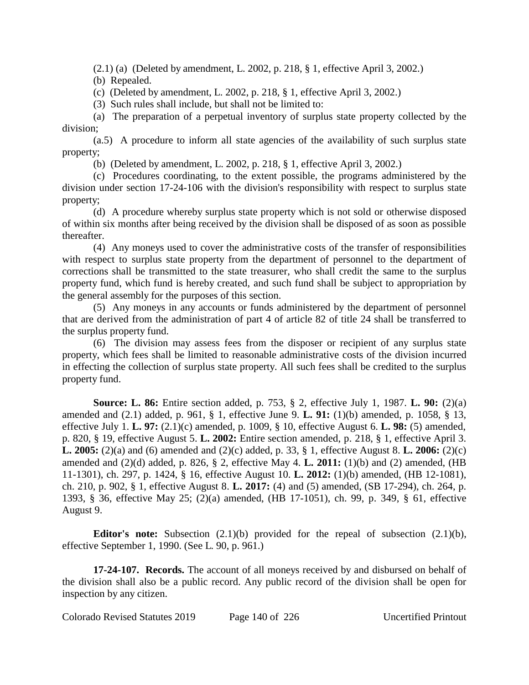(2.1) (a) (Deleted by amendment, L. 2002, p. 218, § 1, effective April 3, 2002.)

(b) Repealed.

(c) (Deleted by amendment, L. 2002, p. 218, § 1, effective April 3, 2002.)

(3) Such rules shall include, but shall not be limited to:

(a) The preparation of a perpetual inventory of surplus state property collected by the division;

(a.5) A procedure to inform all state agencies of the availability of such surplus state property;

(b) (Deleted by amendment, L. 2002, p. 218, § 1, effective April 3, 2002.)

(c) Procedures coordinating, to the extent possible, the programs administered by the division under section 17-24-106 with the division's responsibility with respect to surplus state property;

(d) A procedure whereby surplus state property which is not sold or otherwise disposed of within six months after being received by the division shall be disposed of as soon as possible thereafter.

(4) Any moneys used to cover the administrative costs of the transfer of responsibilities with respect to surplus state property from the department of personnel to the department of corrections shall be transmitted to the state treasurer, who shall credit the same to the surplus property fund, which fund is hereby created, and such fund shall be subject to appropriation by the general assembly for the purposes of this section.

(5) Any moneys in any accounts or funds administered by the department of personnel that are derived from the administration of part 4 of article 82 of title 24 shall be transferred to the surplus property fund.

(6) The division may assess fees from the disposer or recipient of any surplus state property, which fees shall be limited to reasonable administrative costs of the division incurred in effecting the collection of surplus state property. All such fees shall be credited to the surplus property fund.

**Source: L. 86:** Entire section added, p. 753, § 2, effective July 1, 1987. **L. 90:** (2)(a) amended and (2.1) added, p. 961, § 1, effective June 9. **L. 91:** (1)(b) amended, p. 1058, § 13, effective July 1. **L. 97:** (2.1)(c) amended, p. 1009, § 10, effective August 6. **L. 98:** (5) amended, p. 820, § 19, effective August 5. **L. 2002:** Entire section amended, p. 218, § 1, effective April 3. **L. 2005:** (2)(a) and (6) amended and (2)(c) added, p. 33, § 1, effective August 8. **L. 2006:** (2)(c) amended and (2)(d) added, p. 826, § 2, effective May 4. **L. 2011:** (1)(b) and (2) amended, (HB 11-1301), ch. 297, p. 1424, § 16, effective August 10. **L. 2012:** (1)(b) amended, (HB 12-1081), ch. 210, p. 902, § 1, effective August 8. **L. 2017:** (4) and (5) amended, (SB 17-294), ch. 264, p. 1393, § 36, effective May 25; (2)(a) amended, (HB 17-1051), ch. 99, p. 349, § 61, effective August 9.

**Editor's note:** Subsection (2.1)(b) provided for the repeal of subsection (2.1)(b), effective September 1, 1990. (See L. 90, p. 961.)

**17-24-107. Records.** The account of all moneys received by and disbursed on behalf of the division shall also be a public record. Any public record of the division shall be open for inspection by any citizen.

Colorado Revised Statutes 2019 Page 140 of 226 Uncertified Printout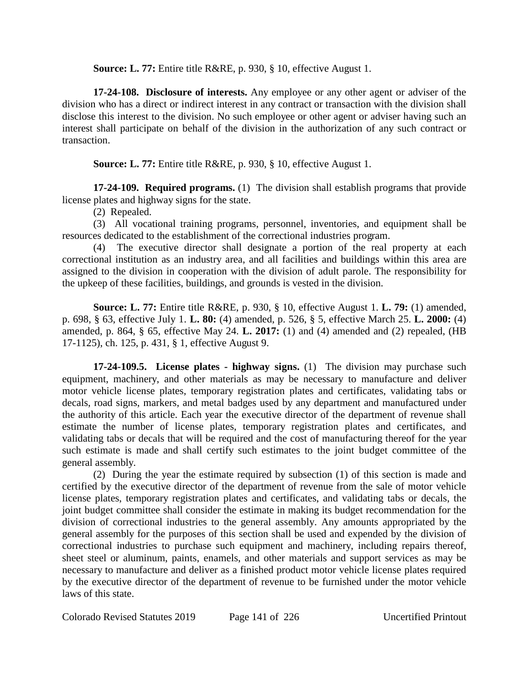**Source: L. 77:** Entire title R&RE, p. 930, § 10, effective August 1.

**17-24-108. Disclosure of interests.** Any employee or any other agent or adviser of the division who has a direct or indirect interest in any contract or transaction with the division shall disclose this interest to the division. No such employee or other agent or adviser having such an interest shall participate on behalf of the division in the authorization of any such contract or transaction.

**Source: L. 77:** Entire title R&RE, p. 930, § 10, effective August 1.

**17-24-109. Required programs.** (1) The division shall establish programs that provide license plates and highway signs for the state.

(2) Repealed.

(3) All vocational training programs, personnel, inventories, and equipment shall be resources dedicated to the establishment of the correctional industries program.

(4) The executive director shall designate a portion of the real property at each correctional institution as an industry area, and all facilities and buildings within this area are assigned to the division in cooperation with the division of adult parole. The responsibility for the upkeep of these facilities, buildings, and grounds is vested in the division.

**Source: L. 77:** Entire title R&RE, p. 930, § 10, effective August 1. **L. 79:** (1) amended, p. 698, § 63, effective July 1. **L. 80:** (4) amended, p. 526, § 5, effective March 25. **L. 2000:** (4) amended, p. 864, § 65, effective May 24. **L. 2017:** (1) and (4) amended and (2) repealed, (HB 17-1125), ch. 125, p. 431, § 1, effective August 9.

**17-24-109.5. License plates - highway signs.** (1) The division may purchase such equipment, machinery, and other materials as may be necessary to manufacture and deliver motor vehicle license plates, temporary registration plates and certificates, validating tabs or decals, road signs, markers, and metal badges used by any department and manufactured under the authority of this article. Each year the executive director of the department of revenue shall estimate the number of license plates, temporary registration plates and certificates, and validating tabs or decals that will be required and the cost of manufacturing thereof for the year such estimate is made and shall certify such estimates to the joint budget committee of the general assembly.

(2) During the year the estimate required by subsection (1) of this section is made and certified by the executive director of the department of revenue from the sale of motor vehicle license plates, temporary registration plates and certificates, and validating tabs or decals, the joint budget committee shall consider the estimate in making its budget recommendation for the division of correctional industries to the general assembly. Any amounts appropriated by the general assembly for the purposes of this section shall be used and expended by the division of correctional industries to purchase such equipment and machinery, including repairs thereof, sheet steel or aluminum, paints, enamels, and other materials and support services as may be necessary to manufacture and deliver as a finished product motor vehicle license plates required by the executive director of the department of revenue to be furnished under the motor vehicle laws of this state.

Colorado Revised Statutes 2019 Page 141 of 226 Uncertified Printout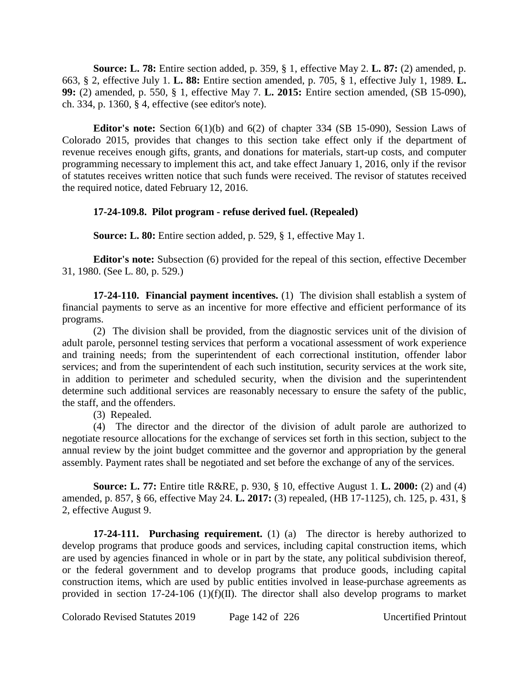**Source: L. 78:** Entire section added, p. 359, § 1, effective May 2. **L. 87:** (2) amended, p. 663, § 2, effective July 1. **L. 88:** Entire section amended, p. 705, § 1, effective July 1, 1989. **L. 99:** (2) amended, p. 550, § 1, effective May 7. **L. 2015:** Entire section amended, (SB 15-090), ch. 334, p. 1360, § 4, effective (see editor's note).

**Editor's note:** Section 6(1)(b) and 6(2) of chapter 334 (SB 15-090), Session Laws of Colorado 2015, provides that changes to this section take effect only if the department of revenue receives enough gifts, grants, and donations for materials, start-up costs, and computer programming necessary to implement this act, and take effect January 1, 2016, only if the revisor of statutes receives written notice that such funds were received. The revisor of statutes received the required notice, dated February 12, 2016.

## **17-24-109.8. Pilot program - refuse derived fuel. (Repealed)**

**Source: L. 80:** Entire section added, p. 529, § 1, effective May 1.

**Editor's note:** Subsection (6) provided for the repeal of this section, effective December 31, 1980. (See L. 80, p. 529.)

**17-24-110. Financial payment incentives.** (1) The division shall establish a system of financial payments to serve as an incentive for more effective and efficient performance of its programs.

(2) The division shall be provided, from the diagnostic services unit of the division of adult parole, personnel testing services that perform a vocational assessment of work experience and training needs; from the superintendent of each correctional institution, offender labor services; and from the superintendent of each such institution, security services at the work site, in addition to perimeter and scheduled security, when the division and the superintendent determine such additional services are reasonably necessary to ensure the safety of the public, the staff, and the offenders.

(3) Repealed.

(4) The director and the director of the division of adult parole are authorized to negotiate resource allocations for the exchange of services set forth in this section, subject to the annual review by the joint budget committee and the governor and appropriation by the general assembly. Payment rates shall be negotiated and set before the exchange of any of the services.

**Source: L. 77:** Entire title R&RE, p. 930, § 10, effective August 1. **L. 2000:** (2) and (4) amended, p. 857, § 66, effective May 24. **L. 2017:** (3) repealed, (HB 17-1125), ch. 125, p. 431, § 2, effective August 9.

**17-24-111. Purchasing requirement.** (1) (a) The director is hereby authorized to develop programs that produce goods and services, including capital construction items, which are used by agencies financed in whole or in part by the state, any political subdivision thereof, or the federal government and to develop programs that produce goods, including capital construction items, which are used by public entities involved in lease-purchase agreements as provided in section 17-24-106 (1)(f)(II). The director shall also develop programs to market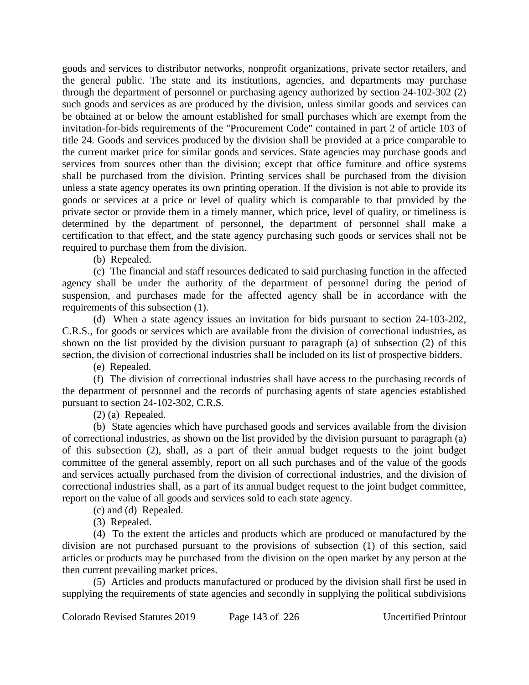goods and services to distributor networks, nonprofit organizations, private sector retailers, and the general public. The state and its institutions, agencies, and departments may purchase through the department of personnel or purchasing agency authorized by section 24-102-302 (2) such goods and services as are produced by the division, unless similar goods and services can be obtained at or below the amount established for small purchases which are exempt from the invitation-for-bids requirements of the "Procurement Code" contained in part 2 of article 103 of title 24. Goods and services produced by the division shall be provided at a price comparable to the current market price for similar goods and services. State agencies may purchase goods and services from sources other than the division; except that office furniture and office systems shall be purchased from the division. Printing services shall be purchased from the division unless a state agency operates its own printing operation. If the division is not able to provide its goods or services at a price or level of quality which is comparable to that provided by the private sector or provide them in a timely manner, which price, level of quality, or timeliness is determined by the department of personnel, the department of personnel shall make a certification to that effect, and the state agency purchasing such goods or services shall not be required to purchase them from the division.

(b) Repealed.

(c) The financial and staff resources dedicated to said purchasing function in the affected agency shall be under the authority of the department of personnel during the period of suspension, and purchases made for the affected agency shall be in accordance with the requirements of this subsection (1).

(d) When a state agency issues an invitation for bids pursuant to section 24-103-202, C.R.S., for goods or services which are available from the division of correctional industries, as shown on the list provided by the division pursuant to paragraph (a) of subsection (2) of this section, the division of correctional industries shall be included on its list of prospective bidders.

(e) Repealed.

(f) The division of correctional industries shall have access to the purchasing records of the department of personnel and the records of purchasing agents of state agencies established pursuant to section 24-102-302, C.R.S.

(2) (a) Repealed.

(b) State agencies which have purchased goods and services available from the division of correctional industries, as shown on the list provided by the division pursuant to paragraph (a) of this subsection (2), shall, as a part of their annual budget requests to the joint budget committee of the general assembly, report on all such purchases and of the value of the goods and services actually purchased from the division of correctional industries, and the division of correctional industries shall, as a part of its annual budget request to the joint budget committee, report on the value of all goods and services sold to each state agency.

(c) and (d) Repealed.

(3) Repealed.

(4) To the extent the articles and products which are produced or manufactured by the division are not purchased pursuant to the provisions of subsection (1) of this section, said articles or products may be purchased from the division on the open market by any person at the then current prevailing market prices.

(5) Articles and products manufactured or produced by the division shall first be used in supplying the requirements of state agencies and secondly in supplying the political subdivisions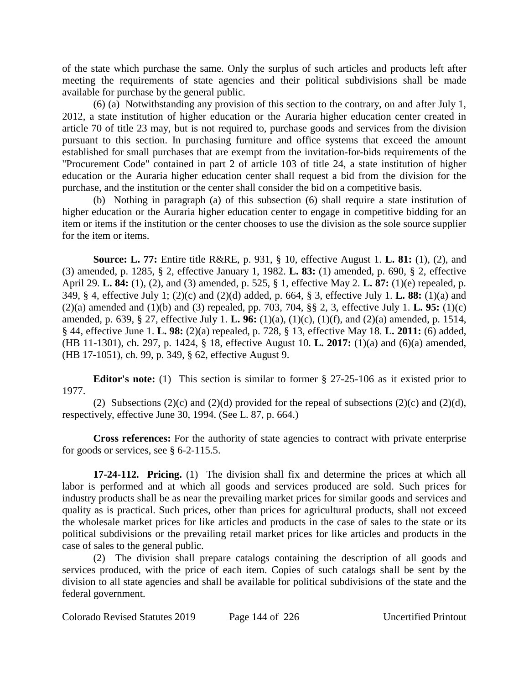of the state which purchase the same. Only the surplus of such articles and products left after meeting the requirements of state agencies and their political subdivisions shall be made available for purchase by the general public.

(6) (a) Notwithstanding any provision of this section to the contrary, on and after July 1, 2012, a state institution of higher education or the Auraria higher education center created in article 70 of title 23 may, but is not required to, purchase goods and services from the division pursuant to this section. In purchasing furniture and office systems that exceed the amount established for small purchases that are exempt from the invitation-for-bids requirements of the "Procurement Code" contained in part 2 of article 103 of title 24, a state institution of higher education or the Auraria higher education center shall request a bid from the division for the purchase, and the institution or the center shall consider the bid on a competitive basis.

(b) Nothing in paragraph (a) of this subsection (6) shall require a state institution of higher education or the Auraria higher education center to engage in competitive bidding for an item or items if the institution or the center chooses to use the division as the sole source supplier for the item or items.

**Source: L. 77:** Entire title R&RE, p. 931, § 10, effective August 1. **L. 81:** (1), (2), and (3) amended, p. 1285, § 2, effective January 1, 1982. **L. 83:** (1) amended, p. 690, § 2, effective April 29. **L. 84:** (1), (2), and (3) amended, p. 525, § 1, effective May 2. **L. 87:** (1)(e) repealed, p. 349, § 4, effective July 1; (2)(c) and (2)(d) added, p. 664, § 3, effective July 1. **L. 88:** (1)(a) and (2)(a) amended and (1)(b) and (3) repealed, pp. 703, 704, §§ 2, 3, effective July 1. **L. 95:** (1)(c) amended, p. 639, § 27, effective July 1. **L. 96:** (1)(a), (1)(c), (1)(f), and (2)(a) amended, p. 1514, § 44, effective June 1. **L. 98:** (2)(a) repealed, p. 728, § 13, effective May 18. **L. 2011:** (6) added, (HB 11-1301), ch. 297, p. 1424, § 18, effective August 10. **L. 2017:** (1)(a) and (6)(a) amended, (HB 17-1051), ch. 99, p. 349, § 62, effective August 9.

**Editor's note:** (1) This section is similar to former § 27-25-106 as it existed prior to 1977.

(2) Subsections (2)(c) and (2)(d) provided for the repeal of subsections (2)(c) and (2)(d), respectively, effective June 30, 1994. (See L. 87, p. 664.)

**Cross references:** For the authority of state agencies to contract with private enterprise for goods or services, see § 6-2-115.5.

**17-24-112. Pricing.** (1) The division shall fix and determine the prices at which all labor is performed and at which all goods and services produced are sold. Such prices for industry products shall be as near the prevailing market prices for similar goods and services and quality as is practical. Such prices, other than prices for agricultural products, shall not exceed the wholesale market prices for like articles and products in the case of sales to the state or its political subdivisions or the prevailing retail market prices for like articles and products in the case of sales to the general public.

(2) The division shall prepare catalogs containing the description of all goods and services produced, with the price of each item. Copies of such catalogs shall be sent by the division to all state agencies and shall be available for political subdivisions of the state and the federal government.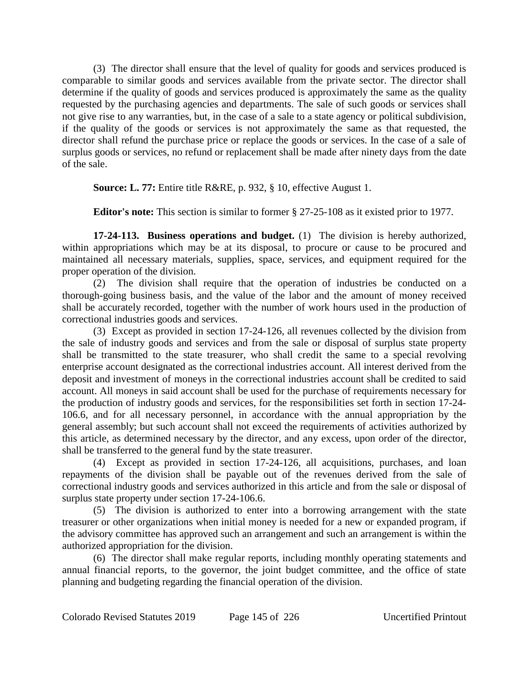(3) The director shall ensure that the level of quality for goods and services produced is comparable to similar goods and services available from the private sector. The director shall determine if the quality of goods and services produced is approximately the same as the quality requested by the purchasing agencies and departments. The sale of such goods or services shall not give rise to any warranties, but, in the case of a sale to a state agency or political subdivision, if the quality of the goods or services is not approximately the same as that requested, the director shall refund the purchase price or replace the goods or services. In the case of a sale of surplus goods or services, no refund or replacement shall be made after ninety days from the date of the sale.

**Source: L. 77:** Entire title R&RE, p. 932, § 10, effective August 1.

**Editor's note:** This section is similar to former § 27-25-108 as it existed prior to 1977.

**17-24-113. Business operations and budget.** (1) The division is hereby authorized, within appropriations which may be at its disposal, to procure or cause to be procured and maintained all necessary materials, supplies, space, services, and equipment required for the proper operation of the division.

(2) The division shall require that the operation of industries be conducted on a thorough-going business basis, and the value of the labor and the amount of money received shall be accurately recorded, together with the number of work hours used in the production of correctional industries goods and services.

(3) Except as provided in section 17-24-126, all revenues collected by the division from the sale of industry goods and services and from the sale or disposal of surplus state property shall be transmitted to the state treasurer, who shall credit the same to a special revolving enterprise account designated as the correctional industries account. All interest derived from the deposit and investment of moneys in the correctional industries account shall be credited to said account. All moneys in said account shall be used for the purchase of requirements necessary for the production of industry goods and services, for the responsibilities set forth in section 17-24- 106.6, and for all necessary personnel, in accordance with the annual appropriation by the general assembly; but such account shall not exceed the requirements of activities authorized by this article, as determined necessary by the director, and any excess, upon order of the director, shall be transferred to the general fund by the state treasurer.

(4) Except as provided in section 17-24-126, all acquisitions, purchases, and loan repayments of the division shall be payable out of the revenues derived from the sale of correctional industry goods and services authorized in this article and from the sale or disposal of surplus state property under section 17-24-106.6.

(5) The division is authorized to enter into a borrowing arrangement with the state treasurer or other organizations when initial money is needed for a new or expanded program, if the advisory committee has approved such an arrangement and such an arrangement is within the authorized appropriation for the division.

(6) The director shall make regular reports, including monthly operating statements and annual financial reports, to the governor, the joint budget committee, and the office of state planning and budgeting regarding the financial operation of the division.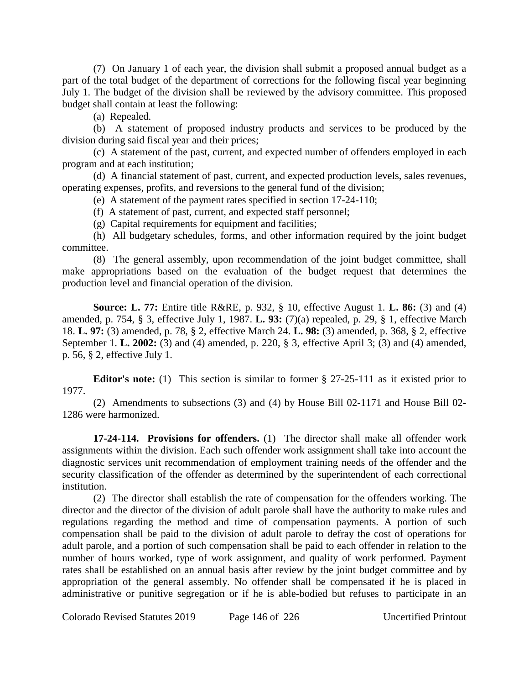(7) On January 1 of each year, the division shall submit a proposed annual budget as a part of the total budget of the department of corrections for the following fiscal year beginning July 1. The budget of the division shall be reviewed by the advisory committee. This proposed budget shall contain at least the following:

(a) Repealed.

(b) A statement of proposed industry products and services to be produced by the division during said fiscal year and their prices;

(c) A statement of the past, current, and expected number of offenders employed in each program and at each institution;

(d) A financial statement of past, current, and expected production levels, sales revenues, operating expenses, profits, and reversions to the general fund of the division;

(e) A statement of the payment rates specified in section 17-24-110;

(f) A statement of past, current, and expected staff personnel;

(g) Capital requirements for equipment and facilities;

(h) All budgetary schedules, forms, and other information required by the joint budget committee.

(8) The general assembly, upon recommendation of the joint budget committee, shall make appropriations based on the evaluation of the budget request that determines the production level and financial operation of the division.

**Source: L. 77:** Entire title R&RE, p. 932, § 10, effective August 1. **L. 86:** (3) and (4) amended, p. 754, § 3, effective July 1, 1987. **L. 93:** (7)(a) repealed, p. 29, § 1, effective March 18. **L. 97:** (3) amended, p. 78, § 2, effective March 24. **L. 98:** (3) amended, p. 368, § 2, effective September 1. **L. 2002:** (3) and (4) amended, p. 220, § 3, effective April 3; (3) and (4) amended, p. 56, § 2, effective July 1.

**Editor's note:** (1) This section is similar to former § 27-25-111 as it existed prior to 1977.

(2) Amendments to subsections (3) and (4) by House Bill 02-1171 and House Bill 02- 1286 were harmonized.

**17-24-114. Provisions for offenders.** (1) The director shall make all offender work assignments within the division. Each such offender work assignment shall take into account the diagnostic services unit recommendation of employment training needs of the offender and the security classification of the offender as determined by the superintendent of each correctional institution.

(2) The director shall establish the rate of compensation for the offenders working. The director and the director of the division of adult parole shall have the authority to make rules and regulations regarding the method and time of compensation payments. A portion of such compensation shall be paid to the division of adult parole to defray the cost of operations for adult parole, and a portion of such compensation shall be paid to each offender in relation to the number of hours worked, type of work assignment, and quality of work performed. Payment rates shall be established on an annual basis after review by the joint budget committee and by appropriation of the general assembly. No offender shall be compensated if he is placed in administrative or punitive segregation or if he is able-bodied but refuses to participate in an

Colorado Revised Statutes 2019 Page 146 of 226 Uncertified Printout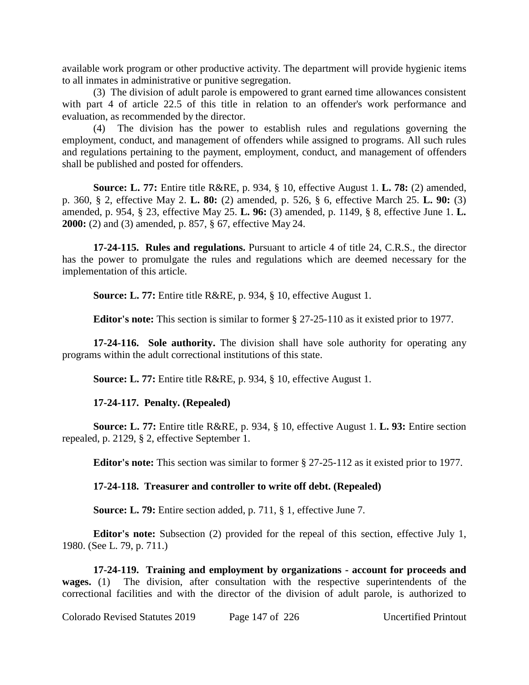available work program or other productive activity. The department will provide hygienic items to all inmates in administrative or punitive segregation.

(3) The division of adult parole is empowered to grant earned time allowances consistent with part 4 of article 22.5 of this title in relation to an offender's work performance and evaluation, as recommended by the director.

(4) The division has the power to establish rules and regulations governing the employment, conduct, and management of offenders while assigned to programs. All such rules and regulations pertaining to the payment, employment, conduct, and management of offenders shall be published and posted for offenders.

**Source: L. 77:** Entire title R&RE, p. 934, § 10, effective August 1. **L. 78:** (2) amended, p. 360, § 2, effective May 2. **L. 80:** (2) amended, p. 526, § 6, effective March 25. **L. 90:** (3) amended, p. 954, § 23, effective May 25. **L. 96:** (3) amended, p. 1149, § 8, effective June 1. **L. 2000:** (2) and (3) amended, p. 857, § 67, effective May 24.

**17-24-115. Rules and regulations.** Pursuant to article 4 of title 24, C.R.S., the director has the power to promulgate the rules and regulations which are deemed necessary for the implementation of this article.

**Source: L. 77:** Entire title R&RE, p. 934, § 10, effective August 1.

**Editor's note:** This section is similar to former § 27-25-110 as it existed prior to 1977.

**17-24-116. Sole authority.** The division shall have sole authority for operating any programs within the adult correctional institutions of this state.

**Source: L. 77:** Entire title R&RE, p. 934, § 10, effective August 1.

# **17-24-117. Penalty. (Repealed)**

**Source: L. 77:** Entire title R&RE, p. 934, § 10, effective August 1. **L. 93:** Entire section repealed, p. 2129, § 2, effective September 1.

**Editor's note:** This section was similar to former § 27-25-112 as it existed prior to 1977.

# **17-24-118. Treasurer and controller to write off debt. (Repealed)**

**Source: L. 79:** Entire section added, p. 711, § 1, effective June 7.

**Editor's note:** Subsection (2) provided for the repeal of this section, effective July 1, 1980. (See L. 79, p. 711.)

**17-24-119. Training and employment by organizations - account for proceeds and wages.** (1) The division, after consultation with the respective superintendents of the correctional facilities and with the director of the division of adult parole, is authorized to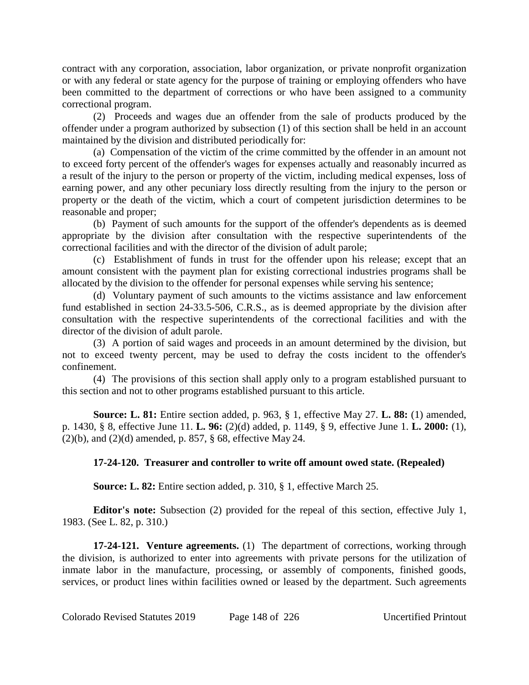contract with any corporation, association, labor organization, or private nonprofit organization or with any federal or state agency for the purpose of training or employing offenders who have been committed to the department of corrections or who have been assigned to a community correctional program.

(2) Proceeds and wages due an offender from the sale of products produced by the offender under a program authorized by subsection (1) of this section shall be held in an account maintained by the division and distributed periodically for:

(a) Compensation of the victim of the crime committed by the offender in an amount not to exceed forty percent of the offender's wages for expenses actually and reasonably incurred as a result of the injury to the person or property of the victim, including medical expenses, loss of earning power, and any other pecuniary loss directly resulting from the injury to the person or property or the death of the victim, which a court of competent jurisdiction determines to be reasonable and proper;

(b) Payment of such amounts for the support of the offender's dependents as is deemed appropriate by the division after consultation with the respective superintendents of the correctional facilities and with the director of the division of adult parole;

(c) Establishment of funds in trust for the offender upon his release; except that an amount consistent with the payment plan for existing correctional industries programs shall be allocated by the division to the offender for personal expenses while serving his sentence;

(d) Voluntary payment of such amounts to the victims assistance and law enforcement fund established in section 24-33.5-506, C.R.S., as is deemed appropriate by the division after consultation with the respective superintendents of the correctional facilities and with the director of the division of adult parole.

(3) A portion of said wages and proceeds in an amount determined by the division, but not to exceed twenty percent, may be used to defray the costs incident to the offender's confinement.

(4) The provisions of this section shall apply only to a program established pursuant to this section and not to other programs established pursuant to this article.

**Source: L. 81:** Entire section added, p. 963, § 1, effective May 27. **L. 88:** (1) amended, p. 1430, § 8, effective June 11. **L. 96:** (2)(d) added, p. 1149, § 9, effective June 1. **L. 2000:** (1),  $(2)(b)$ , and  $(2)(d)$  amended, p. 857, § 68, effective May 24.

# **17-24-120. Treasurer and controller to write off amount owed state. (Repealed)**

**Source: L. 82:** Entire section added, p. 310, § 1, effective March 25.

**Editor's note:** Subsection (2) provided for the repeal of this section, effective July 1, 1983. (See L. 82, p. 310.)

**17-24-121. Venture agreements.** (1) The department of corrections, working through the division, is authorized to enter into agreements with private persons for the utilization of inmate labor in the manufacture, processing, or assembly of components, finished goods, services, or product lines within facilities owned or leased by the department. Such agreements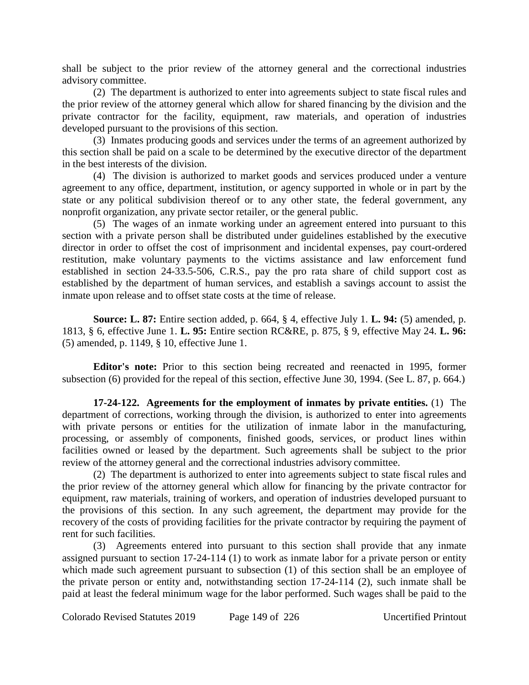shall be subject to the prior review of the attorney general and the correctional industries advisory committee.

(2) The department is authorized to enter into agreements subject to state fiscal rules and the prior review of the attorney general which allow for shared financing by the division and the private contractor for the facility, equipment, raw materials, and operation of industries developed pursuant to the provisions of this section.

(3) Inmates producing goods and services under the terms of an agreement authorized by this section shall be paid on a scale to be determined by the executive director of the department in the best interests of the division.

(4) The division is authorized to market goods and services produced under a venture agreement to any office, department, institution, or agency supported in whole or in part by the state or any political subdivision thereof or to any other state, the federal government, any nonprofit organization, any private sector retailer, or the general public.

(5) The wages of an inmate working under an agreement entered into pursuant to this section with a private person shall be distributed under guidelines established by the executive director in order to offset the cost of imprisonment and incidental expenses, pay court-ordered restitution, make voluntary payments to the victims assistance and law enforcement fund established in section 24-33.5-506, C.R.S., pay the pro rata share of child support cost as established by the department of human services, and establish a savings account to assist the inmate upon release and to offset state costs at the time of release.

**Source: L. 87:** Entire section added, p. 664, § 4, effective July 1. **L. 94:** (5) amended, p. 1813, § 6, effective June 1. **L. 95:** Entire section RC&RE, p. 875, § 9, effective May 24. **L. 96:** (5) amended, p. 1149, § 10, effective June 1.

**Editor's note:** Prior to this section being recreated and reenacted in 1995, former subsection (6) provided for the repeal of this section, effective June 30, 1994. (See L. 87, p. 664.)

**17-24-122. Agreements for the employment of inmates by private entities.** (1) The department of corrections, working through the division, is authorized to enter into agreements with private persons or entities for the utilization of inmate labor in the manufacturing, processing, or assembly of components, finished goods, services, or product lines within facilities owned or leased by the department. Such agreements shall be subject to the prior review of the attorney general and the correctional industries advisory committee.

(2) The department is authorized to enter into agreements subject to state fiscal rules and the prior review of the attorney general which allow for financing by the private contractor for equipment, raw materials, training of workers, and operation of industries developed pursuant to the provisions of this section. In any such agreement, the department may provide for the recovery of the costs of providing facilities for the private contractor by requiring the payment of rent for such facilities.

(3) Agreements entered into pursuant to this section shall provide that any inmate assigned pursuant to section 17-24-114 (1) to work as inmate labor for a private person or entity which made such agreement pursuant to subsection (1) of this section shall be an employee of the private person or entity and, notwithstanding section 17-24-114 (2), such inmate shall be paid at least the federal minimum wage for the labor performed. Such wages shall be paid to the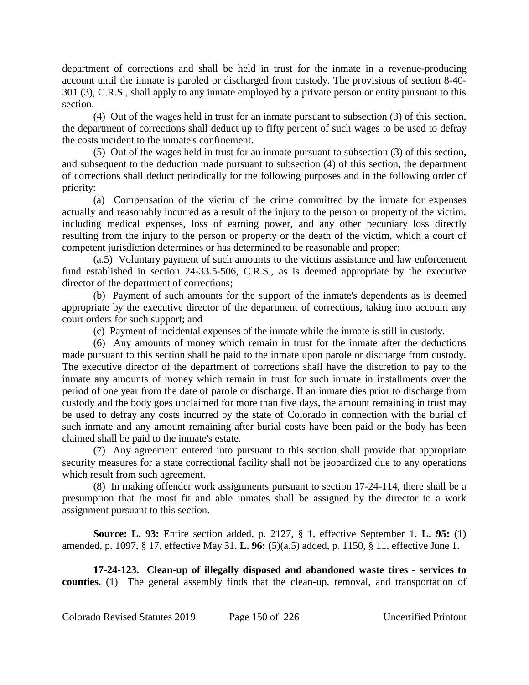department of corrections and shall be held in trust for the inmate in a revenue-producing account until the inmate is paroled or discharged from custody. The provisions of section 8-40- 301 (3), C.R.S., shall apply to any inmate employed by a private person or entity pursuant to this section.

(4) Out of the wages held in trust for an inmate pursuant to subsection (3) of this section, the department of corrections shall deduct up to fifty percent of such wages to be used to defray the costs incident to the inmate's confinement.

(5) Out of the wages held in trust for an inmate pursuant to subsection (3) of this section, and subsequent to the deduction made pursuant to subsection (4) of this section, the department of corrections shall deduct periodically for the following purposes and in the following order of priority:

(a) Compensation of the victim of the crime committed by the inmate for expenses actually and reasonably incurred as a result of the injury to the person or property of the victim, including medical expenses, loss of earning power, and any other pecuniary loss directly resulting from the injury to the person or property or the death of the victim, which a court of competent jurisdiction determines or has determined to be reasonable and proper;

(a.5) Voluntary payment of such amounts to the victims assistance and law enforcement fund established in section 24-33.5-506, C.R.S., as is deemed appropriate by the executive director of the department of corrections;

(b) Payment of such amounts for the support of the inmate's dependents as is deemed appropriate by the executive director of the department of corrections, taking into account any court orders for such support; and

(c) Payment of incidental expenses of the inmate while the inmate is still in custody.

(6) Any amounts of money which remain in trust for the inmate after the deductions made pursuant to this section shall be paid to the inmate upon parole or discharge from custody. The executive director of the department of corrections shall have the discretion to pay to the inmate any amounts of money which remain in trust for such inmate in installments over the period of one year from the date of parole or discharge. If an inmate dies prior to discharge from custody and the body goes unclaimed for more than five days, the amount remaining in trust may be used to defray any costs incurred by the state of Colorado in connection with the burial of such inmate and any amount remaining after burial costs have been paid or the body has been claimed shall be paid to the inmate's estate.

(7) Any agreement entered into pursuant to this section shall provide that appropriate security measures for a state correctional facility shall not be jeopardized due to any operations which result from such agreement.

(8) In making offender work assignments pursuant to section 17-24-114, there shall be a presumption that the most fit and able inmates shall be assigned by the director to a work assignment pursuant to this section.

**Source: L. 93:** Entire section added, p. 2127, § 1, effective September 1. **L. 95:** (1) amended, p. 1097, § 17, effective May 31. **L. 96:** (5)(a.5) added, p. 1150, § 11, effective June 1.

**17-24-123. Clean-up of illegally disposed and abandoned waste tires - services to counties.** (1) The general assembly finds that the clean-up, removal, and transportation of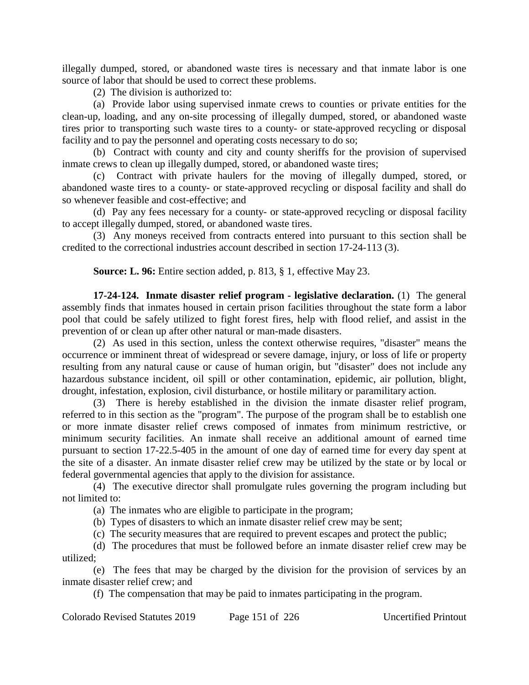illegally dumped, stored, or abandoned waste tires is necessary and that inmate labor is one source of labor that should be used to correct these problems.

(2) The division is authorized to:

(a) Provide labor using supervised inmate crews to counties or private entities for the clean-up, loading, and any on-site processing of illegally dumped, stored, or abandoned waste tires prior to transporting such waste tires to a county- or state-approved recycling or disposal facility and to pay the personnel and operating costs necessary to do so;

(b) Contract with county and city and county sheriffs for the provision of supervised inmate crews to clean up illegally dumped, stored, or abandoned waste tires;

(c) Contract with private haulers for the moving of illegally dumped, stored, or abandoned waste tires to a county- or state-approved recycling or disposal facility and shall do so whenever feasible and cost-effective; and

(d) Pay any fees necessary for a county- or state-approved recycling or disposal facility to accept illegally dumped, stored, or abandoned waste tires.

(3) Any moneys received from contracts entered into pursuant to this section shall be credited to the correctional industries account described in section 17-24-113 (3).

## **Source: L. 96:** Entire section added, p. 813, § 1, effective May 23.

**17-24-124. Inmate disaster relief program - legislative declaration.** (1) The general assembly finds that inmates housed in certain prison facilities throughout the state form a labor pool that could be safely utilized to fight forest fires, help with flood relief, and assist in the prevention of or clean up after other natural or man-made disasters.

(2) As used in this section, unless the context otherwise requires, "disaster" means the occurrence or imminent threat of widespread or severe damage, injury, or loss of life or property resulting from any natural cause or cause of human origin, but "disaster" does not include any hazardous substance incident, oil spill or other contamination, epidemic, air pollution, blight, drought, infestation, explosion, civil disturbance, or hostile military or paramilitary action.

(3) There is hereby established in the division the inmate disaster relief program, referred to in this section as the "program". The purpose of the program shall be to establish one or more inmate disaster relief crews composed of inmates from minimum restrictive, or minimum security facilities. An inmate shall receive an additional amount of earned time pursuant to section 17-22.5-405 in the amount of one day of earned time for every day spent at the site of a disaster. An inmate disaster relief crew may be utilized by the state or by local or federal governmental agencies that apply to the division for assistance.

(4) The executive director shall promulgate rules governing the program including but not limited to:

(a) The inmates who are eligible to participate in the program;

(b) Types of disasters to which an inmate disaster relief crew may be sent;

(c) The security measures that are required to prevent escapes and protect the public;

(d) The procedures that must be followed before an inmate disaster relief crew may be utilized;

(e) The fees that may be charged by the division for the provision of services by an inmate disaster relief crew; and

(f) The compensation that may be paid to inmates participating in the program.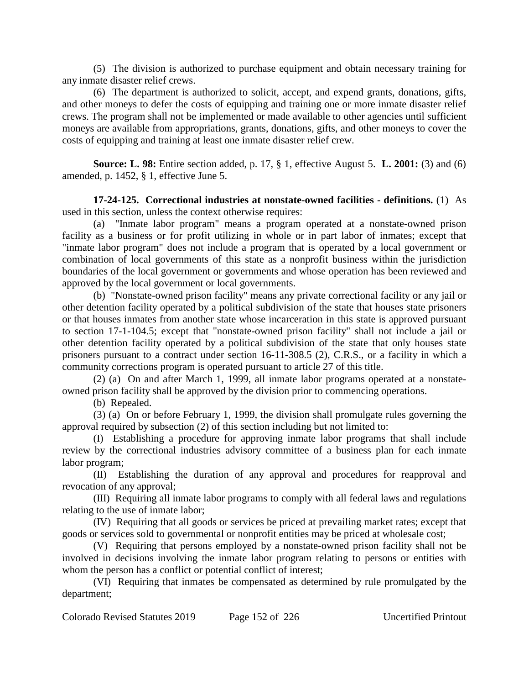(5) The division is authorized to purchase equipment and obtain necessary training for any inmate disaster relief crews.

(6) The department is authorized to solicit, accept, and expend grants, donations, gifts, and other moneys to defer the costs of equipping and training one or more inmate disaster relief crews. The program shall not be implemented or made available to other agencies until sufficient moneys are available from appropriations, grants, donations, gifts, and other moneys to cover the costs of equipping and training at least one inmate disaster relief crew.

**Source: L. 98:** Entire section added, p. 17, § 1, effective August 5. **L. 2001:** (3) and (6) amended, p. 1452, § 1, effective June 5.

**17-24-125. Correctional industries at nonstate-owned facilities - definitions.** (1) As used in this section, unless the context otherwise requires:

(a) "Inmate labor program" means a program operated at a nonstate-owned prison facility as a business or for profit utilizing in whole or in part labor of inmates; except that "inmate labor program" does not include a program that is operated by a local government or combination of local governments of this state as a nonprofit business within the jurisdiction boundaries of the local government or governments and whose operation has been reviewed and approved by the local government or local governments.

(b) "Nonstate-owned prison facility" means any private correctional facility or any jail or other detention facility operated by a political subdivision of the state that houses state prisoners or that houses inmates from another state whose incarceration in this state is approved pursuant to section 17-1-104.5; except that "nonstate-owned prison facility" shall not include a jail or other detention facility operated by a political subdivision of the state that only houses state prisoners pursuant to a contract under section 16-11-308.5 (2), C.R.S., or a facility in which a community corrections program is operated pursuant to article 27 of this title.

(2) (a) On and after March 1, 1999, all inmate labor programs operated at a nonstateowned prison facility shall be approved by the division prior to commencing operations.

(b) Repealed.

(3) (a) On or before February 1, 1999, the division shall promulgate rules governing the approval required by subsection (2) of this section including but not limited to:

(I) Establishing a procedure for approving inmate labor programs that shall include review by the correctional industries advisory committee of a business plan for each inmate labor program;

(II) Establishing the duration of any approval and procedures for reapproval and revocation of any approval;

(III) Requiring all inmate labor programs to comply with all federal laws and regulations relating to the use of inmate labor;

(IV) Requiring that all goods or services be priced at prevailing market rates; except that goods or services sold to governmental or nonprofit entities may be priced at wholesale cost;

(V) Requiring that persons employed by a nonstate-owned prison facility shall not be involved in decisions involving the inmate labor program relating to persons or entities with whom the person has a conflict or potential conflict of interest;

(VI) Requiring that inmates be compensated as determined by rule promulgated by the department;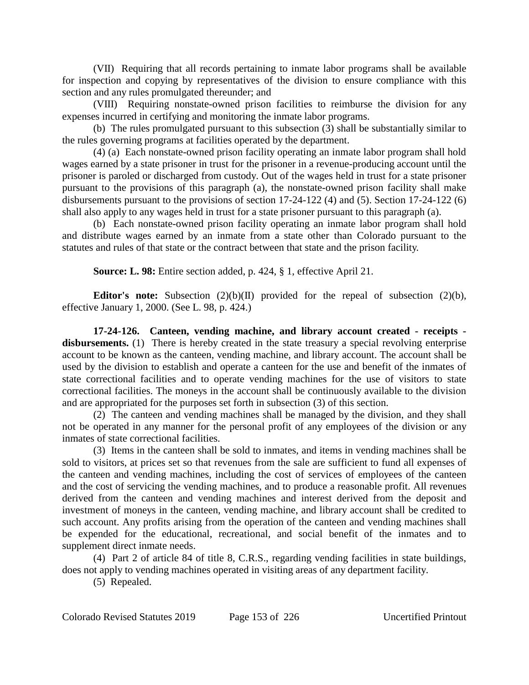(VII) Requiring that all records pertaining to inmate labor programs shall be available for inspection and copying by representatives of the division to ensure compliance with this section and any rules promulgated thereunder; and

(VIII) Requiring nonstate-owned prison facilities to reimburse the division for any expenses incurred in certifying and monitoring the inmate labor programs.

(b) The rules promulgated pursuant to this subsection (3) shall be substantially similar to the rules governing programs at facilities operated by the department.

(4) (a) Each nonstate-owned prison facility operating an inmate labor program shall hold wages earned by a state prisoner in trust for the prisoner in a revenue-producing account until the prisoner is paroled or discharged from custody. Out of the wages held in trust for a state prisoner pursuant to the provisions of this paragraph (a), the nonstate-owned prison facility shall make disbursements pursuant to the provisions of section 17-24-122 (4) and (5). Section 17-24-122 (6) shall also apply to any wages held in trust for a state prisoner pursuant to this paragraph (a).

(b) Each nonstate-owned prison facility operating an inmate labor program shall hold and distribute wages earned by an inmate from a state other than Colorado pursuant to the statutes and rules of that state or the contract between that state and the prison facility.

**Source: L. 98:** Entire section added, p. 424, § 1, effective April 21.

**Editor's note:** Subsection (2)(b)(II) provided for the repeal of subsection (2)(b), effective January 1, 2000. (See L. 98, p. 424.)

**17-24-126. Canteen, vending machine, and library account created - receipts**  disbursements. (1) There is hereby created in the state treasury a special revolving enterprise account to be known as the canteen, vending machine, and library account. The account shall be used by the division to establish and operate a canteen for the use and benefit of the inmates of state correctional facilities and to operate vending machines for the use of visitors to state correctional facilities. The moneys in the account shall be continuously available to the division and are appropriated for the purposes set forth in subsection (3) of this section.

(2) The canteen and vending machines shall be managed by the division, and they shall not be operated in any manner for the personal profit of any employees of the division or any inmates of state correctional facilities.

(3) Items in the canteen shall be sold to inmates, and items in vending machines shall be sold to visitors, at prices set so that revenues from the sale are sufficient to fund all expenses of the canteen and vending machines, including the cost of services of employees of the canteen and the cost of servicing the vending machines, and to produce a reasonable profit. All revenues derived from the canteen and vending machines and interest derived from the deposit and investment of moneys in the canteen, vending machine, and library account shall be credited to such account. Any profits arising from the operation of the canteen and vending machines shall be expended for the educational, recreational, and social benefit of the inmates and to supplement direct inmate needs.

(4) Part 2 of article 84 of title 8, C.R.S., regarding vending facilities in state buildings, does not apply to vending machines operated in visiting areas of any department facility.

(5) Repealed.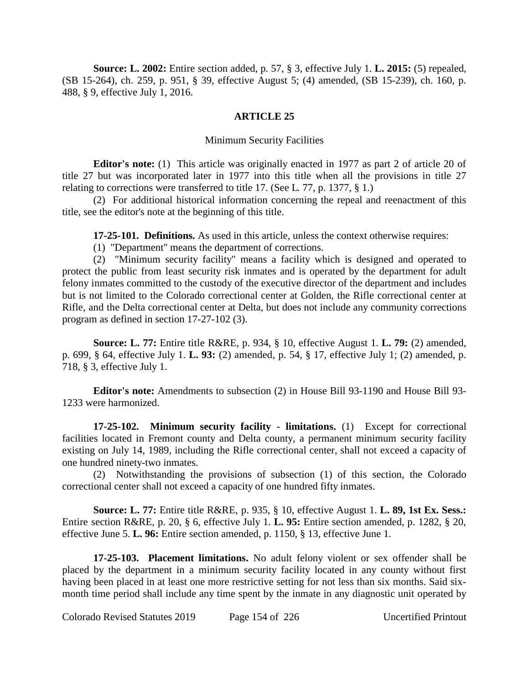**Source: L. 2002:** Entire section added, p. 57, § 3, effective July 1. **L. 2015:** (5) repealed, (SB 15-264), ch. 259, p. 951, § 39, effective August 5; (4) amended, (SB 15-239), ch. 160, p. 488, § 9, effective July 1, 2016.

### **ARTICLE 25**

#### Minimum Security Facilities

**Editor's note:** (1) This article was originally enacted in 1977 as part 2 of article 20 of title 27 but was incorporated later in 1977 into this title when all the provisions in title 27 relating to corrections were transferred to title 17. (See L. 77, p. 1377, § 1.)

(2) For additional historical information concerning the repeal and reenactment of this title, see the editor's note at the beginning of this title.

**17-25-101. Definitions.** As used in this article, unless the context otherwise requires:

(1) "Department" means the department of corrections.

(2) "Minimum security facility" means a facility which is designed and operated to protect the public from least security risk inmates and is operated by the department for adult felony inmates committed to the custody of the executive director of the department and includes but is not limited to the Colorado correctional center at Golden, the Rifle correctional center at Rifle, and the Delta correctional center at Delta, but does not include any community corrections program as defined in section 17-27-102 (3).

**Source: L. 77:** Entire title R&RE, p. 934, § 10, effective August 1. **L. 79:** (2) amended, p. 699, § 64, effective July 1. **L. 93:** (2) amended, p. 54, § 17, effective July 1; (2) amended, p. 718, § 3, effective July 1.

**Editor's note:** Amendments to subsection (2) in House Bill 93-1190 and House Bill 93- 1233 were harmonized.

**17-25-102. Minimum security facility - limitations.** (1) Except for correctional facilities located in Fremont county and Delta county, a permanent minimum security facility existing on July 14, 1989, including the Rifle correctional center, shall not exceed a capacity of one hundred ninety-two inmates.

(2) Notwithstanding the provisions of subsection (1) of this section, the Colorado correctional center shall not exceed a capacity of one hundred fifty inmates.

**Source: L. 77:** Entire title R&RE, p. 935, § 10, effective August 1. **L. 89, 1st Ex. Sess.:** Entire section R&RE, p. 20, § 6, effective July 1. **L. 95:** Entire section amended, p. 1282, § 20, effective June 5. **L. 96:** Entire section amended, p. 1150, § 13, effective June 1.

**17-25-103. Placement limitations.** No adult felony violent or sex offender shall be placed by the department in a minimum security facility located in any county without first having been placed in at least one more restrictive setting for not less than six months. Said sixmonth time period shall include any time spent by the inmate in any diagnostic unit operated by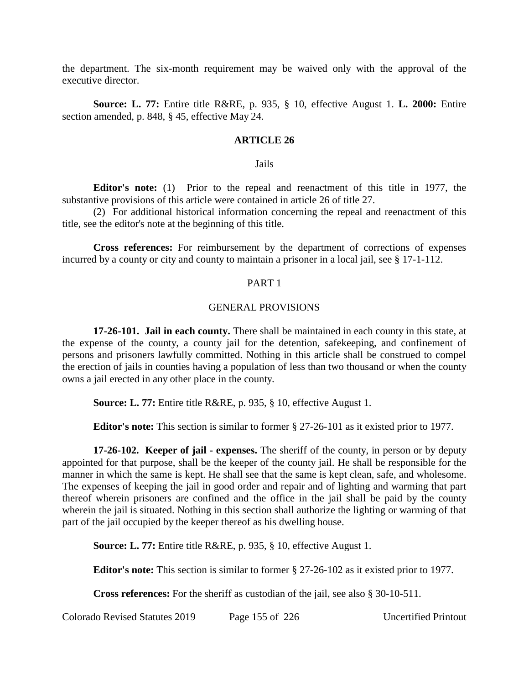the department. The six-month requirement may be waived only with the approval of the executive director.

**Source: L. 77:** Entire title R&RE, p. 935, § 10, effective August 1. **L. 2000:** Entire section amended, p. 848, § 45, effective May 24.

#### **ARTICLE 26**

#### Jails

**Editor's note:** (1) Prior to the repeal and reenactment of this title in 1977, the substantive provisions of this article were contained in article 26 of title 27.

(2) For additional historical information concerning the repeal and reenactment of this title, see the editor's note at the beginning of this title.

**Cross references:** For reimbursement by the department of corrections of expenses incurred by a county or city and county to maintain a prisoner in a local jail, see § 17-1-112.

#### PART 1

#### GENERAL PROVISIONS

**17-26-101. Jail in each county.** There shall be maintained in each county in this state, at the expense of the county, a county jail for the detention, safekeeping, and confinement of persons and prisoners lawfully committed. Nothing in this article shall be construed to compel the erection of jails in counties having a population of less than two thousand or when the county owns a jail erected in any other place in the county.

**Source: L. 77:** Entire title R&RE, p. 935, § 10, effective August 1.

**Editor's note:** This section is similar to former § 27-26-101 as it existed prior to 1977.

**17-26-102. Keeper of jail - expenses.** The sheriff of the county, in person or by deputy appointed for that purpose, shall be the keeper of the county jail. He shall be responsible for the manner in which the same is kept. He shall see that the same is kept clean, safe, and wholesome. The expenses of keeping the jail in good order and repair and of lighting and warming that part thereof wherein prisoners are confined and the office in the jail shall be paid by the county wherein the jail is situated. Nothing in this section shall authorize the lighting or warming of that part of the jail occupied by the keeper thereof as his dwelling house.

**Source: L. 77:** Entire title R&RE, p. 935, § 10, effective August 1.

**Editor's note:** This section is similar to former § 27-26-102 as it existed prior to 1977.

**Cross references:** For the sheriff as custodian of the jail, see also § 30-10-511.

Colorado Revised Statutes 2019 Page 155 of 226 Uncertified Printout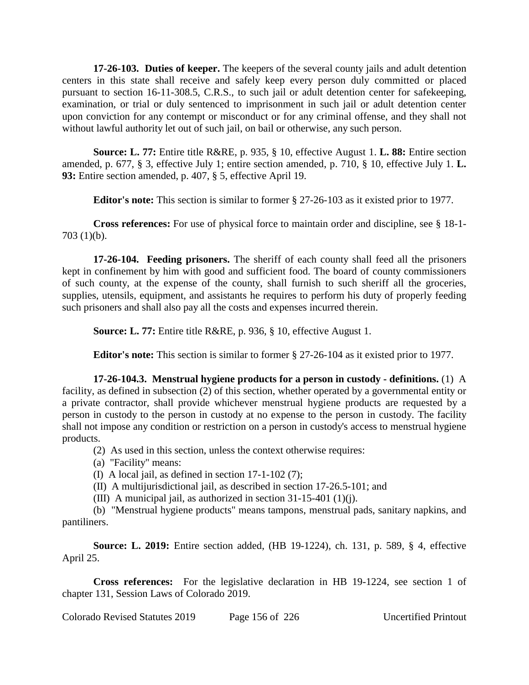**17-26-103. Duties of keeper.** The keepers of the several county jails and adult detention centers in this state shall receive and safely keep every person duly committed or placed pursuant to section 16-11-308.5, C.R.S., to such jail or adult detention center for safekeeping, examination, or trial or duly sentenced to imprisonment in such jail or adult detention center upon conviction for any contempt or misconduct or for any criminal offense, and they shall not without lawful authority let out of such jail, on bail or otherwise, any such person.

**Source: L. 77:** Entire title R&RE, p. 935, § 10, effective August 1. **L. 88:** Entire section amended, p. 677, § 3, effective July 1; entire section amended, p. 710, § 10, effective July 1. **L. 93:** Entire section amended, p. 407, § 5, effective April 19.

**Editor's note:** This section is similar to former § 27-26-103 as it existed prior to 1977.

**Cross references:** For use of physical force to maintain order and discipline, see § 18-1- 703 (1)(b).

**17-26-104. Feeding prisoners.** The sheriff of each county shall feed all the prisoners kept in confinement by him with good and sufficient food. The board of county commissioners of such county, at the expense of the county, shall furnish to such sheriff all the groceries, supplies, utensils, equipment, and assistants he requires to perform his duty of properly feeding such prisoners and shall also pay all the costs and expenses incurred therein.

**Source: L. 77:** Entire title R&RE, p. 936, § 10, effective August 1.

**Editor's note:** This section is similar to former § 27-26-104 as it existed prior to 1977.

**17-26-104.3. Menstrual hygiene products for a person in custody - definitions.** (1) A facility, as defined in subsection (2) of this section, whether operated by a governmental entity or a private contractor, shall provide whichever menstrual hygiene products are requested by a person in custody to the person in custody at no expense to the person in custody. The facility shall not impose any condition or restriction on a person in custody's access to menstrual hygiene products.

- (2) As used in this section, unless the context otherwise requires:
- (a) "Facility" means:
- (I) A local jail, as defined in section 17-1-102 (7);
- (II) A multijurisdictional jail, as described in section 17-26.5-101; and
- (III) A municipal jail, as authorized in section 31-15-401 (1)(j).

(b) "Menstrual hygiene products" means tampons, menstrual pads, sanitary napkins, and pantiliners.

**Source: L. 2019:** Entire section added, (HB 19-1224), ch. 131, p. 589, § 4, effective April 25.

**Cross references:** For the legislative declaration in HB 19-1224, see section 1 of chapter 131, Session Laws of Colorado 2019.

Colorado Revised Statutes 2019 Page 156 of 226 Uncertified Printout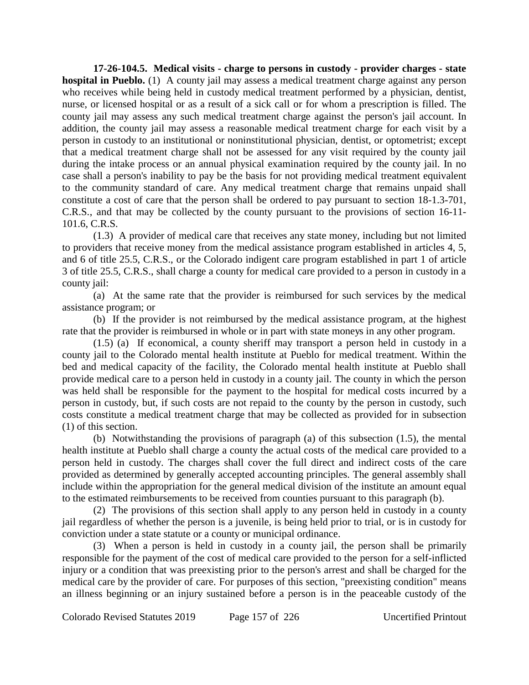**17-26-104.5. Medical visits - charge to persons in custody - provider charges - state hospital in Pueblo.** (1) A county jail may assess a medical treatment charge against any person who receives while being held in custody medical treatment performed by a physician, dentist, nurse, or licensed hospital or as a result of a sick call or for whom a prescription is filled. The county jail may assess any such medical treatment charge against the person's jail account. In addition, the county jail may assess a reasonable medical treatment charge for each visit by a person in custody to an institutional or noninstitutional physician, dentist, or optometrist; except that a medical treatment charge shall not be assessed for any visit required by the county jail during the intake process or an annual physical examination required by the county jail. In no case shall a person's inability to pay be the basis for not providing medical treatment equivalent to the community standard of care. Any medical treatment charge that remains unpaid shall constitute a cost of care that the person shall be ordered to pay pursuant to section 18-1.3-701, C.R.S., and that may be collected by the county pursuant to the provisions of section 16-11- 101.6, C.R.S.

(1.3) A provider of medical care that receives any state money, including but not limited to providers that receive money from the medical assistance program established in articles 4, 5, and 6 of title 25.5, C.R.S., or the Colorado indigent care program established in part 1 of article 3 of title 25.5, C.R.S., shall charge a county for medical care provided to a person in custody in a county jail:

(a) At the same rate that the provider is reimbursed for such services by the medical assistance program; or

(b) If the provider is not reimbursed by the medical assistance program, at the highest rate that the provider is reimbursed in whole or in part with state moneys in any other program.

(1.5) (a) If economical, a county sheriff may transport a person held in custody in a county jail to the Colorado mental health institute at Pueblo for medical treatment. Within the bed and medical capacity of the facility, the Colorado mental health institute at Pueblo shall provide medical care to a person held in custody in a county jail. The county in which the person was held shall be responsible for the payment to the hospital for medical costs incurred by a person in custody, but, if such costs are not repaid to the county by the person in custody, such costs constitute a medical treatment charge that may be collected as provided for in subsection (1) of this section.

(b) Notwithstanding the provisions of paragraph (a) of this subsection (1.5), the mental health institute at Pueblo shall charge a county the actual costs of the medical care provided to a person held in custody. The charges shall cover the full direct and indirect costs of the care provided as determined by generally accepted accounting principles. The general assembly shall include within the appropriation for the general medical division of the institute an amount equal to the estimated reimbursements to be received from counties pursuant to this paragraph (b).

(2) The provisions of this section shall apply to any person held in custody in a county jail regardless of whether the person is a juvenile, is being held prior to trial, or is in custody for conviction under a state statute or a county or municipal ordinance.

(3) When a person is held in custody in a county jail, the person shall be primarily responsible for the payment of the cost of medical care provided to the person for a self-inflicted injury or a condition that was preexisting prior to the person's arrest and shall be charged for the medical care by the provider of care. For purposes of this section, "preexisting condition" means an illness beginning or an injury sustained before a person is in the peaceable custody of the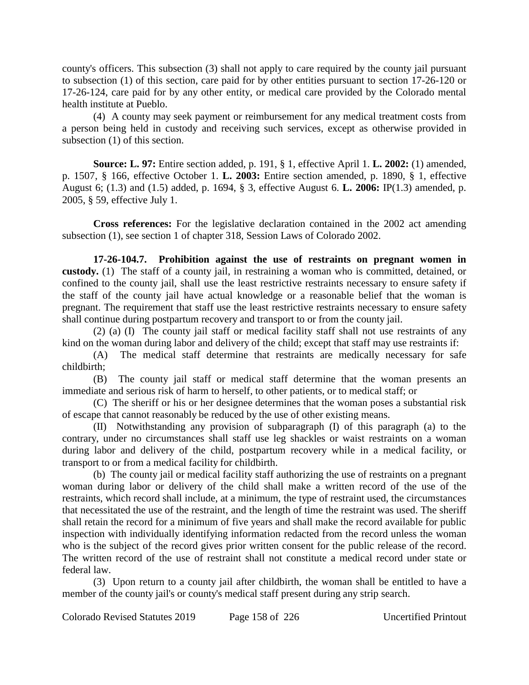county's officers. This subsection (3) shall not apply to care required by the county jail pursuant to subsection (1) of this section, care paid for by other entities pursuant to section 17-26-120 or 17-26-124, care paid for by any other entity, or medical care provided by the Colorado mental health institute at Pueblo.

(4) A county may seek payment or reimbursement for any medical treatment costs from a person being held in custody and receiving such services, except as otherwise provided in subsection (1) of this section.

**Source: L. 97:** Entire section added, p. 191, § 1, effective April 1. **L. 2002:** (1) amended, p. 1507, § 166, effective October 1. **L. 2003:** Entire section amended, p. 1890, § 1, effective August 6; (1.3) and (1.5) added, p. 1694, § 3, effective August 6. **L. 2006:** IP(1.3) amended, p. 2005, § 59, effective July 1.

**Cross references:** For the legislative declaration contained in the 2002 act amending subsection (1), see section 1 of chapter 318, Session Laws of Colorado 2002.

**17-26-104.7. Prohibition against the use of restraints on pregnant women in custody.** (1) The staff of a county jail, in restraining a woman who is committed, detained, or confined to the county jail, shall use the least restrictive restraints necessary to ensure safety if the staff of the county jail have actual knowledge or a reasonable belief that the woman is pregnant. The requirement that staff use the least restrictive restraints necessary to ensure safety shall continue during postpartum recovery and transport to or from the county jail.

(2) (a) (I) The county jail staff or medical facility staff shall not use restraints of any kind on the woman during labor and delivery of the child; except that staff may use restraints if:

(A) The medical staff determine that restraints are medically necessary for safe childbirth;

(B) The county jail staff or medical staff determine that the woman presents an immediate and serious risk of harm to herself, to other patients, or to medical staff; or

(C) The sheriff or his or her designee determines that the woman poses a substantial risk of escape that cannot reasonably be reduced by the use of other existing means.

(II) Notwithstanding any provision of subparagraph (I) of this paragraph (a) to the contrary, under no circumstances shall staff use leg shackles or waist restraints on a woman during labor and delivery of the child, postpartum recovery while in a medical facility, or transport to or from a medical facility for childbirth.

(b) The county jail or medical facility staff authorizing the use of restraints on a pregnant woman during labor or delivery of the child shall make a written record of the use of the restraints, which record shall include, at a minimum, the type of restraint used, the circumstances that necessitated the use of the restraint, and the length of time the restraint was used. The sheriff shall retain the record for a minimum of five years and shall make the record available for public inspection with individually identifying information redacted from the record unless the woman who is the subject of the record gives prior written consent for the public release of the record. The written record of the use of restraint shall not constitute a medical record under state or federal law.

(3) Upon return to a county jail after childbirth, the woman shall be entitled to have a member of the county jail's or county's medical staff present during any strip search.

Colorado Revised Statutes 2019 Page 158 of 226 Uncertified Printout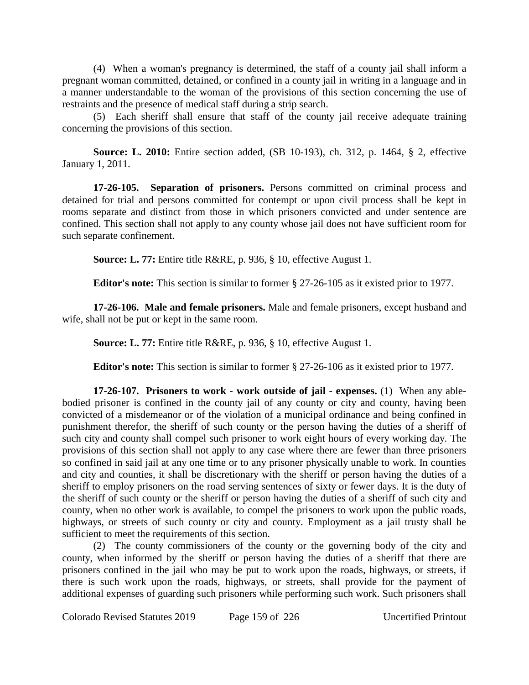(4) When a woman's pregnancy is determined, the staff of a county jail shall inform a pregnant woman committed, detained, or confined in a county jail in writing in a language and in a manner understandable to the woman of the provisions of this section concerning the use of restraints and the presence of medical staff during a strip search.

(5) Each sheriff shall ensure that staff of the county jail receive adequate training concerning the provisions of this section.

**Source: L. 2010:** Entire section added, (SB 10-193), ch. 312, p. 1464, § 2, effective January 1, 2011.

**17-26-105. Separation of prisoners.** Persons committed on criminal process and detained for trial and persons committed for contempt or upon civil process shall be kept in rooms separate and distinct from those in which prisoners convicted and under sentence are confined. This section shall not apply to any county whose jail does not have sufficient room for such separate confinement.

**Source: L. 77:** Entire title R&RE, p. 936, § 10, effective August 1.

**Editor's note:** This section is similar to former § 27-26-105 as it existed prior to 1977.

**17-26-106. Male and female prisoners.** Male and female prisoners, except husband and wife, shall not be put or kept in the same room.

**Source: L. 77:** Entire title R&RE, p. 936, § 10, effective August 1.

**Editor's note:** This section is similar to former § 27-26-106 as it existed prior to 1977.

**17-26-107. Prisoners to work - work outside of jail - expenses.** (1) When any ablebodied prisoner is confined in the county jail of any county or city and county, having been convicted of a misdemeanor or of the violation of a municipal ordinance and being confined in punishment therefor, the sheriff of such county or the person having the duties of a sheriff of such city and county shall compel such prisoner to work eight hours of every working day. The provisions of this section shall not apply to any case where there are fewer than three prisoners so confined in said jail at any one time or to any prisoner physically unable to work. In counties and city and counties, it shall be discretionary with the sheriff or person having the duties of a sheriff to employ prisoners on the road serving sentences of sixty or fewer days. It is the duty of the sheriff of such county or the sheriff or person having the duties of a sheriff of such city and county, when no other work is available, to compel the prisoners to work upon the public roads, highways, or streets of such county or city and county. Employment as a jail trusty shall be sufficient to meet the requirements of this section.

(2) The county commissioners of the county or the governing body of the city and county, when informed by the sheriff or person having the duties of a sheriff that there are prisoners confined in the jail who may be put to work upon the roads, highways, or streets, if there is such work upon the roads, highways, or streets, shall provide for the payment of additional expenses of guarding such prisoners while performing such work. Such prisoners shall

Colorado Revised Statutes 2019 Page 159 of 226 Uncertified Printout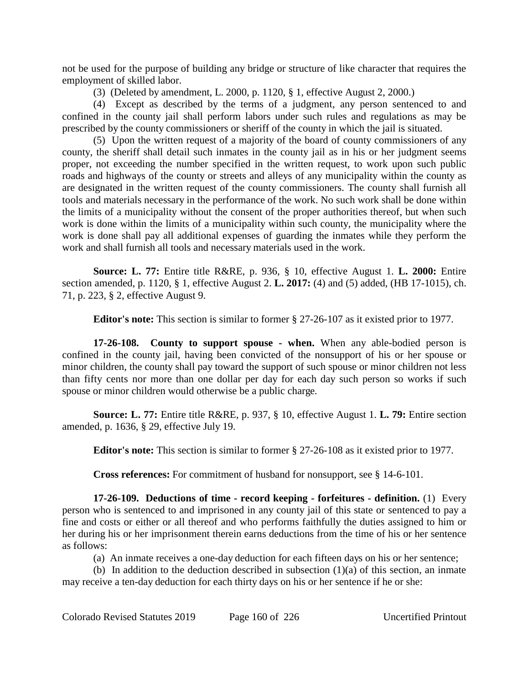not be used for the purpose of building any bridge or structure of like character that requires the employment of skilled labor.

(3) (Deleted by amendment, L. 2000, p. 1120, § 1, effective August 2, 2000.)

(4) Except as described by the terms of a judgment, any person sentenced to and confined in the county jail shall perform labors under such rules and regulations as may be prescribed by the county commissioners or sheriff of the county in which the jail is situated.

(5) Upon the written request of a majority of the board of county commissioners of any county, the sheriff shall detail such inmates in the county jail as in his or her judgment seems proper, not exceeding the number specified in the written request, to work upon such public roads and highways of the county or streets and alleys of any municipality within the county as are designated in the written request of the county commissioners. The county shall furnish all tools and materials necessary in the performance of the work. No such work shall be done within the limits of a municipality without the consent of the proper authorities thereof, but when such work is done within the limits of a municipality within such county, the municipality where the work is done shall pay all additional expenses of guarding the inmates while they perform the work and shall furnish all tools and necessary materials used in the work.

**Source: L. 77:** Entire title R&RE, p. 936, § 10, effective August 1. **L. 2000:** Entire section amended, p. 1120, § 1, effective August 2. **L. 2017:** (4) and (5) added, (HB 17-1015), ch. 71, p. 223, § 2, effective August 9.

**Editor's note:** This section is similar to former § 27-26-107 as it existed prior to 1977.

**17-26-108. County to support spouse - when.** When any able-bodied person is confined in the county jail, having been convicted of the nonsupport of his or her spouse or minor children, the county shall pay toward the support of such spouse or minor children not less than fifty cents nor more than one dollar per day for each day such person so works if such spouse or minor children would otherwise be a public charge.

**Source: L. 77:** Entire title R&RE, p. 937, § 10, effective August 1. **L. 79:** Entire section amended, p. 1636, § 29, effective July 19.

**Editor's note:** This section is similar to former § 27-26-108 as it existed prior to 1977.

**Cross references:** For commitment of husband for nonsupport, see § 14-6-101.

**17-26-109. Deductions of time - record keeping - forfeitures - definition.** (1) Every person who is sentenced to and imprisoned in any county jail of this state or sentenced to pay a fine and costs or either or all thereof and who performs faithfully the duties assigned to him or her during his or her imprisonment therein earns deductions from the time of his or her sentence as follows:

(a) An inmate receives a one-day deduction for each fifteen days on his or her sentence;

(b) In addition to the deduction described in subsection  $(1)(a)$  of this section, an inmate may receive a ten-day deduction for each thirty days on his or her sentence if he or she: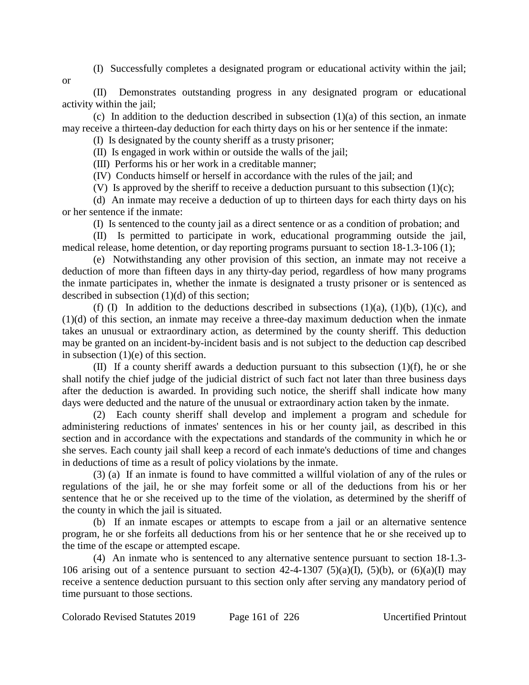- (I) Successfully completes a designated program or educational activity within the jail;
- or

(II) Demonstrates outstanding progress in any designated program or educational activity within the jail;

(c) In addition to the deduction described in subsection  $(1)(a)$  of this section, an inmate may receive a thirteen-day deduction for each thirty days on his or her sentence if the inmate:

(I) Is designated by the county sheriff as a trusty prisoner;

(II) Is engaged in work within or outside the walls of the jail;

(III) Performs his or her work in a creditable manner;

(IV) Conducts himself or herself in accordance with the rules of the jail; and

(V) Is approved by the sheriff to receive a deduction pursuant to this subsection  $(1)(c)$ ;

(d) An inmate may receive a deduction of up to thirteen days for each thirty days on his or her sentence if the inmate:

(I) Is sentenced to the county jail as a direct sentence or as a condition of probation; and

(II) Is permitted to participate in work, educational programming outside the jail, medical release, home detention, or day reporting programs pursuant to section 18-1.3-106 (1);

(e) Notwithstanding any other provision of this section, an inmate may not receive a deduction of more than fifteen days in any thirty-day period, regardless of how many programs the inmate participates in, whether the inmate is designated a trusty prisoner or is sentenced as described in subsection (1)(d) of this section;

(f) (I) In addition to the deductions described in subsections  $(1)(a)$ ,  $(1)(b)$ ,  $(1)(c)$ , and (1)(d) of this section, an inmate may receive a three-day maximum deduction when the inmate takes an unusual or extraordinary action, as determined by the county sheriff. This deduction may be granted on an incident-by-incident basis and is not subject to the deduction cap described in subsection (1)(e) of this section.

(II) If a county sheriff awards a deduction pursuant to this subsection  $(1)(f)$ , he or she shall notify the chief judge of the judicial district of such fact not later than three business days after the deduction is awarded. In providing such notice, the sheriff shall indicate how many days were deducted and the nature of the unusual or extraordinary action taken by the inmate.

(2) Each county sheriff shall develop and implement a program and schedule for administering reductions of inmates' sentences in his or her county jail, as described in this section and in accordance with the expectations and standards of the community in which he or she serves. Each county jail shall keep a record of each inmate's deductions of time and changes in deductions of time as a result of policy violations by the inmate.

(3) (a) If an inmate is found to have committed a willful violation of any of the rules or regulations of the jail, he or she may forfeit some or all of the deductions from his or her sentence that he or she received up to the time of the violation, as determined by the sheriff of the county in which the jail is situated.

(b) If an inmate escapes or attempts to escape from a jail or an alternative sentence program, he or she forfeits all deductions from his or her sentence that he or she received up to the time of the escape or attempted escape.

(4) An inmate who is sentenced to any alternative sentence pursuant to section 18-1.3- 106 arising out of a sentence pursuant to section  $42-4-1307$  (5)(a)(I), (5)(b), or (6)(a)(I) may receive a sentence deduction pursuant to this section only after serving any mandatory period of time pursuant to those sections.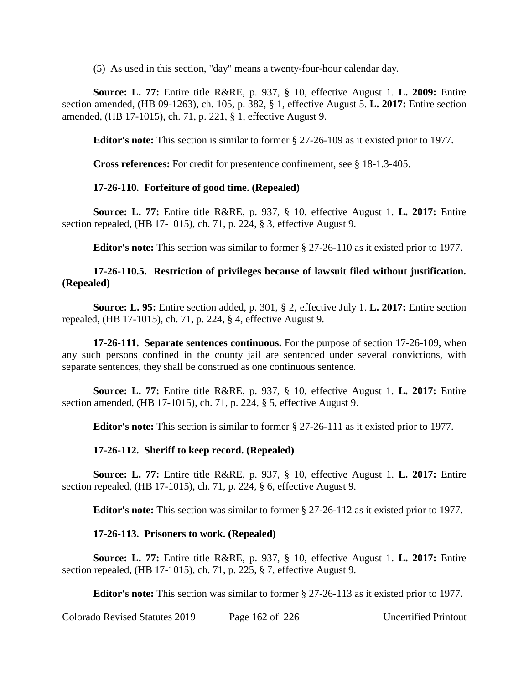(5) As used in this section, "day" means a twenty-four-hour calendar day.

**Source: L. 77:** Entire title R&RE, p. 937, § 10, effective August 1. **L. 2009:** Entire section amended, (HB 09-1263), ch. 105, p. 382, § 1, effective August 5. **L. 2017:** Entire section amended, (HB 17-1015), ch. 71, p. 221, § 1, effective August 9.

**Editor's note:** This section is similar to former § 27-26-109 as it existed prior to 1977.

**Cross references:** For credit for presentence confinement, see § 18-1.3-405.

## **17-26-110. Forfeiture of good time. (Repealed)**

**Source: L. 77:** Entire title R&RE, p. 937, § 10, effective August 1. **L. 2017:** Entire section repealed, (HB 17-1015), ch. 71, p. 224, § 3, effective August 9.

**Editor's note:** This section was similar to former § 27-26-110 as it existed prior to 1977.

## **17-26-110.5. Restriction of privileges because of lawsuit filed without justification. (Repealed)**

**Source: L. 95:** Entire section added, p. 301, § 2, effective July 1. **L. 2017:** Entire section repealed, (HB 17-1015), ch. 71, p. 224, § 4, effective August 9.

**17-26-111. Separate sentences continuous.** For the purpose of section 17-26-109, when any such persons confined in the county jail are sentenced under several convictions, with separate sentences, they shall be construed as one continuous sentence.

**Source: L. 77:** Entire title R&RE, p. 937, § 10, effective August 1. **L. 2017:** Entire section amended, (HB 17-1015), ch. 71, p. 224, § 5, effective August 9.

**Editor's note:** This section is similar to former § 27-26-111 as it existed prior to 1977.

### **17-26-112. Sheriff to keep record. (Repealed)**

**Source: L. 77:** Entire title R&RE, p. 937, § 10, effective August 1. **L. 2017:** Entire section repealed, (HB 17-1015), ch. 71, p. 224, § 6, effective August 9.

**Editor's note:** This section was similar to former § 27-26-112 as it existed prior to 1977.

### **17-26-113. Prisoners to work. (Repealed)**

**Source: L. 77:** Entire title R&RE, p. 937, § 10, effective August 1. **L. 2017:** Entire section repealed, (HB 17-1015), ch. 71, p. 225, § 7, effective August 9.

**Editor's note:** This section was similar to former § 27-26-113 as it existed prior to 1977.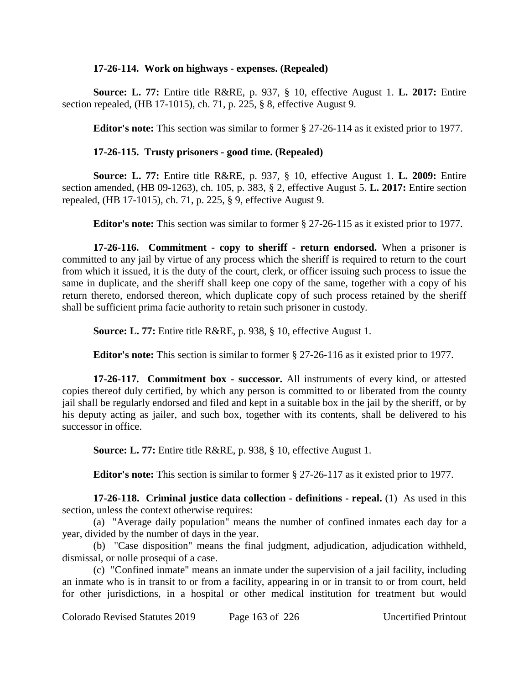#### **17-26-114. Work on highways - expenses. (Repealed)**

**Source: L. 77:** Entire title R&RE, p. 937, § 10, effective August 1. **L. 2017:** Entire section repealed, (HB 17-1015), ch. 71, p. 225, § 8, effective August 9.

**Editor's note:** This section was similar to former § 27-26-114 as it existed prior to 1977.

## **17-26-115. Trusty prisoners - good time. (Repealed)**

**Source: L. 77:** Entire title R&RE, p. 937, § 10, effective August 1. **L. 2009:** Entire section amended, (HB 09-1263), ch. 105, p. 383, § 2, effective August 5. **L. 2017:** Entire section repealed, (HB 17-1015), ch. 71, p. 225, § 9, effective August 9.

**Editor's note:** This section was similar to former § 27-26-115 as it existed prior to 1977.

**17-26-116. Commitment - copy to sheriff - return endorsed.** When a prisoner is committed to any jail by virtue of any process which the sheriff is required to return to the court from which it issued, it is the duty of the court, clerk, or officer issuing such process to issue the same in duplicate, and the sheriff shall keep one copy of the same, together with a copy of his return thereto, endorsed thereon, which duplicate copy of such process retained by the sheriff shall be sufficient prima facie authority to retain such prisoner in custody.

**Source: L. 77:** Entire title R&RE, p. 938, § 10, effective August 1.

**Editor's note:** This section is similar to former § 27-26-116 as it existed prior to 1977.

**17-26-117. Commitment box - successor.** All instruments of every kind, or attested copies thereof duly certified, by which any person is committed to or liberated from the county jail shall be regularly endorsed and filed and kept in a suitable box in the jail by the sheriff, or by his deputy acting as jailer, and such box, together with its contents, shall be delivered to his successor in office.

**Source: L. 77:** Entire title R&RE, p. 938, § 10, effective August 1.

**Editor's note:** This section is similar to former § 27-26-117 as it existed prior to 1977.

**17-26-118. Criminal justice data collection - definitions - repeal.** (1) As used in this section, unless the context otherwise requires:

(a) "Average daily population" means the number of confined inmates each day for a year, divided by the number of days in the year.

(b) "Case disposition" means the final judgment, adjudication, adjudication withheld, dismissal, or nolle prosequi of a case.

(c) "Confined inmate" means an inmate under the supervision of a jail facility, including an inmate who is in transit to or from a facility, appearing in or in transit to or from court, held for other jurisdictions, in a hospital or other medical institution for treatment but would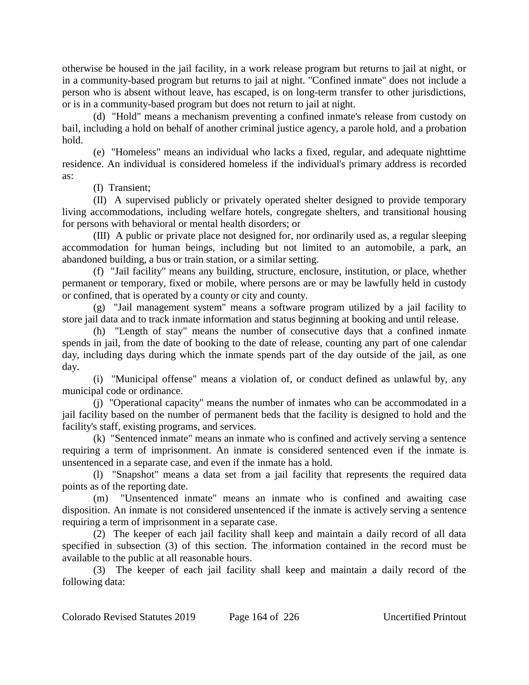otherwise be housed in the jail facility, in a work release program but returns to jail at night, or in a community-based program but returns to jail at night. "Confined inmate" does not include a person who is absent without leave, has escaped, is on long-term transfer to other jurisdictions, or is in a community-based program but does not return to jail at night.

(d) "Hold" means a mechanism preventing a confined inmate's release from custody on bail, including a hold on behalf of another criminal justice agency, a parole hold, and a probation hold.

(e) "Homeless" means an individual who lacks a fixed, regular, and adequate nighttime residence. An individual is considered homeless if the individual's primary address is recorded as:

(I) Transient;

(II) A supervised publicly or privately operated shelter designed to provide temporary living accommodations, including welfare hotels, congregate shelters, and transitional housing for persons with behavioral or mental health disorders; or

(III) A public or private place not designed for, nor ordinarily used as, a regular sleeping accommodation for human beings, including but not limited to an automobile, a park, an abandoned building, a bus or train station, or a similar setting.

(f) "Jail facility" means any building, structure, enclosure, institution, or place, whether permanent or temporary, fixed or mobile, where persons are or may be lawfully held in custody or confined, that is operated by a county or city and county.

(g) "Jail management system" means a software program utilized by a jail facility to store jail data and to track inmate information and status beginning at booking and until release.

(h) "Length of stay" means the number of consecutive days that a confined inmate spends in jail, from the date of booking to the date of release, counting any part of one calendar day, including days during which the inmate spends part of the day outside of the jail, as one day.

(i) "Municipal offense" means a violation of, or conduct defined as unlawful by, any municipal code or ordinance.

(j) "Operational capacity" means the number of inmates who can be accommodated in a jail facility based on the number of permanent beds that the facility is designed to hold and the facility's staff, existing programs, and services.

(k) "Sentenced inmate" means an inmate who is confined and actively serving a sentence requiring a term of imprisonment. An inmate is considered sentenced even if the inmate is unsentenced in a separate case, and even if the inmate has a hold.

(l) "Snapshot" means a data set from a jail facility that represents the required data points as of the reporting date.

(m) "Unsentenced inmate" means an inmate who is confined and awaiting case disposition. An inmate is not considered unsentenced if the inmate is actively serving a sentence requiring a term of imprisonment in a separate case.

(2) The keeper of each jail facility shall keep and maintain a daily record of all data specified in subsection (3) of this section. The information contained in the record must be available to the public at all reasonable hours.

(3) The keeper of each jail facility shall keep and maintain a daily record of the following data: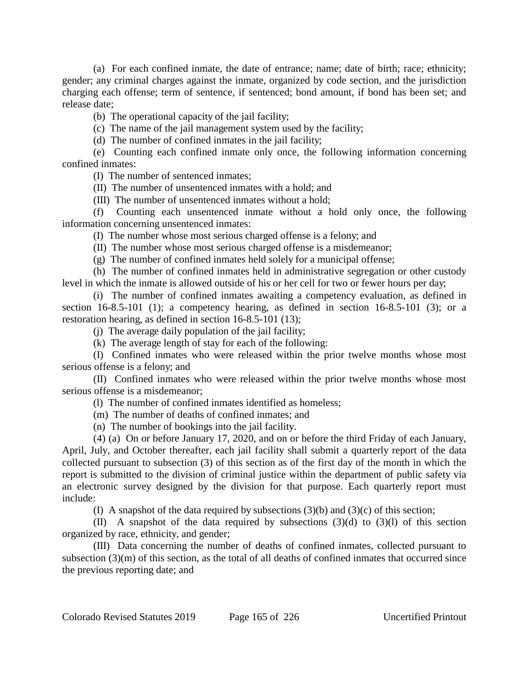(a) For each confined inmate, the date of entrance; name; date of birth; race; ethnicity; gender; any criminal charges against the inmate, organized by code section, and the jurisdiction charging each offense; term of sentence, if sentenced; bond amount, if bond has been set; and release date;

(b) The operational capacity of the jail facility;

(c) The name of the jail management system used by the facility;

(d) The number of confined inmates in the jail facility;

(e) Counting each confined inmate only once, the following information concerning confined inmates:

(I) The number of sentenced inmates;

(II) The number of unsentenced inmates with a hold; and

(III) The number of unsentenced inmates without a hold;

(f) Counting each unsentenced inmate without a hold only once, the following information concerning unsentenced inmates:

(I) The number whose most serious charged offense is a felony; and

(II) The number whose most serious charged offense is a misdemeanor;

(g) The number of confined inmates held solely for a municipal offense;

(h) The number of confined inmates held in administrative segregation or other custody level in which the inmate is allowed outside of his or her cell for two or fewer hours per day;

(i) The number of confined inmates awaiting a competency evaluation, as defined in section 16-8.5-101 (1); a competency hearing, as defined in section 16-8.5-101 (3); or a restoration hearing, as defined in section 16-8.5-101 (13);

(j) The average daily population of the jail facility;

(k) The average length of stay for each of the following:

(I) Confined inmates who were released within the prior twelve months whose most serious offense is a felony; and

(II) Confined inmates who were released within the prior twelve months whose most serious offense is a misdemeanor;

(l) The number of confined inmates identified as homeless;

(m) The number of deaths of confined inmates; and

(n) The number of bookings into the jail facility.

(4) (a) On or before January 17, 2020, and on or before the third Friday of each January, April, July, and October thereafter, each jail facility shall submit a quarterly report of the data collected pursuant to subsection (3) of this section as of the first day of the month in which the report is submitted to the division of criminal justice within the department of public safety via an electronic survey designed by the division for that purpose. Each quarterly report must include:

(I) A snapshot of the data required by subsections  $(3)(b)$  and  $(3)(c)$  of this section;

(II) A snapshot of the data required by subsections (3)(d) to (3)(l) of this section organized by race, ethnicity, and gender;

(III) Data concerning the number of deaths of confined inmates, collected pursuant to subsection (3)(m) of this section, as the total of all deaths of confined inmates that occurred since the previous reporting date; and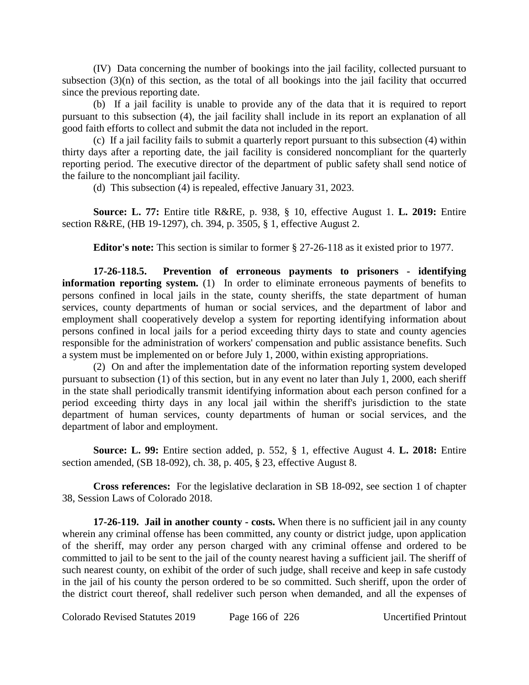(IV) Data concerning the number of bookings into the jail facility, collected pursuant to subsection (3)(n) of this section, as the total of all bookings into the jail facility that occurred since the previous reporting date.

(b) If a jail facility is unable to provide any of the data that it is required to report pursuant to this subsection (4), the jail facility shall include in its report an explanation of all good faith efforts to collect and submit the data not included in the report.

(c) If a jail facility fails to submit a quarterly report pursuant to this subsection (4) within thirty days after a reporting date, the jail facility is considered noncompliant for the quarterly reporting period. The executive director of the department of public safety shall send notice of the failure to the noncompliant jail facility.

(d) This subsection (4) is repealed, effective January 31, 2023.

**Source: L. 77:** Entire title R&RE, p. 938, § 10, effective August 1. **L. 2019:** Entire section R&RE, (HB 19-1297), ch. 394, p. 3505, § 1, effective August 2.

**Editor's note:** This section is similar to former § 27-26-118 as it existed prior to 1977.

**17-26-118.5. Prevention of erroneous payments to prisoners - identifying information reporting system.** (1) In order to eliminate erroneous payments of benefits to persons confined in local jails in the state, county sheriffs, the state department of human services, county departments of human or social services, and the department of labor and employment shall cooperatively develop a system for reporting identifying information about persons confined in local jails for a period exceeding thirty days to state and county agencies responsible for the administration of workers' compensation and public assistance benefits. Such a system must be implemented on or before July 1, 2000, within existing appropriations.

(2) On and after the implementation date of the information reporting system developed pursuant to subsection (1) of this section, but in any event no later than July 1, 2000, each sheriff in the state shall periodically transmit identifying information about each person confined for a period exceeding thirty days in any local jail within the sheriff's jurisdiction to the state department of human services, county departments of human or social services, and the department of labor and employment.

**Source: L. 99:** Entire section added, p. 552, § 1, effective August 4. **L. 2018:** Entire section amended, (SB 18-092), ch. 38, p. 405, § 23, effective August 8.

**Cross references:** For the legislative declaration in SB 18-092, see section 1 of chapter 38, Session Laws of Colorado 2018.

**17-26-119. Jail in another county - costs.** When there is no sufficient jail in any county wherein any criminal offense has been committed, any county or district judge, upon application of the sheriff, may order any person charged with any criminal offense and ordered to be committed to jail to be sent to the jail of the county nearest having a sufficient jail. The sheriff of such nearest county, on exhibit of the order of such judge, shall receive and keep in safe custody in the jail of his county the person ordered to be so committed. Such sheriff, upon the order of the district court thereof, shall redeliver such person when demanded, and all the expenses of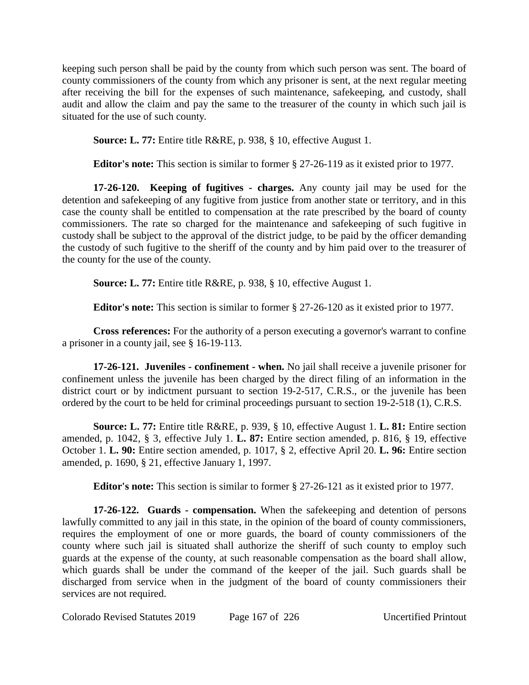keeping such person shall be paid by the county from which such person was sent. The board of county commissioners of the county from which any prisoner is sent, at the next regular meeting after receiving the bill for the expenses of such maintenance, safekeeping, and custody, shall audit and allow the claim and pay the same to the treasurer of the county in which such jail is situated for the use of such county.

**Source: L. 77:** Entire title R&RE, p. 938, § 10, effective August 1.

**Editor's note:** This section is similar to former § 27-26-119 as it existed prior to 1977.

**17-26-120. Keeping of fugitives - charges.** Any county jail may be used for the detention and safekeeping of any fugitive from justice from another state or territory, and in this case the county shall be entitled to compensation at the rate prescribed by the board of county commissioners. The rate so charged for the maintenance and safekeeping of such fugitive in custody shall be subject to the approval of the district judge, to be paid by the officer demanding the custody of such fugitive to the sheriff of the county and by him paid over to the treasurer of the county for the use of the county.

**Source: L. 77:** Entire title R&RE, p. 938, § 10, effective August 1.

**Editor's note:** This section is similar to former § 27-26-120 as it existed prior to 1977.

**Cross references:** For the authority of a person executing a governor's warrant to confine a prisoner in a county jail, see § 16-19-113.

**17-26-121. Juveniles - confinement - when.** No jail shall receive a juvenile prisoner for confinement unless the juvenile has been charged by the direct filing of an information in the district court or by indictment pursuant to section 19-2-517, C.R.S., or the juvenile has been ordered by the court to be held for criminal proceedings pursuant to section 19-2-518 (1), C.R.S.

**Source: L. 77:** Entire title R&RE, p. 939, § 10, effective August 1. **L. 81:** Entire section amended, p. 1042, § 3, effective July 1. **L. 87:** Entire section amended, p. 816, § 19, effective October 1. **L. 90:** Entire section amended, p. 1017, § 2, effective April 20. **L. 96:** Entire section amended, p. 1690, § 21, effective January 1, 1997.

**Editor's note:** This section is similar to former § 27-26-121 as it existed prior to 1977.

**17-26-122. Guards - compensation.** When the safekeeping and detention of persons lawfully committed to any jail in this state, in the opinion of the board of county commissioners, requires the employment of one or more guards, the board of county commissioners of the county where such jail is situated shall authorize the sheriff of such county to employ such guards at the expense of the county, at such reasonable compensation as the board shall allow, which guards shall be under the command of the keeper of the jail. Such guards shall be discharged from service when in the judgment of the board of county commissioners their services are not required.

Colorado Revised Statutes 2019 Page 167 of 226 Uncertified Printout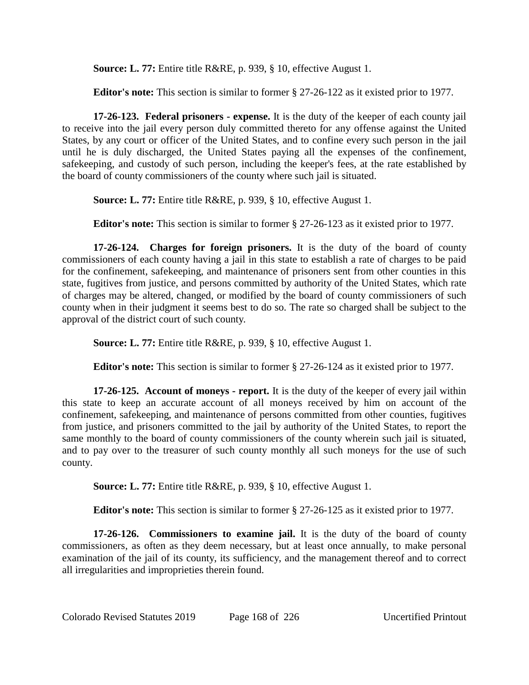**Source: L. 77:** Entire title R&RE, p. 939, § 10, effective August 1.

**Editor's note:** This section is similar to former § 27-26-122 as it existed prior to 1977.

**17-26-123. Federal prisoners - expense.** It is the duty of the keeper of each county jail to receive into the jail every person duly committed thereto for any offense against the United States, by any court or officer of the United States, and to confine every such person in the jail until he is duly discharged, the United States paying all the expenses of the confinement, safekeeping, and custody of such person, including the keeper's fees, at the rate established by the board of county commissioners of the county where such jail is situated.

**Source: L. 77:** Entire title R&RE, p. 939, § 10, effective August 1.

**Editor's note:** This section is similar to former § 27-26-123 as it existed prior to 1977.

**17-26-124. Charges for foreign prisoners.** It is the duty of the board of county commissioners of each county having a jail in this state to establish a rate of charges to be paid for the confinement, safekeeping, and maintenance of prisoners sent from other counties in this state, fugitives from justice, and persons committed by authority of the United States, which rate of charges may be altered, changed, or modified by the board of county commissioners of such county when in their judgment it seems best to do so. The rate so charged shall be subject to the approval of the district court of such county.

**Source: L. 77:** Entire title R&RE, p. 939, § 10, effective August 1.

**Editor's note:** This section is similar to former § 27-26-124 as it existed prior to 1977.

**17-26-125. Account of moneys - report.** It is the duty of the keeper of every jail within this state to keep an accurate account of all moneys received by him on account of the confinement, safekeeping, and maintenance of persons committed from other counties, fugitives from justice, and prisoners committed to the jail by authority of the United States, to report the same monthly to the board of county commissioners of the county wherein such jail is situated, and to pay over to the treasurer of such county monthly all such moneys for the use of such county.

**Source: L. 77:** Entire title R&RE, p. 939, § 10, effective August 1.

**Editor's note:** This section is similar to former § 27-26-125 as it existed prior to 1977.

**17-26-126. Commissioners to examine jail.** It is the duty of the board of county commissioners, as often as they deem necessary, but at least once annually, to make personal examination of the jail of its county, its sufficiency, and the management thereof and to correct all irregularities and improprieties therein found.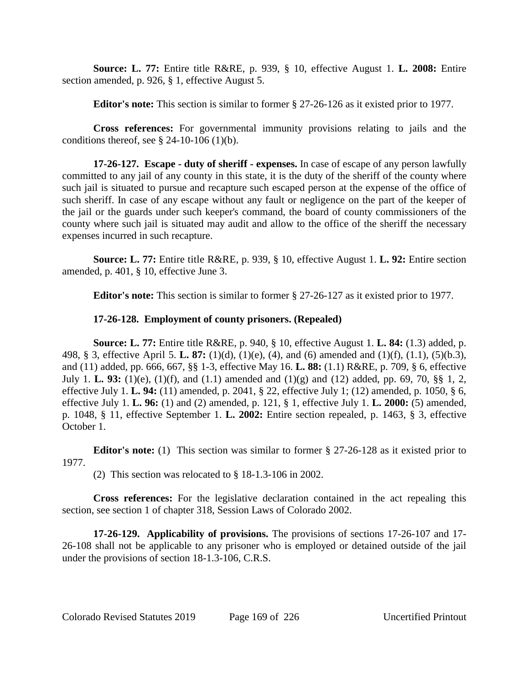**Source: L. 77:** Entire title R&RE, p. 939, § 10, effective August 1. **L. 2008:** Entire section amended, p. 926, § 1, effective August 5.

**Editor's note:** This section is similar to former § 27-26-126 as it existed prior to 1977.

**Cross references:** For governmental immunity provisions relating to jails and the conditions thereof, see  $\S$  24-10-106 (1)(b).

**17-26-127. Escape - duty of sheriff - expenses.** In case of escape of any person lawfully committed to any jail of any county in this state, it is the duty of the sheriff of the county where such jail is situated to pursue and recapture such escaped person at the expense of the office of such sheriff. In case of any escape without any fault or negligence on the part of the keeper of the jail or the guards under such keeper's command, the board of county commissioners of the county where such jail is situated may audit and allow to the office of the sheriff the necessary expenses incurred in such recapture.

**Source: L. 77:** Entire title R&RE, p. 939, § 10, effective August 1. **L. 92:** Entire section amended, p. 401, § 10, effective June 3.

**Editor's note:** This section is similar to former § 27-26-127 as it existed prior to 1977.

# **17-26-128. Employment of county prisoners. (Repealed)**

**Source: L. 77:** Entire title R&RE, p. 940, § 10, effective August 1. **L. 84:** (1.3) added, p. 498, § 3, effective April 5. **L. 87:** (1)(d), (1)(e), (4), and (6) amended and (1)(f), (1.1), (5)(b.3), and (11) added, pp. 666, 667, §§ 1-3, effective May 16. **L. 88:** (1.1) R&RE, p. 709, § 6, effective July 1. **L. 93:** (1)(e), (1)(f), and (1.1) amended and (1)(g) and (12) added, pp. 69, 70, §§ 1, 2, effective July 1. **L. 94:** (11) amended, p. 2041, § 22, effective July 1; (12) amended, p. 1050, § 6, effective July 1. **L. 96:** (1) and (2) amended, p. 121, § 1, effective July 1. **L. 2000:** (5) amended, p. 1048, § 11, effective September 1. **L. 2002:** Entire section repealed, p. 1463, § 3, effective October 1.

**Editor's note:** (1) This section was similar to former § 27-26-128 as it existed prior to 1977.

(2) This section was relocated to § 18-1.3-106 in 2002.

**Cross references:** For the legislative declaration contained in the act repealing this section, see section 1 of chapter 318, Session Laws of Colorado 2002.

**17-26-129. Applicability of provisions.** The provisions of sections 17-26-107 and 17- 26-108 shall not be applicable to any prisoner who is employed or detained outside of the jail under the provisions of section 18-1.3-106, C.R.S.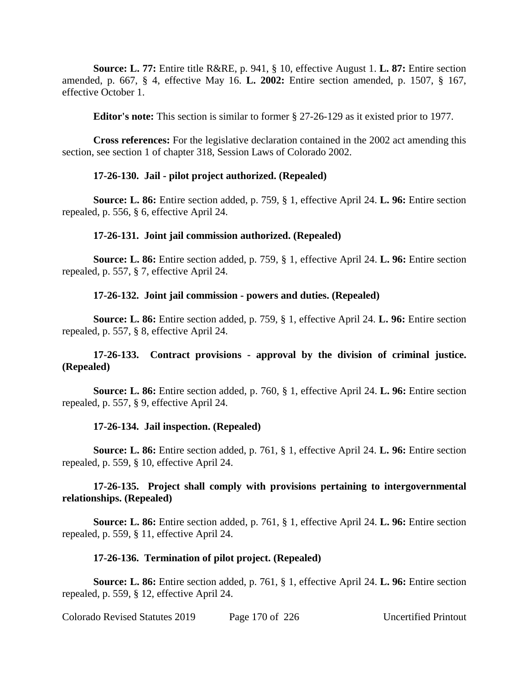**Source: L. 77:** Entire title R&RE, p. 941, § 10, effective August 1. **L. 87:** Entire section amended, p. 667, § 4, effective May 16. **L. 2002:** Entire section amended, p. 1507, § 167, effective October 1.

**Editor's note:** This section is similar to former § 27-26-129 as it existed prior to 1977.

**Cross references:** For the legislative declaration contained in the 2002 act amending this section, see section 1 of chapter 318, Session Laws of Colorado 2002.

### **17-26-130. Jail - pilot project authorized. (Repealed)**

**Source: L. 86:** Entire section added, p. 759, § 1, effective April 24. **L. 96:** Entire section repealed, p. 556, § 6, effective April 24.

### **17-26-131. Joint jail commission authorized. (Repealed)**

**Source: L. 86:** Entire section added, p. 759, § 1, effective April 24. **L. 96:** Entire section repealed, p. 557, § 7, effective April 24.

## **17-26-132. Joint jail commission - powers and duties. (Repealed)**

**Source: L. 86:** Entire section added, p. 759, § 1, effective April 24. **L. 96:** Entire section repealed, p. 557, § 8, effective April 24.

# **17-26-133. Contract provisions - approval by the division of criminal justice. (Repealed)**

**Source: L. 86:** Entire section added, p. 760, § 1, effective April 24. **L. 96:** Entire section repealed, p. 557, § 9, effective April 24.

### **17-26-134. Jail inspection. (Repealed)**

**Source: L. 86:** Entire section added, p. 761, § 1, effective April 24. **L. 96:** Entire section repealed, p. 559, § 10, effective April 24.

## **17-26-135. Project shall comply with provisions pertaining to intergovernmental relationships. (Repealed)**

**Source: L. 86:** Entire section added, p. 761, § 1, effective April 24. **L. 96:** Entire section repealed, p. 559, § 11, effective April 24.

### **17-26-136. Termination of pilot project. (Repealed)**

**Source: L. 86:** Entire section added, p. 761, § 1, effective April 24. **L. 96:** Entire section repealed, p. 559, § 12, effective April 24.

Colorado Revised Statutes 2019 Page 170 of 226 Uncertified Printout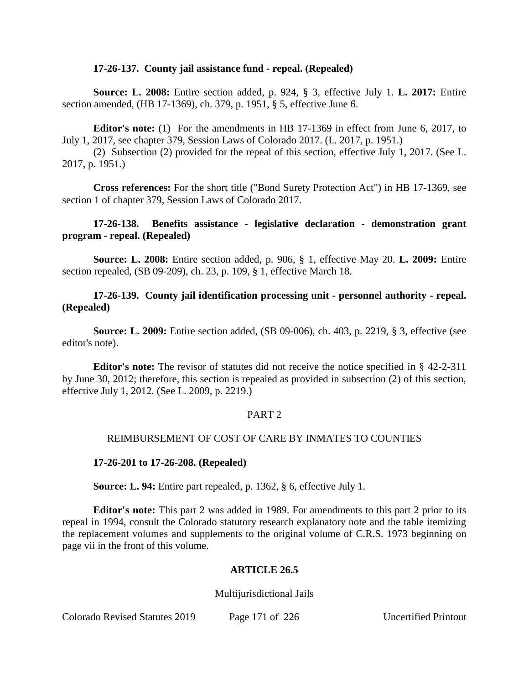#### **17-26-137. County jail assistance fund - repeal. (Repealed)**

**Source: L. 2008:** Entire section added, p. 924, § 3, effective July 1. **L. 2017:** Entire section amended, (HB 17-1369), ch. 379, p. 1951, § 5, effective June 6.

**Editor's note:** (1) For the amendments in HB 17-1369 in effect from June 6, 2017, to July 1, 2017, see chapter 379, Session Laws of Colorado 2017. (L. 2017, p. 1951.)

(2) Subsection (2) provided for the repeal of this section, effective July 1, 2017. (See L. 2017, p. 1951.)

**Cross references:** For the short title ("Bond Surety Protection Act") in HB 17-1369, see section 1 of chapter 379, Session Laws of Colorado 2017.

## **17-26-138. Benefits assistance - legislative declaration - demonstration grant program - repeal. (Repealed)**

**Source: L. 2008:** Entire section added, p. 906, § 1, effective May 20. **L. 2009:** Entire section repealed, (SB 09-209), ch. 23, p. 109, § 1, effective March 18.

## **17-26-139. County jail identification processing unit - personnel authority - repeal. (Repealed)**

**Source: L. 2009:** Entire section added, (SB 09-006), ch. 403, p. 2219, § 3, effective (see editor's note).

**Editor's note:** The revisor of statutes did not receive the notice specified in § 42-2-311 by June 30, 2012; therefore, this section is repealed as provided in subsection (2) of this section, effective July 1, 2012. (See L. 2009, p. 2219.)

# PART<sub>2</sub>

### REIMBURSEMENT OF COST OF CARE BY INMATES TO COUNTIES

### **17-26-201 to 17-26-208. (Repealed)**

**Source: L. 94:** Entire part repealed, p. 1362, § 6, effective July 1.

**Editor's note:** This part 2 was added in 1989. For amendments to this part 2 prior to its repeal in 1994, consult the Colorado statutory research explanatory note and the table itemizing the replacement volumes and supplements to the original volume of C.R.S. 1973 beginning on page vii in the front of this volume.

### **ARTICLE 26.5**

### Multijurisdictional Jails

Colorado Revised Statutes 2019 Page 171 of 226 Uncertified Printout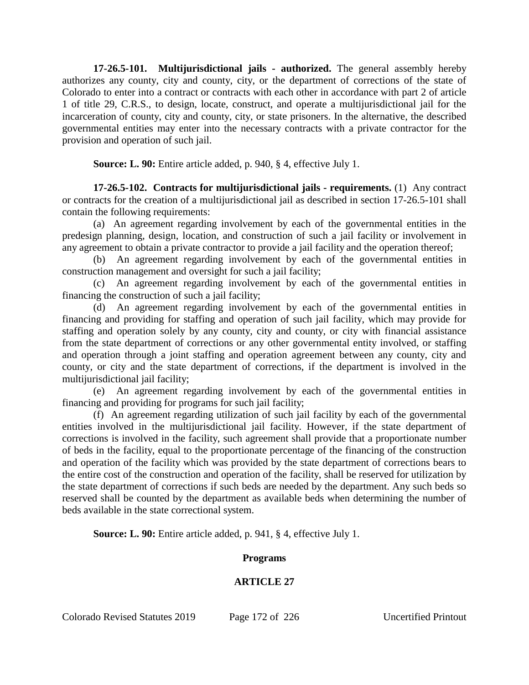**17-26.5-101. Multijurisdictional jails - authorized.** The general assembly hereby authorizes any county, city and county, city, or the department of corrections of the state of Colorado to enter into a contract or contracts with each other in accordance with part 2 of article 1 of title 29, C.R.S., to design, locate, construct, and operate a multijurisdictional jail for the incarceration of county, city and county, city, or state prisoners. In the alternative, the described governmental entities may enter into the necessary contracts with a private contractor for the provision and operation of such jail.

**Source: L. 90:** Entire article added, p. 940, § 4, effective July 1.

**17-26.5-102. Contracts for multijurisdictional jails - requirements.** (1) Any contract or contracts for the creation of a multijurisdictional jail as described in section 17-26.5-101 shall contain the following requirements:

(a) An agreement regarding involvement by each of the governmental entities in the predesign planning, design, location, and construction of such a jail facility or involvement in any agreement to obtain a private contractor to provide a jail facility and the operation thereof;

(b) An agreement regarding involvement by each of the governmental entities in construction management and oversight for such a jail facility;

(c) An agreement regarding involvement by each of the governmental entities in financing the construction of such a jail facility;

(d) An agreement regarding involvement by each of the governmental entities in financing and providing for staffing and operation of such jail facility, which may provide for staffing and operation solely by any county, city and county, or city with financial assistance from the state department of corrections or any other governmental entity involved, or staffing and operation through a joint staffing and operation agreement between any county, city and county, or city and the state department of corrections, if the department is involved in the multijurisdictional jail facility;

(e) An agreement regarding involvement by each of the governmental entities in financing and providing for programs for such jail facility;

(f) An agreement regarding utilization of such jail facility by each of the governmental entities involved in the multijurisdictional jail facility. However, if the state department of corrections is involved in the facility, such agreement shall provide that a proportionate number of beds in the facility, equal to the proportionate percentage of the financing of the construction and operation of the facility which was provided by the state department of corrections bears to the entire cost of the construction and operation of the facility, shall be reserved for utilization by the state department of corrections if such beds are needed by the department. Any such beds so reserved shall be counted by the department as available beds when determining the number of beds available in the state correctional system.

**Source: L. 90:** Entire article added, p. 941, § 4, effective July 1.

# **Programs**

# **ARTICLE 27**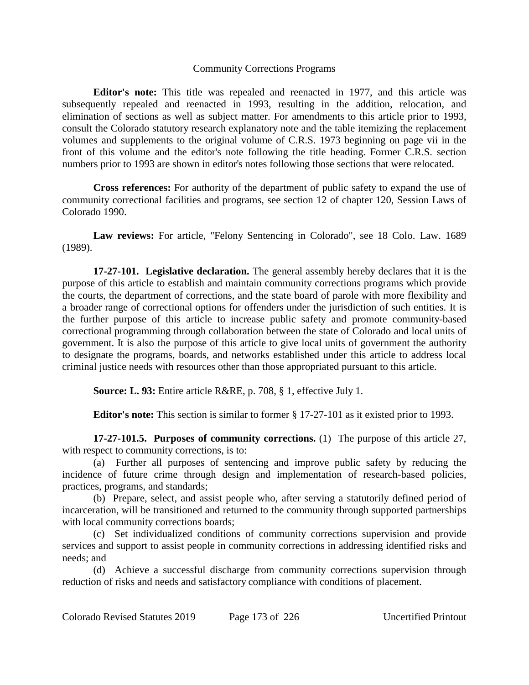#### Community Corrections Programs

**Editor's note:** This title was repealed and reenacted in 1977, and this article was subsequently repealed and reenacted in 1993, resulting in the addition, relocation, and elimination of sections as well as subject matter. For amendments to this article prior to 1993, consult the Colorado statutory research explanatory note and the table itemizing the replacement volumes and supplements to the original volume of C.R.S. 1973 beginning on page vii in the front of this volume and the editor's note following the title heading. Former C.R.S. section numbers prior to 1993 are shown in editor's notes following those sections that were relocated.

**Cross references:** For authority of the department of public safety to expand the use of community correctional facilities and programs, see section 12 of chapter 120, Session Laws of Colorado 1990.

**Law reviews:** For article, "Felony Sentencing in Colorado", see 18 Colo. Law. 1689 (1989).

**17-27-101. Legislative declaration.** The general assembly hereby declares that it is the purpose of this article to establish and maintain community corrections programs which provide the courts, the department of corrections, and the state board of parole with more flexibility and a broader range of correctional options for offenders under the jurisdiction of such entities. It is the further purpose of this article to increase public safety and promote community-based correctional programming through collaboration between the state of Colorado and local units of government. It is also the purpose of this article to give local units of government the authority to designate the programs, boards, and networks established under this article to address local criminal justice needs with resources other than those appropriated pursuant to this article.

**Source: L. 93:** Entire article R&RE, p. 708, § 1, effective July 1.

**Editor's note:** This section is similar to former § 17-27-101 as it existed prior to 1993.

**17-27-101.5. Purposes of community corrections.** (1) The purpose of this article 27, with respect to community corrections, is to:

(a) Further all purposes of sentencing and improve public safety by reducing the incidence of future crime through design and implementation of research-based policies, practices, programs, and standards;

(b) Prepare, select, and assist people who, after serving a statutorily defined period of incarceration, will be transitioned and returned to the community through supported partnerships with local community corrections boards;

(c) Set individualized conditions of community corrections supervision and provide services and support to assist people in community corrections in addressing identified risks and needs; and

(d) Achieve a successful discharge from community corrections supervision through reduction of risks and needs and satisfactory compliance with conditions of placement.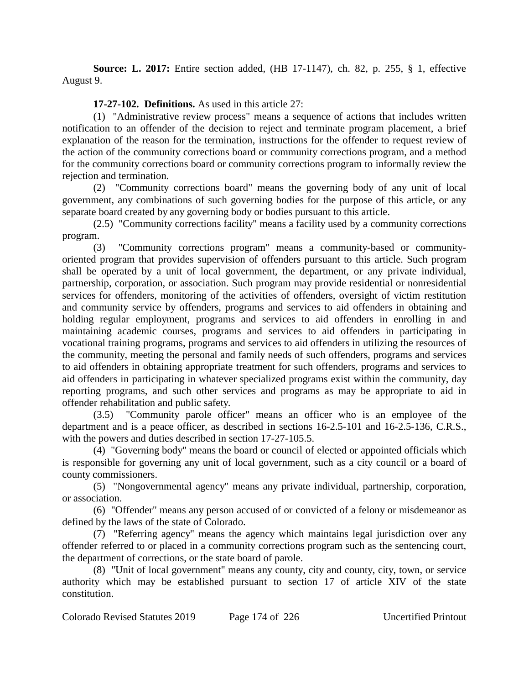**Source: L. 2017:** Entire section added, (HB 17-1147), ch. 82, p. 255, § 1, effective August 9.

# **17-27-102. Definitions.** As used in this article 27:

(1) "Administrative review process" means a sequence of actions that includes written notification to an offender of the decision to reject and terminate program placement, a brief explanation of the reason for the termination, instructions for the offender to request review of the action of the community corrections board or community corrections program, and a method for the community corrections board or community corrections program to informally review the rejection and termination.

(2) "Community corrections board" means the governing body of any unit of local government, any combinations of such governing bodies for the purpose of this article, or any separate board created by any governing body or bodies pursuant to this article.

(2.5) "Community corrections facility" means a facility used by a community corrections program.

(3) "Community corrections program" means a community-based or communityoriented program that provides supervision of offenders pursuant to this article. Such program shall be operated by a unit of local government, the department, or any private individual, partnership, corporation, or association. Such program may provide residential or nonresidential services for offenders, monitoring of the activities of offenders, oversight of victim restitution and community service by offenders, programs and services to aid offenders in obtaining and holding regular employment, programs and services to aid offenders in enrolling in and maintaining academic courses, programs and services to aid offenders in participating in vocational training programs, programs and services to aid offenders in utilizing the resources of the community, meeting the personal and family needs of such offenders, programs and services to aid offenders in obtaining appropriate treatment for such offenders, programs and services to aid offenders in participating in whatever specialized programs exist within the community, day reporting programs, and such other services and programs as may be appropriate to aid in offender rehabilitation and public safety.

(3.5) "Community parole officer" means an officer who is an employee of the department and is a peace officer, as described in sections 16-2.5-101 and 16-2.5-136, C.R.S., with the powers and duties described in section 17-27-105.5.

(4) "Governing body" means the board or council of elected or appointed officials which is responsible for governing any unit of local government, such as a city council or a board of county commissioners.

(5) "Nongovernmental agency" means any private individual, partnership, corporation, or association.

(6) "Offender" means any person accused of or convicted of a felony or misdemeanor as defined by the laws of the state of Colorado.

(7) "Referring agency" means the agency which maintains legal jurisdiction over any offender referred to or placed in a community corrections program such as the sentencing court, the department of corrections, or the state board of parole.

(8) "Unit of local government" means any county, city and county, city, town, or service authority which may be established pursuant to section 17 of article XIV of the state constitution.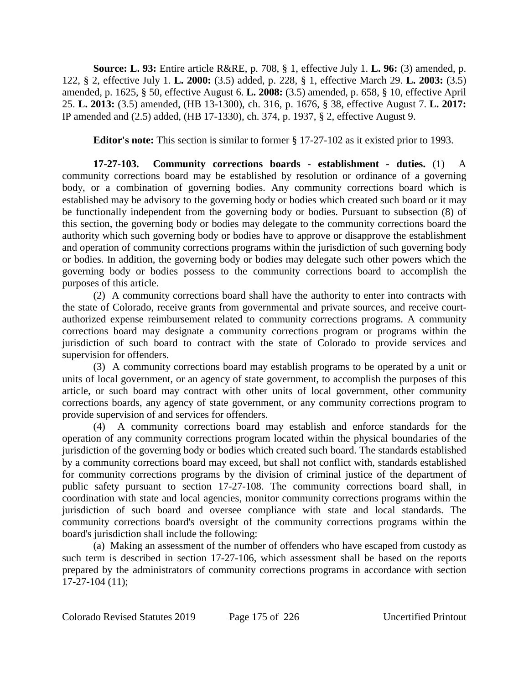**Source: L. 93:** Entire article R&RE, p. 708, § 1, effective July 1. **L. 96:** (3) amended, p. 122, § 2, effective July 1. **L. 2000:** (3.5) added, p. 228, § 1, effective March 29. **L. 2003:** (3.5) amended, p. 1625, § 50, effective August 6. **L. 2008:** (3.5) amended, p. 658, § 10, effective April 25. **L. 2013:** (3.5) amended, (HB 13-1300), ch. 316, p. 1676, § 38, effective August 7. **L. 2017:** IP amended and (2.5) added, (HB 17-1330), ch. 374, p. 1937, § 2, effective August 9.

**Editor's note:** This section is similar to former § 17-27-102 as it existed prior to 1993.

**17-27-103. Community corrections boards - establishment - duties.** (1) A community corrections board may be established by resolution or ordinance of a governing body, or a combination of governing bodies. Any community corrections board which is established may be advisory to the governing body or bodies which created such board or it may be functionally independent from the governing body or bodies. Pursuant to subsection (8) of this section, the governing body or bodies may delegate to the community corrections board the authority which such governing body or bodies have to approve or disapprove the establishment and operation of community corrections programs within the jurisdiction of such governing body or bodies. In addition, the governing body or bodies may delegate such other powers which the governing body or bodies possess to the community corrections board to accomplish the purposes of this article.

(2) A community corrections board shall have the authority to enter into contracts with the state of Colorado, receive grants from governmental and private sources, and receive courtauthorized expense reimbursement related to community corrections programs. A community corrections board may designate a community corrections program or programs within the jurisdiction of such board to contract with the state of Colorado to provide services and supervision for offenders.

(3) A community corrections board may establish programs to be operated by a unit or units of local government, or an agency of state government, to accomplish the purposes of this article, or such board may contract with other units of local government, other community corrections boards, any agency of state government, or any community corrections program to provide supervision of and services for offenders.

(4) A community corrections board may establish and enforce standards for the operation of any community corrections program located within the physical boundaries of the jurisdiction of the governing body or bodies which created such board. The standards established by a community corrections board may exceed, but shall not conflict with, standards established for community corrections programs by the division of criminal justice of the department of public safety pursuant to section 17-27-108. The community corrections board shall, in coordination with state and local agencies, monitor community corrections programs within the jurisdiction of such board and oversee compliance with state and local standards. The community corrections board's oversight of the community corrections programs within the board's jurisdiction shall include the following:

(a) Making an assessment of the number of offenders who have escaped from custody as such term is described in section 17-27-106, which assessment shall be based on the reports prepared by the administrators of community corrections programs in accordance with section 17-27-104 (11);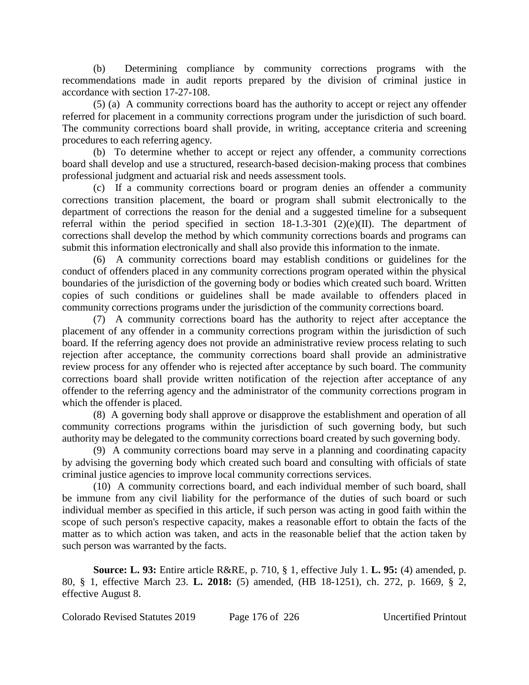(b) Determining compliance by community corrections programs with the recommendations made in audit reports prepared by the division of criminal justice in accordance with section 17-27-108.

(5) (a) A community corrections board has the authority to accept or reject any offender referred for placement in a community corrections program under the jurisdiction of such board. The community corrections board shall provide, in writing, acceptance criteria and screening procedures to each referring agency.

(b) To determine whether to accept or reject any offender, a community corrections board shall develop and use a structured, research-based decision-making process that combines professional judgment and actuarial risk and needs assessment tools.

(c) If a community corrections board or program denies an offender a community corrections transition placement, the board or program shall submit electronically to the department of corrections the reason for the denial and a suggested timeline for a subsequent referral within the period specified in section  $18-1.3-301$  (2)(e)(II). The department of corrections shall develop the method by which community corrections boards and programs can submit this information electronically and shall also provide this information to the inmate.

(6) A community corrections board may establish conditions or guidelines for the conduct of offenders placed in any community corrections program operated within the physical boundaries of the jurisdiction of the governing body or bodies which created such board. Written copies of such conditions or guidelines shall be made available to offenders placed in community corrections programs under the jurisdiction of the community corrections board.

(7) A community corrections board has the authority to reject after acceptance the placement of any offender in a community corrections program within the jurisdiction of such board. If the referring agency does not provide an administrative review process relating to such rejection after acceptance, the community corrections board shall provide an administrative review process for any offender who is rejected after acceptance by such board. The community corrections board shall provide written notification of the rejection after acceptance of any offender to the referring agency and the administrator of the community corrections program in which the offender is placed.

(8) A governing body shall approve or disapprove the establishment and operation of all community corrections programs within the jurisdiction of such governing body, but such authority may be delegated to the community corrections board created by such governing body.

(9) A community corrections board may serve in a planning and coordinating capacity by advising the governing body which created such board and consulting with officials of state criminal justice agencies to improve local community corrections services.

(10) A community corrections board, and each individual member of such board, shall be immune from any civil liability for the performance of the duties of such board or such individual member as specified in this article, if such person was acting in good faith within the scope of such person's respective capacity, makes a reasonable effort to obtain the facts of the matter as to which action was taken, and acts in the reasonable belief that the action taken by such person was warranted by the facts.

**Source: L. 93:** Entire article R&RE, p. 710, § 1, effective July 1. **L. 95:** (4) amended, p. 80, § 1, effective March 23. **L. 2018:** (5) amended, (HB 18-1251), ch. 272, p. 1669, § 2, effective August 8.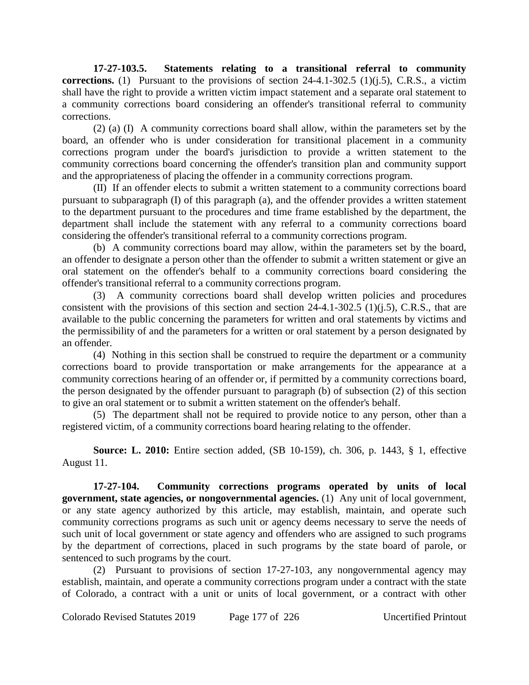**17-27-103.5. Statements relating to a transitional referral to community corrections.** (1) Pursuant to the provisions of section 24-4.1-302.5 (1)(j.5), C.R.S., a victim shall have the right to provide a written victim impact statement and a separate oral statement to a community corrections board considering an offender's transitional referral to community corrections.

(2) (a) (I) A community corrections board shall allow, within the parameters set by the board, an offender who is under consideration for transitional placement in a community corrections program under the board's jurisdiction to provide a written statement to the community corrections board concerning the offender's transition plan and community support and the appropriateness of placing the offender in a community corrections program.

(II) If an offender elects to submit a written statement to a community corrections board pursuant to subparagraph (I) of this paragraph (a), and the offender provides a written statement to the department pursuant to the procedures and time frame established by the department, the department shall include the statement with any referral to a community corrections board considering the offender's transitional referral to a community corrections program.

(b) A community corrections board may allow, within the parameters set by the board, an offender to designate a person other than the offender to submit a written statement or give an oral statement on the offender's behalf to a community corrections board considering the offender's transitional referral to a community corrections program.

(3) A community corrections board shall develop written policies and procedures consistent with the provisions of this section and section  $24-4.1-302.5$  (1)(j.5), C.R.S., that are available to the public concerning the parameters for written and oral statements by victims and the permissibility of and the parameters for a written or oral statement by a person designated by an offender.

(4) Nothing in this section shall be construed to require the department or a community corrections board to provide transportation or make arrangements for the appearance at a community corrections hearing of an offender or, if permitted by a community corrections board, the person designated by the offender pursuant to paragraph (b) of subsection (2) of this section to give an oral statement or to submit a written statement on the offender's behalf.

(5) The department shall not be required to provide notice to any person, other than a registered victim, of a community corrections board hearing relating to the offender.

**Source: L. 2010:** Entire section added, (SB 10-159), ch. 306, p. 1443, § 1, effective August 11.

**17-27-104. Community corrections programs operated by units of local government, state agencies, or nongovernmental agencies.** (1) Any unit of local government, or any state agency authorized by this article, may establish, maintain, and operate such community corrections programs as such unit or agency deems necessary to serve the needs of such unit of local government or state agency and offenders who are assigned to such programs by the department of corrections, placed in such programs by the state board of parole, or sentenced to such programs by the court.

(2) Pursuant to provisions of section 17-27-103, any nongovernmental agency may establish, maintain, and operate a community corrections program under a contract with the state of Colorado, a contract with a unit or units of local government, or a contract with other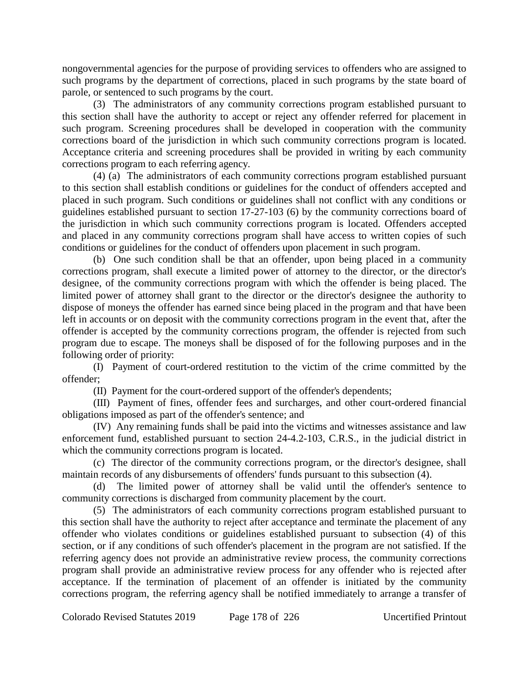nongovernmental agencies for the purpose of providing services to offenders who are assigned to such programs by the department of corrections, placed in such programs by the state board of parole, or sentenced to such programs by the court.

(3) The administrators of any community corrections program established pursuant to this section shall have the authority to accept or reject any offender referred for placement in such program. Screening procedures shall be developed in cooperation with the community corrections board of the jurisdiction in which such community corrections program is located. Acceptance criteria and screening procedures shall be provided in writing by each community corrections program to each referring agency.

(4) (a) The administrators of each community corrections program established pursuant to this section shall establish conditions or guidelines for the conduct of offenders accepted and placed in such program. Such conditions or guidelines shall not conflict with any conditions or guidelines established pursuant to section 17-27-103 (6) by the community corrections board of the jurisdiction in which such community corrections program is located. Offenders accepted and placed in any community corrections program shall have access to written copies of such conditions or guidelines for the conduct of offenders upon placement in such program.

(b) One such condition shall be that an offender, upon being placed in a community corrections program, shall execute a limited power of attorney to the director, or the director's designee, of the community corrections program with which the offender is being placed. The limited power of attorney shall grant to the director or the director's designee the authority to dispose of moneys the offender has earned since being placed in the program and that have been left in accounts or on deposit with the community corrections program in the event that, after the offender is accepted by the community corrections program, the offender is rejected from such program due to escape. The moneys shall be disposed of for the following purposes and in the following order of priority:

(I) Payment of court-ordered restitution to the victim of the crime committed by the offender;

(II) Payment for the court-ordered support of the offender's dependents;

(III) Payment of fines, offender fees and surcharges, and other court-ordered financial obligations imposed as part of the offender's sentence; and

(IV) Any remaining funds shall be paid into the victims and witnesses assistance and law enforcement fund, established pursuant to section 24-4.2-103, C.R.S., in the judicial district in which the community corrections program is located.

(c) The director of the community corrections program, or the director's designee, shall maintain records of any disbursements of offenders' funds pursuant to this subsection (4).

(d) The limited power of attorney shall be valid until the offender's sentence to community corrections is discharged from community placement by the court.

(5) The administrators of each community corrections program established pursuant to this section shall have the authority to reject after acceptance and terminate the placement of any offender who violates conditions or guidelines established pursuant to subsection (4) of this section, or if any conditions of such offender's placement in the program are not satisfied. If the referring agency does not provide an administrative review process, the community corrections program shall provide an administrative review process for any offender who is rejected after acceptance. If the termination of placement of an offender is initiated by the community corrections program, the referring agency shall be notified immediately to arrange a transfer of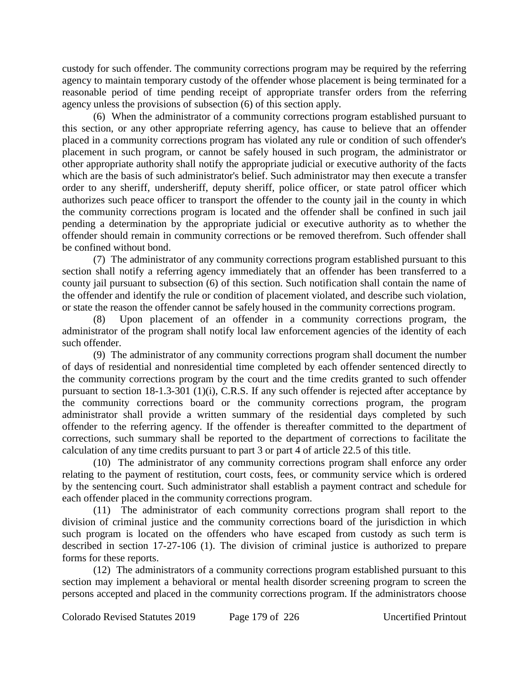custody for such offender. The community corrections program may be required by the referring agency to maintain temporary custody of the offender whose placement is being terminated for a reasonable period of time pending receipt of appropriate transfer orders from the referring agency unless the provisions of subsection (6) of this section apply.

(6) When the administrator of a community corrections program established pursuant to this section, or any other appropriate referring agency, has cause to believe that an offender placed in a community corrections program has violated any rule or condition of such offender's placement in such program, or cannot be safely housed in such program, the administrator or other appropriate authority shall notify the appropriate judicial or executive authority of the facts which are the basis of such administrator's belief. Such administrator may then execute a transfer order to any sheriff, undersheriff, deputy sheriff, police officer, or state patrol officer which authorizes such peace officer to transport the offender to the county jail in the county in which the community corrections program is located and the offender shall be confined in such jail pending a determination by the appropriate judicial or executive authority as to whether the offender should remain in community corrections or be removed therefrom. Such offender shall be confined without bond.

(7) The administrator of any community corrections program established pursuant to this section shall notify a referring agency immediately that an offender has been transferred to a county jail pursuant to subsection (6) of this section. Such notification shall contain the name of the offender and identify the rule or condition of placement violated, and describe such violation, or state the reason the offender cannot be safely housed in the community corrections program.

(8) Upon placement of an offender in a community corrections program, the administrator of the program shall notify local law enforcement agencies of the identity of each such offender.

(9) The administrator of any community corrections program shall document the number of days of residential and nonresidential time completed by each offender sentenced directly to the community corrections program by the court and the time credits granted to such offender pursuant to section 18-1.3-301 (1)(i), C.R.S. If any such offender is rejected after acceptance by the community corrections board or the community corrections program, the program administrator shall provide a written summary of the residential days completed by such offender to the referring agency. If the offender is thereafter committed to the department of corrections, such summary shall be reported to the department of corrections to facilitate the calculation of any time credits pursuant to part 3 or part 4 of article 22.5 of this title.

(10) The administrator of any community corrections program shall enforce any order relating to the payment of restitution, court costs, fees, or community service which is ordered by the sentencing court. Such administrator shall establish a payment contract and schedule for each offender placed in the community corrections program.

(11) The administrator of each community corrections program shall report to the division of criminal justice and the community corrections board of the jurisdiction in which such program is located on the offenders who have escaped from custody as such term is described in section 17-27-106 (1). The division of criminal justice is authorized to prepare forms for these reports.

(12) The administrators of a community corrections program established pursuant to this section may implement a behavioral or mental health disorder screening program to screen the persons accepted and placed in the community corrections program. If the administrators choose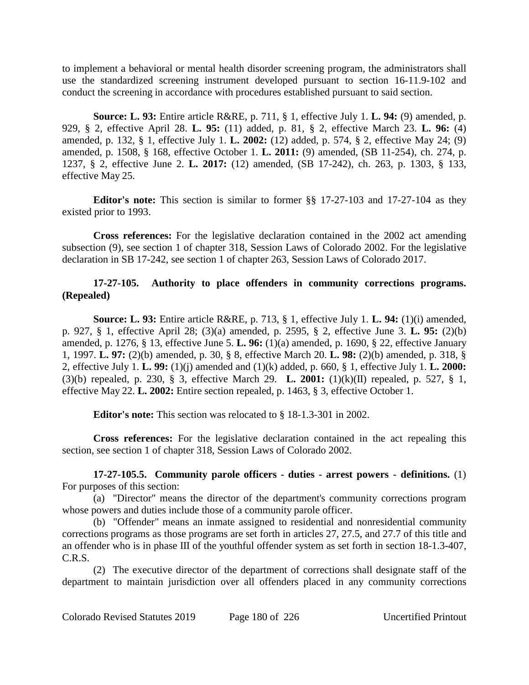to implement a behavioral or mental health disorder screening program, the administrators shall use the standardized screening instrument developed pursuant to section 16-11.9-102 and conduct the screening in accordance with procedures established pursuant to said section.

**Source: L. 93:** Entire article R&RE, p. 711, § 1, effective July 1. **L. 94:** (9) amended, p. 929, § 2, effective April 28. **L. 95:** (11) added, p. 81, § 2, effective March 23. **L. 96:** (4) amended, p. 132, § 1, effective July 1. **L. 2002:** (12) added, p. 574, § 2, effective May 24; (9) amended, p. 1508, § 168, effective October 1. **L. 2011:** (9) amended, (SB 11-254), ch. 274, p. 1237, § 2, effective June 2. **L. 2017:** (12) amended, (SB 17-242), ch. 263, p. 1303, § 133, effective May 25.

**Editor's note:** This section is similar to former §§ 17-27-103 and 17-27-104 as they existed prior to 1993.

**Cross references:** For the legislative declaration contained in the 2002 act amending subsection (9), see section 1 of chapter 318, Session Laws of Colorado 2002. For the legislative declaration in SB 17-242, see section 1 of chapter 263, Session Laws of Colorado 2017.

## **17-27-105. Authority to place offenders in community corrections programs. (Repealed)**

**Source: L. 93:** Entire article R&RE, p. 713, § 1, effective July 1. **L. 94:** (1)(i) amended, p. 927, § 1, effective April 28; (3)(a) amended, p. 2595, § 2, effective June 3. **L. 95:** (2)(b) amended, p. 1276, § 13, effective June 5. **L. 96:** (1)(a) amended, p. 1690, § 22, effective January 1, 1997. **L. 97:** (2)(b) amended, p. 30, § 8, effective March 20. **L. 98:** (2)(b) amended, p. 318, § 2, effective July 1. **L. 99:** (1)(j) amended and (1)(k) added, p. 660, § 1, effective July 1. **L. 2000:** (3)(b) repealed, p. 230, § 3, effective March 29. **L. 2001:** (1)(k)(II) repealed, p. 527, § 1, effective May 22. **L. 2002:** Entire section repealed, p. 1463, § 3, effective October 1.

**Editor's note:** This section was relocated to § 18-1.3-301 in 2002.

**Cross references:** For the legislative declaration contained in the act repealing this section, see section 1 of chapter 318, Session Laws of Colorado 2002.

**17-27-105.5. Community parole officers - duties - arrest powers - definitions.** (1) For purposes of this section:

(a) "Director" means the director of the department's community corrections program whose powers and duties include those of a community parole officer.

(b) "Offender" means an inmate assigned to residential and nonresidential community corrections programs as those programs are set forth in articles 27, 27.5, and 27.7 of this title and an offender who is in phase III of the youthful offender system as set forth in section 18-1.3-407, C.R.S.

(2) The executive director of the department of corrections shall designate staff of the department to maintain jurisdiction over all offenders placed in any community corrections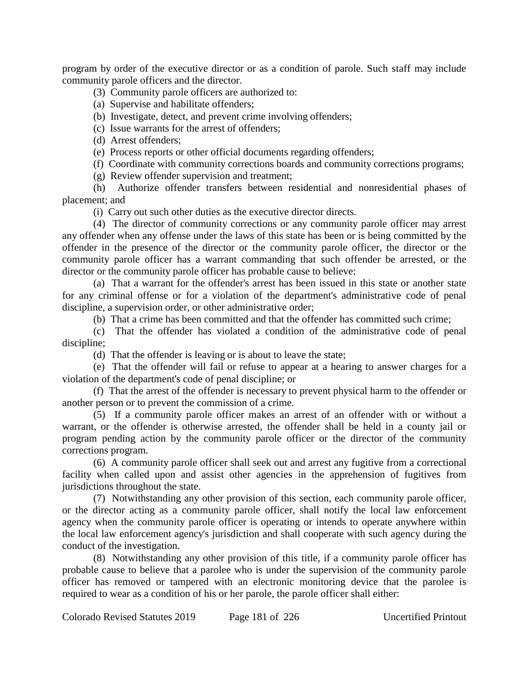program by order of the executive director or as a condition of parole. Such staff may include community parole officers and the director.

#### (3) Community parole officers are authorized to:

- (a) Supervise and habilitate offenders;
- (b) Investigate, detect, and prevent crime involving offenders;
- (c) Issue warrants for the arrest of offenders;
- (d) Arrest offenders;
- (e) Process reports or other official documents regarding offenders;

(f) Coordinate with community corrections boards and community corrections programs;

(g) Review offender supervision and treatment;

(h) Authorize offender transfers between residential and nonresidential phases of placement; and

(i) Carry out such other duties as the executive director directs.

(4) The director of community corrections or any community parole officer may arrest any offender when any offense under the laws of this state has been or is being committed by the offender in the presence of the director or the community parole officer, the director or the community parole officer has a warrant commanding that such offender be arrested, or the director or the community parole officer has probable cause to believe:

(a) That a warrant for the offender's arrest has been issued in this state or another state for any criminal offense or for a violation of the department's administrative code of penal discipline, a supervision order, or other administrative order;

(b) That a crime has been committed and that the offender has committed such crime;

(c) That the offender has violated a condition of the administrative code of penal discipline;

(d) That the offender is leaving or is about to leave the state;

(e) That the offender will fail or refuse to appear at a hearing to answer charges for a violation of the department's code of penal discipline; or

(f) That the arrest of the offender is necessary to prevent physical harm to the offender or another person or to prevent the commission of a crime.

(5) If a community parole officer makes an arrest of an offender with or without a warrant, or the offender is otherwise arrested, the offender shall be held in a county jail or program pending action by the community parole officer or the director of the community corrections program.

(6) A community parole officer shall seek out and arrest any fugitive from a correctional facility when called upon and assist other agencies in the apprehension of fugitives from jurisdictions throughout the state.

(7) Notwithstanding any other provision of this section, each community parole officer, or the director acting as a community parole officer, shall notify the local law enforcement agency when the community parole officer is operating or intends to operate anywhere within the local law enforcement agency's jurisdiction and shall cooperate with such agency during the conduct of the investigation.

(8) Notwithstanding any other provision of this title, if a community parole officer has probable cause to believe that a parolee who is under the supervision of the community parole officer has removed or tampered with an electronic monitoring device that the parolee is required to wear as a condition of his or her parole, the parole officer shall either: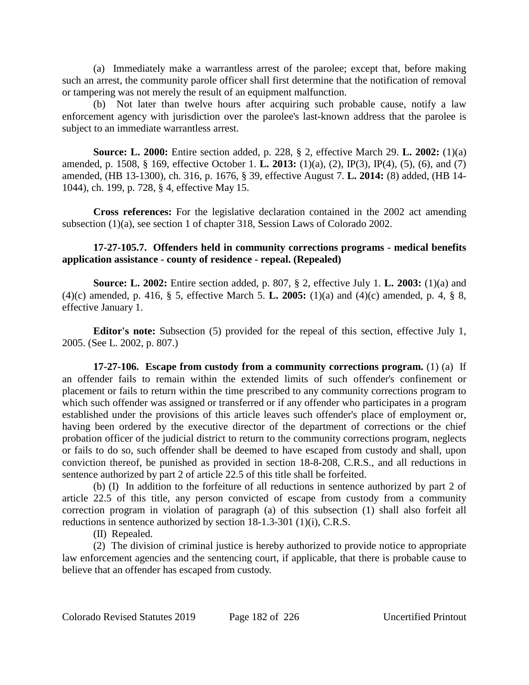(a) Immediately make a warrantless arrest of the parolee; except that, before making such an arrest, the community parole officer shall first determine that the notification of removal or tampering was not merely the result of an equipment malfunction.

(b) Not later than twelve hours after acquiring such probable cause, notify a law enforcement agency with jurisdiction over the parolee's last-known address that the parolee is subject to an immediate warrantless arrest.

**Source: L. 2000:** Entire section added, p. 228, § 2, effective March 29. **L. 2002:** (1)(a) amended, p. 1508, § 169, effective October 1. **L. 2013:** (1)(a), (2), IP(3), IP(4), (5), (6), and (7) amended, (HB 13-1300), ch. 316, p. 1676, § 39, effective August 7. **L. 2014:** (8) added, (HB 14- 1044), ch. 199, p. 728, § 4, effective May 15.

**Cross references:** For the legislative declaration contained in the 2002 act amending subsection (1)(a), see section 1 of chapter 318, Session Laws of Colorado 2002.

## **17-27-105.7. Offenders held in community corrections programs - medical benefits application assistance - county of residence - repeal. (Repealed)**

**Source: L. 2002:** Entire section added, p. 807, § 2, effective July 1. **L. 2003:** (1)(a) and (4)(c) amended, p. 416, § 5, effective March 5. **L. 2005:** (1)(a) and (4)(c) amended, p. 4, § 8, effective January 1.

**Editor's note:** Subsection (5) provided for the repeal of this section, effective July 1, 2005. (See L. 2002, p. 807.)

**17-27-106. Escape from custody from a community corrections program.** (1) (a) If an offender fails to remain within the extended limits of such offender's confinement or placement or fails to return within the time prescribed to any community corrections program to which such offender was assigned or transferred or if any offender who participates in a program established under the provisions of this article leaves such offender's place of employment or, having been ordered by the executive director of the department of corrections or the chief probation officer of the judicial district to return to the community corrections program, neglects or fails to do so, such offender shall be deemed to have escaped from custody and shall, upon conviction thereof, be punished as provided in section 18-8-208, C.R.S., and all reductions in sentence authorized by part 2 of article 22.5 of this title shall be forfeited.

(b) (I) In addition to the forfeiture of all reductions in sentence authorized by part 2 of article 22.5 of this title, any person convicted of escape from custody from a community correction program in violation of paragraph (a) of this subsection (1) shall also forfeit all reductions in sentence authorized by section 18-1.3-301 (1)(i), C.R.S.

(II) Repealed.

(2) The division of criminal justice is hereby authorized to provide notice to appropriate law enforcement agencies and the sentencing court, if applicable, that there is probable cause to believe that an offender has escaped from custody.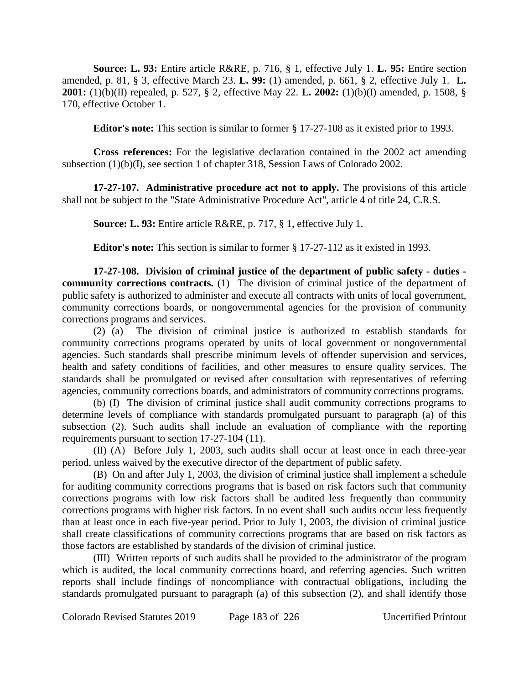**Source: L. 93:** Entire article R&RE, p. 716, § 1, effective July 1. **L. 95:** Entire section amended, p. 81, § 3, effective March 23. **L. 99:** (1) amended, p. 661, § 2, effective July 1. **L. 2001:** (1)(b)(II) repealed, p. 527, § 2, effective May 22. **L. 2002:** (1)(b)(I) amended, p. 1508, § 170, effective October 1.

**Editor's note:** This section is similar to former § 17-27-108 as it existed prior to 1993.

**Cross references:** For the legislative declaration contained in the 2002 act amending subsection (1)(b)(I), see section 1 of chapter 318, Session Laws of Colorado 2002.

**17-27-107. Administrative procedure act not to apply.** The provisions of this article shall not be subject to the "State Administrative Procedure Act", article 4 of title 24, C.R.S.

**Source: L. 93:** Entire article R&RE, p. 717, § 1, effective July 1.

**Editor's note:** This section is similar to former § 17-27-112 as it existed in 1993.

**17-27-108. Division of criminal justice of the department of public safety - duties community corrections contracts.** (1) The division of criminal justice of the department of public safety is authorized to administer and execute all contracts with units of local government, community corrections boards, or nongovernmental agencies for the provision of community corrections programs and services.

(2) (a) The division of criminal justice is authorized to establish standards for community corrections programs operated by units of local government or nongovernmental agencies. Such standards shall prescribe minimum levels of offender supervision and services, health and safety conditions of facilities, and other measures to ensure quality services. The standards shall be promulgated or revised after consultation with representatives of referring agencies, community corrections boards, and administrators of community corrections programs.

(b) (I) The division of criminal justice shall audit community corrections programs to determine levels of compliance with standards promulgated pursuant to paragraph (a) of this subsection (2). Such audits shall include an evaluation of compliance with the reporting requirements pursuant to section 17-27-104 (11).

(II) (A) Before July 1, 2003, such audits shall occur at least once in each three-year period, unless waived by the executive director of the department of public safety.

(B) On and after July 1, 2003, the division of criminal justice shall implement a schedule for auditing community corrections programs that is based on risk factors such that community corrections programs with low risk factors shall be audited less frequently than community corrections programs with higher risk factors. In no event shall such audits occur less frequently than at least once in each five-year period. Prior to July 1, 2003, the division of criminal justice shall create classifications of community corrections programs that are based on risk factors as those factors are established by standards of the division of criminal justice.

(III) Written reports of such audits shall be provided to the administrator of the program which is audited, the local community corrections board, and referring agencies. Such written reports shall include findings of noncompliance with contractual obligations, including the standards promulgated pursuant to paragraph (a) of this subsection (2), and shall identify those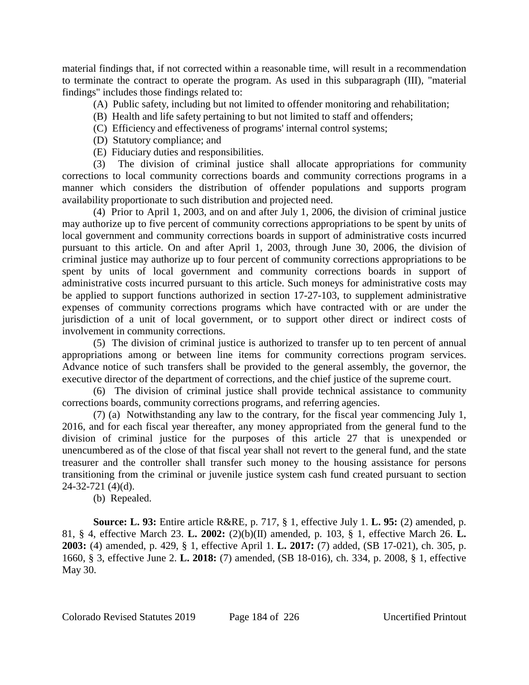material findings that, if not corrected within a reasonable time, will result in a recommendation to terminate the contract to operate the program. As used in this subparagraph (III), "material findings" includes those findings related to:

(A) Public safety, including but not limited to offender monitoring and rehabilitation;

- (B) Health and life safety pertaining to but not limited to staff and offenders;
- (C) Efficiency and effectiveness of programs' internal control systems;
- (D) Statutory compliance; and
- (E) Fiduciary duties and responsibilities.

(3) The division of criminal justice shall allocate appropriations for community corrections to local community corrections boards and community corrections programs in a manner which considers the distribution of offender populations and supports program availability proportionate to such distribution and projected need.

(4) Prior to April 1, 2003, and on and after July 1, 2006, the division of criminal justice may authorize up to five percent of community corrections appropriations to be spent by units of local government and community corrections boards in support of administrative costs incurred pursuant to this article. On and after April 1, 2003, through June 30, 2006, the division of criminal justice may authorize up to four percent of community corrections appropriations to be spent by units of local government and community corrections boards in support of administrative costs incurred pursuant to this article. Such moneys for administrative costs may be applied to support functions authorized in section 17-27-103, to supplement administrative expenses of community corrections programs which have contracted with or are under the jurisdiction of a unit of local government, or to support other direct or indirect costs of involvement in community corrections.

(5) The division of criminal justice is authorized to transfer up to ten percent of annual appropriations among or between line items for community corrections program services. Advance notice of such transfers shall be provided to the general assembly, the governor, the executive director of the department of corrections, and the chief justice of the supreme court.

(6) The division of criminal justice shall provide technical assistance to community corrections boards, community corrections programs, and referring agencies.

(7) (a) Notwithstanding any law to the contrary, for the fiscal year commencing July 1, 2016, and for each fiscal year thereafter, any money appropriated from the general fund to the division of criminal justice for the purposes of this article 27 that is unexpended or unencumbered as of the close of that fiscal year shall not revert to the general fund, and the state treasurer and the controller shall transfer such money to the housing assistance for persons transitioning from the criminal or juvenile justice system cash fund created pursuant to section 24-32-721 (4)(d).

(b) Repealed.

**Source: L. 93:** Entire article R&RE, p. 717, § 1, effective July 1. **L. 95:** (2) amended, p. 81, § 4, effective March 23. **L. 2002:** (2)(b)(II) amended, p. 103, § 1, effective March 26. **L. 2003:** (4) amended, p. 429, § 1, effective April 1. **L. 2017:** (7) added, (SB 17-021), ch. 305, p. 1660, § 3, effective June 2. **L. 2018:** (7) amended, (SB 18-016), ch. 334, p. 2008, § 1, effective May 30.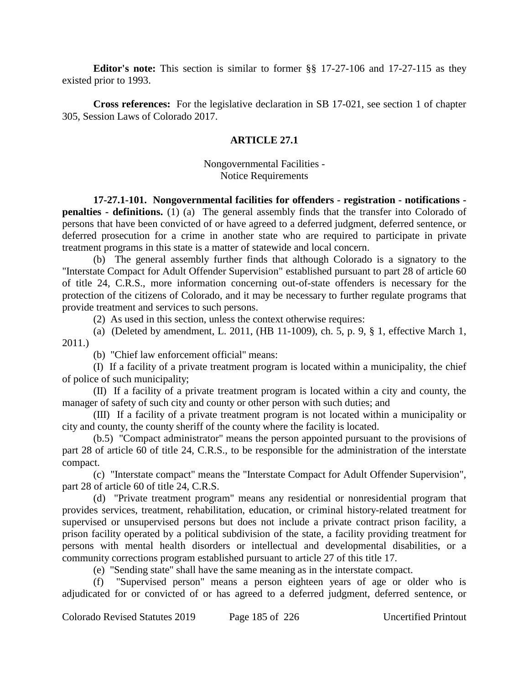**Editor's note:** This section is similar to former §§ 17-27-106 and 17-27-115 as they existed prior to 1993.

**Cross references:** For the legislative declaration in SB 17-021, see section 1 of chapter 305, Session Laws of Colorado 2017.

## **ARTICLE 27.1**

Nongovernmental Facilities - Notice Requirements

**17-27.1-101. Nongovernmental facilities for offenders - registration - notifications penalties - definitions.** (1) (a) The general assembly finds that the transfer into Colorado of persons that have been convicted of or have agreed to a deferred judgment, deferred sentence, or deferred prosecution for a crime in another state who are required to participate in private treatment programs in this state is a matter of statewide and local concern.

(b) The general assembly further finds that although Colorado is a signatory to the "Interstate Compact for Adult Offender Supervision" established pursuant to part 28 of article 60 of title 24, C.R.S., more information concerning out-of-state offenders is necessary for the protection of the citizens of Colorado, and it may be necessary to further regulate programs that provide treatment and services to such persons.

(2) As used in this section, unless the context otherwise requires:

(a) (Deleted by amendment, L. 2011, (HB 11-1009), ch. 5, p. 9, § 1, effective March 1, 2011.)

(b) "Chief law enforcement official" means:

(I) If a facility of a private treatment program is located within a municipality, the chief of police of such municipality;

(II) If a facility of a private treatment program is located within a city and county, the manager of safety of such city and county or other person with such duties; and

(III) If a facility of a private treatment program is not located within a municipality or city and county, the county sheriff of the county where the facility is located.

(b.5) "Compact administrator" means the person appointed pursuant to the provisions of part 28 of article 60 of title 24, C.R.S., to be responsible for the administration of the interstate compact.

(c) "Interstate compact" means the "Interstate Compact for Adult Offender Supervision", part 28 of article 60 of title 24, C.R.S.

(d) "Private treatment program" means any residential or nonresidential program that provides services, treatment, rehabilitation, education, or criminal history-related treatment for supervised or unsupervised persons but does not include a private contract prison facility, a prison facility operated by a political subdivision of the state, a facility providing treatment for persons with mental health disorders or intellectual and developmental disabilities, or a community corrections program established pursuant to article 27 of this title 17.

(e) "Sending state" shall have the same meaning as in the interstate compact.

(f) "Supervised person" means a person eighteen years of age or older who is adjudicated for or convicted of or has agreed to a deferred judgment, deferred sentence, or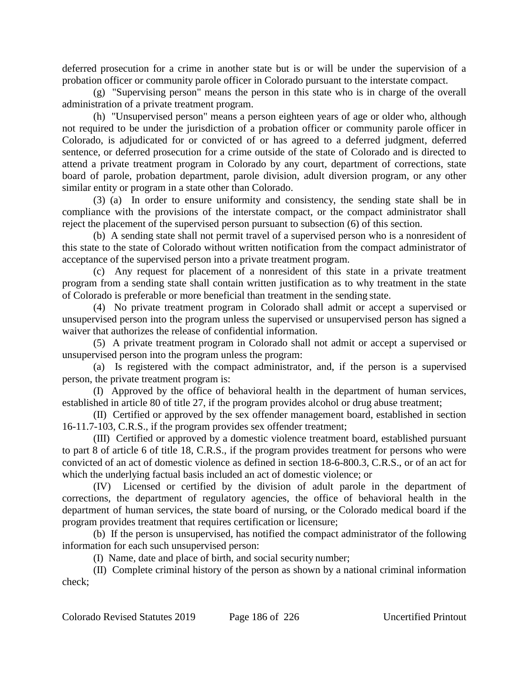deferred prosecution for a crime in another state but is or will be under the supervision of a probation officer or community parole officer in Colorado pursuant to the interstate compact.

(g) "Supervising person" means the person in this state who is in charge of the overall administration of a private treatment program.

(h) "Unsupervised person" means a person eighteen years of age or older who, although not required to be under the jurisdiction of a probation officer or community parole officer in Colorado, is adjudicated for or convicted of or has agreed to a deferred judgment, deferred sentence, or deferred prosecution for a crime outside of the state of Colorado and is directed to attend a private treatment program in Colorado by any court, department of corrections, state board of parole, probation department, parole division, adult diversion program, or any other similar entity or program in a state other than Colorado.

(3) (a) In order to ensure uniformity and consistency, the sending state shall be in compliance with the provisions of the interstate compact, or the compact administrator shall reject the placement of the supervised person pursuant to subsection (6) of this section.

(b) A sending state shall not permit travel of a supervised person who is a nonresident of this state to the state of Colorado without written notification from the compact administrator of acceptance of the supervised person into a private treatment program.

(c) Any request for placement of a nonresident of this state in a private treatment program from a sending state shall contain written justification as to why treatment in the state of Colorado is preferable or more beneficial than treatment in the sending state.

(4) No private treatment program in Colorado shall admit or accept a supervised or unsupervised person into the program unless the supervised or unsupervised person has signed a waiver that authorizes the release of confidential information.

(5) A private treatment program in Colorado shall not admit or accept a supervised or unsupervised person into the program unless the program:

(a) Is registered with the compact administrator, and, if the person is a supervised person, the private treatment program is:

(I) Approved by the office of behavioral health in the department of human services, established in article 80 of title 27, if the program provides alcohol or drug abuse treatment;

(II) Certified or approved by the sex offender management board, established in section 16-11.7-103, C.R.S., if the program provides sex offender treatment;

(III) Certified or approved by a domestic violence treatment board, established pursuant to part 8 of article 6 of title 18, C.R.S., if the program provides treatment for persons who were convicted of an act of domestic violence as defined in section 18-6-800.3, C.R.S., or of an act for which the underlying factual basis included an act of domestic violence; or

(IV) Licensed or certified by the division of adult parole in the department of corrections, the department of regulatory agencies, the office of behavioral health in the department of human services, the state board of nursing, or the Colorado medical board if the program provides treatment that requires certification or licensure;

(b) If the person is unsupervised, has notified the compact administrator of the following information for each such unsupervised person:

(I) Name, date and place of birth, and social security number;

(II) Complete criminal history of the person as shown by a national criminal information check;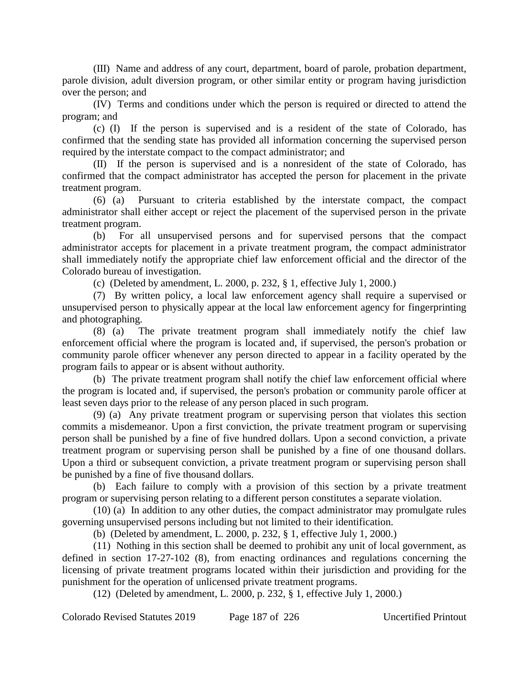(III) Name and address of any court, department, board of parole, probation department, parole division, adult diversion program, or other similar entity or program having jurisdiction over the person; and

(IV) Terms and conditions under which the person is required or directed to attend the program; and

(c) (I) If the person is supervised and is a resident of the state of Colorado, has confirmed that the sending state has provided all information concerning the supervised person required by the interstate compact to the compact administrator; and

(II) If the person is supervised and is a nonresident of the state of Colorado, has confirmed that the compact administrator has accepted the person for placement in the private treatment program.

(6) (a) Pursuant to criteria established by the interstate compact, the compact administrator shall either accept or reject the placement of the supervised person in the private treatment program.

(b) For all unsupervised persons and for supervised persons that the compact administrator accepts for placement in a private treatment program, the compact administrator shall immediately notify the appropriate chief law enforcement official and the director of the Colorado bureau of investigation.

(c) (Deleted by amendment, L. 2000, p. 232, § 1, effective July 1, 2000.)

(7) By written policy, a local law enforcement agency shall require a supervised or unsupervised person to physically appear at the local law enforcement agency for fingerprinting and photographing.

(8) (a) The private treatment program shall immediately notify the chief law enforcement official where the program is located and, if supervised, the person's probation or community parole officer whenever any person directed to appear in a facility operated by the program fails to appear or is absent without authority.

(b) The private treatment program shall notify the chief law enforcement official where the program is located and, if supervised, the person's probation or community parole officer at least seven days prior to the release of any person placed in such program.

(9) (a) Any private treatment program or supervising person that violates this section commits a misdemeanor. Upon a first conviction, the private treatment program or supervising person shall be punished by a fine of five hundred dollars. Upon a second conviction, a private treatment program or supervising person shall be punished by a fine of one thousand dollars. Upon a third or subsequent conviction, a private treatment program or supervising person shall be punished by a fine of five thousand dollars.

(b) Each failure to comply with a provision of this section by a private treatment program or supervising person relating to a different person constitutes a separate violation.

(10) (a) In addition to any other duties, the compact administrator may promulgate rules governing unsupervised persons including but not limited to their identification.

(b) (Deleted by amendment, L. 2000, p. 232, § 1, effective July 1, 2000.)

(11) Nothing in this section shall be deemed to prohibit any unit of local government, as defined in section 17-27-102 (8), from enacting ordinances and regulations concerning the licensing of private treatment programs located within their jurisdiction and providing for the punishment for the operation of unlicensed private treatment programs.

(12) (Deleted by amendment, L. 2000, p. 232, § 1, effective July 1, 2000.)

Colorado Revised Statutes 2019 Page 187 of 226 Uncertified Printout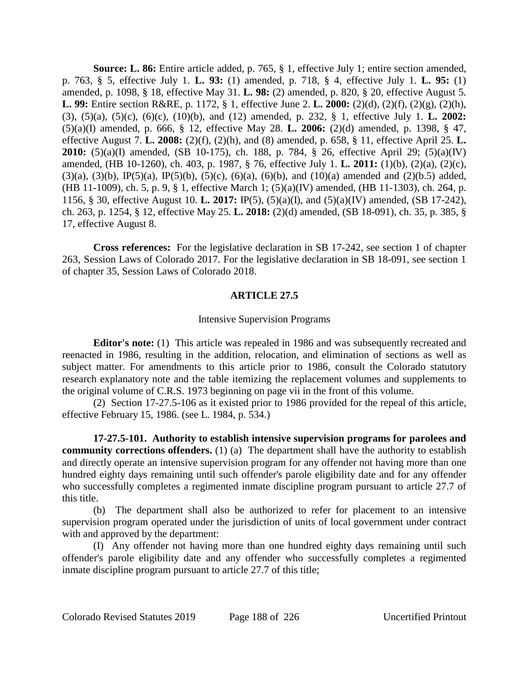**Source: L. 86:** Entire article added, p. 765, § 1, effective July 1; entire section amended, p. 763, § 5, effective July 1. **L. 93:** (1) amended, p. 718, § 4, effective July 1. **L. 95:** (1) amended, p. 1098, § 18, effective May 31. **L. 98:** (2) amended, p. 820, § 20, effective August 5. **L. 99:** Entire section R&RE, p. 1172, § 1, effective June 2. **L. 2000:** (2)(d), (2)(f), (2)(g), (2)(h), (3), (5)(a), (5)(c), (6)(c), (10)(b), and (12) amended, p. 232, § 1, effective July 1. **L. 2002:** (5)(a)(I) amended, p. 666, § 12, effective May 28. **L. 2006:** (2)(d) amended, p. 1398, § 47, effective August 7. **L. 2008:** (2)(f), (2)(h), and (8) amended, p. 658, § 11, effective April 25. **L. 2010:** (5)(a)(I) amended, (SB 10-175), ch. 188, p. 784, § 26, effective April 29; (5)(a)(IV) amended, (HB 10-1260), ch. 403, p. 1987, § 76, effective July 1. **L. 2011:** (1)(b), (2)(a), (2)(c),  $(3)(a)$ ,  $(3)(b)$ ,  $IP(5)(a)$ ,  $IP(5)(b)$ ,  $(5)(c)$ ,  $(6)(a)$ ,  $(6)(b)$ , and  $(10)(a)$  amended and  $(2)(b.5)$  added, (HB 11-1009), ch. 5, p. 9, § 1, effective March 1; (5)(a)(IV) amended, (HB 11-1303), ch. 264, p. 1156, § 30, effective August 10. **L. 2017:** IP(5), (5)(a)(I), and (5)(a)(IV) amended, (SB 17-242), ch. 263, p. 1254, § 12, effective May 25. **L. 2018:** (2)(d) amended, (SB 18-091), ch. 35, p. 385, § 17, effective August 8.

**Cross references:** For the legislative declaration in SB 17-242, see section 1 of chapter 263, Session Laws of Colorado 2017. For the legislative declaration in SB 18-091, see section 1 of chapter 35, Session Laws of Colorado 2018.

### **ARTICLE 27.5**

### Intensive Supervision Programs

**Editor's note:** (1) This article was repealed in 1986 and was subsequently recreated and reenacted in 1986, resulting in the addition, relocation, and elimination of sections as well as subject matter. For amendments to this article prior to 1986, consult the Colorado statutory research explanatory note and the table itemizing the replacement volumes and supplements to the original volume of C.R.S. 1973 beginning on page vii in the front of this volume.

(2) Section 17-27.5-106 as it existed prior to 1986 provided for the repeal of this article, effective February 15, 1986. (see L. 1984, p. 534.)

**17-27.5-101. Authority to establish intensive supervision programs for parolees and community corrections offenders.** (1) (a) The department shall have the authority to establish and directly operate an intensive supervision program for any offender not having more than one hundred eighty days remaining until such offender's parole eligibility date and for any offender who successfully completes a regimented inmate discipline program pursuant to article 27.7 of this title.

(b) The department shall also be authorized to refer for placement to an intensive supervision program operated under the jurisdiction of units of local government under contract with and approved by the department:

(I) Any offender not having more than one hundred eighty days remaining until such offender's parole eligibility date and any offender who successfully completes a regimented inmate discipline program pursuant to article 27.7 of this title;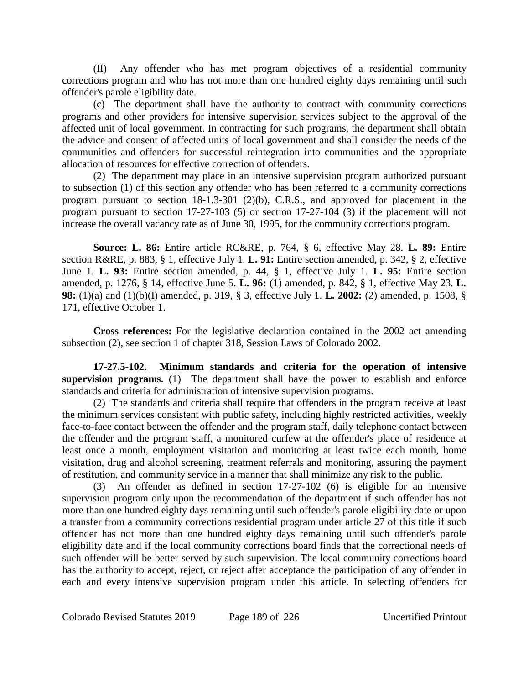(II) Any offender who has met program objectives of a residential community corrections program and who has not more than one hundred eighty days remaining until such offender's parole eligibility date.

(c) The department shall have the authority to contract with community corrections programs and other providers for intensive supervision services subject to the approval of the affected unit of local government. In contracting for such programs, the department shall obtain the advice and consent of affected units of local government and shall consider the needs of the communities and offenders for successful reintegration into communities and the appropriate allocation of resources for effective correction of offenders.

(2) The department may place in an intensive supervision program authorized pursuant to subsection (1) of this section any offender who has been referred to a community corrections program pursuant to section 18-1.3-301 (2)(b), C.R.S., and approved for placement in the program pursuant to section 17-27-103 (5) or section 17-27-104 (3) if the placement will not increase the overall vacancy rate as of June 30, 1995, for the community corrections program.

**Source: L. 86:** Entire article RC&RE, p. 764, § 6, effective May 28. **L. 89:** Entire section R&RE, p. 883, § 1, effective July 1. **L. 91:** Entire section amended, p. 342, § 2, effective June 1. **L. 93:** Entire section amended, p. 44, § 1, effective July 1. **L. 95:** Entire section amended, p. 1276, § 14, effective June 5. **L. 96:** (1) amended, p. 842, § 1, effective May 23. **L. 98:** (1)(a) and (1)(b)(I) amended, p. 319, § 3, effective July 1. **L. 2002:** (2) amended, p. 1508, § 171, effective October 1.

**Cross references:** For the legislative declaration contained in the 2002 act amending subsection (2), see section 1 of chapter 318, Session Laws of Colorado 2002.

**17-27.5-102. Minimum standards and criteria for the operation of intensive supervision programs.** (1) The department shall have the power to establish and enforce standards and criteria for administration of intensive supervision programs.

(2) The standards and criteria shall require that offenders in the program receive at least the minimum services consistent with public safety, including highly restricted activities, weekly face-to-face contact between the offender and the program staff, daily telephone contact between the offender and the program staff, a monitored curfew at the offender's place of residence at least once a month, employment visitation and monitoring at least twice each month, home visitation, drug and alcohol screening, treatment referrals and monitoring, assuring the payment of restitution, and community service in a manner that shall minimize any risk to the public.

(3) An offender as defined in section 17-27-102 (6) is eligible for an intensive supervision program only upon the recommendation of the department if such offender has not more than one hundred eighty days remaining until such offender's parole eligibility date or upon a transfer from a community corrections residential program under article 27 of this title if such offender has not more than one hundred eighty days remaining until such offender's parole eligibility date and if the local community corrections board finds that the correctional needs of such offender will be better served by such supervision. The local community corrections board has the authority to accept, reject, or reject after acceptance the participation of any offender in each and every intensive supervision program under this article. In selecting offenders for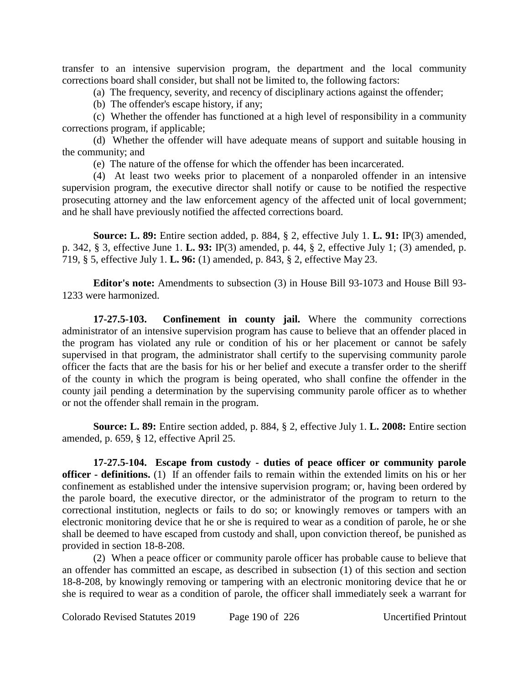transfer to an intensive supervision program, the department and the local community corrections board shall consider, but shall not be limited to, the following factors:

(a) The frequency, severity, and recency of disciplinary actions against the offender;

(b) The offender's escape history, if any;

(c) Whether the offender has functioned at a high level of responsibility in a community corrections program, if applicable;

(d) Whether the offender will have adequate means of support and suitable housing in the community; and

(e) The nature of the offense for which the offender has been incarcerated.

(4) At least two weeks prior to placement of a nonparoled offender in an intensive supervision program, the executive director shall notify or cause to be notified the respective prosecuting attorney and the law enforcement agency of the affected unit of local government; and he shall have previously notified the affected corrections board.

**Source: L. 89:** Entire section added, p. 884, § 2, effective July 1. **L. 91:** IP(3) amended, p. 342, § 3, effective June 1. **L. 93:** IP(3) amended, p. 44, § 2, effective July 1; (3) amended, p. 719, § 5, effective July 1. **L. 96:** (1) amended, p. 843, § 2, effective May 23.

**Editor's note:** Amendments to subsection (3) in House Bill 93-1073 and House Bill 93- 1233 were harmonized.

**17-27.5-103. Confinement in county jail.** Where the community corrections administrator of an intensive supervision program has cause to believe that an offender placed in the program has violated any rule or condition of his or her placement or cannot be safely supervised in that program, the administrator shall certify to the supervising community parole officer the facts that are the basis for his or her belief and execute a transfer order to the sheriff of the county in which the program is being operated, who shall confine the offender in the county jail pending a determination by the supervising community parole officer as to whether or not the offender shall remain in the program.

**Source: L. 89:** Entire section added, p. 884, § 2, effective July 1. **L. 2008:** Entire section amended, p. 659, § 12, effective April 25.

**17-27.5-104. Escape from custody - duties of peace officer or community parole officer - definitions.** (1) If an offender fails to remain within the extended limits on his or her confinement as established under the intensive supervision program; or, having been ordered by the parole board, the executive director, or the administrator of the program to return to the correctional institution, neglects or fails to do so; or knowingly removes or tampers with an electronic monitoring device that he or she is required to wear as a condition of parole, he or she shall be deemed to have escaped from custody and shall, upon conviction thereof, be punished as provided in section 18-8-208.

(2) When a peace officer or community parole officer has probable cause to believe that an offender has committed an escape, as described in subsection (1) of this section and section 18-8-208, by knowingly removing or tampering with an electronic monitoring device that he or she is required to wear as a condition of parole, the officer shall immediately seek a warrant for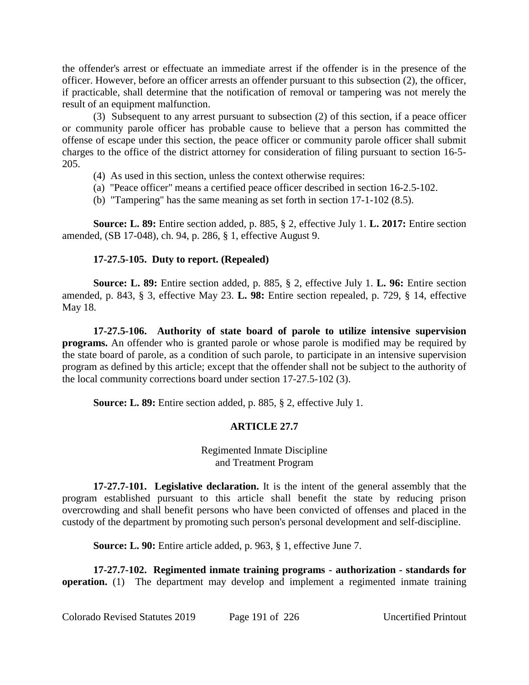the offender's arrest or effectuate an immediate arrest if the offender is in the presence of the officer. However, before an officer arrests an offender pursuant to this subsection (2), the officer, if practicable, shall determine that the notification of removal or tampering was not merely the result of an equipment malfunction.

(3) Subsequent to any arrest pursuant to subsection (2) of this section, if a peace officer or community parole officer has probable cause to believe that a person has committed the offense of escape under this section, the peace officer or community parole officer shall submit charges to the office of the district attorney for consideration of filing pursuant to section 16-5- 205.

- (4) As used in this section, unless the context otherwise requires:
- (a) "Peace officer" means a certified peace officer described in section 16-2.5-102.
- (b) "Tampering" has the same meaning as set forth in section 17-1-102 (8.5).

**Source: L. 89:** Entire section added, p. 885, § 2, effective July 1. **L. 2017:** Entire section amended, (SB 17-048), ch. 94, p. 286, § 1, effective August 9.

# **17-27.5-105. Duty to report. (Repealed)**

**Source: L. 89:** Entire section added, p. 885, § 2, effective July 1. **L. 96:** Entire section amended, p. 843, § 3, effective May 23. **L. 98:** Entire section repealed, p. 729, § 14, effective May 18.

**17-27.5-106. Authority of state board of parole to utilize intensive supervision programs.** An offender who is granted parole or whose parole is modified may be required by the state board of parole, as a condition of such parole, to participate in an intensive supervision program as defined by this article; except that the offender shall not be subject to the authority of the local community corrections board under section 17-27.5-102 (3).

**Source: L. 89:** Entire section added, p. 885, § 2, effective July 1.

# **ARTICLE 27.7**

Regimented Inmate Discipline and Treatment Program

**17-27.7-101. Legislative declaration.** It is the intent of the general assembly that the program established pursuant to this article shall benefit the state by reducing prison overcrowding and shall benefit persons who have been convicted of offenses and placed in the custody of the department by promoting such person's personal development and self-discipline.

**Source: L. 90:** Entire article added, p. 963, § 1, effective June 7.

**17-27.7-102. Regimented inmate training programs - authorization - standards for operation.** (1) The department may develop and implement a regimented inmate training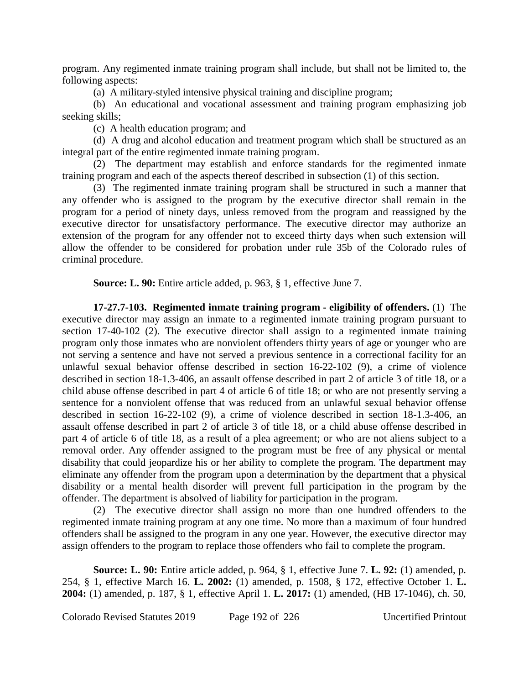program. Any regimented inmate training program shall include, but shall not be limited to, the following aspects:

(a) A military-styled intensive physical training and discipline program;

(b) An educational and vocational assessment and training program emphasizing job seeking skills;

(c) A health education program; and

(d) A drug and alcohol education and treatment program which shall be structured as an integral part of the entire regimented inmate training program.

(2) The department may establish and enforce standards for the regimented inmate training program and each of the aspects thereof described in subsection (1) of this section.

(3) The regimented inmate training program shall be structured in such a manner that any offender who is assigned to the program by the executive director shall remain in the program for a period of ninety days, unless removed from the program and reassigned by the executive director for unsatisfactory performance. The executive director may authorize an extension of the program for any offender not to exceed thirty days when such extension will allow the offender to be considered for probation under rule 35b of the Colorado rules of criminal procedure.

**Source: L. 90:** Entire article added, p. 963, § 1, effective June 7.

**17-27.7-103. Regimented inmate training program - eligibility of offenders.** (1) The executive director may assign an inmate to a regimented inmate training program pursuant to section 17-40-102 (2). The executive director shall assign to a regimented inmate training program only those inmates who are nonviolent offenders thirty years of age or younger who are not serving a sentence and have not served a previous sentence in a correctional facility for an unlawful sexual behavior offense described in section 16-22-102 (9), a crime of violence described in section 18-1.3-406, an assault offense described in part 2 of article 3 of title 18, or a child abuse offense described in part 4 of article 6 of title 18; or who are not presently serving a sentence for a nonviolent offense that was reduced from an unlawful sexual behavior offense described in section 16-22-102 (9), a crime of violence described in section 18-1.3-406, an assault offense described in part 2 of article 3 of title 18, or a child abuse offense described in part 4 of article 6 of title 18, as a result of a plea agreement; or who are not aliens subject to a removal order. Any offender assigned to the program must be free of any physical or mental disability that could jeopardize his or her ability to complete the program. The department may eliminate any offender from the program upon a determination by the department that a physical disability or a mental health disorder will prevent full participation in the program by the offender. The department is absolved of liability for participation in the program.

(2) The executive director shall assign no more than one hundred offenders to the regimented inmate training program at any one time. No more than a maximum of four hundred offenders shall be assigned to the program in any one year. However, the executive director may assign offenders to the program to replace those offenders who fail to complete the program.

**Source: L. 90:** Entire article added, p. 964, § 1, effective June 7. **L. 92:** (1) amended, p. 254, § 1, effective March 16. **L. 2002:** (1) amended, p. 1508, § 172, effective October 1. **L. 2004:** (1) amended, p. 187, § 1, effective April 1. **L. 2017:** (1) amended, (HB 17-1046), ch. 50,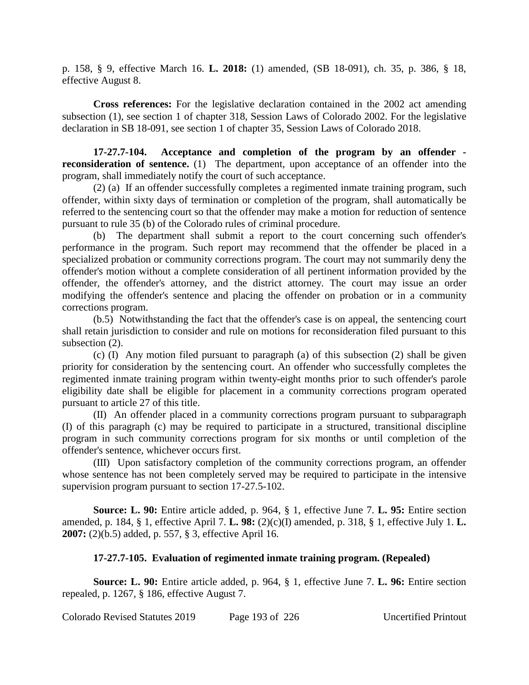p. 158, § 9, effective March 16. **L. 2018:** (1) amended, (SB 18-091), ch. 35, p. 386, § 18, effective August 8.

**Cross references:** For the legislative declaration contained in the 2002 act amending subsection (1), see section 1 of chapter 318, Session Laws of Colorado 2002. For the legislative declaration in SB 18-091, see section 1 of chapter 35, Session Laws of Colorado 2018.

**17-27.7-104. Acceptance and completion of the program by an offender reconsideration of sentence.** (1) The department, upon acceptance of an offender into the program, shall immediately notify the court of such acceptance.

(2) (a) If an offender successfully completes a regimented inmate training program, such offender, within sixty days of termination or completion of the program, shall automatically be referred to the sentencing court so that the offender may make a motion for reduction of sentence pursuant to rule 35 (b) of the Colorado rules of criminal procedure.

(b) The department shall submit a report to the court concerning such offender's performance in the program. Such report may recommend that the offender be placed in a specialized probation or community corrections program. The court may not summarily deny the offender's motion without a complete consideration of all pertinent information provided by the offender, the offender's attorney, and the district attorney. The court may issue an order modifying the offender's sentence and placing the offender on probation or in a community corrections program.

(b.5) Notwithstanding the fact that the offender's case is on appeal, the sentencing court shall retain jurisdiction to consider and rule on motions for reconsideration filed pursuant to this subsection (2).

(c) (I) Any motion filed pursuant to paragraph (a) of this subsection (2) shall be given priority for consideration by the sentencing court. An offender who successfully completes the regimented inmate training program within twenty-eight months prior to such offender's parole eligibility date shall be eligible for placement in a community corrections program operated pursuant to article 27 of this title.

(II) An offender placed in a community corrections program pursuant to subparagraph (I) of this paragraph (c) may be required to participate in a structured, transitional discipline program in such community corrections program for six months or until completion of the offender's sentence, whichever occurs first.

(III) Upon satisfactory completion of the community corrections program, an offender whose sentence has not been completely served may be required to participate in the intensive supervision program pursuant to section 17-27.5-102.

**Source: L. 90:** Entire article added, p. 964, § 1, effective June 7. **L. 95:** Entire section amended, p. 184, § 1, effective April 7. **L. 98:** (2)(c)(I) amended, p. 318, § 1, effective July 1. **L. 2007:** (2)(b.5) added, p. 557, § 3, effective April 16.

# **17-27.7-105. Evaluation of regimented inmate training program. (Repealed)**

**Source: L. 90:** Entire article added, p. 964, § 1, effective June 7. **L. 96:** Entire section repealed, p. 1267, § 186, effective August 7.

Colorado Revised Statutes 2019 Page 193 of 226 Uncertified Printout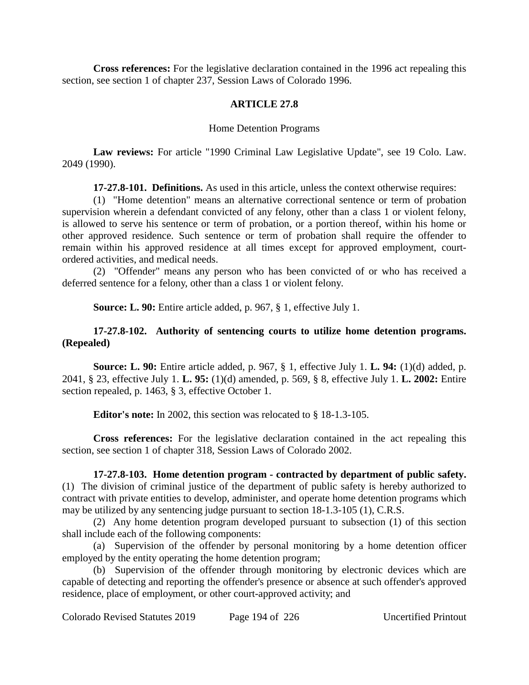**Cross references:** For the legislative declaration contained in the 1996 act repealing this section, see section 1 of chapter 237, Session Laws of Colorado 1996.

# **ARTICLE 27.8**

## Home Detention Programs

**Law reviews:** For article "1990 Criminal Law Legislative Update", see 19 Colo. Law. 2049 (1990).

**17-27.8-101. Definitions.** As used in this article, unless the context otherwise requires:

(1) "Home detention" means an alternative correctional sentence or term of probation supervision wherein a defendant convicted of any felony, other than a class 1 or violent felony, is allowed to serve his sentence or term of probation, or a portion thereof, within his home or other approved residence. Such sentence or term of probation shall require the offender to remain within his approved residence at all times except for approved employment, courtordered activities, and medical needs.

(2) "Offender" means any person who has been convicted of or who has received a deferred sentence for a felony, other than a class 1 or violent felony.

**Source: L. 90:** Entire article added, p. 967, § 1, effective July 1.

# **17-27.8-102. Authority of sentencing courts to utilize home detention programs. (Repealed)**

**Source: L. 90:** Entire article added, p. 967, § 1, effective July 1. **L. 94:** (1)(d) added, p. 2041, § 23, effective July 1. **L. 95:** (1)(d) amended, p. 569, § 8, effective July 1. **L. 2002:** Entire section repealed, p. 1463, § 3, effective October 1.

**Editor's note:** In 2002, this section was relocated to § 18-1.3-105.

**Cross references:** For the legislative declaration contained in the act repealing this section, see section 1 of chapter 318, Session Laws of Colorado 2002.

**17-27.8-103. Home detention program - contracted by department of public safety.** (1) The division of criminal justice of the department of public safety is hereby authorized to contract with private entities to develop, administer, and operate home detention programs which may be utilized by any sentencing judge pursuant to section 18-1.3-105 (1), C.R.S.

(2) Any home detention program developed pursuant to subsection (1) of this section shall include each of the following components:

(a) Supervision of the offender by personal monitoring by a home detention officer employed by the entity operating the home detention program;

(b) Supervision of the offender through monitoring by electronic devices which are capable of detecting and reporting the offender's presence or absence at such offender's approved residence, place of employment, or other court-approved activity; and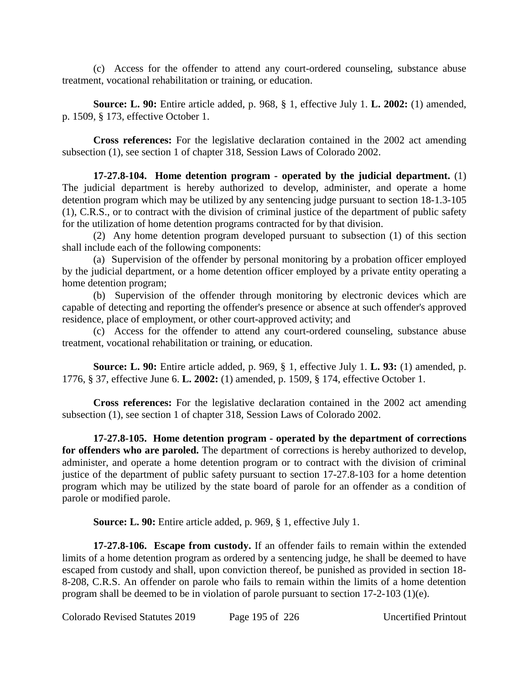(c) Access for the offender to attend any court-ordered counseling, substance abuse treatment, vocational rehabilitation or training, or education.

**Source: L. 90:** Entire article added, p. 968, § 1, effective July 1. **L. 2002:** (1) amended, p. 1509, § 173, effective October 1.

**Cross references:** For the legislative declaration contained in the 2002 act amending subsection (1), see section 1 of chapter 318, Session Laws of Colorado 2002.

**17-27.8-104. Home detention program - operated by the judicial department.** (1) The judicial department is hereby authorized to develop, administer, and operate a home detention program which may be utilized by any sentencing judge pursuant to section 18-1.3-105 (1), C.R.S., or to contract with the division of criminal justice of the department of public safety for the utilization of home detention programs contracted for by that division.

(2) Any home detention program developed pursuant to subsection (1) of this section shall include each of the following components:

(a) Supervision of the offender by personal monitoring by a probation officer employed by the judicial department, or a home detention officer employed by a private entity operating a home detention program;

(b) Supervision of the offender through monitoring by electronic devices which are capable of detecting and reporting the offender's presence or absence at such offender's approved residence, place of employment, or other court-approved activity; and

(c) Access for the offender to attend any court-ordered counseling, substance abuse treatment, vocational rehabilitation or training, or education.

**Source: L. 90:** Entire article added, p. 969, § 1, effective July 1. **L. 93:** (1) amended, p. 1776, § 37, effective June 6. **L. 2002:** (1) amended, p. 1509, § 174, effective October 1.

**Cross references:** For the legislative declaration contained in the 2002 act amending subsection (1), see section 1 of chapter 318, Session Laws of Colorado 2002.

**17-27.8-105. Home detention program - operated by the department of corrections for offenders who are paroled.** The department of corrections is hereby authorized to develop, administer, and operate a home detention program or to contract with the division of criminal justice of the department of public safety pursuant to section 17-27.8-103 for a home detention program which may be utilized by the state board of parole for an offender as a condition of parole or modified parole.

**Source: L. 90:** Entire article added, p. 969, § 1, effective July 1.

**17-27.8-106. Escape from custody.** If an offender fails to remain within the extended limits of a home detention program as ordered by a sentencing judge, he shall be deemed to have escaped from custody and shall, upon conviction thereof, be punished as provided in section 18- 8-208, C.R.S. An offender on parole who fails to remain within the limits of a home detention program shall be deemed to be in violation of parole pursuant to section 17-2-103 (1)(e).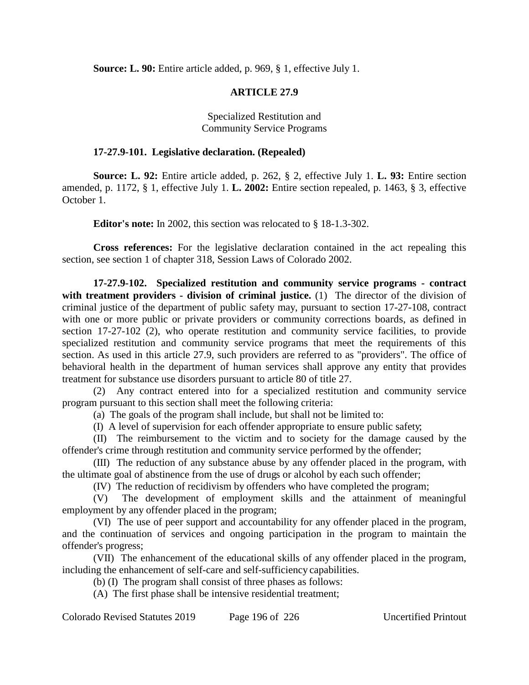**Source: L. 90:** Entire article added, p. 969, § 1, effective July 1.

# **ARTICLE 27.9**

Specialized Restitution and Community Service Programs

## **17-27.9-101. Legislative declaration. (Repealed)**

**Source: L. 92:** Entire article added, p. 262, § 2, effective July 1. **L. 93:** Entire section amended, p. 1172, § 1, effective July 1. **L. 2002:** Entire section repealed, p. 1463, § 3, effective October 1.

**Editor's note:** In 2002, this section was relocated to § 18-1.3-302.

**Cross references:** For the legislative declaration contained in the act repealing this section, see section 1 of chapter 318, Session Laws of Colorado 2002.

**17-27.9-102. Specialized restitution and community service programs - contract** with treatment providers - division of criminal justice. (1) The director of the division of criminal justice of the department of public safety may, pursuant to section 17-27-108, contract with one or more public or private providers or community corrections boards, as defined in section 17-27-102 (2), who operate restitution and community service facilities, to provide specialized restitution and community service programs that meet the requirements of this section. As used in this article 27.9, such providers are referred to as "providers". The office of behavioral health in the department of human services shall approve any entity that provides treatment for substance use disorders pursuant to article 80 of title 27.

(2) Any contract entered into for a specialized restitution and community service program pursuant to this section shall meet the following criteria:

(a) The goals of the program shall include, but shall not be limited to:

(I) A level of supervision for each offender appropriate to ensure public safety;

(II) The reimbursement to the victim and to society for the damage caused by the offender's crime through restitution and community service performed by the offender;

(III) The reduction of any substance abuse by any offender placed in the program, with the ultimate goal of abstinence from the use of drugs or alcohol by each such offender;

(IV) The reduction of recidivism by offenders who have completed the program;

(V) The development of employment skills and the attainment of meaningful employment by any offender placed in the program;

(VI) The use of peer support and accountability for any offender placed in the program, and the continuation of services and ongoing participation in the program to maintain the offender's progress;

(VII) The enhancement of the educational skills of any offender placed in the program, including the enhancement of self-care and self-sufficiency capabilities.

(b) (I) The program shall consist of three phases as follows:

(A) The first phase shall be intensive residential treatment;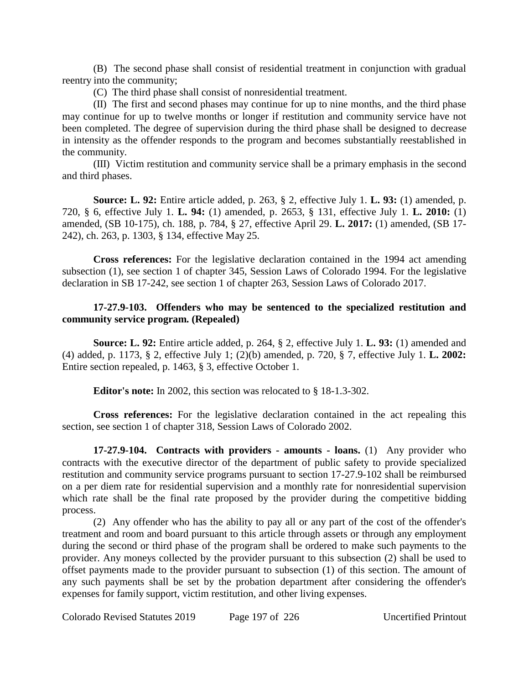(B) The second phase shall consist of residential treatment in conjunction with gradual reentry into the community;

(C) The third phase shall consist of nonresidential treatment.

(II) The first and second phases may continue for up to nine months, and the third phase may continue for up to twelve months or longer if restitution and community service have not been completed. The degree of supervision during the third phase shall be designed to decrease in intensity as the offender responds to the program and becomes substantially reestablished in the community.

(III) Victim restitution and community service shall be a primary emphasis in the second and third phases.

**Source: L. 92:** Entire article added, p. 263, § 2, effective July 1. **L. 93:** (1) amended, p. 720, § 6, effective July 1. **L. 94:** (1) amended, p. 2653, § 131, effective July 1. **L. 2010:** (1) amended, (SB 10-175), ch. 188, p. 784, § 27, effective April 29. **L. 2017:** (1) amended, (SB 17- 242), ch. 263, p. 1303, § 134, effective May 25.

**Cross references:** For the legislative declaration contained in the 1994 act amending subsection (1), see section 1 of chapter 345, Session Laws of Colorado 1994. For the legislative declaration in SB 17-242, see section 1 of chapter 263, Session Laws of Colorado 2017.

# **17-27.9-103. Offenders who may be sentenced to the specialized restitution and community service program. (Repealed)**

**Source: L. 92:** Entire article added, p. 264, § 2, effective July 1. **L. 93:** (1) amended and (4) added, p. 1173, § 2, effective July 1; (2)(b) amended, p. 720, § 7, effective July 1. **L. 2002:** Entire section repealed, p. 1463, § 3, effective October 1.

**Editor's note:** In 2002, this section was relocated to § 18-1.3-302.

**Cross references:** For the legislative declaration contained in the act repealing this section, see section 1 of chapter 318, Session Laws of Colorado 2002.

**17-27.9-104. Contracts with providers - amounts - loans.** (1) Any provider who contracts with the executive director of the department of public safety to provide specialized restitution and community service programs pursuant to section 17-27.9-102 shall be reimbursed on a per diem rate for residential supervision and a monthly rate for nonresidential supervision which rate shall be the final rate proposed by the provider during the competitive bidding process.

(2) Any offender who has the ability to pay all or any part of the cost of the offender's treatment and room and board pursuant to this article through assets or through any employment during the second or third phase of the program shall be ordered to make such payments to the provider. Any moneys collected by the provider pursuant to this subsection (2) shall be used to offset payments made to the provider pursuant to subsection (1) of this section. The amount of any such payments shall be set by the probation department after considering the offender's expenses for family support, victim restitution, and other living expenses.

Colorado Revised Statutes 2019 Page 197 of 226 Uncertified Printout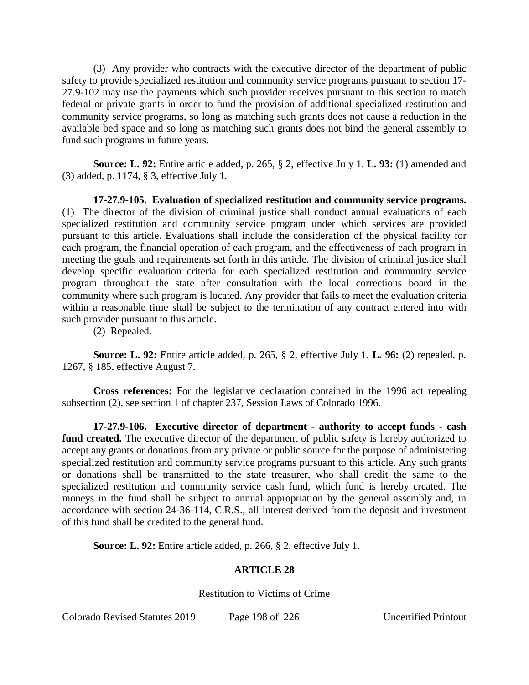(3) Any provider who contracts with the executive director of the department of public safety to provide specialized restitution and community service programs pursuant to section 17- 27.9-102 may use the payments which such provider receives pursuant to this section to match federal or private grants in order to fund the provision of additional specialized restitution and community service programs, so long as matching such grants does not cause a reduction in the available bed space and so long as matching such grants does not bind the general assembly to fund such programs in future years.

**Source: L. 92:** Entire article added, p. 265, § 2, effective July 1. **L. 93:** (1) amended and (3) added, p. 1174, § 3, effective July 1.

**17-27.9-105. Evaluation of specialized restitution and community service programs.** (1) The director of the division of criminal justice shall conduct annual evaluations of each specialized restitution and community service program under which services are provided pursuant to this article. Evaluations shall include the consideration of the physical facility for each program, the financial operation of each program, and the effectiveness of each program in meeting the goals and requirements set forth in this article. The division of criminal justice shall develop specific evaluation criteria for each specialized restitution and community service program throughout the state after consultation with the local corrections board in the community where such program is located. Any provider that fails to meet the evaluation criteria within a reasonable time shall be subject to the termination of any contract entered into with such provider pursuant to this article.

(2) Repealed.

**Source: L. 92:** Entire article added, p. 265, § 2, effective July 1. **L. 96:** (2) repealed, p. 1267, § 185, effective August 7.

**Cross references:** For the legislative declaration contained in the 1996 act repealing subsection (2), see section 1 of chapter 237, Session Laws of Colorado 1996.

**17-27.9-106. Executive director of department - authority to accept funds - cash fund created.** The executive director of the department of public safety is hereby authorized to accept any grants or donations from any private or public source for the purpose of administering specialized restitution and community service programs pursuant to this article. Any such grants or donations shall be transmitted to the state treasurer, who shall credit the same to the specialized restitution and community service cash fund, which fund is hereby created. The moneys in the fund shall be subject to annual appropriation by the general assembly and, in accordance with section 24-36-114, C.R.S., all interest derived from the deposit and investment of this fund shall be credited to the general fund.

**Source: L. 92:** Entire article added, p. 266, § 2, effective July 1.

# **ARTICLE 28**

Restitution to Victims of Crime

Colorado Revised Statutes 2019 Page 198 of 226 Uncertified Printout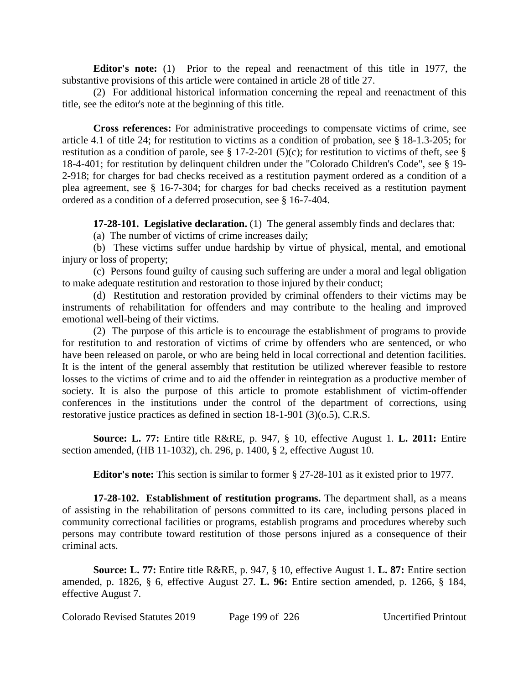**Editor's note:** (1) Prior to the repeal and reenactment of this title in 1977, the substantive provisions of this article were contained in article 28 of title 27.

(2) For additional historical information concerning the repeal and reenactment of this title, see the editor's note at the beginning of this title.

**Cross references:** For administrative proceedings to compensate victims of crime, see article 4.1 of title 24; for restitution to victims as a condition of probation, see § 18-1.3-205; for restitution as a condition of parole, see  $\S$  17-2-201 (5)(c); for restitution to victims of theft, see  $\S$ 18-4-401; for restitution by delinquent children under the "Colorado Children's Code", see § 19- 2-918; for charges for bad checks received as a restitution payment ordered as a condition of a plea agreement, see § 16-7-304; for charges for bad checks received as a restitution payment ordered as a condition of a deferred prosecution, see § 16-7-404.

**17-28-101. Legislative declaration.** (1) The general assembly finds and declares that:

(a) The number of victims of crime increases daily;

(b) These victims suffer undue hardship by virtue of physical, mental, and emotional injury or loss of property;

(c) Persons found guilty of causing such suffering are under a moral and legal obligation to make adequate restitution and restoration to those injured by their conduct;

(d) Restitution and restoration provided by criminal offenders to their victims may be instruments of rehabilitation for offenders and may contribute to the healing and improved emotional well-being of their victims.

(2) The purpose of this article is to encourage the establishment of programs to provide for restitution to and restoration of victims of crime by offenders who are sentenced, or who have been released on parole, or who are being held in local correctional and detention facilities. It is the intent of the general assembly that restitution be utilized wherever feasible to restore losses to the victims of crime and to aid the offender in reintegration as a productive member of society. It is also the purpose of this article to promote establishment of victim-offender conferences in the institutions under the control of the department of corrections, using restorative justice practices as defined in section 18-1-901 (3)(o.5), C.R.S.

**Source: L. 77:** Entire title R&RE, p. 947, § 10, effective August 1. **L. 2011:** Entire section amended, (HB 11-1032), ch. 296, p. 1400, § 2, effective August 10.

**Editor's note:** This section is similar to former § 27-28-101 as it existed prior to 1977.

**17-28-102. Establishment of restitution programs.** The department shall, as a means of assisting in the rehabilitation of persons committed to its care, including persons placed in community correctional facilities or programs, establish programs and procedures whereby such persons may contribute toward restitution of those persons injured as a consequence of their criminal acts.

**Source: L. 77:** Entire title R&RE, p. 947, § 10, effective August 1. **L. 87:** Entire section amended, p. 1826, § 6, effective August 27. **L. 96:** Entire section amended, p. 1266, § 184, effective August 7.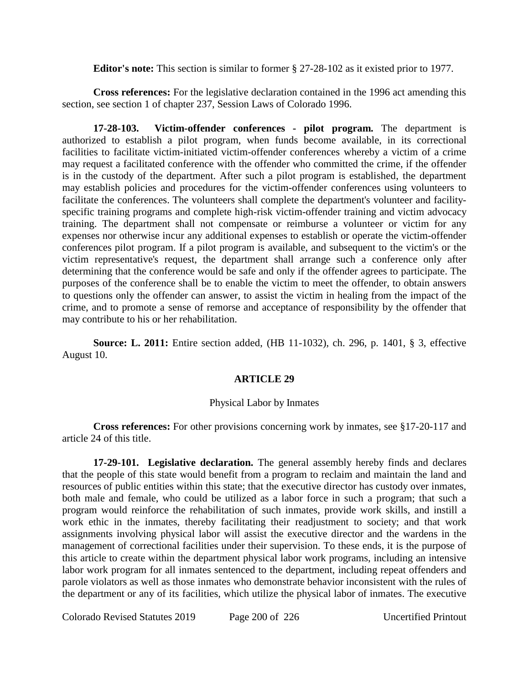**Editor's note:** This section is similar to former § 27-28-102 as it existed prior to 1977.

**Cross references:** For the legislative declaration contained in the 1996 act amending this section, see section 1 of chapter 237, Session Laws of Colorado 1996.

**17-28-103. Victim-offender conferences - pilot program.** The department is authorized to establish a pilot program, when funds become available, in its correctional facilities to facilitate victim-initiated victim-offender conferences whereby a victim of a crime may request a facilitated conference with the offender who committed the crime, if the offender is in the custody of the department. After such a pilot program is established, the department may establish policies and procedures for the victim-offender conferences using volunteers to facilitate the conferences. The volunteers shall complete the department's volunteer and facilityspecific training programs and complete high-risk victim-offender training and victim advocacy training. The department shall not compensate or reimburse a volunteer or victim for any expenses nor otherwise incur any additional expenses to establish or operate the victim-offender conferences pilot program. If a pilot program is available, and subsequent to the victim's or the victim representative's request, the department shall arrange such a conference only after determining that the conference would be safe and only if the offender agrees to participate. The purposes of the conference shall be to enable the victim to meet the offender, to obtain answers to questions only the offender can answer, to assist the victim in healing from the impact of the crime, and to promote a sense of remorse and acceptance of responsibility by the offender that may contribute to his or her rehabilitation.

**Source: L. 2011:** Entire section added, (HB 11-1032), ch. 296, p. 1401, § 3, effective August 10.

### **ARTICLE 29**

### Physical Labor by Inmates

**Cross references:** For other provisions concerning work by inmates, see §17-20-117 and article 24 of this title.

**17-29-101. Legislative declaration.** The general assembly hereby finds and declares that the people of this state would benefit from a program to reclaim and maintain the land and resources of public entities within this state; that the executive director has custody over inmates, both male and female, who could be utilized as a labor force in such a program; that such a program would reinforce the rehabilitation of such inmates, provide work skills, and instill a work ethic in the inmates, thereby facilitating their readjustment to society; and that work assignments involving physical labor will assist the executive director and the wardens in the management of correctional facilities under their supervision. To these ends, it is the purpose of this article to create within the department physical labor work programs, including an intensive labor work program for all inmates sentenced to the department, including repeat offenders and parole violators as well as those inmates who demonstrate behavior inconsistent with the rules of the department or any of its facilities, which utilize the physical labor of inmates. The executive

Colorado Revised Statutes 2019 Page 200 of 226 Uncertified Printout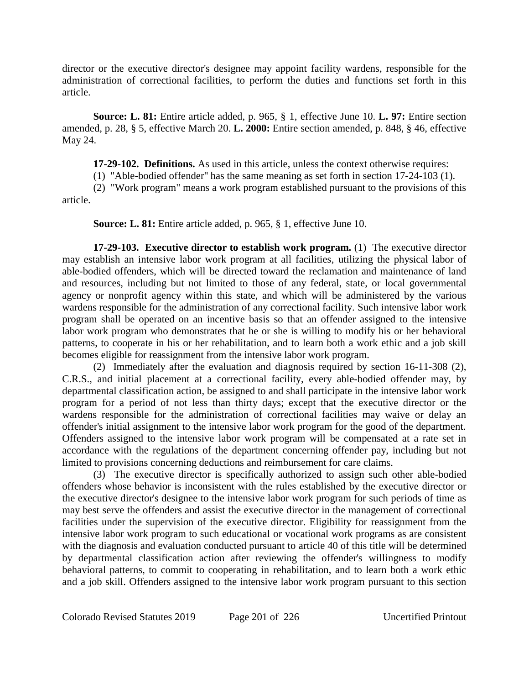director or the executive director's designee may appoint facility wardens, responsible for the administration of correctional facilities, to perform the duties and functions set forth in this article.

**Source: L. 81:** Entire article added, p. 965, § 1, effective June 10. **L. 97:** Entire section amended, p. 28, § 5, effective March 20. **L. 2000:** Entire section amended, p. 848, § 46, effective May 24.

**17-29-102. Definitions.** As used in this article, unless the context otherwise requires:

(1) "Able-bodied offender" has the same meaning as set forth in section 17-24-103 (1).

(2) "Work program" means a work program established pursuant to the provisions of this article.

**Source: L. 81:** Entire article added, p. 965, § 1, effective June 10.

**17-29-103. Executive director to establish work program.** (1) The executive director may establish an intensive labor work program at all facilities, utilizing the physical labor of able-bodied offenders, which will be directed toward the reclamation and maintenance of land and resources, including but not limited to those of any federal, state, or local governmental agency or nonprofit agency within this state, and which will be administered by the various wardens responsible for the administration of any correctional facility. Such intensive labor work program shall be operated on an incentive basis so that an offender assigned to the intensive labor work program who demonstrates that he or she is willing to modify his or her behavioral patterns, to cooperate in his or her rehabilitation, and to learn both a work ethic and a job skill becomes eligible for reassignment from the intensive labor work program.

(2) Immediately after the evaluation and diagnosis required by section 16-11-308 (2), C.R.S., and initial placement at a correctional facility, every able-bodied offender may, by departmental classification action, be assigned to and shall participate in the intensive labor work program for a period of not less than thirty days; except that the executive director or the wardens responsible for the administration of correctional facilities may waive or delay an offender's initial assignment to the intensive labor work program for the good of the department. Offenders assigned to the intensive labor work program will be compensated at a rate set in accordance with the regulations of the department concerning offender pay, including but not limited to provisions concerning deductions and reimbursement for care claims.

(3) The executive director is specifically authorized to assign such other able-bodied offenders whose behavior is inconsistent with the rules established by the executive director or the executive director's designee to the intensive labor work program for such periods of time as may best serve the offenders and assist the executive director in the management of correctional facilities under the supervision of the executive director. Eligibility for reassignment from the intensive labor work program to such educational or vocational work programs as are consistent with the diagnosis and evaluation conducted pursuant to article 40 of this title will be determined by departmental classification action after reviewing the offender's willingness to modify behavioral patterns, to commit to cooperating in rehabilitation, and to learn both a work ethic and a job skill. Offenders assigned to the intensive labor work program pursuant to this section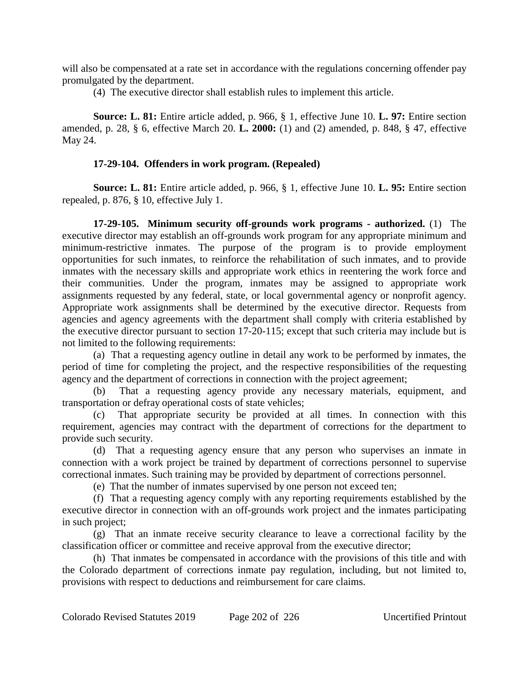will also be compensated at a rate set in accordance with the regulations concerning offender pay promulgated by the department.

(4) The executive director shall establish rules to implement this article.

**Source: L. 81:** Entire article added, p. 966, § 1, effective June 10. **L. 97:** Entire section amended, p. 28, § 6, effective March 20. **L. 2000:** (1) and (2) amended, p. 848, § 47, effective May 24.

# **17-29-104. Offenders in work program. (Repealed)**

**Source: L. 81:** Entire article added, p. 966, § 1, effective June 10. **L. 95:** Entire section repealed, p. 876, § 10, effective July 1.

**17-29-105. Minimum security off-grounds work programs - authorized.** (1) The executive director may establish an off-grounds work program for any appropriate minimum and minimum-restrictive inmates. The purpose of the program is to provide employment opportunities for such inmates, to reinforce the rehabilitation of such inmates, and to provide inmates with the necessary skills and appropriate work ethics in reentering the work force and their communities. Under the program, inmates may be assigned to appropriate work assignments requested by any federal, state, or local governmental agency or nonprofit agency. Appropriate work assignments shall be determined by the executive director. Requests from agencies and agency agreements with the department shall comply with criteria established by the executive director pursuant to section 17-20-115; except that such criteria may include but is not limited to the following requirements:

(a) That a requesting agency outline in detail any work to be performed by inmates, the period of time for completing the project, and the respective responsibilities of the requesting agency and the department of corrections in connection with the project agreement;

(b) That a requesting agency provide any necessary materials, equipment, and transportation or defray operational costs of state vehicles;

(c) That appropriate security be provided at all times. In connection with this requirement, agencies may contract with the department of corrections for the department to provide such security.

(d) That a requesting agency ensure that any person who supervises an inmate in connection with a work project be trained by department of corrections personnel to supervise correctional inmates. Such training may be provided by department of corrections personnel.

(e) That the number of inmates supervised by one person not exceed ten;

(f) That a requesting agency comply with any reporting requirements established by the executive director in connection with an off-grounds work project and the inmates participating in such project;

(g) That an inmate receive security clearance to leave a correctional facility by the classification officer or committee and receive approval from the executive director;

(h) That inmates be compensated in accordance with the provisions of this title and with the Colorado department of corrections inmate pay regulation, including, but not limited to, provisions with respect to deductions and reimbursement for care claims.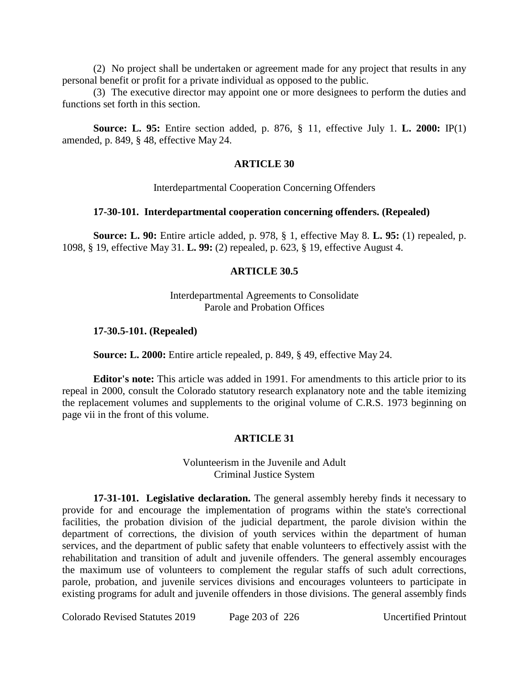(2) No project shall be undertaken or agreement made for any project that results in any personal benefit or profit for a private individual as opposed to the public.

(3) The executive director may appoint one or more designees to perform the duties and functions set forth in this section.

**Source: L. 95:** Entire section added, p. 876, § 11, effective July 1. **L. 2000:** IP(1) amended, p. 849, § 48, effective May 24.

#### **ARTICLE 30**

Interdepartmental Cooperation Concerning Offenders

#### **17-30-101. Interdepartmental cooperation concerning offenders. (Repealed)**

**Source: L. 90:** Entire article added, p. 978, § 1, effective May 8. **L. 95:** (1) repealed, p. 1098, § 19, effective May 31. **L. 99:** (2) repealed, p. 623, § 19, effective August 4.

### **ARTICLE 30.5**

# Interdepartmental Agreements to Consolidate Parole and Probation Offices

#### **17-30.5-101. (Repealed)**

**Source: L. 2000:** Entire article repealed, p. 849, § 49, effective May 24.

**Editor's note:** This article was added in 1991. For amendments to this article prior to its repeal in 2000, consult the Colorado statutory research explanatory note and the table itemizing the replacement volumes and supplements to the original volume of C.R.S. 1973 beginning on page vii in the front of this volume.

### **ARTICLE 31**

## Volunteerism in the Juvenile and Adult Criminal Justice System

**17-31-101. Legislative declaration.** The general assembly hereby finds it necessary to provide for and encourage the implementation of programs within the state's correctional facilities, the probation division of the judicial department, the parole division within the department of corrections, the division of youth services within the department of human services, and the department of public safety that enable volunteers to effectively assist with the rehabilitation and transition of adult and juvenile offenders. The general assembly encourages the maximum use of volunteers to complement the regular staffs of such adult corrections, parole, probation, and juvenile services divisions and encourages volunteers to participate in existing programs for adult and juvenile offenders in those divisions. The general assembly finds

Colorado Revised Statutes 2019 Page 203 of 226 Uncertified Printout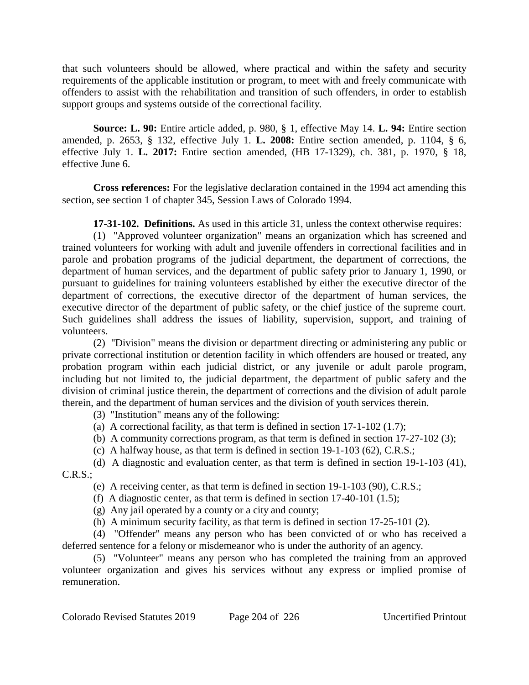that such volunteers should be allowed, where practical and within the safety and security requirements of the applicable institution or program, to meet with and freely communicate with offenders to assist with the rehabilitation and transition of such offenders, in order to establish support groups and systems outside of the correctional facility.

**Source: L. 90:** Entire article added, p. 980, § 1, effective May 14. **L. 94:** Entire section amended, p. 2653, § 132, effective July 1. **L. 2008:** Entire section amended, p. 1104, § 6, effective July 1. **L. 2017:** Entire section amended, (HB 17-1329), ch. 381, p. 1970, § 18, effective June 6.

**Cross references:** For the legislative declaration contained in the 1994 act amending this section, see section 1 of chapter 345, Session Laws of Colorado 1994.

**17-31-102. Definitions.** As used in this article 31, unless the context otherwise requires:

(1) "Approved volunteer organization" means an organization which has screened and trained volunteers for working with adult and juvenile offenders in correctional facilities and in parole and probation programs of the judicial department, the department of corrections, the department of human services, and the department of public safety prior to January 1, 1990, or pursuant to guidelines for training volunteers established by either the executive director of the department of corrections, the executive director of the department of human services, the executive director of the department of public safety, or the chief justice of the supreme court. Such guidelines shall address the issues of liability, supervision, support, and training of volunteers.

(2) "Division" means the division or department directing or administering any public or private correctional institution or detention facility in which offenders are housed or treated, any probation program within each judicial district, or any juvenile or adult parole program, including but not limited to, the judicial department, the department of public safety and the division of criminal justice therein, the department of corrections and the division of adult parole therein, and the department of human services and the division of youth services therein.

(3) "Institution" means any of the following:

- (a) A correctional facility, as that term is defined in section  $17-1-102$  (1.7);
- (b) A community corrections program, as that term is defined in section 17-27-102 (3);
- (c) A halfway house, as that term is defined in section 19-1-103 (62), C.R.S.;

(d) A diagnostic and evaluation center, as that term is defined in section 19-1-103 (41),  $C.R.S.:$ 

(e) A receiving center, as that term is defined in section 19-1-103 (90), C.R.S.;

(f) A diagnostic center, as that term is defined in section  $17-40-101$  (1.5);

(g) Any jail operated by a county or a city and county;

(h) A minimum security facility, as that term is defined in section 17-25-101 (2).

(4) "Offender" means any person who has been convicted of or who has received a deferred sentence for a felony or misdemeanor who is under the authority of an agency.

(5) "Volunteer" means any person who has completed the training from an approved volunteer organization and gives his services without any express or implied promise of remuneration.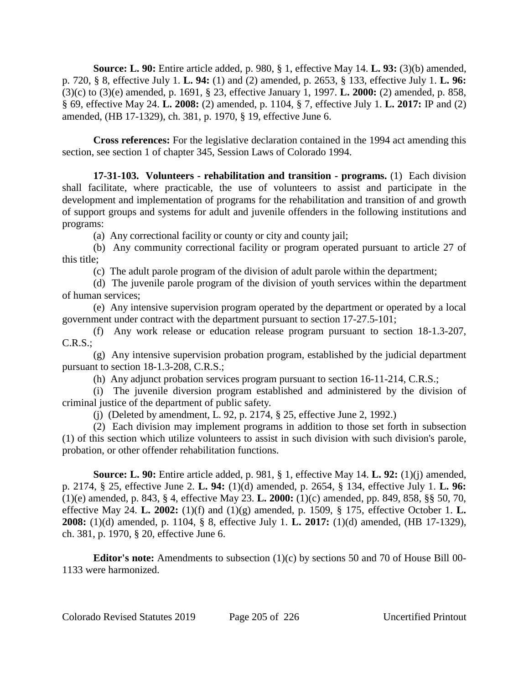**Source: L. 90:** Entire article added, p. 980, § 1, effective May 14. **L. 93:** (3)(b) amended, p. 720, § 8, effective July 1. **L. 94:** (1) and (2) amended, p. 2653, § 133, effective July 1. **L. 96:** (3)(c) to (3)(e) amended, p. 1691, § 23, effective January 1, 1997. **L. 2000:** (2) amended, p. 858, § 69, effective May 24. **L. 2008:** (2) amended, p. 1104, § 7, effective July 1. **L. 2017:** IP and (2) amended, (HB 17-1329), ch. 381, p. 1970, § 19, effective June 6.

**Cross references:** For the legislative declaration contained in the 1994 act amending this section, see section 1 of chapter 345, Session Laws of Colorado 1994.

**17-31-103. Volunteers - rehabilitation and transition - programs.** (1) Each division shall facilitate, where practicable, the use of volunteers to assist and participate in the development and implementation of programs for the rehabilitation and transition of and growth of support groups and systems for adult and juvenile offenders in the following institutions and programs:

(a) Any correctional facility or county or city and county jail;

(b) Any community correctional facility or program operated pursuant to article 27 of this title;

(c) The adult parole program of the division of adult parole within the department;

(d) The juvenile parole program of the division of youth services within the department of human services;

(e) Any intensive supervision program operated by the department or operated by a local government under contract with the department pursuant to section 17-27.5-101;

(f) Any work release or education release program pursuant to section 18-1.3-207, C.R.S.;

(g) Any intensive supervision probation program, established by the judicial department pursuant to section 18-1.3-208, C.R.S.;

(h) Any adjunct probation services program pursuant to section 16-11-214, C.R.S.;

(i) The juvenile diversion program established and administered by the division of criminal justice of the department of public safety.

(j) (Deleted by amendment, L. 92, p. 2174, § 25, effective June 2, 1992.)

(2) Each division may implement programs in addition to those set forth in subsection (1) of this section which utilize volunteers to assist in such division with such division's parole, probation, or other offender rehabilitation functions.

**Source: L. 90:** Entire article added, p. 981, § 1, effective May 14. **L. 92:** (1)(j) amended, p. 2174, § 25, effective June 2. **L. 94:** (1)(d) amended, p. 2654, § 134, effective July 1. **L. 96:** (1)(e) amended, p. 843, § 4, effective May 23. **L. 2000:** (1)(c) amended, pp. 849, 858, §§ 50, 70, effective May 24. **L. 2002:** (1)(f) and (1)(g) amended, p. 1509, § 175, effective October 1. **L. 2008:** (1)(d) amended, p. 1104, § 8, effective July 1. **L. 2017:** (1)(d) amended, (HB 17-1329), ch. 381, p. 1970, § 20, effective June 6.

**Editor's note:** Amendments to subsection (1)(c) by sections 50 and 70 of House Bill 00- 1133 were harmonized.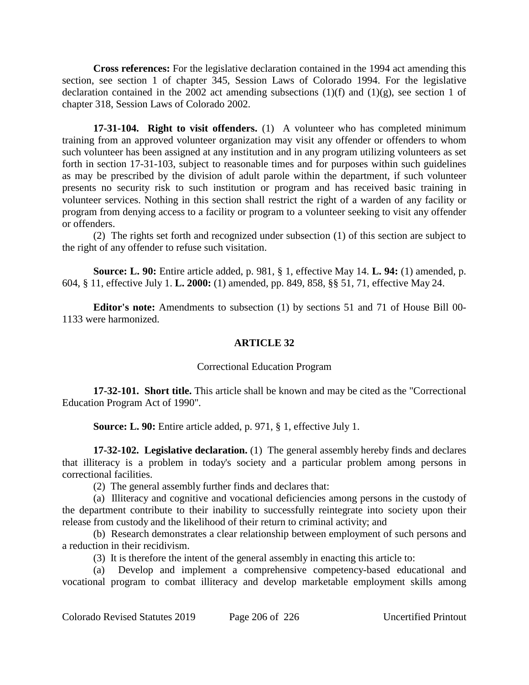**Cross references:** For the legislative declaration contained in the 1994 act amending this section, see section 1 of chapter 345, Session Laws of Colorado 1994. For the legislative declaration contained in the 2002 act amending subsections  $(1)(f)$  and  $(1)(g)$ , see section 1 of chapter 318, Session Laws of Colorado 2002.

**17-31-104. Right to visit offenders.** (1) A volunteer who has completed minimum training from an approved volunteer organization may visit any offender or offenders to whom such volunteer has been assigned at any institution and in any program utilizing volunteers as set forth in section 17-31-103, subject to reasonable times and for purposes within such guidelines as may be prescribed by the division of adult parole within the department, if such volunteer presents no security risk to such institution or program and has received basic training in volunteer services. Nothing in this section shall restrict the right of a warden of any facility or program from denying access to a facility or program to a volunteer seeking to visit any offender or offenders.

(2) The rights set forth and recognized under subsection (1) of this section are subject to the right of any offender to refuse such visitation.

**Source: L. 90:** Entire article added, p. 981, § 1, effective May 14. **L. 94:** (1) amended, p. 604, § 11, effective July 1. **L. 2000:** (1) amended, pp. 849, 858, §§ 51, 71, effective May 24.

**Editor's note:** Amendments to subsection (1) by sections 51 and 71 of House Bill 00- 1133 were harmonized.

# **ARTICLE 32**

### Correctional Education Program

**17-32-101. Short title.** This article shall be known and may be cited as the "Correctional Education Program Act of 1990".

**Source: L. 90:** Entire article added, p. 971, § 1, effective July 1.

**17-32-102. Legislative declaration.** (1) The general assembly hereby finds and declares that illiteracy is a problem in today's society and a particular problem among persons in correctional facilities.

(2) The general assembly further finds and declares that:

(a) Illiteracy and cognitive and vocational deficiencies among persons in the custody of the department contribute to their inability to successfully reintegrate into society upon their release from custody and the likelihood of their return to criminal activity; and

(b) Research demonstrates a clear relationship between employment of such persons and a reduction in their recidivism.

(3) It is therefore the intent of the general assembly in enacting this article to:

(a) Develop and implement a comprehensive competency-based educational and vocational program to combat illiteracy and develop marketable employment skills among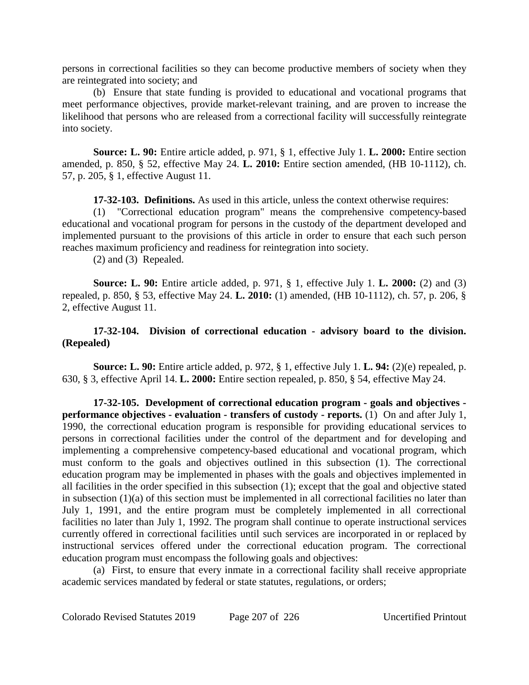persons in correctional facilities so they can become productive members of society when they are reintegrated into society; and

(b) Ensure that state funding is provided to educational and vocational programs that meet performance objectives, provide market-relevant training, and are proven to increase the likelihood that persons who are released from a correctional facility will successfully reintegrate into society.

**Source: L. 90:** Entire article added, p. 971, § 1, effective July 1. **L. 2000:** Entire section amended, p. 850, § 52, effective May 24. **L. 2010:** Entire section amended, (HB 10-1112), ch. 57, p. 205, § 1, effective August 11.

**17-32-103. Definitions.** As used in this article, unless the context otherwise requires:

(1) "Correctional education program" means the comprehensive competency-based educational and vocational program for persons in the custody of the department developed and implemented pursuant to the provisions of this article in order to ensure that each such person reaches maximum proficiency and readiness for reintegration into society.

(2) and (3) Repealed.

**Source: L. 90:** Entire article added, p. 971, § 1, effective July 1. **L. 2000:** (2) and (3) repealed, p. 850, § 53, effective May 24. **L. 2010:** (1) amended, (HB 10-1112), ch. 57, p. 206, § 2, effective August 11.

## **17-32-104. Division of correctional education - advisory board to the division. (Repealed)**

**Source: L. 90:** Entire article added, p. 972, § 1, effective July 1. **L. 94:** (2)(e) repealed, p. 630, § 3, effective April 14. **L. 2000:** Entire section repealed, p. 850, § 54, effective May 24.

**17-32-105. Development of correctional education program - goals and objectives performance objectives - evaluation - transfers of custody - reports.** (1) On and after July 1, 1990, the correctional education program is responsible for providing educational services to persons in correctional facilities under the control of the department and for developing and implementing a comprehensive competency-based educational and vocational program, which must conform to the goals and objectives outlined in this subsection (1). The correctional education program may be implemented in phases with the goals and objectives implemented in all facilities in the order specified in this subsection (1); except that the goal and objective stated in subsection  $(1)(a)$  of this section must be implemented in all correctional facilities no later than July 1, 1991, and the entire program must be completely implemented in all correctional facilities no later than July 1, 1992. The program shall continue to operate instructional services currently offered in correctional facilities until such services are incorporated in or replaced by instructional services offered under the correctional education program. The correctional education program must encompass the following goals and objectives:

(a) First, to ensure that every inmate in a correctional facility shall receive appropriate academic services mandated by federal or state statutes, regulations, or orders;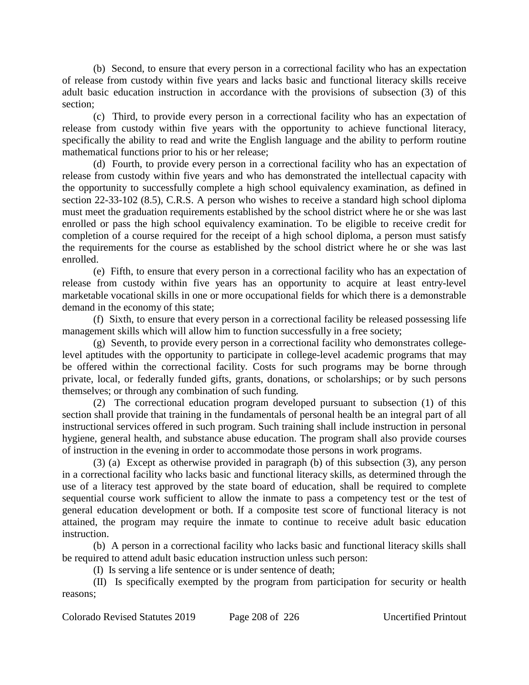(b) Second, to ensure that every person in a correctional facility who has an expectation of release from custody within five years and lacks basic and functional literacy skills receive adult basic education instruction in accordance with the provisions of subsection (3) of this section;

(c) Third, to provide every person in a correctional facility who has an expectation of release from custody within five years with the opportunity to achieve functional literacy, specifically the ability to read and write the English language and the ability to perform routine mathematical functions prior to his or her release;

(d) Fourth, to provide every person in a correctional facility who has an expectation of release from custody within five years and who has demonstrated the intellectual capacity with the opportunity to successfully complete a high school equivalency examination, as defined in section 22-33-102 (8.5), C.R.S. A person who wishes to receive a standard high school diploma must meet the graduation requirements established by the school district where he or she was last enrolled or pass the high school equivalency examination. To be eligible to receive credit for completion of a course required for the receipt of a high school diploma, a person must satisfy the requirements for the course as established by the school district where he or she was last enrolled.

(e) Fifth, to ensure that every person in a correctional facility who has an expectation of release from custody within five years has an opportunity to acquire at least entry-level marketable vocational skills in one or more occupational fields for which there is a demonstrable demand in the economy of this state;

(f) Sixth, to ensure that every person in a correctional facility be released possessing life management skills which will allow him to function successfully in a free society;

(g) Seventh, to provide every person in a correctional facility who demonstrates collegelevel aptitudes with the opportunity to participate in college-level academic programs that may be offered within the correctional facility. Costs for such programs may be borne through private, local, or federally funded gifts, grants, donations, or scholarships; or by such persons themselves; or through any combination of such funding.

(2) The correctional education program developed pursuant to subsection (1) of this section shall provide that training in the fundamentals of personal health be an integral part of all instructional services offered in such program. Such training shall include instruction in personal hygiene, general health, and substance abuse education. The program shall also provide courses of instruction in the evening in order to accommodate those persons in work programs.

(3) (a) Except as otherwise provided in paragraph (b) of this subsection (3), any person in a correctional facility who lacks basic and functional literacy skills, as determined through the use of a literacy test approved by the state board of education, shall be required to complete sequential course work sufficient to allow the inmate to pass a competency test or the test of general education development or both. If a composite test score of functional literacy is not attained, the program may require the inmate to continue to receive adult basic education instruction.

(b) A person in a correctional facility who lacks basic and functional literacy skills shall be required to attend adult basic education instruction unless such person:

(I) Is serving a life sentence or is under sentence of death;

(II) Is specifically exempted by the program from participation for security or health reasons;

Colorado Revised Statutes 2019 Page 208 of 226 Uncertified Printout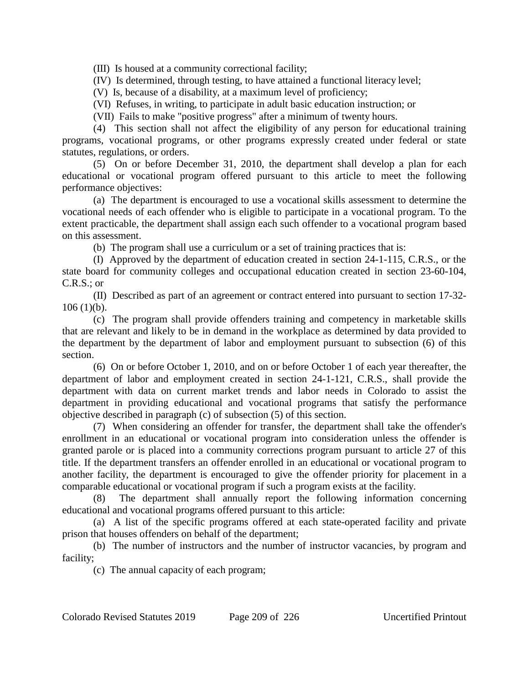(III) Is housed at a community correctional facility;

(IV) Is determined, through testing, to have attained a functional literacy level;

(V) Is, because of a disability, at a maximum level of proficiency;

(VI) Refuses, in writing, to participate in adult basic education instruction; or

(VII) Fails to make "positive progress" after a minimum of twenty hours.

(4) This section shall not affect the eligibility of any person for educational training programs, vocational programs, or other programs expressly created under federal or state statutes, regulations, or orders.

(5) On or before December 31, 2010, the department shall develop a plan for each educational or vocational program offered pursuant to this article to meet the following performance objectives:

(a) The department is encouraged to use a vocational skills assessment to determine the vocational needs of each offender who is eligible to participate in a vocational program. To the extent practicable, the department shall assign each such offender to a vocational program based on this assessment.

(b) The program shall use a curriculum or a set of training practices that is:

(I) Approved by the department of education created in section 24-1-115, C.R.S., or the state board for community colleges and occupational education created in section 23-60-104, C.R.S.; or

(II) Described as part of an agreement or contract entered into pursuant to section 17-32-  $106(1)(b)$ .

(c) The program shall provide offenders training and competency in marketable skills that are relevant and likely to be in demand in the workplace as determined by data provided to the department by the department of labor and employment pursuant to subsection (6) of this section.

(6) On or before October 1, 2010, and on or before October 1 of each year thereafter, the department of labor and employment created in section 24-1-121, C.R.S., shall provide the department with data on current market trends and labor needs in Colorado to assist the department in providing educational and vocational programs that satisfy the performance objective described in paragraph (c) of subsection (5) of this section.

(7) When considering an offender for transfer, the department shall take the offender's enrollment in an educational or vocational program into consideration unless the offender is granted parole or is placed into a community corrections program pursuant to article 27 of this title. If the department transfers an offender enrolled in an educational or vocational program to another facility, the department is encouraged to give the offender priority for placement in a comparable educational or vocational program if such a program exists at the facility.

(8) The department shall annually report the following information concerning educational and vocational programs offered pursuant to this article:

(a) A list of the specific programs offered at each state-operated facility and private prison that houses offenders on behalf of the department;

(b) The number of instructors and the number of instructor vacancies, by program and facility;

(c) The annual capacity of each program;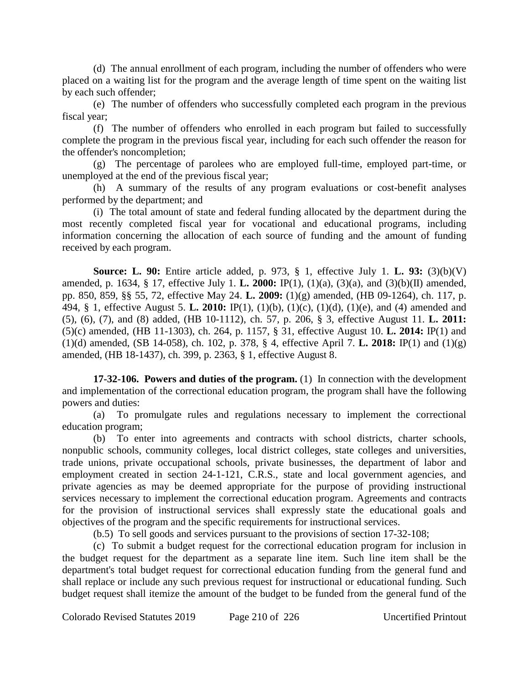(d) The annual enrollment of each program, including the number of offenders who were placed on a waiting list for the program and the average length of time spent on the waiting list by each such offender;

(e) The number of offenders who successfully completed each program in the previous fiscal year;

(f) The number of offenders who enrolled in each program but failed to successfully complete the program in the previous fiscal year, including for each such offender the reason for the offender's noncompletion;

(g) The percentage of parolees who are employed full-time, employed part-time, or unemployed at the end of the previous fiscal year;

(h) A summary of the results of any program evaluations or cost-benefit analyses performed by the department; and

(i) The total amount of state and federal funding allocated by the department during the most recently completed fiscal year for vocational and educational programs, including information concerning the allocation of each source of funding and the amount of funding received by each program.

**Source: L. 90:** Entire article added, p. 973, § 1, effective July 1. **L. 93:** (3)(b)(V) amended, p. 1634, § 17, effective July 1. **L. 2000:** IP(1), (1)(a), (3)(a), and (3)(b)(II) amended, pp. 850, 859, §§ 55, 72, effective May 24. **L. 2009:** (1)(g) amended, (HB 09-1264), ch. 117, p. 494, § 1, effective August 5. **L. 2010:** IP(1), (1)(b), (1)(c), (1)(d), (1)(e), and (4) amended and (5), (6), (7), and (8) added, (HB 10-1112), ch. 57, p. 206, § 3, effective August 11. **L. 2011:** (5)(c) amended, (HB 11-1303), ch. 264, p. 1157, § 31, effective August 10. **L. 2014:** IP(1) and (1)(d) amended, (SB 14-058), ch. 102, p. 378, § 4, effective April 7. **L. 2018:** IP(1) and (1)(g) amended, (HB 18-1437), ch. 399, p. 2363, § 1, effective August 8.

**17-32-106. Powers and duties of the program.** (1) In connection with the development and implementation of the correctional education program, the program shall have the following powers and duties:

(a) To promulgate rules and regulations necessary to implement the correctional education program;

(b) To enter into agreements and contracts with school districts, charter schools, nonpublic schools, community colleges, local district colleges, state colleges and universities, trade unions, private occupational schools, private businesses, the department of labor and employment created in section 24-1-121, C.R.S., state and local government agencies, and private agencies as may be deemed appropriate for the purpose of providing instructional services necessary to implement the correctional education program. Agreements and contracts for the provision of instructional services shall expressly state the educational goals and objectives of the program and the specific requirements for instructional services.

(b.5) To sell goods and services pursuant to the provisions of section 17-32-108;

(c) To submit a budget request for the correctional education program for inclusion in the budget request for the department as a separate line item. Such line item shall be the department's total budget request for correctional education funding from the general fund and shall replace or include any such previous request for instructional or educational funding. Such budget request shall itemize the amount of the budget to be funded from the general fund of the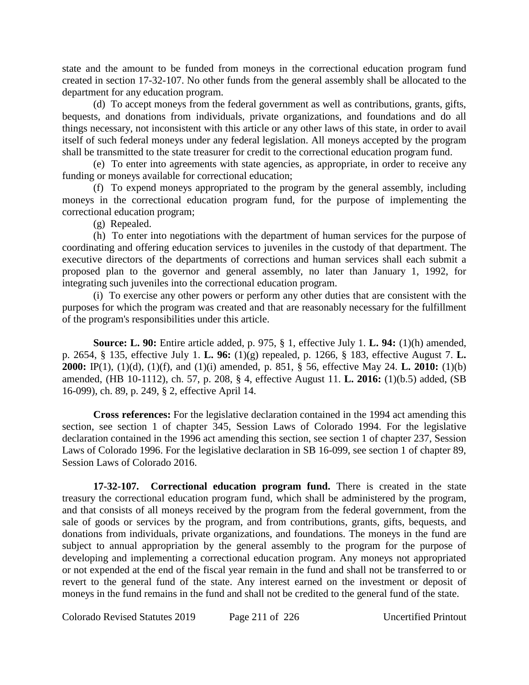state and the amount to be funded from moneys in the correctional education program fund created in section 17-32-107. No other funds from the general assembly shall be allocated to the department for any education program.

(d) To accept moneys from the federal government as well as contributions, grants, gifts, bequests, and donations from individuals, private organizations, and foundations and do all things necessary, not inconsistent with this article or any other laws of this state, in order to avail itself of such federal moneys under any federal legislation. All moneys accepted by the program shall be transmitted to the state treasurer for credit to the correctional education program fund.

(e) To enter into agreements with state agencies, as appropriate, in order to receive any funding or moneys available for correctional education;

(f) To expend moneys appropriated to the program by the general assembly, including moneys in the correctional education program fund, for the purpose of implementing the correctional education program;

(g) Repealed.

(h) To enter into negotiations with the department of human services for the purpose of coordinating and offering education services to juveniles in the custody of that department. The executive directors of the departments of corrections and human services shall each submit a proposed plan to the governor and general assembly, no later than January 1, 1992, for integrating such juveniles into the correctional education program.

(i) To exercise any other powers or perform any other duties that are consistent with the purposes for which the program was created and that are reasonably necessary for the fulfillment of the program's responsibilities under this article.

**Source: L. 90:** Entire article added, p. 975, § 1, effective July 1. **L. 94:** (1)(h) amended, p. 2654, § 135, effective July 1. **L. 96:** (1)(g) repealed, p. 1266, § 183, effective August 7. **L. 2000:** IP(1), (1)(d), (1)(f), and (1)(i) amended, p. 851, § 56, effective May 24. **L. 2010:** (1)(b) amended, (HB 10-1112), ch. 57, p. 208, § 4, effective August 11. **L. 2016:** (1)(b.5) added, (SB 16-099), ch. 89, p. 249, § 2, effective April 14.

**Cross references:** For the legislative declaration contained in the 1994 act amending this section, see section 1 of chapter 345, Session Laws of Colorado 1994. For the legislative declaration contained in the 1996 act amending this section, see section 1 of chapter 237, Session Laws of Colorado 1996. For the legislative declaration in SB 16-099, see section 1 of chapter 89, Session Laws of Colorado 2016.

**17-32-107. Correctional education program fund.** There is created in the state treasury the correctional education program fund, which shall be administered by the program, and that consists of all moneys received by the program from the federal government, from the sale of goods or services by the program, and from contributions, grants, gifts, bequests, and donations from individuals, private organizations, and foundations. The moneys in the fund are subject to annual appropriation by the general assembly to the program for the purpose of developing and implementing a correctional education program. Any moneys not appropriated or not expended at the end of the fiscal year remain in the fund and shall not be transferred to or revert to the general fund of the state. Any interest earned on the investment or deposit of moneys in the fund remains in the fund and shall not be credited to the general fund of the state.

Colorado Revised Statutes 2019 Page 211 of 226 Uncertified Printout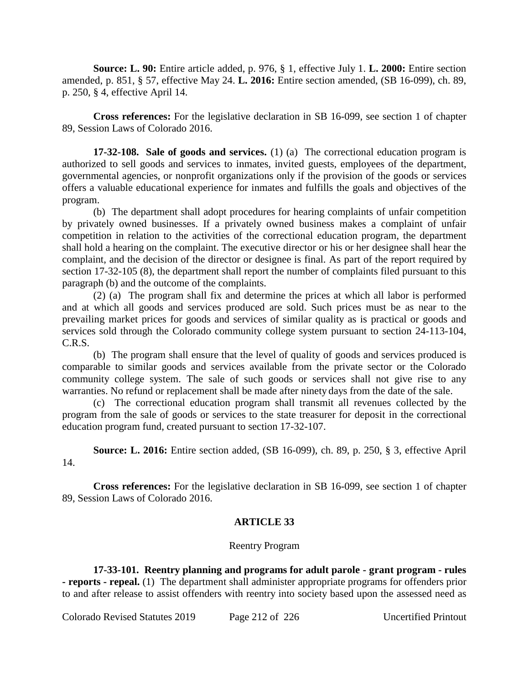**Source: L. 90:** Entire article added, p. 976, § 1, effective July 1. **L. 2000:** Entire section amended, p. 851, § 57, effective May 24. **L. 2016:** Entire section amended, (SB 16-099), ch. 89, p. 250, § 4, effective April 14.

**Cross references:** For the legislative declaration in SB 16-099, see section 1 of chapter 89, Session Laws of Colorado 2016.

**17-32-108. Sale of goods and services.** (1) (a) The correctional education program is authorized to sell goods and services to inmates, invited guests, employees of the department, governmental agencies, or nonprofit organizations only if the provision of the goods or services offers a valuable educational experience for inmates and fulfills the goals and objectives of the program.

(b) The department shall adopt procedures for hearing complaints of unfair competition by privately owned businesses. If a privately owned business makes a complaint of unfair competition in relation to the activities of the correctional education program, the department shall hold a hearing on the complaint. The executive director or his or her designee shall hear the complaint, and the decision of the director or designee is final. As part of the report required by section 17-32-105 (8), the department shall report the number of complaints filed pursuant to this paragraph (b) and the outcome of the complaints.

(2) (a) The program shall fix and determine the prices at which all labor is performed and at which all goods and services produced are sold. Such prices must be as near to the prevailing market prices for goods and services of similar quality as is practical or goods and services sold through the Colorado community college system pursuant to section 24-113-104, C.R.S.

(b) The program shall ensure that the level of quality of goods and services produced is comparable to similar goods and services available from the private sector or the Colorado community college system. The sale of such goods or services shall not give rise to any warranties. No refund or replacement shall be made after ninety days from the date of the sale.

(c) The correctional education program shall transmit all revenues collected by the program from the sale of goods or services to the state treasurer for deposit in the correctional education program fund, created pursuant to section 17-32-107.

**Source: L. 2016:** Entire section added, (SB 16-099), ch. 89, p. 250, § 3, effective April 14.

**Cross references:** For the legislative declaration in SB 16-099, see section 1 of chapter 89, Session Laws of Colorado 2016.

# **ARTICLE 33**

# Reentry Program

**17-33-101. Reentry planning and programs for adult parole - grant program - rules - reports - repeal.** (1) The department shall administer appropriate programs for offenders prior to and after release to assist offenders with reentry into society based upon the assessed need as

Colorado Revised Statutes 2019 Page 212 of 226 Uncertified Printout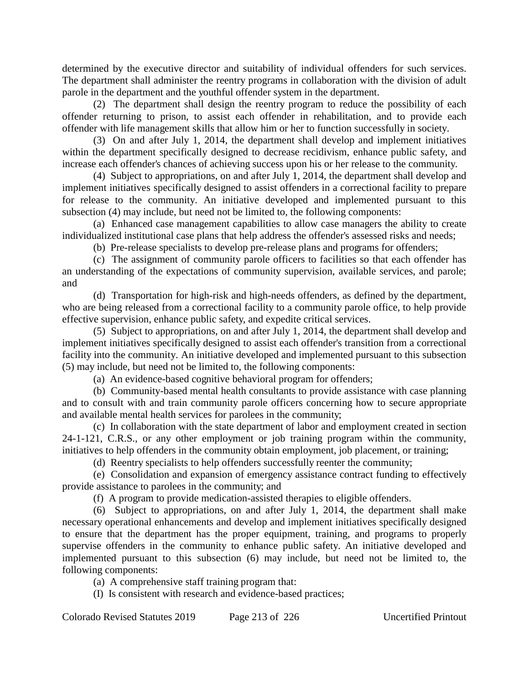determined by the executive director and suitability of individual offenders for such services. The department shall administer the reentry programs in collaboration with the division of adult parole in the department and the youthful offender system in the department.

(2) The department shall design the reentry program to reduce the possibility of each offender returning to prison, to assist each offender in rehabilitation, and to provide each offender with life management skills that allow him or her to function successfully in society.

(3) On and after July 1, 2014, the department shall develop and implement initiatives within the department specifically designed to decrease recidivism, enhance public safety, and increase each offender's chances of achieving success upon his or her release to the community.

(4) Subject to appropriations, on and after July 1, 2014, the department shall develop and implement initiatives specifically designed to assist offenders in a correctional facility to prepare for release to the community. An initiative developed and implemented pursuant to this subsection (4) may include, but need not be limited to, the following components:

(a) Enhanced case management capabilities to allow case managers the ability to create individualized institutional case plans that help address the offender's assessed risks and needs;

(b) Pre-release specialists to develop pre-release plans and programs for offenders;

(c) The assignment of community parole officers to facilities so that each offender has an understanding of the expectations of community supervision, available services, and parole; and

(d) Transportation for high-risk and high-needs offenders, as defined by the department, who are being released from a correctional facility to a community parole office, to help provide effective supervision, enhance public safety, and expedite critical services.

(5) Subject to appropriations, on and after July 1, 2014, the department shall develop and implement initiatives specifically designed to assist each offender's transition from a correctional facility into the community. An initiative developed and implemented pursuant to this subsection (5) may include, but need not be limited to, the following components:

(a) An evidence-based cognitive behavioral program for offenders;

(b) Community-based mental health consultants to provide assistance with case planning and to consult with and train community parole officers concerning how to secure appropriate and available mental health services for parolees in the community;

(c) In collaboration with the state department of labor and employment created in section 24-1-121, C.R.S., or any other employment or job training program within the community, initiatives to help offenders in the community obtain employment, job placement, or training;

(d) Reentry specialists to help offenders successfully reenter the community;

(e) Consolidation and expansion of emergency assistance contract funding to effectively provide assistance to parolees in the community; and

(f) A program to provide medication-assisted therapies to eligible offenders.

(6) Subject to appropriations, on and after July 1, 2014, the department shall make necessary operational enhancements and develop and implement initiatives specifically designed to ensure that the department has the proper equipment, training, and programs to properly supervise offenders in the community to enhance public safety. An initiative developed and implemented pursuant to this subsection (6) may include, but need not be limited to, the following components:

(a) A comprehensive staff training program that:

(I) Is consistent with research and evidence-based practices;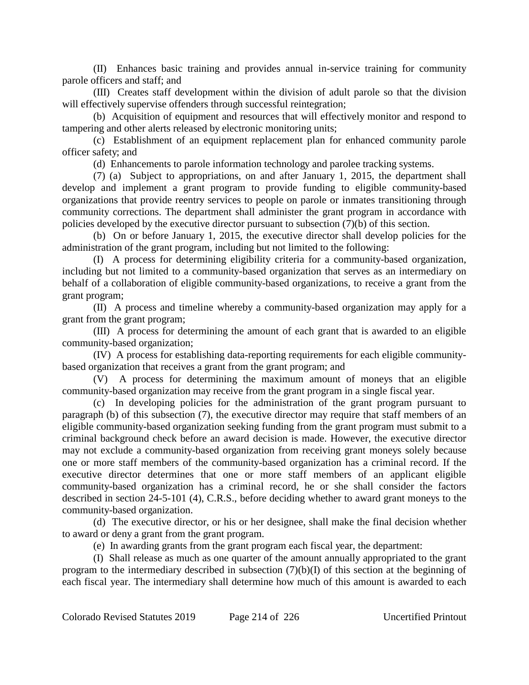(II) Enhances basic training and provides annual in-service training for community parole officers and staff; and

(III) Creates staff development within the division of adult parole so that the division will effectively supervise offenders through successful reintegration;

(b) Acquisition of equipment and resources that will effectively monitor and respond to tampering and other alerts released by electronic monitoring units;

(c) Establishment of an equipment replacement plan for enhanced community parole officer safety; and

(d) Enhancements to parole information technology and parolee tracking systems.

(7) (a) Subject to appropriations, on and after January 1, 2015, the department shall develop and implement a grant program to provide funding to eligible community-based organizations that provide reentry services to people on parole or inmates transitioning through community corrections. The department shall administer the grant program in accordance with policies developed by the executive director pursuant to subsection (7)(b) of this section.

(b) On or before January 1, 2015, the executive director shall develop policies for the administration of the grant program, including but not limited to the following:

(I) A process for determining eligibility criteria for a community-based organization, including but not limited to a community-based organization that serves as an intermediary on behalf of a collaboration of eligible community-based organizations, to receive a grant from the grant program;

(II) A process and timeline whereby a community-based organization may apply for a grant from the grant program;

(III) A process for determining the amount of each grant that is awarded to an eligible community-based organization;

(IV) A process for establishing data-reporting requirements for each eligible communitybased organization that receives a grant from the grant program; and

(V) A process for determining the maximum amount of moneys that an eligible community-based organization may receive from the grant program in a single fiscal year.

(c) In developing policies for the administration of the grant program pursuant to paragraph (b) of this subsection (7), the executive director may require that staff members of an eligible community-based organization seeking funding from the grant program must submit to a criminal background check before an award decision is made. However, the executive director may not exclude a community-based organization from receiving grant moneys solely because one or more staff members of the community-based organization has a criminal record. If the executive director determines that one or more staff members of an applicant eligible community-based organization has a criminal record, he or she shall consider the factors described in section 24-5-101 (4), C.R.S., before deciding whether to award grant moneys to the community-based organization.

(d) The executive director, or his or her designee, shall make the final decision whether to award or deny a grant from the grant program.

(e) In awarding grants from the grant program each fiscal year, the department:

(I) Shall release as much as one quarter of the amount annually appropriated to the grant program to the intermediary described in subsection (7)(b)(I) of this section at the beginning of each fiscal year. The intermediary shall determine how much of this amount is awarded to each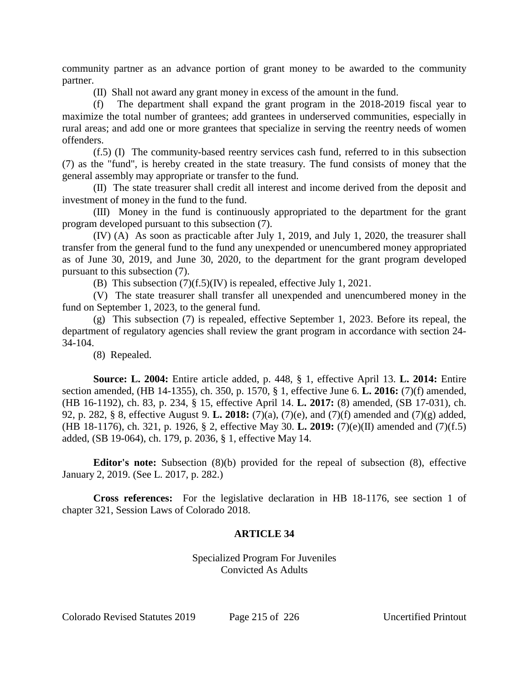community partner as an advance portion of grant money to be awarded to the community partner.

(II) Shall not award any grant money in excess of the amount in the fund.

(f) The department shall expand the grant program in the 2018-2019 fiscal year to maximize the total number of grantees; add grantees in underserved communities, especially in rural areas; and add one or more grantees that specialize in serving the reentry needs of women offenders.

(f.5) (I) The community-based reentry services cash fund, referred to in this subsection (7) as the "fund", is hereby created in the state treasury. The fund consists of money that the general assembly may appropriate or transfer to the fund.

(II) The state treasurer shall credit all interest and income derived from the deposit and investment of money in the fund to the fund.

(III) Money in the fund is continuously appropriated to the department for the grant program developed pursuant to this subsection (7).

(IV) (A) As soon as practicable after July 1, 2019, and July 1, 2020, the treasurer shall transfer from the general fund to the fund any unexpended or unencumbered money appropriated as of June 30, 2019, and June 30, 2020, to the department for the grant program developed pursuant to this subsection (7).

(B) This subsection (7)(f.5)(IV) is repealed, effective July 1, 2021.

(V) The state treasurer shall transfer all unexpended and unencumbered money in the fund on September 1, 2023, to the general fund.

(g) This subsection (7) is repealed, effective September 1, 2023. Before its repeal, the department of regulatory agencies shall review the grant program in accordance with section 24- 34-104.

(8) Repealed.

**Source: L. 2004:** Entire article added, p. 448, § 1, effective April 13. **L. 2014:** Entire section amended, (HB 14-1355), ch. 350, p. 1570, § 1, effective June 6. **L. 2016:** (7)(f) amended, (HB 16-1192), ch. 83, p. 234, § 15, effective April 14. **L. 2017:** (8) amended, (SB 17-031), ch. 92, p. 282, § 8, effective August 9. **L. 2018:** (7)(a), (7)(e), and (7)(f) amended and (7)(g) added, (HB 18-1176), ch. 321, p. 1926, § 2, effective May 30. **L. 2019:** (7)(e)(II) amended and (7)(f.5) added, (SB 19-064), ch. 179, p. 2036, § 1, effective May 14.

**Editor's note:** Subsection (8)(b) provided for the repeal of subsection (8), effective January 2, 2019. (See L. 2017, p. 282.)

**Cross references:** For the legislative declaration in HB 18-1176, see section 1 of chapter 321, Session Laws of Colorado 2018.

# **ARTICLE 34**

Specialized Program For Juveniles Convicted As Adults

Colorado Revised Statutes 2019 Page 215 of 226 Uncertified Printout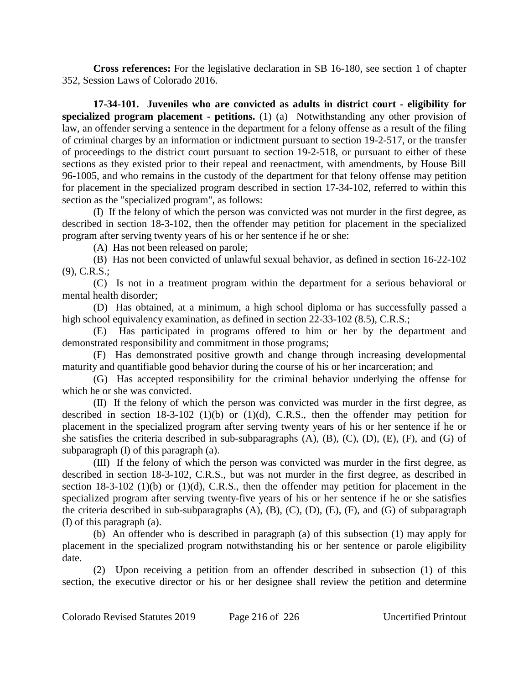**Cross references:** For the legislative declaration in SB 16-180, see section 1 of chapter 352, Session Laws of Colorado 2016.

**17-34-101. Juveniles who are convicted as adults in district court - eligibility for specialized program placement - petitions.** (1) (a) Notwithstanding any other provision of law, an offender serving a sentence in the department for a felony offense as a result of the filing of criminal charges by an information or indictment pursuant to section 19-2-517, or the transfer of proceedings to the district court pursuant to section 19-2-518, or pursuant to either of these sections as they existed prior to their repeal and reenactment, with amendments, by House Bill 96-1005, and who remains in the custody of the department for that felony offense may petition for placement in the specialized program described in section 17-34-102, referred to within this section as the "specialized program", as follows:

(I) If the felony of which the person was convicted was not murder in the first degree, as described in section 18-3-102, then the offender may petition for placement in the specialized program after serving twenty years of his or her sentence if he or she:

(A) Has not been released on parole;

(B) Has not been convicted of unlawful sexual behavior, as defined in section 16-22-102 (9), C.R.S.;

(C) Is not in a treatment program within the department for a serious behavioral or mental health disorder;

(D) Has obtained, at a minimum, a high school diploma or has successfully passed a high school equivalency examination, as defined in section 22-33-102 (8.5), C.R.S.;

(E) Has participated in programs offered to him or her by the department and demonstrated responsibility and commitment in those programs;

(F) Has demonstrated positive growth and change through increasing developmental maturity and quantifiable good behavior during the course of his or her incarceration; and

(G) Has accepted responsibility for the criminal behavior underlying the offense for which he or she was convicted.

(II) If the felony of which the person was convicted was murder in the first degree, as described in section  $18-3-102$  (1)(b) or (1)(d), C.R.S., then the offender may petition for placement in the specialized program after serving twenty years of his or her sentence if he or she satisfies the criteria described in sub-subparagraphs (A), (B), (C), (D), (E), (F), and (G) of subparagraph (I) of this paragraph (a).

(III) If the felony of which the person was convicted was murder in the first degree, as described in section 18-3-102, C.R.S., but was not murder in the first degree, as described in section 18-3-102 (1)(b) or (1)(d), C.R.S., then the offender may petition for placement in the specialized program after serving twenty-five years of his or her sentence if he or she satisfies the criteria described in sub-subparagraphs  $(A)$ ,  $(B)$ ,  $(C)$ ,  $(D)$ ,  $(E)$ ,  $(F)$ , and  $(G)$  of subparagraph (I) of this paragraph (a).

(b) An offender who is described in paragraph (a) of this subsection (1) may apply for placement in the specialized program notwithstanding his or her sentence or parole eligibility date.

(2) Upon receiving a petition from an offender described in subsection (1) of this section, the executive director or his or her designee shall review the petition and determine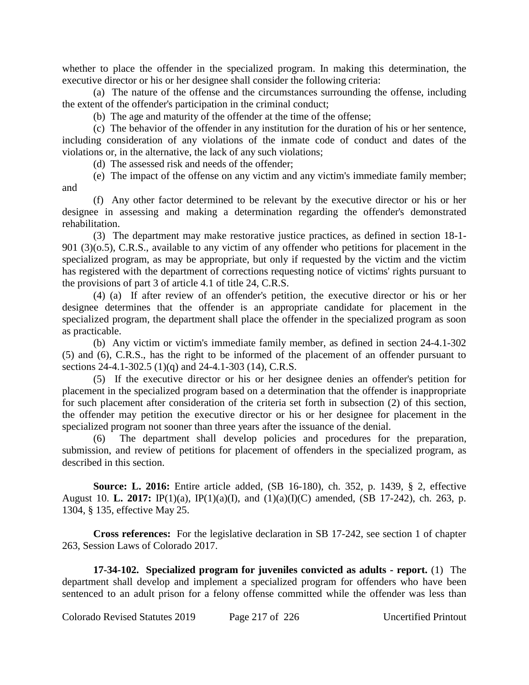whether to place the offender in the specialized program. In making this determination, the executive director or his or her designee shall consider the following criteria:

(a) The nature of the offense and the circumstances surrounding the offense, including the extent of the offender's participation in the criminal conduct;

(b) The age and maturity of the offender at the time of the offense;

(c) The behavior of the offender in any institution for the duration of his or her sentence, including consideration of any violations of the inmate code of conduct and dates of the violations or, in the alternative, the lack of any such violations;

(d) The assessed risk and needs of the offender;

(e) The impact of the offense on any victim and any victim's immediate family member; and

(f) Any other factor determined to be relevant by the executive director or his or her designee in assessing and making a determination regarding the offender's demonstrated rehabilitation.

(3) The department may make restorative justice practices, as defined in section 18-1- 901 (3)(o.5), C.R.S., available to any victim of any offender who petitions for placement in the specialized program, as may be appropriate, but only if requested by the victim and the victim has registered with the department of corrections requesting notice of victims' rights pursuant to the provisions of part 3 of article 4.1 of title 24, C.R.S.

(4) (a) If after review of an offender's petition, the executive director or his or her designee determines that the offender is an appropriate candidate for placement in the specialized program, the department shall place the offender in the specialized program as soon as practicable.

(b) Any victim or victim's immediate family member, as defined in section 24-4.1-302 (5) and (6), C.R.S., has the right to be informed of the placement of an offender pursuant to sections 24-4.1-302.5 (1)(q) and 24-4.1-303 (14), C.R.S.

(5) If the executive director or his or her designee denies an offender's petition for placement in the specialized program based on a determination that the offender is inappropriate for such placement after consideration of the criteria set forth in subsection (2) of this section, the offender may petition the executive director or his or her designee for placement in the specialized program not sooner than three years after the issuance of the denial.

(6) The department shall develop policies and procedures for the preparation, submission, and review of petitions for placement of offenders in the specialized program, as described in this section.

**Source: L. 2016:** Entire article added, (SB 16-180), ch. 352, p. 1439, § 2, effective August 10. **L. 2017:** IP(1)(a), IP(1)(a)(I), and (1)(a)(I)(C) amended, (SB 17-242), ch. 263, p. 1304, § 135, effective May 25.

**Cross references:** For the legislative declaration in SB 17-242, see section 1 of chapter 263, Session Laws of Colorado 2017.

**17-34-102. Specialized program for juveniles convicted as adults - report.** (1) The department shall develop and implement a specialized program for offenders who have been sentenced to an adult prison for a felony offense committed while the offender was less than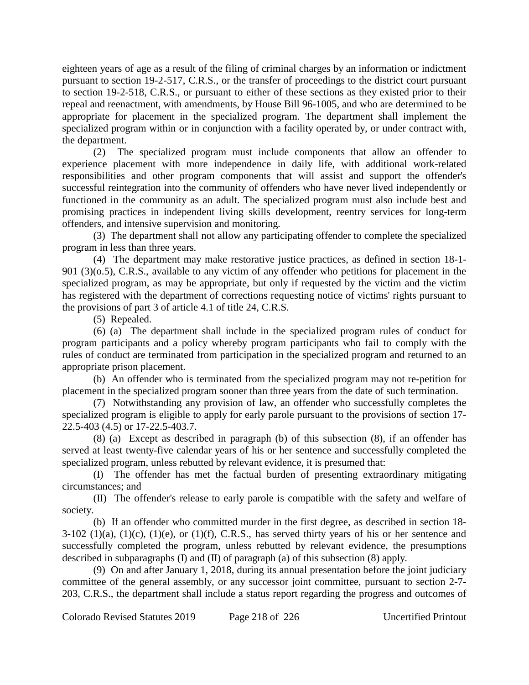eighteen years of age as a result of the filing of criminal charges by an information or indictment pursuant to section 19-2-517, C.R.S., or the transfer of proceedings to the district court pursuant to section 19-2-518, C.R.S., or pursuant to either of these sections as they existed prior to their repeal and reenactment, with amendments, by House Bill 96-1005, and who are determined to be appropriate for placement in the specialized program. The department shall implement the specialized program within or in conjunction with a facility operated by, or under contract with, the department.

(2) The specialized program must include components that allow an offender to experience placement with more independence in daily life, with additional work-related responsibilities and other program components that will assist and support the offender's successful reintegration into the community of offenders who have never lived independently or functioned in the community as an adult. The specialized program must also include best and promising practices in independent living skills development, reentry services for long-term offenders, and intensive supervision and monitoring.

(3) The department shall not allow any participating offender to complete the specialized program in less than three years.

(4) The department may make restorative justice practices, as defined in section 18-1- 901 (3)(o.5), C.R.S., available to any victim of any offender who petitions for placement in the specialized program, as may be appropriate, but only if requested by the victim and the victim has registered with the department of corrections requesting notice of victims' rights pursuant to the provisions of part 3 of article 4.1 of title 24, C.R.S.

(5) Repealed.

(6) (a) The department shall include in the specialized program rules of conduct for program participants and a policy whereby program participants who fail to comply with the rules of conduct are terminated from participation in the specialized program and returned to an appropriate prison placement.

(b) An offender who is terminated from the specialized program may not re-petition for placement in the specialized program sooner than three years from the date of such termination.

(7) Notwithstanding any provision of law, an offender who successfully completes the specialized program is eligible to apply for early parole pursuant to the provisions of section 17- 22.5-403 (4.5) or 17-22.5-403.7.

(8) (a) Except as described in paragraph (b) of this subsection (8), if an offender has served at least twenty-five calendar years of his or her sentence and successfully completed the specialized program, unless rebutted by relevant evidence, it is presumed that:

(I) The offender has met the factual burden of presenting extraordinary mitigating circumstances; and

(II) The offender's release to early parole is compatible with the safety and welfare of society.

(b) If an offender who committed murder in the first degree, as described in section 18-  $3-102$  (1)(a), (1)(c), (1)(e), or (1)(f), C.R.S., has served thirty years of his or her sentence and successfully completed the program, unless rebutted by relevant evidence, the presumptions described in subparagraphs (I) and (II) of paragraph (a) of this subsection (8) apply.

(9) On and after January 1, 2018, during its annual presentation before the joint judiciary committee of the general assembly, or any successor joint committee, pursuant to section 2-7- 203, C.R.S., the department shall include a status report regarding the progress and outcomes of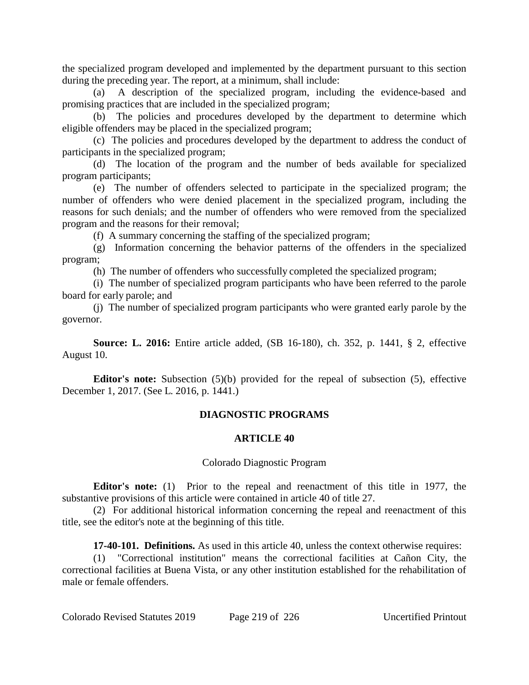the specialized program developed and implemented by the department pursuant to this section during the preceding year. The report, at a minimum, shall include:

(a) A description of the specialized program, including the evidence-based and promising practices that are included in the specialized program;

(b) The policies and procedures developed by the department to determine which eligible offenders may be placed in the specialized program;

(c) The policies and procedures developed by the department to address the conduct of participants in the specialized program;

(d) The location of the program and the number of beds available for specialized program participants;

(e) The number of offenders selected to participate in the specialized program; the number of offenders who were denied placement in the specialized program, including the reasons for such denials; and the number of offenders who were removed from the specialized program and the reasons for their removal;

(f) A summary concerning the staffing of the specialized program;

(g) Information concerning the behavior patterns of the offenders in the specialized program;

(h) The number of offenders who successfully completed the specialized program;

(i) The number of specialized program participants who have been referred to the parole board for early parole; and

(j) The number of specialized program participants who were granted early parole by the governor.

**Source: L. 2016:** Entire article added, (SB 16-180), ch. 352, p. 1441, § 2, effective August 10.

**Editor's note:** Subsection (5)(b) provided for the repeal of subsection (5), effective December 1, 2017. (See L. 2016, p. 1441.)

# **DIAGNOSTIC PROGRAMS**

## **ARTICLE 40**

## Colorado Diagnostic Program

**Editor's note:** (1) Prior to the repeal and reenactment of this title in 1977, the substantive provisions of this article were contained in article 40 of title 27.

(2) For additional historical information concerning the repeal and reenactment of this title, see the editor's note at the beginning of this title.

**17-40-101. Definitions.** As used in this article 40, unless the context otherwise requires:

(1) "Correctional institution" means the correctional facilities at Cañon City, the correctional facilities at Buena Vista, or any other institution established for the rehabilitation of male or female offenders.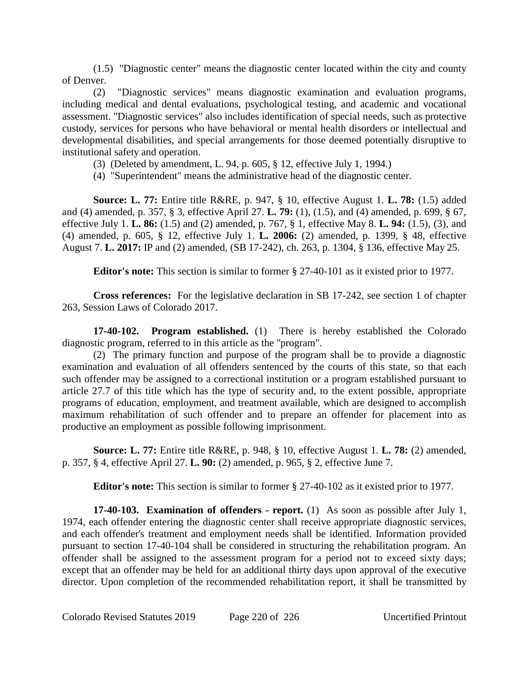(1.5) "Diagnostic center" means the diagnostic center located within the city and county of Denver.

(2) "Diagnostic services" means diagnostic examination and evaluation programs, including medical and dental evaluations, psychological testing, and academic and vocational assessment. "Diagnostic services" also includes identification of special needs, such as protective custody, services for persons who have behavioral or mental health disorders or intellectual and developmental disabilities, and special arrangements for those deemed potentially disruptive to institutional safety and operation.

- (3) (Deleted by amendment, L. 94, p. 605, § 12, effective July 1, 1994.)
- (4) "Superintendent" means the administrative head of the diagnostic center.

**Source: L. 77:** Entire title R&RE, p. 947, § 10, effective August 1. **L. 78:** (1.5) added and (4) amended, p. 357, § 3, effective April 27. **L. 79:** (1), (1.5), and (4) amended, p. 699, § 67, effective July 1. **L. 86:** (1.5) and (2) amended, p. 767, § 1, effective May 8. **L. 94:** (1.5), (3), and (4) amended, p. 605, § 12, effective July 1. **L. 2006:** (2) amended, p. 1399, § 48, effective August 7. **L. 2017:** IP and (2) amended, (SB 17-242), ch. 263, p. 1304, § 136, effective May 25.

**Editor's note:** This section is similar to former § 27-40-101 as it existed prior to 1977.

**Cross references:** For the legislative declaration in SB 17-242, see section 1 of chapter 263, Session Laws of Colorado 2017.

**17-40-102. Program established.** (1) There is hereby established the Colorado diagnostic program, referred to in this article as the "program".

(2) The primary function and purpose of the program shall be to provide a diagnostic examination and evaluation of all offenders sentenced by the courts of this state, so that each such offender may be assigned to a correctional institution or a program established pursuant to article 27.7 of this title which has the type of security and, to the extent possible, appropriate programs of education, employment, and treatment available, which are designed to accomplish maximum rehabilitation of such offender and to prepare an offender for placement into as productive an employment as possible following imprisonment.

**Source: L. 77:** Entire title R&RE, p. 948, § 10, effective August 1. **L. 78:** (2) amended, p. 357, § 4, effective April 27. **L. 90:** (2) amended, p. 965, § 2, effective June 7.

**Editor's note:** This section is similar to former § 27-40-102 as it existed prior to 1977.

**17-40-103. Examination of offenders - report.** (1) As soon as possible after July 1, 1974, each offender entering the diagnostic center shall receive appropriate diagnostic services, and each offender's treatment and employment needs shall be identified. Information provided pursuant to section 17-40-104 shall be considered in structuring the rehabilitation program. An offender shall be assigned to the assessment program for a period not to exceed sixty days; except that an offender may be held for an additional thirty days upon approval of the executive director. Upon completion of the recommended rehabilitation report, it shall be transmitted by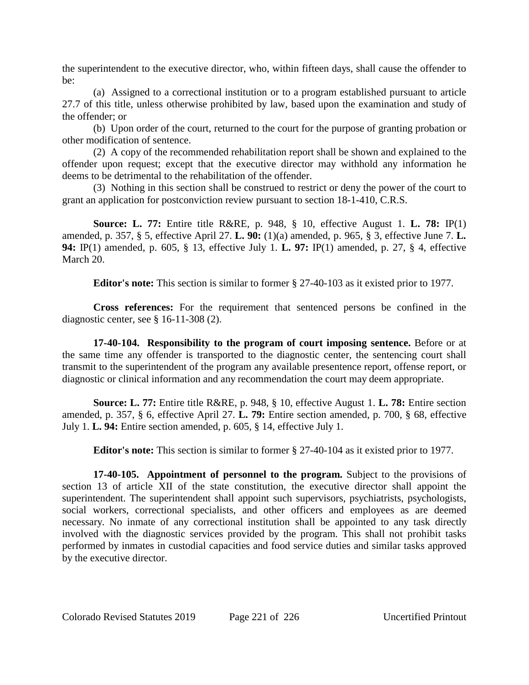the superintendent to the executive director, who, within fifteen days, shall cause the offender to be:

(a) Assigned to a correctional institution or to a program established pursuant to article 27.7 of this title, unless otherwise prohibited by law, based upon the examination and study of the offender; or

(b) Upon order of the court, returned to the court for the purpose of granting probation or other modification of sentence.

(2) A copy of the recommended rehabilitation report shall be shown and explained to the offender upon request; except that the executive director may withhold any information he deems to be detrimental to the rehabilitation of the offender.

(3) Nothing in this section shall be construed to restrict or deny the power of the court to grant an application for postconviction review pursuant to section 18-1-410, C.R.S.

**Source: L. 77:** Entire title R&RE, p. 948, § 10, effective August 1. **L. 78:** IP(1) amended, p. 357, § 5, effective April 27. **L. 90:** (1)(a) amended, p. 965, § 3, effective June 7. **L. 94:** IP(1) amended, p. 605, § 13, effective July 1. **L. 97:** IP(1) amended, p. 27, § 4, effective March 20.

**Editor's note:** This section is similar to former § 27-40-103 as it existed prior to 1977.

**Cross references:** For the requirement that sentenced persons be confined in the diagnostic center, see § 16-11-308 (2).

**17-40-104. Responsibility to the program of court imposing sentence.** Before or at the same time any offender is transported to the diagnostic center, the sentencing court shall transmit to the superintendent of the program any available presentence report, offense report, or diagnostic or clinical information and any recommendation the court may deem appropriate.

**Source: L. 77:** Entire title R&RE, p. 948, § 10, effective August 1. **L. 78:** Entire section amended, p. 357, § 6, effective April 27. **L. 79:** Entire section amended, p. 700, § 68, effective July 1. **L. 94:** Entire section amended, p. 605, § 14, effective July 1.

**Editor's note:** This section is similar to former § 27-40-104 as it existed prior to 1977.

**17-40-105. Appointment of personnel to the program.** Subject to the provisions of section 13 of article XII of the state constitution, the executive director shall appoint the superintendent. The superintendent shall appoint such supervisors, psychiatrists, psychologists, social workers, correctional specialists, and other officers and employees as are deemed necessary. No inmate of any correctional institution shall be appointed to any task directly involved with the diagnostic services provided by the program. This shall not prohibit tasks performed by inmates in custodial capacities and food service duties and similar tasks approved by the executive director.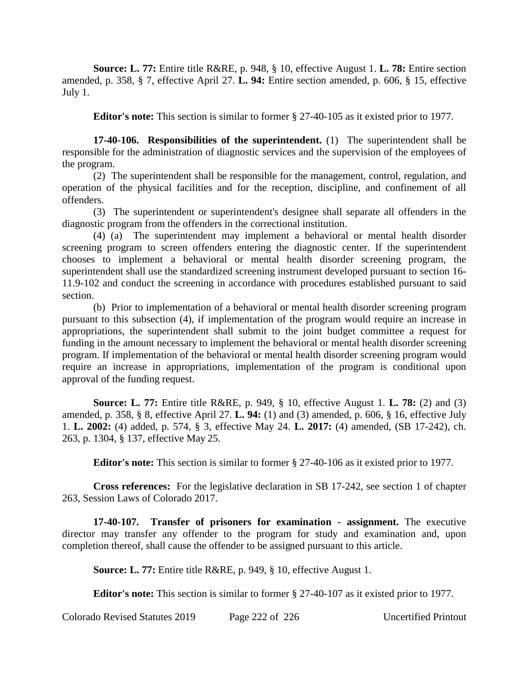**Source: L. 77:** Entire title R&RE, p. 948, § 10, effective August 1. **L. 78:** Entire section amended, p. 358, § 7, effective April 27. **L. 94:** Entire section amended, p. 606, § 15, effective July 1.

**Editor's note:** This section is similar to former § 27-40-105 as it existed prior to 1977.

**17-40-106. Responsibilities of the superintendent.** (1) The superintendent shall be responsible for the administration of diagnostic services and the supervision of the employees of the program.

(2) The superintendent shall be responsible for the management, control, regulation, and operation of the physical facilities and for the reception, discipline, and confinement of all offenders.

(3) The superintendent or superintendent's designee shall separate all offenders in the diagnostic program from the offenders in the correctional institution.

(4) (a) The superintendent may implement a behavioral or mental health disorder screening program to screen offenders entering the diagnostic center. If the superintendent chooses to implement a behavioral or mental health disorder screening program, the superintendent shall use the standardized screening instrument developed pursuant to section 16- 11.9-102 and conduct the screening in accordance with procedures established pursuant to said section.

(b) Prior to implementation of a behavioral or mental health disorder screening program pursuant to this subsection (4), if implementation of the program would require an increase in appropriations, the superintendent shall submit to the joint budget committee a request for funding in the amount necessary to implement the behavioral or mental health disorder screening program. If implementation of the behavioral or mental health disorder screening program would require an increase in appropriations, implementation of the program is conditional upon approval of the funding request.

**Source: L. 77:** Entire title R&RE, p. 949, § 10, effective August 1. **L. 78:** (2) and (3) amended, p. 358, § 8, effective April 27. **L. 94:** (1) and (3) amended, p. 606, § 16, effective July 1. **L. 2002:** (4) added, p. 574, § 3, effective May 24. **L. 2017:** (4) amended, (SB 17-242), ch. 263, p. 1304, § 137, effective May 25.

**Editor's note:** This section is similar to former § 27-40-106 as it existed prior to 1977.

**Cross references:** For the legislative declaration in SB 17-242, see section 1 of chapter 263, Session Laws of Colorado 2017.

**17-40-107. Transfer of prisoners for examination - assignment.** The executive director may transfer any offender to the program for study and examination and, upon completion thereof, shall cause the offender to be assigned pursuant to this article.

**Source: L. 77:** Entire title R&RE, p. 949, § 10, effective August 1.

**Editor's note:** This section is similar to former  $\S 27-40-107$  as it existed prior to 1977.

Colorado Revised Statutes 2019 Page 222 of 226 Uncertified Printout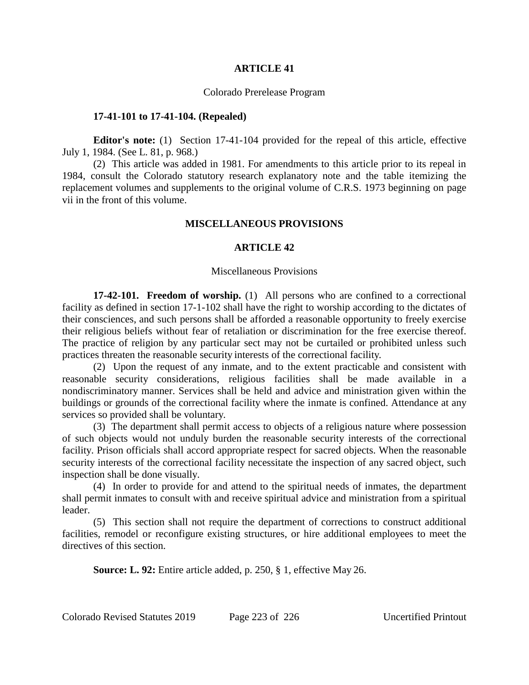## **ARTICLE 41**

### Colorado Prerelease Program

#### **17-41-101 to 17-41-104. (Repealed)**

**Editor's note:** (1) Section 17-41-104 provided for the repeal of this article, effective July 1, 1984. (See L. 81, p. 968.)

(2) This article was added in 1981. For amendments to this article prior to its repeal in 1984, consult the Colorado statutory research explanatory note and the table itemizing the replacement volumes and supplements to the original volume of C.R.S. 1973 beginning on page vii in the front of this volume.

### **MISCELLANEOUS PROVISIONS**

# **ARTICLE 42**

#### Miscellaneous Provisions

**17-42-101. Freedom of worship.** (1) All persons who are confined to a correctional facility as defined in section 17-1-102 shall have the right to worship according to the dictates of their consciences, and such persons shall be afforded a reasonable opportunity to freely exercise their religious beliefs without fear of retaliation or discrimination for the free exercise thereof. The practice of religion by any particular sect may not be curtailed or prohibited unless such practices threaten the reasonable security interests of the correctional facility.

(2) Upon the request of any inmate, and to the extent practicable and consistent with reasonable security considerations, religious facilities shall be made available in a nondiscriminatory manner. Services shall be held and advice and ministration given within the buildings or grounds of the correctional facility where the inmate is confined. Attendance at any services so provided shall be voluntary.

(3) The department shall permit access to objects of a religious nature where possession of such objects would not unduly burden the reasonable security interests of the correctional facility. Prison officials shall accord appropriate respect for sacred objects. When the reasonable security interests of the correctional facility necessitate the inspection of any sacred object, such inspection shall be done visually.

(4) In order to provide for and attend to the spiritual needs of inmates, the department shall permit inmates to consult with and receive spiritual advice and ministration from a spiritual leader.

(5) This section shall not require the department of corrections to construct additional facilities, remodel or reconfigure existing structures, or hire additional employees to meet the directives of this section.

**Source: L. 92:** Entire article added, p. 250, § 1, effective May 26.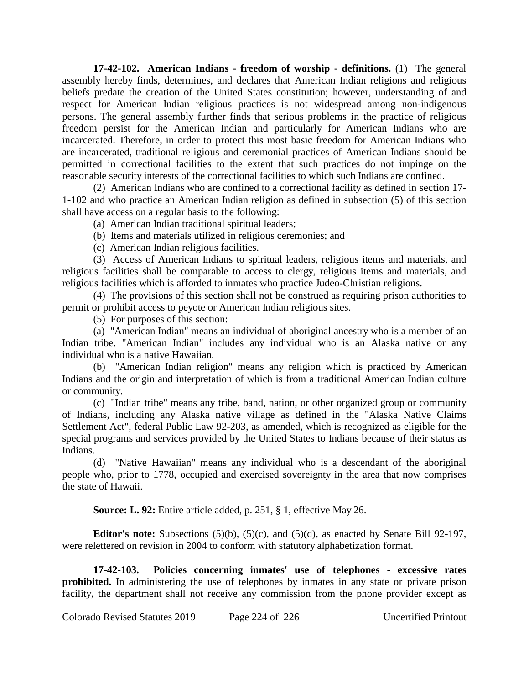**17-42-102. American Indians - freedom of worship - definitions.** (1) The general assembly hereby finds, determines, and declares that American Indian religions and religious beliefs predate the creation of the United States constitution; however, understanding of and respect for American Indian religious practices is not widespread among non-indigenous persons. The general assembly further finds that serious problems in the practice of religious freedom persist for the American Indian and particularly for American Indians who are incarcerated. Therefore, in order to protect this most basic freedom for American Indians who are incarcerated, traditional religious and ceremonial practices of American Indians should be permitted in correctional facilities to the extent that such practices do not impinge on the reasonable security interests of the correctional facilities to which such Indians are confined.

(2) American Indians who are confined to a correctional facility as defined in section 17- 1-102 and who practice an American Indian religion as defined in subsection (5) of this section shall have access on a regular basis to the following:

(a) American Indian traditional spiritual leaders;

(b) Items and materials utilized in religious ceremonies; and

(c) American Indian religious facilities.

(3) Access of American Indians to spiritual leaders, religious items and materials, and religious facilities shall be comparable to access to clergy, religious items and materials, and religious facilities which is afforded to inmates who practice Judeo-Christian religions.

(4) The provisions of this section shall not be construed as requiring prison authorities to permit or prohibit access to peyote or American Indian religious sites.

(5) For purposes of this section:

(a) "American Indian" means an individual of aboriginal ancestry who is a member of an Indian tribe. "American Indian" includes any individual who is an Alaska native or any individual who is a native Hawaiian.

(b) "American Indian religion" means any religion which is practiced by American Indians and the origin and interpretation of which is from a traditional American Indian culture or community.

(c) "Indian tribe" means any tribe, band, nation, or other organized group or community of Indians, including any Alaska native village as defined in the "Alaska Native Claims Settlement Act", federal Public Law 92-203, as amended, which is recognized as eligible for the special programs and services provided by the United States to Indians because of their status as Indians.

(d) "Native Hawaiian" means any individual who is a descendant of the aboriginal people who, prior to 1778, occupied and exercised sovereignty in the area that now comprises the state of Hawaii.

**Source: L. 92:** Entire article added, p. 251, § 1, effective May 26.

**Editor's note:** Subsections (5)(b), (5)(c), and (5)(d), as enacted by Senate Bill 92-197, were relettered on revision in 2004 to conform with statutory alphabetization format.

**17-42-103. Policies concerning inmates' use of telephones - excessive rates prohibited.** In administering the use of telephones by inmates in any state or private prison facility, the department shall not receive any commission from the phone provider except as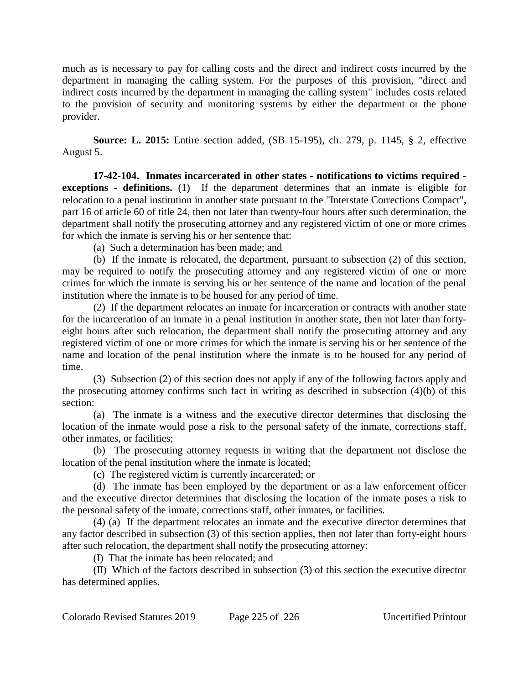much as is necessary to pay for calling costs and the direct and indirect costs incurred by the department in managing the calling system. For the purposes of this provision, "direct and indirect costs incurred by the department in managing the calling system" includes costs related to the provision of security and monitoring systems by either the department or the phone provider.

**Source: L. 2015:** Entire section added, (SB 15-195), ch. 279, p. 1145, § 2, effective August 5.

**17-42-104. Inmates incarcerated in other states - notifications to victims required exceptions - definitions.** (1) If the department determines that an inmate is eligible for relocation to a penal institution in another state pursuant to the "Interstate Corrections Compact", part 16 of article 60 of title 24, then not later than twenty-four hours after such determination, the department shall notify the prosecuting attorney and any registered victim of one or more crimes for which the inmate is serving his or her sentence that:

(a) Such a determination has been made; and

(b) If the inmate is relocated, the department, pursuant to subsection (2) of this section, may be required to notify the prosecuting attorney and any registered victim of one or more crimes for which the inmate is serving his or her sentence of the name and location of the penal institution where the inmate is to be housed for any period of time.

(2) If the department relocates an inmate for incarceration or contracts with another state for the incarceration of an inmate in a penal institution in another state, then not later than fortyeight hours after such relocation, the department shall notify the prosecuting attorney and any registered victim of one or more crimes for which the inmate is serving his or her sentence of the name and location of the penal institution where the inmate is to be housed for any period of time.

(3) Subsection (2) of this section does not apply if any of the following factors apply and the prosecuting attorney confirms such fact in writing as described in subsection (4)(b) of this section:

(a) The inmate is a witness and the executive director determines that disclosing the location of the inmate would pose a risk to the personal safety of the inmate, corrections staff, other inmates, or facilities;

(b) The prosecuting attorney requests in writing that the department not disclose the location of the penal institution where the inmate is located;

(c) The registered victim is currently incarcerated; or

(d) The inmate has been employed by the department or as a law enforcement officer and the executive director determines that disclosing the location of the inmate poses a risk to the personal safety of the inmate, corrections staff, other inmates, or facilities.

(4) (a) If the department relocates an inmate and the executive director determines that any factor described in subsection (3) of this section applies, then not later than forty-eight hours after such relocation, the department shall notify the prosecuting attorney:

(I) That the inmate has been relocated; and

(II) Which of the factors described in subsection (3) of this section the executive director has determined applies.